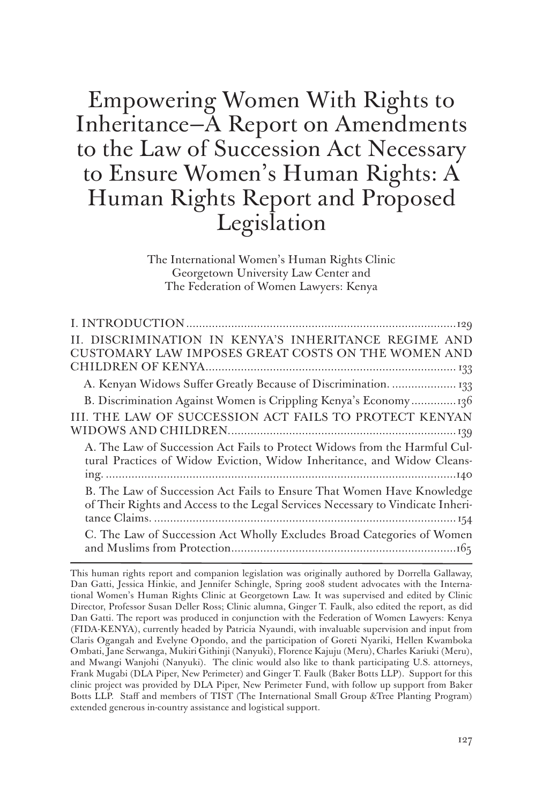Empowering Women With Rights to Inheritance—A Report on Amendments to the Law of Succession Act Necessary to Ensure Women's Human Rights: A Human Rights Report and Proposed Legislation

> The International Women's Human Rights Clinic Georgetown University Law Center and The Federation of Women Lawyers: Kenya

| II. DISCRIMINATION IN KENYA'S INHERITANCE REGIME AND                                                                                                      |
|-----------------------------------------------------------------------------------------------------------------------------------------------------------|
| CUSTOMARY LAW IMPOSES GREAT COSTS ON THE WOMEN AND                                                                                                        |
|                                                                                                                                                           |
| A. Kenyan Widows Suffer Greatly Because of Discrimination.  133                                                                                           |
| B. Discrimination Against Women is Crippling Kenya's Economy136                                                                                           |
| III. THE LAW OF SUCCESSION ACT FAILS TO PROTECT KENYAN                                                                                                    |
|                                                                                                                                                           |
| A. The Law of Succession Act Fails to Protect Widows from the Harmful Cul-<br>tural Practices of Widow Eviction, Widow Inheritance, and Widow Cleans-     |
|                                                                                                                                                           |
| B. The Law of Succession Act Fails to Ensure That Women Have Knowledge<br>of Their Rights and Access to the Legal Services Necessary to Vindicate Inheri- |
|                                                                                                                                                           |
| C. The Law of Succession Act Wholly Excludes Broad Categories of Women                                                                                    |
|                                                                                                                                                           |

This human rights report and companion legislation was originally authored by Dorrella Gallaway, Dan Gatti, Jessica Hinkie, and Jennifer Schingle, Spring 2008 student advocates with the International Women's Human Rights Clinic at Georgetown Law. It was supervised and edited by Clinic Director, Professor Susan Deller Ross; Clinic alumna, Ginger T. Faulk, also edited the report, as did Dan Gatti. The report was produced in conjunction with the Federation of Women Lawyers: Kenya (FIDA-KENYA), currently headed by Patricia Nyaundi, with invaluable supervision and input from Claris Ogangah and Evelyne Opondo, and the participation of Goreti Nyariki, Hellen Kwamboka Ombati, Jane Serwanga, Mukiri Githinji (Nanyuki), Florence Kajuju (Meru), Charles Kariuki (Meru), and Mwangi Wanjohi (Nanyuki). The clinic would also like to thank participating U.S. attorneys, Frank Mugabi (DLA Piper, New Perimeter) and Ginger T. Faulk (Baker Botts LLP). Support for this clinic project was provided by DLA Piper, New Perimeter Fund, with follow up support from Baker Botts LLP. Staff and members of TIST (The International Small Group &Tree Planting Program) extended generous in-country assistance and logistical support.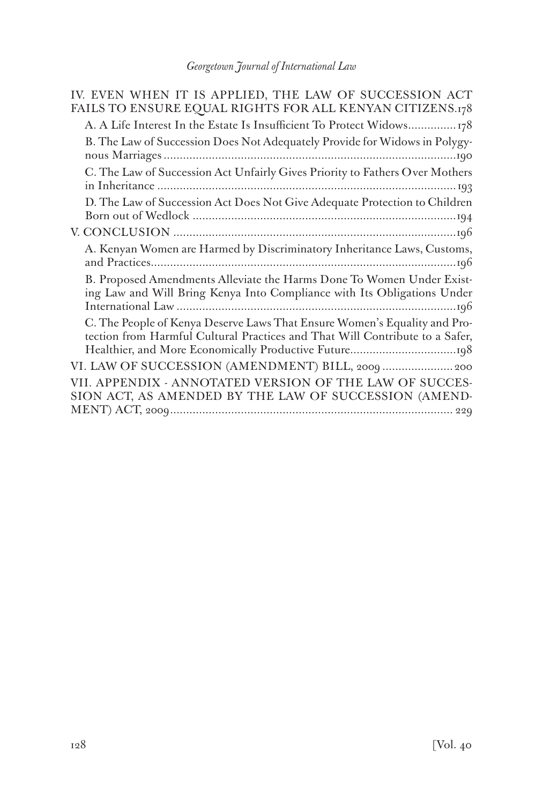| IV. EVEN WHEN IT IS APPLIED, THE LAW OF SUCCESSION ACT<br>FAILS TO ENSURE EQUAL RIGHTS FOR ALL KENYAN CITIZENS.178                                        |
|-----------------------------------------------------------------------------------------------------------------------------------------------------------|
| A. A Life Interest In the Estate Is Insufficient To Protect Widows178                                                                                     |
| B. The Law of Succession Does Not Adequately Provide for Widows in Polygy-                                                                                |
| C. The Law of Succession Act Unfairly Gives Priority to Fathers Over Mothers                                                                              |
| D. The Law of Succession Act Does Not Give Adequate Protection to Children                                                                                |
|                                                                                                                                                           |
| A. Kenyan Women are Harmed by Discriminatory Inheritance Laws, Customs,                                                                                   |
| B. Proposed Amendments Alleviate the Harms Done To Women Under Exist-<br>ing Law and Will Bring Kenya Into Compliance with Its Obligations Under          |
| C. The People of Kenya Deserve Laws That Ensure Women's Equality and Pro-<br>tection from Harmful Cultural Practices and That Will Contribute to a Safer, |
| VI. LAW OF SUCCESSION (AMENDMENT) BILL, 2009  200                                                                                                         |
| VII. APPENDIX - ANNOTATED VERSION OF THE LAW OF SUCCES-<br>SION ACT, AS AMENDED BY THE LAW OF SUCCESSION (AMEND-                                          |
|                                                                                                                                                           |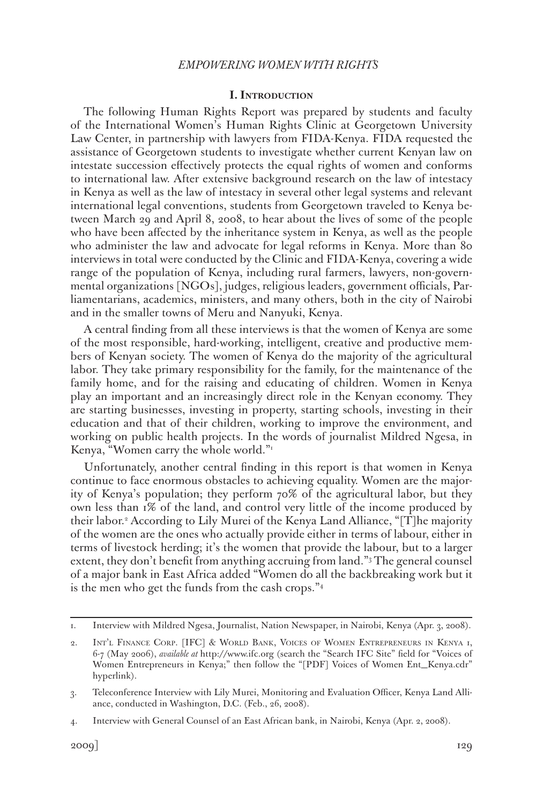#### **I. Introduction**

The following Human Rights Report was prepared by students and faculty of the International Women's Human Rights Clinic at Georgetown University Law Center, in partnership with lawyers from FIDA-Kenya. FIDA requested the assistance of Georgetown students to investigate whether current Kenyan law on intestate succession effectively protects the equal rights of women and conforms to international law. After extensive background research on the law of intestacy in Kenya as well as the law of intestacy in several other legal systems and relevant international legal conventions, students from Georgetown traveled to Kenya between March 29 and April 8, 2008, to hear about the lives of some of the people who have been affected by the inheritance system in Kenya, as well as the people who administer the law and advocate for legal reforms in Kenya. More than 80 interviews in total were conducted by the Clinic and FIDA-Kenya, covering a wide range of the population of Kenya, including rural farmers, lawyers, non-governmental organizations [NGOs], judges, religious leaders, government officials, Parliamentarians, academics, ministers, and many others, both in the city of Nairobi and in the smaller towns of Meru and Nanyuki, Kenya.

A central finding from all these interviews is that the women of Kenya are some of the most responsible, hard-working, intelligent, creative and productive members of Kenyan society. The women of Kenya do the majority of the agricultural labor. They take primary responsibility for the family, for the maintenance of the family home, and for the raising and educating of children. Women in Kenya play an important and an increasingly direct role in the Kenyan economy. They are starting businesses, investing in property, starting schools, investing in their education and that of their children, working to improve the environment, and working on public health projects. In the words of journalist Mildred Ngesa, in Kenya, "Women carry the whole world."1

Unfortunately, another central finding in this report is that women in Kenya continue to face enormous obstacles to achieving equality. Women are the majority of Kenya's population; they perform 70% of the agricultural labor, but they own less than 1% of the land, and control very little of the income produced by their labor.2 According to Lily Murei of the Kenya Land Alliance, "[T]he majority of the women are the ones who actually provide either in terms of labour, either in terms of livestock herding; it's the women that provide the labour, but to a larger extent, they don't benefit from anything accruing from land."3 The general counsel of a major bank in East Africa added "Women do all the backbreaking work but it is the men who get the funds from the cash crops."4

<sup>1.</sup> Interview with Mildred Ngesa, Journalist, Nation Newspaper, in Nairobi, Kenya (Apr. 3, 2008).

<sup>2.</sup> Int'l Finance Corp. [IFC] & World Bank, Voices of Women Entrepreneurs in Kenya 1, 6-7 (May 2006), *available at* http://www.ifc.org (search the "Search IFC Site" field for "Voices of Women Entrepreneurs in Kenya;" then follow the "[PDF] Voices of Women Ent\_Kenya.cdr" hyperlink).

<sup>3.</sup> Teleconference Interview with Lily Murei, Monitoring and Evaluation Officer, Kenya Land Alliance, conducted in Washington, D.C. (Feb., 26, 2008).

<sup>4.</sup> Interview with General Counsel of an East African bank, in Nairobi, Kenya (Apr. 2, 2008).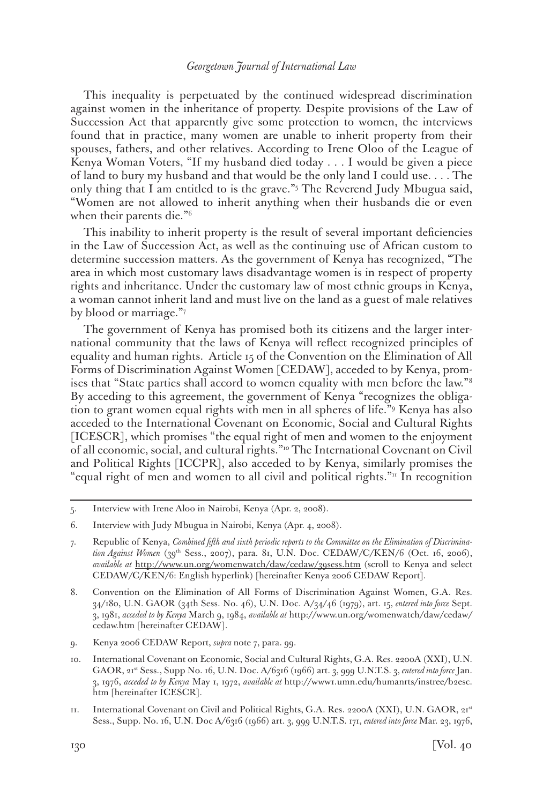This inequality is perpetuated by the continued widespread discrimination against women in the inheritance of property. Despite provisions of the Law of Succession Act that apparently give some protection to women, the interviews found that in practice, many women are unable to inherit property from their spouses, fathers, and other relatives. According to Irene Oloo of the League of Kenya Woman Voters, "If my husband died today . . . I would be given a piece of land to bury my husband and that would be the only land I could use. . . . The only thing that I am entitled to is the grave."5 The Reverend Judy Mbugua said, "Women are not allowed to inherit anything when their husbands die or even when their parents die."6

This inability to inherit property is the result of several important deficiencies in the Law of Succession Act, as well as the continuing use of African custom to determine succession matters. As the government of Kenya has recognized, "The area in which most customary laws disadvantage women is in respect of property rights and inheritance. Under the customary law of most ethnic groups in Kenya, a woman cannot inherit land and must live on the land as a guest of male relatives by blood or marriage."7

The government of Kenya has promised both its citizens and the larger international community that the laws of Kenya will reflect recognized principles of equality and human rights. Article 15 of the Convention on the Elimination of All Forms of Discrimination Against Women [CEDAW], acceded to by Kenya, promises that "State parties shall accord to women equality with men before the law."8 By acceding to this agreement, the government of Kenya "recognizes the obligation to grant women equal rights with men in all spheres of life."9 Kenya has also acceded to the International Covenant on Economic, Social and Cultural Rights [ICESCR], which promises "the equal right of men and women to the enjoyment of all economic, social, and cultural rights."10 The International Covenant on Civil and Political Rights [ICCPR], also acceded to by Kenya, similarly promises the "equal right of men and women to all civil and political rights." $\frac{n}{n}$  In recognition

11. International Covenant on Civil and Political Rights, G.A. Res. 2200A (XXI), U.N. GAOR, 21st Sess., Supp. No. 16, U.N. Doc A/6316 (1966) art. 3, 999 U.N.T.S. 171, *entered into force* Mar. 23, 1976,

<sup>5.</sup> Interview with Irene Aloo in Nairobi, Kenya (Apr. 2, 2008).

<sup>6.</sup> Interview with Judy Mbugua in Nairobi, Kenya (Apr. 4, 2008).

<sup>7.</sup> Republic of Kenya, *Combined fifth and sixth periodic reports to the Committee on the Elimination of Discrimina*tion Against Women (39<sup>th</sup> Sess., 2007), para. 81, U.N. Doc. CEDAW/C/KEN/6 (Oct. 16, 2006), *available at* http://www.un.org/womenwatch/daw/cedaw/39sess.htm (scroll to Kenya and select CEDAW/C/KEN/6: English hyperlink) [hereinafter Kenya 2006 CEDAW Report].

<sup>8.</sup> Convention on the Elimination of All Forms of Discrimination Against Women, G.A. Res. 34/180, U.N. GAOR (34th Sess. No. 46), U.N. Doc. A/34/46 (1979), art. 15, *entered into force* Sept. 3, 1981, *acceded to by Kenya* March 9, 1984, *available at* http://www.un.org/womenwatch/daw/cedaw/ cedaw.htm [hereinafter CEDAW].

<sup>9.</sup> Kenya 2006 CEDAW Report, *supra* note 7, para. 99.

<sup>10.</sup> International Covenant on Economic, Social and Cultural Rights, G.A. Res. 2200A (XXI), U.N. GAOR, 21st Sess., Supp No. 16, U.N. Doc. A/6316 (1966) art. 3, 999 U.N.T.S. 3, *entered into force* Jan. 3, 1976, *acceded to by Kenya* May 1, 1972, *available at* http://www1.umn.edu/humanrts/instree/b2esc. htm [hereinafter ICESCR].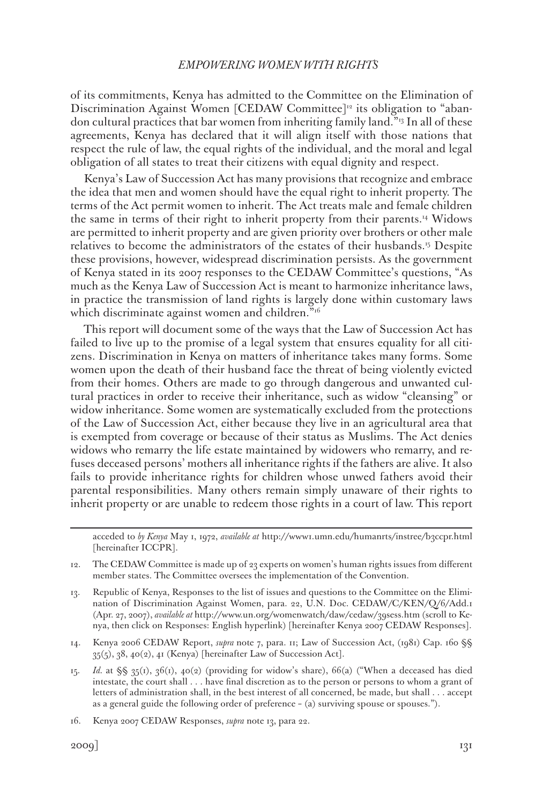of its commitments, Kenya has admitted to the Committee on the Elimination of Discrimination Against Women [CEDAW Committee]<sup>12</sup> its obligation to "abandon cultural practices that bar women from inheriting family land."13 In all of these agreements, Kenya has declared that it will align itself with those nations that respect the rule of law, the equal rights of the individual, and the moral and legal obligation of all states to treat their citizens with equal dignity and respect.

Kenya's Law of Succession Act has many provisions that recognize and embrace the idea that men and women should have the equal right to inherit property. The terms of the Act permit women to inherit. The Act treats male and female children the same in terms of their right to inherit property from their parents.14 Widows are permitted to inherit property and are given priority over brothers or other male relatives to become the administrators of the estates of their husbands.15 Despite these provisions, however, widespread discrimination persists. As the government of Kenya stated in its 2007 responses to the CEDAW Committee's questions, "As much as the Kenya Law of Succession Act is meant to harmonize inheritance laws, in practice the transmission of land rights is largely done within customary laws which discriminate against women and children.<sup>"16</sup>

This report will document some of the ways that the Law of Succession Act has failed to live up to the promise of a legal system that ensures equality for all citizens. Discrimination in Kenya on matters of inheritance takes many forms. Some women upon the death of their husband face the threat of being violently evicted from their homes. Others are made to go through dangerous and unwanted cultural practices in order to receive their inheritance, such as widow "cleansing" or widow inheritance. Some women are systematically excluded from the protections of the Law of Succession Act, either because they live in an agricultural area that is exempted from coverage or because of their status as Muslims. The Act denies widows who remarry the life estate maintained by widowers who remarry, and refuses deceased persons' mothers all inheritance rights if the fathers are alive. It also fails to provide inheritance rights for children whose unwed fathers avoid their parental responsibilities. Many others remain simply unaware of their rights to inherit property or are unable to redeem those rights in a court of law. This report

acceded to *by Kenya* May 1, 1972, *available at* http://www1.umn.edu/humanrts/instree/b3ccpr.html [hereinafter ICCPR].

12. The CEDAW Committee is made up of 23 experts on women's human rights issues from different member states. The Committee oversees the implementation of the Convention.

13. Republic of Kenya, Responses to the list of issues and questions to the Committee on the Elimination of Discrimination Against Women, para. 22, U.N. Doc. CEDAW/C/KEN/Q/6/Add.1 (Apr. 27, 2007), *available at* http://www.un.org/womenwatch/daw/cedaw/39sess.htm (scroll to Kenya, then click on Responses: English hyperlink) [hereinafter Kenya 2007 CEDAW Responses].

- 14. Kenya 2006 CEDAW Report, *supra* note 7, para. 11; Law of Succession Act, (1981) Cap. 160 §§ 35(5), 38, 40(2), 41 (Kenya) [hereinafter Law of Succession Act].
- 15. *Id.* at §§ 35(1), 36(1), 40(2) (providing for widow's share), 66(a) ("When a deceased has died intestate, the court shall . . . have final discretion as to the person or persons to whom a grant of letters of administration shall, in the best interest of all concerned, be made, but shall . . . accept as a general guide the following order of preference – (a) surviving spouse or spouses.").

16. Kenya 2007 CEDAW Responses, *supra* note 13, para 22.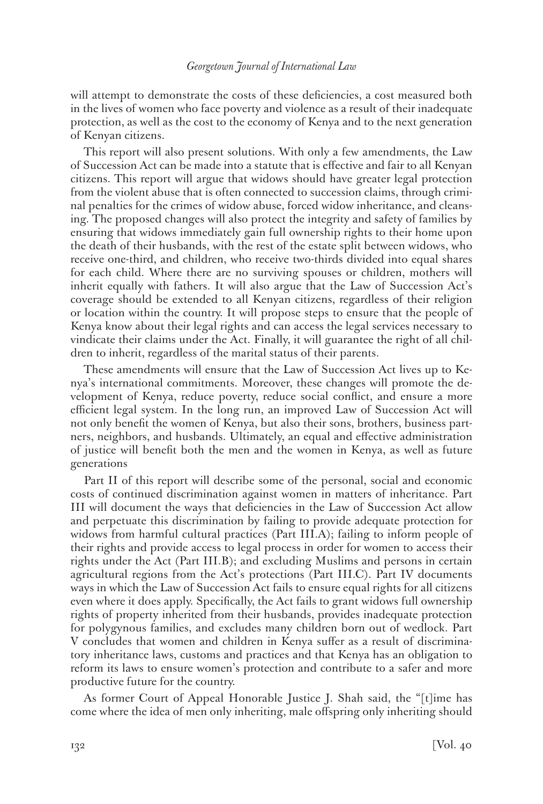will attempt to demonstrate the costs of these deficiencies, a cost measured both in the lives of women who face poverty and violence as a result of their inadequate protection, as well as the cost to the economy of Kenya and to the next generation of Kenyan citizens.

This report will also present solutions. With only a few amendments, the Law of Succession Act can be made into a statute that is effective and fair to all Kenyan citizens. This report will argue that widows should have greater legal protection from the violent abuse that is often connected to succession claims, through criminal penalties for the crimes of widow abuse, forced widow inheritance, and cleansing. The proposed changes will also protect the integrity and safety of families by ensuring that widows immediately gain full ownership rights to their home upon the death of their husbands, with the rest of the estate split between widows, who receive one-third, and children, who receive two-thirds divided into equal shares for each child. Where there are no surviving spouses or children, mothers will inherit equally with fathers. It will also argue that the Law of Succession Act's coverage should be extended to all Kenyan citizens, regardless of their religion or location within the country. It will propose steps to ensure that the people of Kenya know about their legal rights and can access the legal services necessary to vindicate their claims under the Act. Finally, it will guarantee the right of all children to inherit, regardless of the marital status of their parents.

These amendments will ensure that the Law of Succession Act lives up to Kenya's international commitments. Moreover, these changes will promote the development of Kenya, reduce poverty, reduce social conflict, and ensure a more efficient legal system. In the long run, an improved Law of Succession Act will not only benefit the women of Kenya, but also their sons, brothers, business partners, neighbors, and husbands. Ultimately, an equal and effective administration of justice will benefit both the men and the women in Kenya, as well as future generations

Part II of this report will describe some of the personal, social and economic costs of continued discrimination against women in matters of inheritance. Part III will document the ways that deficiencies in the Law of Succession Act allow and perpetuate this discrimination by failing to provide adequate protection for widows from harmful cultural practices (Part III.A); failing to inform people of their rights and provide access to legal process in order for women to access their rights under the Act (Part III.B); and excluding Muslims and persons in certain agricultural regions from the Act's protections (Part III.C). Part IV documents ways in which the Law of Succession Act fails to ensure equal rights for all citizens even where it does apply. Specifically, the Act fails to grant widows full ownership rights of property inherited from their husbands, provides inadequate protection for polygynous families, and excludes many children born out of wedlock. Part V concludes that women and children in Kenya suffer as a result of discriminatory inheritance laws, customs and practices and that Kenya has an obligation to reform its laws to ensure women's protection and contribute to a safer and more productive future for the country.

As former Court of Appeal Honorable Justice J. Shah said, the "[t]ime has come where the idea of men only inheriting, male offspring only inheriting should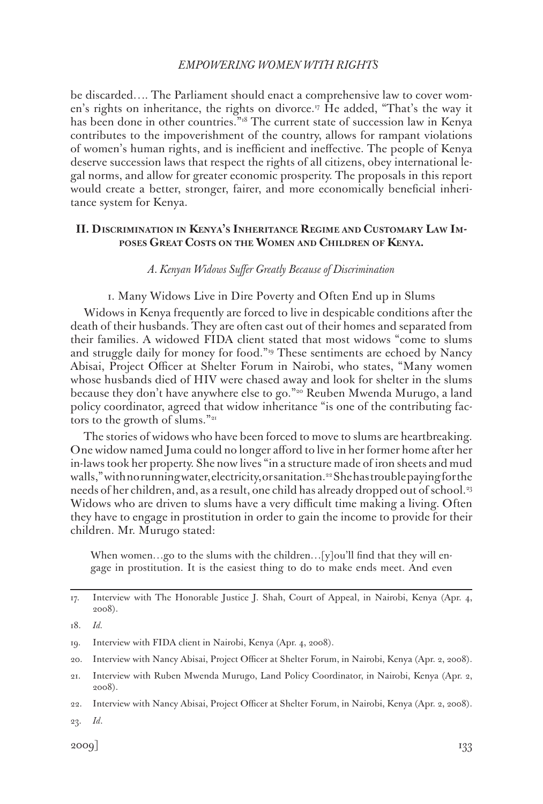be discarded…. The Parliament should enact a comprehensive law to cover women's rights on inheritance, the rights on divorce.<sup>17</sup> He added, "That's the way it has been done in other countries."<sup>3</sup><sup>8</sup> The current state of succession law in Kenya contributes to the impoverishment of the country, allows for rampant violations of women's human rights, and is inefficient and ineffective. The people of Kenya deserve succession laws that respect the rights of all citizens, obey international legal norms, and allow for greater economic prosperity. The proposals in this report would create a better, stronger, fairer, and more economically beneficial inheritance system for Kenya.

### **II. Discrimination in Kenya's Inheritance Regime and Customary Law Imposes Great Costs on the Women and Children of Kenya.**

### *A. Kenyan Widows Suffer Greatly Because of Discrimination*

### 1. Many Widows Live in Dire Poverty and Often End up in Slums

Widows in Kenya frequently are forced to live in despicable conditions after the death of their husbands. They are often cast out of their homes and separated from their families. A widowed FIDA client stated that most widows "come to slums and struggle daily for money for food."19 These sentiments are echoed by Nancy Abisai, Project Officer at Shelter Forum in Nairobi, who states, "Many women whose husbands died of HIV were chased away and look for shelter in the slums because they don't have anywhere else to go."<sup>20</sup> Reuben Mwenda Murugo, a land policy coordinator, agreed that widow inheritance "is one of the contributing factors to the growth of slums."<sup>21</sup>

The stories of widows who have been forced to move to slums are heartbreaking. One widow named Juma could no longer afford to live in her former home after her in-laws took her property. She now lives "in a structure made of iron sheets and mud walls," with no running water, electricity, or sanitation.<sup>22</sup> She has trouble paying for the needs of her children, and, as a result, one child has already dropped out of school.<sup>33</sup> Widows who are driven to slums have a very difficult time making a living. Often they have to engage in prostitution in order to gain the income to provide for their children. Mr. Murugo stated:

When women...go to the slums with the children... $[y]$ ou'll find that they will engage in prostitution. It is the easiest thing to do to make ends meet. And even

<sup>17.</sup> Interview with The Honorable Justice J. Shah, Court of Appeal, in Nairobi, Kenya (Apr. 4, 2008).

<sup>18.</sup> *Id.*

<sup>19.</sup> Interview with FIDA client in Nairobi, Kenya (Apr. 4, 2008).

<sup>20.</sup> Interview with Nancy Abisai, Project Officer at Shelter Forum, in Nairobi, Kenya (Apr. 2, 2008).

<sup>21.</sup> Interview with Ruben Mwenda Murugo, Land Policy Coordinator, in Nairobi, Kenya (Apr. 2, 2008).

<sup>22.</sup> Interview with Nancy Abisai, Project Officer at Shelter Forum, in Nairobi, Kenya (Apr. 2, 2008).

<sup>23.</sup> *Id*.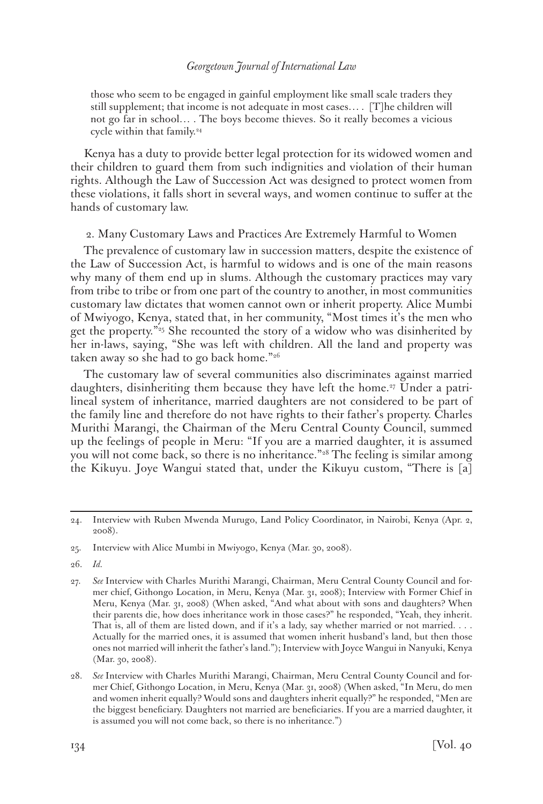those who seem to be engaged in gainful employment like small scale traders they still supplement; that income is not adequate in most cases… . [T]he children will not go far in school… . The boys become thieves. So it really becomes a vicious cycle within that family.<sup>24</sup>

Kenya has a duty to provide better legal protection for its widowed women and their children to guard them from such indignities and violation of their human rights. Although the Law of Succession Act was designed to protect women from these violations, it falls short in several ways, and women continue to suffer at the hands of customary law.

# 2. Many Customary Laws and Practices Are Extremely Harmful to Women

The prevalence of customary law in succession matters, despite the existence of the Law of Succession Act, is harmful to widows and is one of the main reasons why many of them end up in slums. Although the customary practices may vary from tribe to tribe or from one part of the country to another, in most communities customary law dictates that women cannot own or inherit property. Alice Mumbi of Mwiyogo, Kenya, stated that, in her community, "Most times it's the men who get the property."<sup>25</sup> She recounted the story of a widow who was disinherited by her in-laws, saying, "She was left with children. All the land and property was taken away so she had to go back home."26

The customary law of several communities also discriminates against married daughters, disinheriting them because they have left the home.<sup>27</sup> Under a patrilineal system of inheritance, married daughters are not considered to be part of the family line and therefore do not have rights to their father's property. Charles Murithi Marangi, the Chairman of the Meru Central County Council, summed up the feelings of people in Meru: "If you are a married daughter, it is assumed you will not come back, so there is no inheritance."<sup>28</sup> The feeling is similar among the Kikuyu. Joye Wangui stated that, under the Kikuyu custom, "There is [a]

26. *Id.*

<sup>24.</sup> Interview with Ruben Mwenda Murugo, Land Policy Coordinator, in Nairobi, Kenya (Apr. 2, 2008).

<sup>25.</sup> Interview with Alice Mumbi in Mwiyogo, Kenya (Mar. 30, 2008).

<sup>27.</sup> *See* Interview with Charles Murithi Marangi, Chairman, Meru Central County Council and former chief, Githongo Location, in Meru, Kenya (Mar. 31, 2008); Interview with Former Chief in Meru, Kenya (Mar. 31, 2008) (When asked, "And what about with sons and daughters? When their parents die, how does inheritance work in those cases?" he responded, "Yeah, they inherit. That is, all of them are listed down, and if it's a lady, say whether married or not married. . . . Actually for the married ones, it is assumed that women inherit husband's land, but then those ones not married will inherit the father's land."); Interview with Joyce Wangui in Nanyuki, Kenya (Mar. 30, 2008).

<sup>28.</sup> *See* Interview with Charles Murithi Marangi, Chairman, Meru Central County Council and former Chief, Githongo Location, in Meru, Kenya (Mar. 31, 2008) (When asked, "In Meru, do men and women inherit equally? Would sons and daughters inherit equally?" he responded, "Men are the biggest beneficiary. Daughters not married are beneficiaries. If you are a married daughter, it is assumed you will not come back, so there is no inheritance.")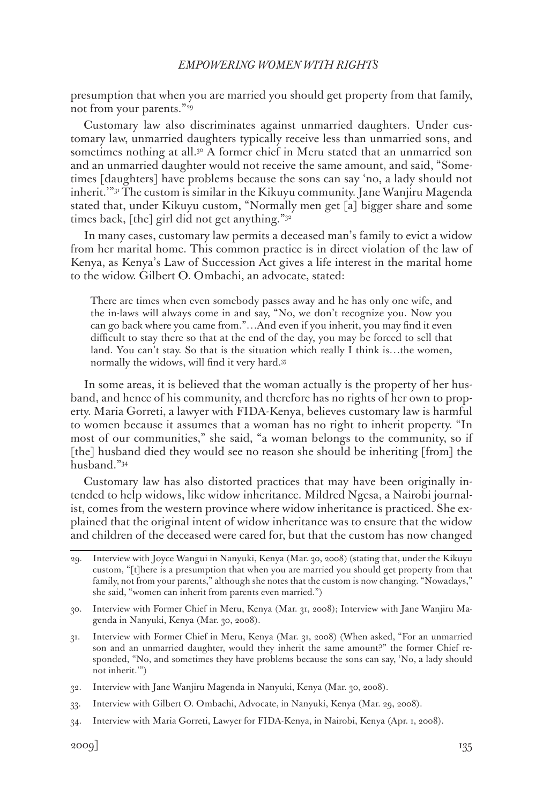presumption that when you are married you should get property from that family, not from your parents."<sup>29</sup>

Customary law also discriminates against unmarried daughters. Under customary law, unmarried daughters typically receive less than unmarried sons, and sometimes nothing at all.<sup>30</sup> A former chief in Meru stated that an unmarried son and an unmarried daughter would not receive the same amount, and said, "Sometimes [daughters] have problems because the sons can say 'no, a lady should not inherit.'"31 The custom is similar in the Kikuyu community. Jane Wanjiru Magenda stated that, under Kikuyu custom, "Normally men get [a] bigger share and some times back, [the] girl did not get anything."<sup>32</sup>

In many cases, customary law permits a deceased man's family to evict a widow from her marital home. This common practice is in direct violation of the law of Kenya, as Kenya's Law of Succession Act gives a life interest in the marital home to the widow. Gilbert O. Ombachi, an advocate, stated:

There are times when even somebody passes away and he has only one wife, and the in-laws will always come in and say, "No, we don't recognize you. Now you can go back where you came from."…And even if you inherit, you may find it even difficult to stay there so that at the end of the day, you may be forced to sell that land. You can't stay. So that is the situation which really I think is…the women, normally the widows, will find it very hard.33

In some areas, it is believed that the woman actually is the property of her husband, and hence of his community, and therefore has no rights of her own to property. Maria Gorreti, a lawyer with FIDA-Kenya, believes customary law is harmful to women because it assumes that a woman has no right to inherit property. "In most of our communities," she said, "a woman belongs to the community, so if [the] husband died they would see no reason she should be inheriting [from] the husband."34

Customary law has also distorted practices that may have been originally intended to help widows, like widow inheritance. Mildred Ngesa, a Nairobi journalist, comes from the western province where widow inheritance is practiced. She explained that the original intent of widow inheritance was to ensure that the widow and children of the deceased were cared for, but that the custom has now changed

- 32. Interview with Jane Wanjiru Magenda in Nanyuki, Kenya (Mar. 30, 2008).
- 33. Interview with Gilbert O. Ombachi, Advocate, in Nanyuki, Kenya (Mar. 29, 2008).
- 34. Interview with Maria Gorreti, Lawyer for FIDA-Kenya, in Nairobi, Kenya (Apr. 1, 2008).

<sup>29.</sup> Interview with Joyce Wangui in Nanyuki, Kenya (Mar. 30, 2008) (stating that, under the Kikuyu custom, "[t]here is a presumption that when you are married you should get property from that family, not from your parents," although she notes that the custom is now changing. "Nowadays," she said, "women can inherit from parents even married.")

<sup>30.</sup> Interview with Former Chief in Meru, Kenya (Mar. 31, 2008); Interview with Jane Wanjiru Magenda in Nanyuki, Kenya (Mar. 30, 2008).

<sup>31.</sup> Interview with Former Chief in Meru, Kenya (Mar. 31, 2008) (When asked, "For an unmarried son and an unmarried daughter, would they inherit the same amount?" the former Chief responded, "No, and sometimes they have problems because the sons can say, 'No, a lady should not inherit.'")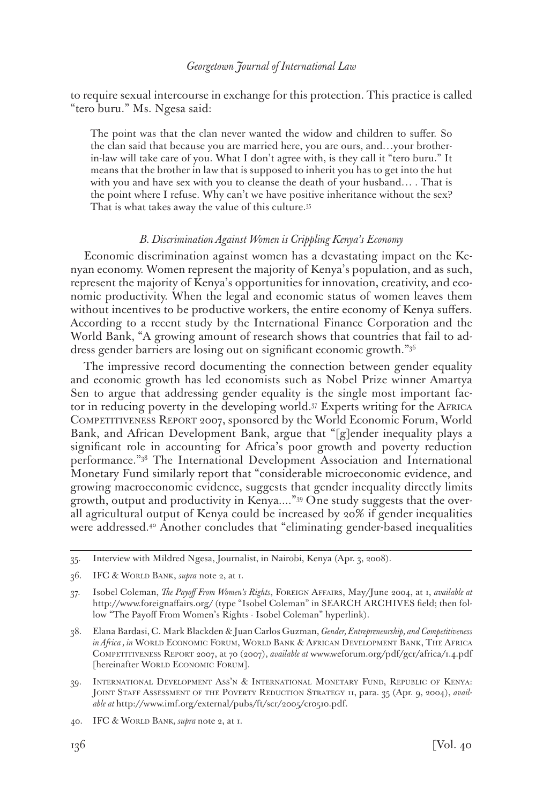to require sexual intercourse in exchange for this protection. This practice is called "tero buru." Ms. Ngesa said:

The point was that the clan never wanted the widow and children to suffer. So the clan said that because you are married here, you are ours, and…your brotherin-law will take care of you. What I don't agree with, is they call it "tero buru." It means that the brother in law that is supposed to inherit you has to get into the hut with you and have sex with you to cleanse the death of your husband… . That is the point where I refuse. Why can't we have positive inheritance without the sex? That is what takes away the value of this culture.35

### *B. Discrimination Against Women is Crippling Kenya's Economy*

Economic discrimination against women has a devastating impact on the Kenyan economy. Women represent the majority of Kenya's population, and as such, represent the majority of Kenya's opportunities for innovation, creativity, and economic productivity. When the legal and economic status of women leaves them without incentives to be productive workers, the entire economy of Kenya suffers. According to a recent study by the International Finance Corporation and the World Bank, "A growing amount of research shows that countries that fail to address gender barriers are losing out on significant economic growth."36

The impressive record documenting the connection between gender equality and economic growth has led economists such as Nobel Prize winner Amartya Sen to argue that addressing gender equality is the single most important factor in reducing poverty in the developing world.37 Experts writing for the Africa Competitiveness Report 2007, sponsored by the World Economic Forum, World Bank, and African Development Bank, argue that "[g]ender inequality plays a significant role in accounting for Africa's poor growth and poverty reduction performance."38 The International Development Association and International Monetary Fund similarly report that "considerable microeconomic evidence, and growing macroeconomic evidence, suggests that gender inequality directly limits growth, output and productivity in Kenya...."39 One study suggests that the overall agricultural output of Kenya could be increased by 20% if gender inequalities were addressed.<sup>40</sup> Another concludes that "eliminating gender-based inequalities

- 39. International Development Ass'n & International Monetary Fund, Republic of Kenya: JOINT STAFF ASSESSMENT OF THE POVERTY REDUCTION STRATEGY 11, para. 35 (Apr. 9, 2004), *available at* http://www.imf.org/external/pubs/ft/scr/2005/cr0510.pdf.
- 40. IFC & World Bank*, supra* note 2, at 1.

<sup>35.</sup> Interview with Mildred Ngesa, Journalist, in Nairobi, Kenya (Apr. 3, 2008).

<sup>36.</sup> IFC & World Bank, *supra* note 2, at 1.

<sup>37.</sup> Isobel Coleman, *The Payoff From Women's Rights*, Foreign Affairs, May/June 2004, at 1, *available at* http://www.foreignaffairs.org/ (type "Isobel Coleman" in SEARCH ARCHIVES field; then follow "The Payoff From Women's Rights - Isobel Coleman" hyperlink).

<sup>38.</sup> Elana Bardasi, C. Mark Blackden & Juan Carlos Guzman, *Gender, Entrepreneurship, and Competitiveness in Africa*, *in* World Economic Forum, World Bank & African Development Bank, The Africa Competitiveness Report 2007, at 70 (2007), *available at* www.weforum.org/pdf/gcr/africa/1.4.pdf [hereinafter WORLD ECONOMIC FORUM].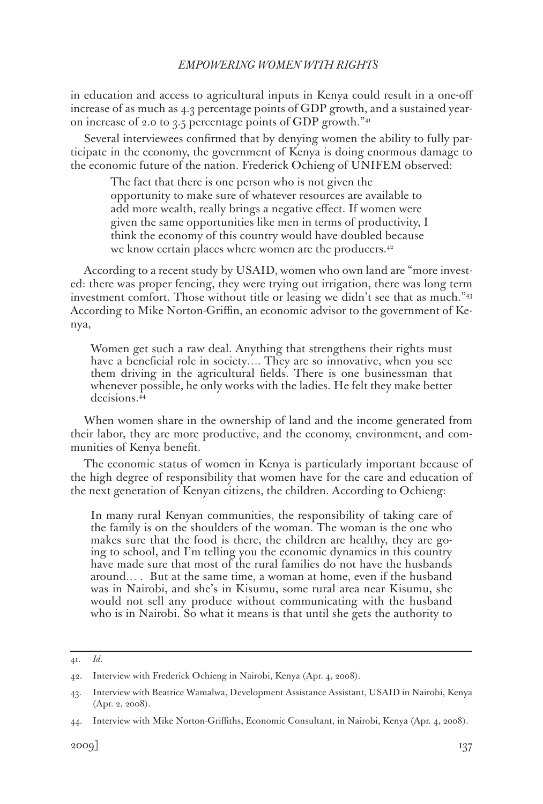in education and access to agricultural inputs in Kenya could result in a one-off increase of as much as 4.3 percentage points of GDP growth, and a sustained yearon increase of 2.0 to 3.5 percentage points of GDP growth."<sup>41</sup>

Several interviewees confirmed that by denying women the ability to fully participate in the economy, the government of Kenya is doing enormous damage to the economic future of the nation. Frederick Ochieng of UNIFEM observed:

The fact that there is one person who is not given the opportunity to make sure of whatever resources are available to add more wealth, really brings a negative effect. If women were given the same opportunities like men in terms of productivity, I think the economy of this country would have doubled because we know certain places where women are the producers.<sup>42</sup>

According to a recent study by USAID, women who own land are "more invested: there was proper fencing, they were trying out irrigation, there was long term investment comfort. Those without title or leasing we didn't see that as much."<sup>43</sup> According to Mike Norton-Griffin, an economic advisor to the government of Kenya,

Women get such a raw deal. Anything that strengthens their rights must have a beneficial role in society…. They are so innovative, when you see them driving in the agricultural fields. There is one businessman that whenever possible, he only works with the ladies. He felt they make better decisions.44

When women share in the ownership of land and the income generated from their labor, they are more productive, and the economy, environment, and communities of Kenya benefit.

The economic status of women in Kenya is particularly important because of the high degree of responsibility that women have for the care and education of the next generation of Kenyan citizens, the children. According to Ochieng:

In many rural Kenyan communities, the responsibility of taking care of the family is on the shoulders of the woman. The woman is the one who makes sure that the food is there, the children are healthy, they are going to school, and I'm telling you the economic dynamics in this country have made sure that most of the rural families do not have the husbands around… . But at the same time, a woman at home, even if the husband was in Nairobi, and she's in Kisumu, some rural area near Kisumu, she would not sell any produce without communicating with the husband who is in Nairobi. So what it means is that until she gets the authority to

<sup>41.</sup> *Id*.

<sup>42.</sup> Interview with Frederick Ochieng in Nairobi, Kenya (Apr. 4, 2008).

<sup>43.</sup> Interview with Beatrice Wamalwa, Development Assistance Assistant, USAID in Nairobi, Kenya (Apr. 2, 2008).

<sup>44.</sup> Interview with Mike Norton-Griffiths, Economic Consultant, in Nairobi, Kenya (Apr. 4, 2008).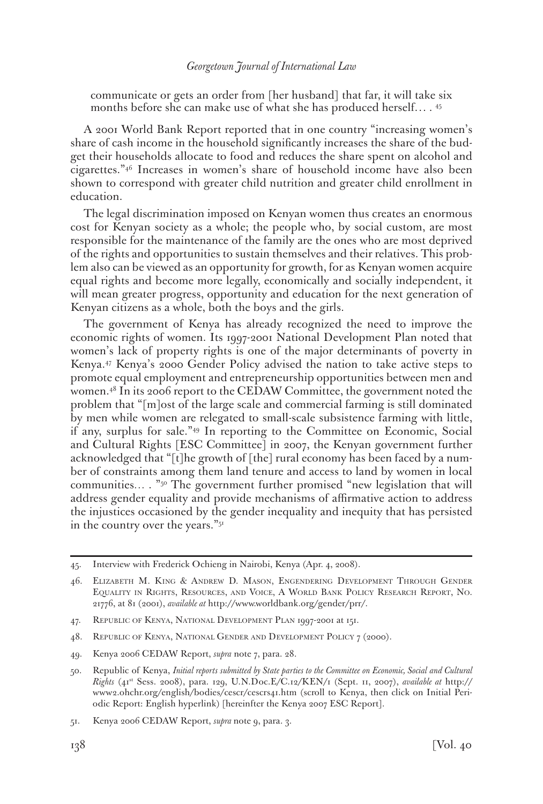communicate or gets an order from [her husband] that far, it will take six months before she can make use of what she has produced herself… . 45

A 2001 World Bank Report reported that in one country "increasing women's share of cash income in the household significantly increases the share of the budget their households allocate to food and reduces the share spent on alcohol and cigarettes."46 Increases in women's share of household income have also been shown to correspond with greater child nutrition and greater child enrollment in education.

The legal discrimination imposed on Kenyan women thus creates an enormous cost for Kenyan society as a whole; the people who, by social custom, are most responsible for the maintenance of the family are the ones who are most deprived of the rights and opportunities to sustain themselves and their relatives. This problem also can be viewed as an opportunity for growth, for as Kenyan women acquire equal rights and become more legally, economically and socially independent, it will mean greater progress, opportunity and education for the next generation of Kenyan citizens as a whole, both the boys and the girls.

The government of Kenya has already recognized the need to improve the economic rights of women. Its 1997-2001 National Development Plan noted that women's lack of property rights is one of the major determinants of poverty in Kenya.47 Kenya's 2000 Gender Policy advised the nation to take active steps to promote equal employment and entrepreneurship opportunities between men and women.48 In its 2006 report to the CEDAW Committee, the government noted the problem that "[m]ost of the large scale and commercial farming is still dominated by men while women are relegated to small-scale subsistence farming with little, if any, surplus for sale."49 In reporting to the Committee on Economic, Social and Cultural Rights [ESC Committee] in 2007, the Kenyan government further acknowledged that "[t]he growth of [the] rural economy has been faced by a number of constraints among them land tenure and access to land by women in local communities… . "50 The government further promised "new legislation that will address gender equality and provide mechanisms of affirmative action to address the injustices occasioned by the gender inequality and inequity that has persisted in the country over the years."51

<sup>45.</sup> Interview with Frederick Ochieng in Nairobi, Kenya (Apr. 4, 2008).

<sup>46.</sup> Elizabeth M. King & Andrew D. Mason, Engendering Development Through Gender Equality in Rights, Resources, and Voice, A World Bank Policy Research Report, No. 21776, at 81 (2001), *available at* http://www.worldbank.org/gender/prr/.

<sup>47.</sup> Republic of Kenya, National Development Plan 1997-2001 at 151.

<sup>48.</sup> REPUBLIC OF KENYA, NATIONAL GENDER AND DEVELOPMENT POLICY 7 (2000).

<sup>49.</sup> Kenya 2006 CEDAW Report, *supra* note 7, para. 28.

<sup>50.</sup> Republic of Kenya, *Initial reports submitted by State parties to the Committee on Economic, Social and Cultural Rights* (41st Sess. 2008), para. 129, U.N.Doc.E/C.12/KEN/1 (Sept. 11, 2007), *available at* http:// www2.ohchr.org/english/bodies/cescr/cescrs41.htm (scroll to Kenya, then click on Initial Periodic Report: English hyperlink) [hereinfter the Kenya 2007 ESC Report].

<sup>51.</sup> Kenya 2006 CEDAW Report, *supra* note 9, para. 3.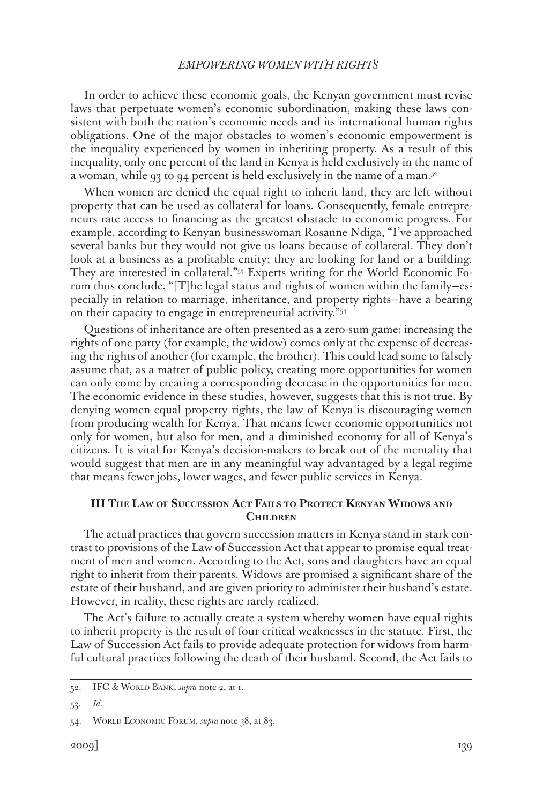In order to achieve these economic goals, the Kenyan government must revise laws that perpetuate women's economic subordination, making these laws consistent with both the nation's economic needs and its international human rights obligations. One of the major obstacles to women's economic empowerment is the inequality experienced by women in inheriting property. As a result of this inequality, only one percent of the land in Kenya is held exclusively in the name of a woman, while 93 to 94 percent is held exclusively in the name of a man.<sup>52</sup>

When women are denied the equal right to inherit land, they are left without property that can be used as collateral for loans. Consequently, female entrepreneurs rate access to financing as the greatest obstacle to economic progress. For example, according to Kenyan businesswoman Rosanne Ndiga, "I've approached several banks but they would not give us loans because of collateral. They don't look at a business as a profitable entity; they are looking for land or a building. They are interested in collateral."53 Experts writing for the World Economic Forum thus conclude, "[T]he legal status and rights of women within the family—especially in relation to marriage, inheritance, and property rights—have a bearing on their capacity to engage in entrepreneurial activity."54

Questions of inheritance are often presented as a zero-sum game; increasing the rights of one party (for example, the widow) comes only at the expense of decreasing the rights of another (for example, the brother). This could lead some to falsely assume that, as a matter of public policy, creating more opportunities for women can only come by creating a corresponding decrease in the opportunities for men. The economic evidence in these studies, however, suggests that this is not true. By denying women equal property rights, the law of Kenya is discouraging women from producing wealth for Kenya. That means fewer economic opportunities not only for women, but also for men, and a diminished economy for all of Kenya's citizens. It is vital for Kenya's decision-makers to break out of the mentality that would suggest that men are in any meaningful way advantaged by a legal regime that means fewer jobs, lower wages, and fewer public services in Kenya.

# **III The Law of Succession Act Fails to Protect Kenyan Widows and Children**

The actual practices that govern succession matters in Kenya stand in stark contrast to provisions of the Law of Succession Act that appear to promise equal treatment of men and women. According to the Act, sons and daughters have an equal right to inherit from their parents. Widows are promised a significant share of the estate of their husband, and are given priority to administer their husband's estate. However, in reality, these rights are rarely realized.

The Act's failure to actually create a system whereby women have equal rights to inherit property is the result of four critical weaknesses in the statute. First, the Law of Succession Act fails to provide adequate protection for widows from harmful cultural practices following the death of their husband. Second, the Act fails to

<sup>52.</sup> IFC & WORLD BANK, *supra* note 2, at 1.

<sup>53.</sup> *Id.*

<sup>54.</sup> World Economic Forum, *supra* note 38, at 83.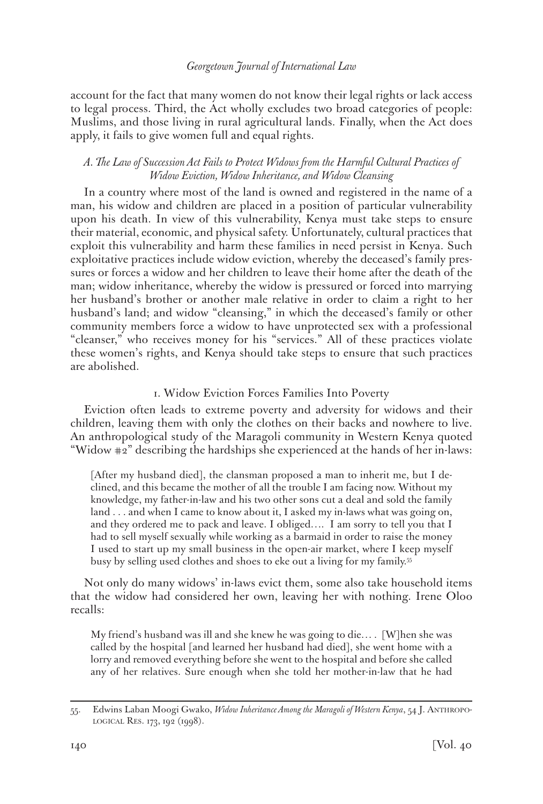account for the fact that many women do not know their legal rights or lack access to legal process. Third, the Act wholly excludes two broad categories of people: Muslims, and those living in rural agricultural lands. Finally, when the Act does apply, it fails to give women full and equal rights.

# *A. The Law of Succession Act Fails to Protect Widows from the Harmful Cultural Practices of Widow Eviction, Widow Inheritance, and Widow Cleansing*

In a country where most of the land is owned and registered in the name of a man, his widow and children are placed in a position of particular vulnerability upon his death. In view of this vulnerability, Kenya must take steps to ensure their material, economic, and physical safety. Unfortunately, cultural practices that exploit this vulnerability and harm these families in need persist in Kenya. Such exploitative practices include widow eviction, whereby the deceased's family pressures or forces a widow and her children to leave their home after the death of the man; widow inheritance, whereby the widow is pressured or forced into marrying her husband's brother or another male relative in order to claim a right to her husband's land; and widow "cleansing," in which the deceased's family or other community members force a widow to have unprotected sex with a professional "cleanser," who receives money for his "services." All of these practices violate these women's rights, and Kenya should take steps to ensure that such practices are abolished.

# 1. Widow Eviction Forces Families Into Poverty

Eviction often leads to extreme poverty and adversity for widows and their children, leaving them with only the clothes on their backs and nowhere to live. An anthropological study of the Maragoli community in Western Kenya quoted "Widow #2" describing the hardships she experienced at the hands of her in-laws:

[After my husband died], the clansman proposed a man to inherit me, but I declined, and this became the mother of all the trouble I am facing now. Without my knowledge, my father-in-law and his two other sons cut a deal and sold the family land . . . and when I came to know about it, I asked my in-laws what was going on, and they ordered me to pack and leave. I obliged…. I am sorry to tell you that I had to sell myself sexually while working as a barmaid in order to raise the money I used to start up my small business in the open-air market, where I keep myself busy by selling used clothes and shoes to eke out a living for my family.55

Not only do many widows' in-laws evict them, some also take household items that the widow had considered her own, leaving her with nothing. Irene Oloo recalls:

My friend's husband was ill and she knew he was going to die… . [W]hen she was called by the hospital [and learned her husband had died], she went home with a lorry and removed everything before she went to the hospital and before she called any of her relatives. Sure enough when she told her mother-in-law that he had

<sup>55.</sup> Edwins Laban Moogi Gwako, *Widow Inheritance Among the Maragoli of Western Kenya*, 54 J. Anthropological Res. 173, 192 (1998).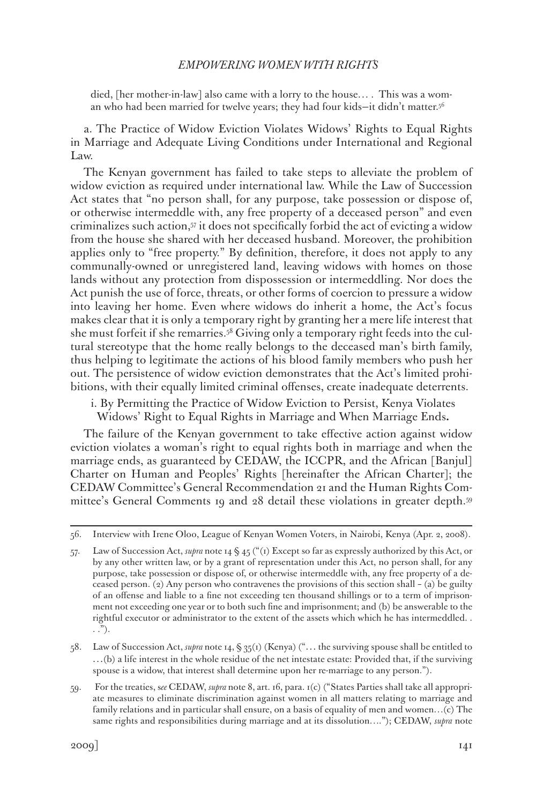died, [her mother-in-law] also came with a lorry to the house… . This was a woman who had been married for twelve years; they had four kids—it didn't matter.56

a. The Practice of Widow Eviction Violates Widows' Rights to Equal Rights in Marriage and Adequate Living Conditions under International and Regional Law.

The Kenyan government has failed to take steps to alleviate the problem of widow eviction as required under international law. While the Law of Succession Act states that "no person shall, for any purpose, take possession or dispose of, or otherwise intermeddle with, any free property of a deceased person" and even criminalizes such action,57 it does not specifically forbid the act of evicting a widow from the house she shared with her deceased husband. Moreover, the prohibition applies only to "free property." By definition, therefore, it does not apply to any communally-owned or unregistered land, leaving widows with homes on those lands without any protection from dispossession or intermeddling. Nor does the Act punish the use of force, threats, or other forms of coercion to pressure a widow into leaving her home. Even where widows do inherit a home, the Act's focus makes clear that it is only a temporary right by granting her a mere life interest that she must forfeit if she remarries.58 Giving only a temporary right feeds into the cultural stereotype that the home really belongs to the deceased man's birth family, thus helping to legitimate the actions of his blood family members who push her out. The persistence of widow eviction demonstrates that the Act's limited prohibitions, with their equally limited criminal offenses, create inadequate deterrents.

i. By Permitting the Practice of Widow Eviction to Persist, Kenya Violates Widows' Right to Equal Rights in Marriage and When Marriage Ends**.**

The failure of the Kenyan government to take effective action against widow eviction violates a woman's right to equal rights both in marriage and when the marriage ends, as guaranteed by CEDAW, the ICCPR, and the African [Banjul] Charter on Human and Peoples' Rights [hereinafter the African Charter]; the CEDAW Committee's General Recommendation 21 and the Human Rights Committee's General Comments 19 and 28 detail these violations in greater depth.59

58. Law of Succession Act, *supra* note 14, § 35(1) (Kenya) ("… the surviving spouse shall be entitled to …(b) a life interest in the whole residue of the net intestate estate: Provided that, if the surviving spouse is a widow, that interest shall determine upon her re-marriage to any person.").

<sup>56.</sup> Interview with Irene Oloo, League of Kenyan Women Voters, in Nairobi, Kenya (Apr. 2, 2008).

<sup>57.</sup> Law of Succession Act, *supra* note 14 § 45 ("(1) Except so far as expressly authorized by this Act, or by any other written law, or by a grant of representation under this Act, no person shall, for any purpose, take possession or dispose of, or otherwise intermeddle with, any free property of a deceased person. (2) Any person who contravenes the provisions of this section shall – (a) be guilty of an offense and liable to a fine not exceeding ten thousand shillings or to a term of imprisonment not exceeding one year or to both such fine and imprisonment; and (b) be answerable to the rightful executor or administrator to the extent of the assets which which he has intermeddled. . . .").

<sup>59.</sup> For the treaties, s*ee* CEDAW, *supra* note 8, art. 16, para. 1(c) ("States Parties shall take all appropriate measures to eliminate discrimination against women in all matters relating to marriage and family relations and in particular shall ensure, on a basis of equality of men and women…(c) The same rights and responsibilities during marriage and at its dissolution…."); CEDAW, *supra* note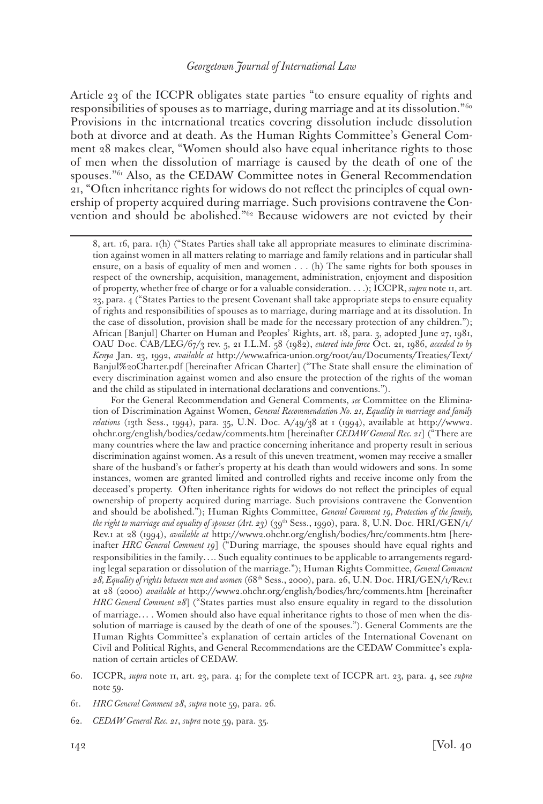Article 23 of the ICCPR obligates state parties "to ensure equality of rights and responsibilities of spouses as to marriage, during marriage and at its dissolution."60 Provisions in the international treaties covering dissolution include dissolution both at divorce and at death. As the Human Rights Committee's General Comment 28 makes clear, "Women should also have equal inheritance rights to those of men when the dissolution of marriage is caused by the death of one of the spouses."61 Also, as the CEDAW Committee notes in General Recommendation 21, "Often inheritance rights for widows do not reflect the principles of equal ownership of property acquired during marriage. Such provisions contravene the Convention and should be abolished."62 Because widowers are not evicted by their

<sup>8,</sup> art. 16, para. 1(h) ("States Parties shall take all appropriate measures to eliminate discrimination against women in all matters relating to marriage and family relations and in particular shall ensure, on a basis of equality of men and women . . . (h) The same rights for both spouses in respect of the ownership, acquisition, management, administration, enjoyment and disposition of property, whether free of charge or for a valuable consideration. . . .); ICCPR, *supra* note 11, art. 23, para. 4 ("States Parties to the present Covenant shall take appropriate steps to ensure equality of rights and responsibilities of spouses as to marriage, during marriage and at its dissolution. In the case of dissolution, provision shall be made for the necessary protection of any children."); African [Banjul] Charter on Human and Peoples' Rights, art. 18, para. 3, adopted June 27, 1981, OAU Doc. CAB/LEG/67/3 rev. 5, 21 I.L.M. 58 (1982), *entered into force* Oct. 21, 1986, *acceded to by Kenya* Jan. 23, 1992, *available at* http://www.africa-union.org/root/au/Documents/Treaties/Text/ Banjul%20Charter.pdf [hereinafter African Charter] ("The State shall ensure the elimination of every discrimination against women and also ensure the protection of the rights of the woman and the child as stipulated in international declarations and conventions.").

For the General Recommendation and General Comments, *see* Committee on the Elimination of Discrimination Against Women, *General Recommendation No. 21, Equality in marriage and family relations* (13th Sess., 1994), para. 35, U.N. Doc. A/49/38 at 1 (1994), available at http://www2. ohchr.org/english/bodies/cedaw/comments.htm [hereinafter *CEDAW General Rec. 21*] ("There are many countries where the law and practice concerning inheritance and property result in serious discrimination against women. As a result of this uneven treatment, women may receive a smaller share of the husband's or father's property at his death than would widowers and sons. In some instances, women are granted limited and controlled rights and receive income only from the deceased's property. Often inheritance rights for widows do not reflect the principles of equal ownership of property acquired during marriage. Such provisions contravene the Convention and should be abolished."); Human Rights Committee, *General Comment 19, Protection of the family,*  the right to marriage and equality of spouses (Art. 23) (39<sup>th</sup> Sess., 1990), para. 8, U.N. Doc. HRI/GEN/1/ Rev.1 at 28 (1994), *available at* http://www2.ohchr.org/english/bodies/hrc/comments.htm [hereinafter *HRC General Comment 19*] ("During marriage, the spouses should have equal rights and responsibilities in the family…. Such equality continues to be applicable to arrangements regarding legal separation or dissolution of the marriage."); Human Rights Committee, *General Comment 28, Equality of rights between men and women* (68th Sess., 2000), para. 26, U.N. Doc. HRI/GEN/1/Rev.1 at 28 (2000) *available at* http://www2.ohchr.org/english/bodies/hrc/comments.htm [hereinafter *HRC General Comment 28*] ("States parties must also ensure equality in regard to the dissolution of marriage… . Women should also have equal inheritance rights to those of men when the dissolution of marriage is caused by the death of one of the spouses."). General Comments are the Human Rights Committee's explanation of certain articles of the International Covenant on Civil and Political Rights, and General Recommendations are the CEDAW Committee's explanation of certain articles of CEDAW.

<sup>60.</sup> ICCPR, *supra* note 11, art. 23, para. 4; for the complete text of ICCPR art. 23, para. 4, see *supra* note 59.

<sup>61.</sup> *HRC General Comment 28*, *supra* note 59, para. 26*.* 

<sup>62.</sup> *CEDAW General Rec. 21*, *supra* note 59, para. 35.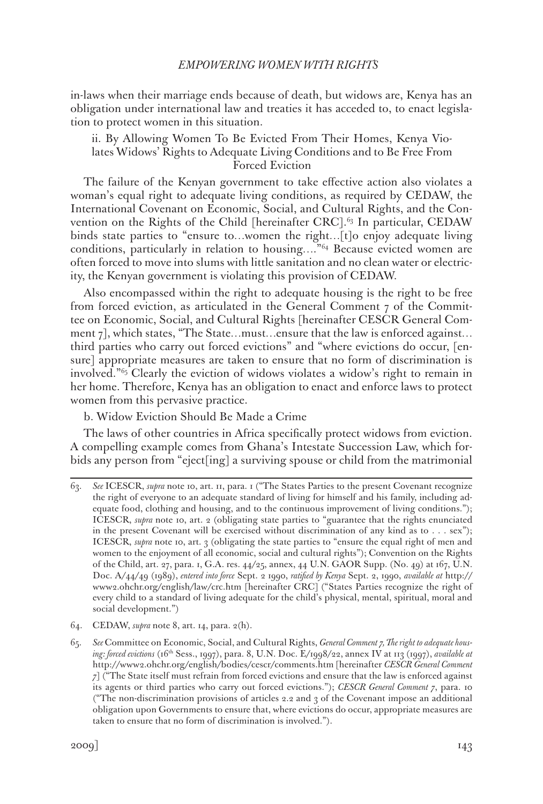in-laws when their marriage ends because of death, but widows are, Kenya has an obligation under international law and treaties it has acceded to, to enact legislation to protect women in this situation.

ii. By Allowing Women To Be Evicted From Their Homes, Kenya Violates Widows' Rights to Adequate Living Conditions and to Be Free From Forced Eviction

The failure of the Kenyan government to take effective action also violates a woman's equal right to adequate living conditions, as required by CEDAW, the International Covenant on Economic, Social, and Cultural Rights, and the Convention on the Rights of the Child [hereinafter CRC].<sup>63</sup> In particular, CEDAW binds state parties to "ensure to…women the right…[t]o enjoy adequate living conditions, particularly in relation to housing…."64 Because evicted women are often forced to move into slums with little sanitation and no clean water or electricity, the Kenyan government is violating this provision of CEDAW.

Also encompassed within the right to adequate housing is the right to be free from forced eviction, as articulated in the General Comment 7 of the Committee on Economic, Social, and Cultural Rights [hereinafter CESCR General Comment  $7$ , which states, "The State...must...ensure that the law is enforced against... third parties who carry out forced evictions" and "where evictions do occur, [ensure] appropriate measures are taken to ensure that no form of discrimination is involved."65 Clearly the eviction of widows violates a widow's right to remain in her home. Therefore, Kenya has an obligation to enact and enforce laws to protect women from this pervasive practice.

b. Widow Eviction Should Be Made a Crime

The laws of other countries in Africa specifically protect widows from eviction. A compelling example comes from Ghana's Intestate Succession Law, which forbids any person from "eject[ing] a surviving spouse or child from the matrimonial

64. CEDAW, *supra* note 8, art. 14, para. 2(h).

<sup>63.</sup> *See* ICESCR, *supra* note 10, art. 11, para. 1 ("The States Parties to the present Covenant recognize the right of everyone to an adequate standard of living for himself and his family, including adequate food, clothing and housing, and to the continuous improvement of living conditions."); ICESCR, *supra* note 10, art. 2 (obligating state parties to "guarantee that the rights enunciated in the present Covenant will be exercised without discrimination of any kind as to . . . sex"); ICESCR, *supra* note 10, art. 3 (obligating the state parties to "ensure the equal right of men and women to the enjoyment of all economic, social and cultural rights"); Convention on the Rights of the Child, art. 27, para. 1, G.A. res. 44/25, annex, 44 U.N. GAOR Supp. (No. 49) at 167, U.N. Doc. A/44/49 (1989), *entered into force* Sept. 2 1990, *ratified by Kenya* Sept. 2, 1990, *available at* http:// www2.ohchr.org/english/law/crc.htm [hereinafter CRC] ("States Parties recognize the right of every child to a standard of living adequate for the child's physical, mental, spiritual, moral and social development.")

<sup>65.</sup> *See* Committee on Economic, Social, and Cultural Rights, *General Comment 7, The right to adequate housing: forced evictions* (16th Sess., 1997), para. 8, U.N. Doc. E/1998/22, annex IV at 113 (1997), *available at*  http://www2.ohchr.org/english/bodies/cescr/comments.htm [hereinafter *CESCR General Comment 7*] ("The State itself must refrain from forced evictions and ensure that the law is enforced against its agents or third parties who carry out forced evictions."); *CESCR General Comment 7*, para. 10 ("The non-discrimination provisions of articles 2.2 and 3 of the Covenant impose an additional obligation upon Governments to ensure that, where evictions do occur, appropriate measures are taken to ensure that no form of discrimination is involved.").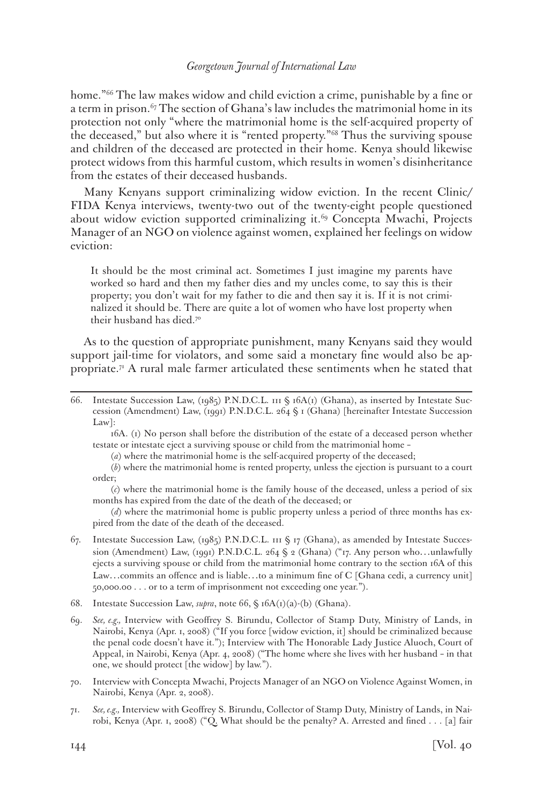home."<sup>66</sup> The law makes widow and child eviction a crime, punishable by a fine or a term in prison.<sup>67</sup> The section of Ghana's law includes the matrimonial home in its protection not only "where the matrimonial home is the self-acquired property of the deceased," but also where it is "rented property."68 Thus the surviving spouse and children of the deceased are protected in their home. Kenya should likewise protect widows from this harmful custom, which results in women's disinheritance from the estates of their deceased husbands.

Many Kenyans support criminalizing widow eviction. In the recent Clinic/ FIDA Kenya interviews, twenty-two out of the twenty-eight people questioned about widow eviction supported criminalizing it.<sup>69</sup> Concepta Mwachi, Projects Manager of an NGO on violence against women, explained her feelings on widow eviction:

It should be the most criminal act. Sometimes I just imagine my parents have worked so hard and then my father dies and my uncles come, to say this is their property; you don't wait for my father to die and then say it is. If it is not criminalized it should be. There are quite a lot of women who have lost property when their husband has died.<sup>70</sup>

As to the question of appropriate punishment, many Kenyans said they would support jail-time for violators, and some said a monetary fine would also be appropriate.71 A rural male farmer articulated these sentiments when he stated that

 16A. (1) No person shall before the distribution of the estate of a deceased person whether testate or intestate eject a surviving spouse or child from the matrimonial home –

(*a*) where the matrimonial home is the self-acquired property of the deceased;

 (*b*) where the matrimonial home is rented property, unless the ejection is pursuant to a court order;

 (*c*) where the matrimonial home is the family house of the deceased, unless a period of six months has expired from the date of the death of the deceased; or

(d) where the matrimonial home is public property unless a period of three months has expired from the date of the death of the deceased.

- 67. Intestate Succession Law, (1985) P.N.D.C.L. 111 § 17 (Ghana), as amended by Intestate Succession (Amendment) Law, (1991) P.N.D.C.L. 264 § 2 (Ghana) ("17. Any person who...unlawfully ejects a surviving spouse or child from the matrimonial home contrary to the section 16A of this Law…commits an offence and is liable…to a minimum fine of C [Ghana cedi, a currency unit] 50,000.00 . . . or to a term of imprisonment not exceeding one year.").
- 68. Intestate Succession Law, *supra*, note 66, § 16A(1)(a)-(b) (Ghana).
- 69. *See, e.g.,* Interview with Geoffrey S. Birundu, Collector of Stamp Duty, Ministry of Lands, in Nairobi, Kenya (Apr. 1, 2008) ("If you force [widow eviction, it] should be criminalized because the penal code doesn't have it."); Interview with The Honorable Lady Justice Aluoch, Court of Appeal, in Nairobi, Kenya (Apr. 4, 2008) ("The home where she lives with her husband – in that one, we should protect [the widow] by law.").
- 70. Interview with Concepta Mwachi, Projects Manager of an NGO on Violence Against Women, in Nairobi, Kenya (Apr. 2, 2008).
- 71. *See, e.g.,* Interview with Geoffrey S. Birundu, Collector of Stamp Duty, Ministry of Lands, in Nairobi, Kenya (Apr. 1, 2008) ("Q. What should be the penalty? A. Arrested and fined . . . [a] fair

<sup>66.</sup> Intestate Succession Law, (1985) P.N.D.C.L. 111 § 16A(1) (Ghana), as inserted by Intestate Succession (Amendment) Law, (1991) P.N.D.C.L. 264 § 1 (Ghana) [hereinafter Intestate Succession Law]: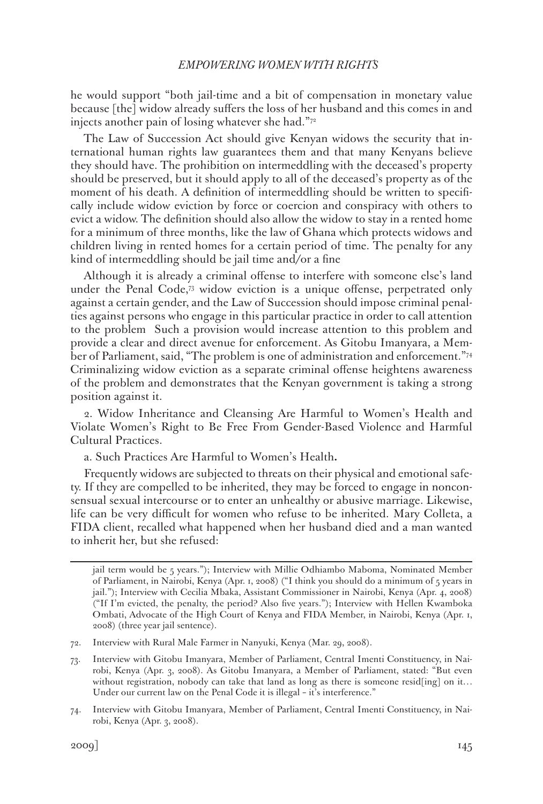he would support "both jail-time and a bit of compensation in monetary value because [the] widow already suffers the loss of her husband and this comes in and injects another pain of losing whatever she had."72

The Law of Succession Act should give Kenyan widows the security that international human rights law guarantees them and that many Kenyans believe they should have. The prohibition on intermeddling with the deceased's property should be preserved, but it should apply to all of the deceased's property as of the moment of his death. A definition of intermeddling should be written to specifically include widow eviction by force or coercion and conspiracy with others to evict a widow. The definition should also allow the widow to stay in a rented home for a minimum of three months, like the law of Ghana which protects widows and children living in rented homes for a certain period of time. The penalty for any kind of intermeddling should be jail time and/or a fine

Although it is already a criminal offense to interfere with someone else's land under the Penal Code,73 widow eviction is a unique offense, perpetrated only against a certain gender, and the Law of Succession should impose criminal penalties against persons who engage in this particular practice in order to call attention to the problem Such a provision would increase attention to this problem and provide a clear and direct avenue for enforcement. As Gitobu Imanyara, a Member of Parliament, said, "The problem is one of administration and enforcement."74 Criminalizing widow eviction as a separate criminal offense heightens awareness of the problem and demonstrates that the Kenyan government is taking a strong position against it.

2. Widow Inheritance and Cleansing Are Harmful to Women's Health and Violate Women's Right to Be Free From Gender-Based Violence and Harmful Cultural Practices.

a. Such Practices Are Harmful to Women's Health**.**

Frequently widows are subjected to threats on their physical and emotional safety. If they are compelled to be inherited, they may be forced to engage in nonconsensual sexual intercourse or to enter an unhealthy or abusive marriage. Likewise, life can be very difficult for women who refuse to be inherited. Mary Colleta, a FIDA client, recalled what happened when her husband died and a man wanted to inherit her, but she refused:

jail term would be 5 years."); Interview with Millie Odhiambo Maboma, Nominated Member of Parliament, in Nairobi, Kenya (Apr. 1, 2008) ("I think you should do a minimum of 5 years in jail."); Interview with Cecilia Mbaka, Assistant Commissioner in Nairobi, Kenya (Apr. 4, 2008) ("If I'm evicted, the penalty, the period? Also five years."); Interview with Hellen Kwamboka Ombati, Advocate of the High Court of Kenya and FIDA Member, in Nairobi, Kenya (Apr. 1, 2008) (three year jail sentence).

<sup>72.</sup> Interview with Rural Male Farmer in Nanyuki, Kenya (Mar. 29, 2008).

<sup>73.</sup> Interview with Gitobu Imanyara, Member of Parliament, Central Imenti Constituency, in Nairobi, Kenya (Apr. 3, 2008). As Gitobu Imanyara, a Member of Parliament, stated: "But even without registration, nobody can take that land as long as there is someone resid[ing] on it... Under our current law on the Penal Code it is illegal – it's interference."

<sup>74.</sup> Interview with Gitobu Imanyara, Member of Parliament, Central Imenti Constituency, in Nairobi, Kenya (Apr. 3, 2008).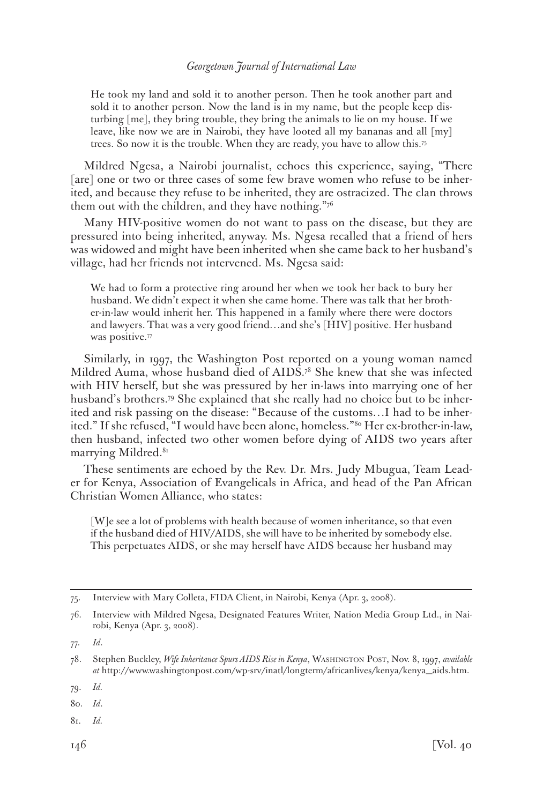He took my land and sold it to another person. Then he took another part and sold it to another person. Now the land is in my name, but the people keep disturbing [me], they bring trouble, they bring the animals to lie on my house. If we leave, like now we are in Nairobi, they have looted all my bananas and all [my] trees. So now it is the trouble. When they are ready, you have to allow this.75

Mildred Ngesa, a Nairobi journalist, echoes this experience, saying, "There [are] one or two or three cases of some few brave women who refuse to be inherited, and because they refuse to be inherited, they are ostracized. The clan throws them out with the children, and they have nothing."76

Many HIV-positive women do not want to pass on the disease, but they are pressured into being inherited, anyway. Ms. Ngesa recalled that a friend of hers was widowed and might have been inherited when she came back to her husband's village, had her friends not intervened. Ms. Ngesa said:

We had to form a protective ring around her when we took her back to bury her husband. We didn't expect it when she came home. There was talk that her brother-in-law would inherit her. This happened in a family where there were doctors and lawyers. That was a very good friend…and she's [HIV] positive. Her husband was positive.<sup>77</sup>

Similarly, in 1997, the Washington Post reported on a young woman named Mildred Auma, whose husband died of AIDS.<sup>78</sup> She knew that she was infected with HIV herself, but she was pressured by her in-laws into marrying one of her husband's brothers.79 She explained that she really had no choice but to be inherited and risk passing on the disease: "Because of the customs…I had to be inherited." If she refused, "I would have been alone, homeless."80 Her ex-brother-in-law, then husband, infected two other women before dying of AIDS two years after marrying Mildred.<sup>81</sup>

These sentiments are echoed by the Rev. Dr. Mrs. Judy Mbugua, Team Leader for Kenya, Association of Evangelicals in Africa, and head of the Pan African Christian Women Alliance, who states:

[W]e see a lot of problems with health because of women inheritance, so that even if the husband died of HIV/AIDS, she will have to be inherited by somebody else. This perpetuates AIDS, or she may herself have AIDS because her husband may

81. *Id.*

<sup>75.</sup> Interview with Mary Colleta, FIDA Client, in Nairobi, Kenya (Apr. 3, 2008).

<sup>76.</sup> Interview with Mildred Ngesa, Designated Features Writer, Nation Media Group Ltd., in Nairobi, Kenya (Apr. 3, 2008).

<sup>77.</sup> *Id*.

<sup>78.</sup> Stephen Buckley, *Wife Inheritance Spurs AIDS Rise in Kenya*, Washington Post, Nov. 8, 1997, *available at* http://www.washingtonpost.com/wp-srv/inatl/longterm/africanlives/kenya/kenya\_aids.htm.

<sup>79.</sup> *Id.*

<sup>80.</sup> *Id*.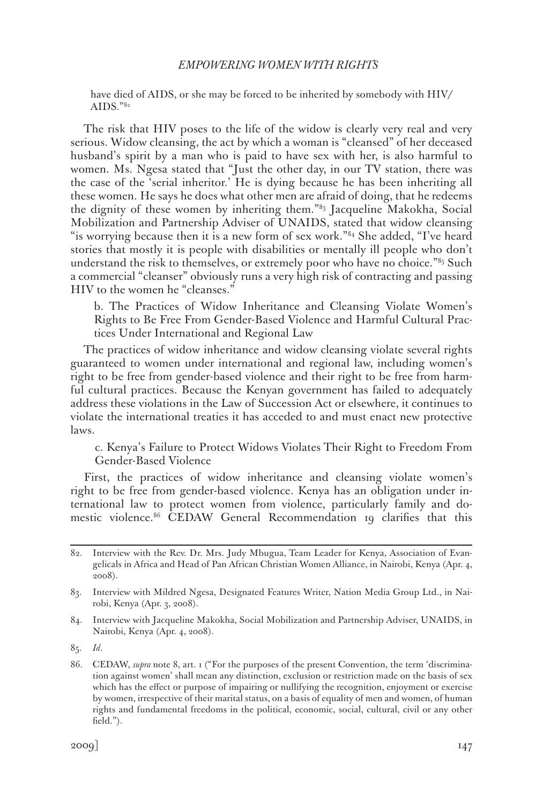have died of AIDS, or she may be forced to be inherited by somebody with HIV/ AIDS. $"82"$ 

The risk that HIV poses to the life of the widow is clearly very real and very serious. Widow cleansing, the act by which a woman is "cleansed" of her deceased husband's spirit by a man who is paid to have sex with her, is also harmful to women. Ms. Ngesa stated that "Just the other day, in our TV station, there was the case of the 'serial inheritor.' He is dying because he has been inheriting all these women. He says he does what other men are afraid of doing, that he redeems the dignity of these women by inheriting them."83 Jacqueline Makokha, Social Mobilization and Partnership Adviser of UNAIDS, stated that widow cleansing "is worrying because then it is a new form of sex work."<sup>84</sup> She added, "I've heard stories that mostly it is people with disabilities or mentally ill people who don't understand the risk to themselves, or extremely poor who have no choice."85 Such a commercial "cleanser" obviously runs a very high risk of contracting and passing HIV to the women he "cleanses."

b. The Practices of Widow Inheritance and Cleansing Violate Women's Rights to Be Free From Gender-Based Violence and Harmful Cultural Practices Under International and Regional Law

The practices of widow inheritance and widow cleansing violate several rights guaranteed to women under international and regional law, including women's right to be free from gender-based violence and their right to be free from harmful cultural practices. Because the Kenyan government has failed to adequately address these violations in the Law of Succession Act or elsewhere, it continues to violate the international treaties it has acceded to and must enact new protective laws.

c. Kenya's Failure to Protect Widows Violates Their Right to Freedom From Gender-Based Violence

First, the practices of widow inheritance and cleansing violate women's right to be free from gender-based violence. Kenya has an obligation under international law to protect women from violence, particularly family and domestic violence.86 CEDAW General Recommendation 19 clarifies that this

<sup>82.</sup> Interview with the Rev. Dr. Mrs. Judy Mbugua, Team Leader for Kenya, Association of Evangelicals in Africa and Head of Pan African Christian Women Alliance, in Nairobi, Kenya (Apr. 4, 2008).

<sup>83.</sup> Interview with Mildred Ngesa, Designated Features Writer, Nation Media Group Ltd., in Nairobi, Kenya (Apr. 3, 2008).

<sup>84.</sup> Interview with Jacqueline Makokha, Social Mobilization and Partnership Adviser, UNAIDS, in Nairobi, Kenya (Apr. 4, 2008).

<sup>85.</sup> *Id*.

<sup>86.</sup> CEDAW, *supra* note 8, art. 1 ("For the purposes of the present Convention, the term 'discrimination against women' shall mean any distinction, exclusion or restriction made on the basis of sex which has the effect or purpose of impairing or nullifying the recognition, enjoyment or exercise by women, irrespective of their marital status, on a basis of equality of men and women, of human rights and fundamental freedoms in the political, economic, social, cultural, civil or any other field.").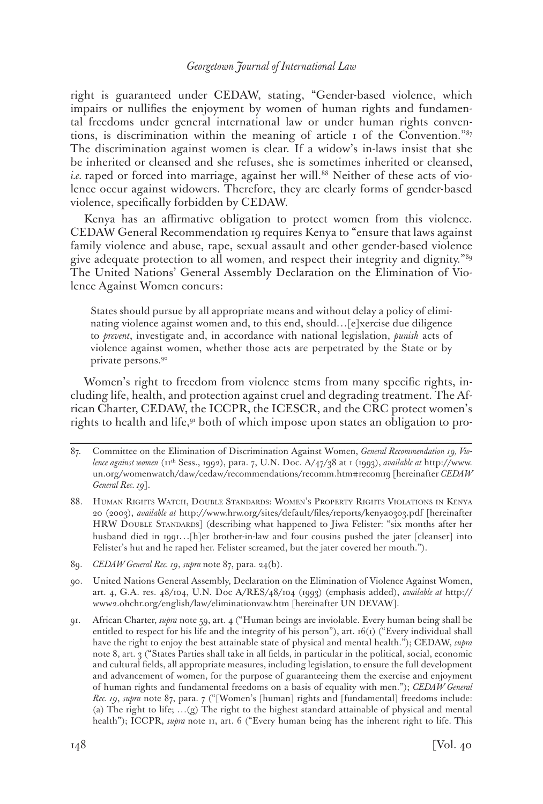right is guaranteed under CEDAW, stating, "Gender-based violence, which impairs or nullifies the enjoyment by women of human rights and fundamental freedoms under general international law or under human rights conventions, is discrimination within the meaning of article 1 of the Convention." $s<sub>7</sub>$ The discrimination against women is clear. If a widow's in-laws insist that she be inherited or cleansed and she refuses, she is sometimes inherited or cleansed, *i.e.* raped or forced into marriage, against her will.<sup>88</sup> Neither of these acts of violence occur against widowers. Therefore, they are clearly forms of gender-based violence, specifically forbidden by CEDAW.

Kenya has an affirmative obligation to protect women from this violence. CEDAW General Recommendation 19 requires Kenya to "ensure that laws against family violence and abuse, rape, sexual assault and other gender-based violence give adequate protection to all women, and respect their integrity and dignity."89 The United Nations' General Assembly Declaration on the Elimination of Violence Against Women concurs:

States should pursue by all appropriate means and without delay a policy of eliminating violence against women and, to this end, should…[e]xercise due diligence to *prevent*, investigate and, in accordance with national legislation, *punish* acts of violence against women, whether those acts are perpetrated by the State or by private persons.90

Women's right to freedom from violence stems from many specific rights, including life, health, and protection against cruel and degrading treatment. The African Charter, CEDAW, the ICCPR, the ICESCR, and the CRC protect women's rights to health and life,<sup>91</sup> both of which impose upon states an obligation to pro-

- 88. Human Rights Watch, Double Standards: Women's Property Rights Violations in Kenya 20 (2003), *available at* http://www.hrw.org/sites/default/files/reports/kenya0303.pdf [hereinafter HRW DOUBLE STANDARDS] (describing what happened to Jiwa Felister: "six months after her husband died in 1991...[h]er brother-in-law and four cousins pushed the jater [cleanser] into Felister's hut and he raped her. Felister screamed, but the jater covered her mouth.").
- 89. *CEDAW General Rec. 19*, *supra* note 87, para. 24(b).
- 90. United Nations General Assembly, Declaration on the Elimination of Violence Against Women, art. 4, G.A. res. 48/104, U.N. Doc A/RES/48/104 (1993) (emphasis added), *available at* http:// www2.ohchr.org/english/law/eliminationvaw.htm [hereinafter UN DEVAW].
- 91. African Charter, *supra* note 59, art. 4 ("Human beings are inviolable. Every human being shall be entitled to respect for his life and the integrity of his person"), art. 16(1) ("Every individual shall have the right to enjoy the best attainable state of physical and mental health."); CEDAW, *supra*  note 8, art. 3 ("States Parties shall take in all fields, in particular in the political, social, economic and cultural fields, all appropriate measures, including legislation, to ensure the full development and advancement of women, for the purpose of guaranteeing them the exercise and enjoyment of human rights and fundamental freedoms on a basis of equality with men."); *CEDAW General Rec. 19*, *supra* note 87, para. 7 ("[Women's [human] rights and [fundamental] freedoms include: (a) The right to life; …(g) The right to the highest standard attainable of physical and mental health"); ICCPR, *supra* note 11, art. 6 ("Every human being has the inherent right to life. This

<sup>87.</sup> Committee on the Elimination of Discrimination Against Women, *General Recommendation 19, Violence against women* (11th Sess., 1992), para. 7, U.N. Doc. A/47/38 at 1 (1993), *available at* http://www. un.org/womenwatch/daw/cedaw/recommendations/recomm.htm#recom19 [hereinafter *CEDAW General Rec. 19*].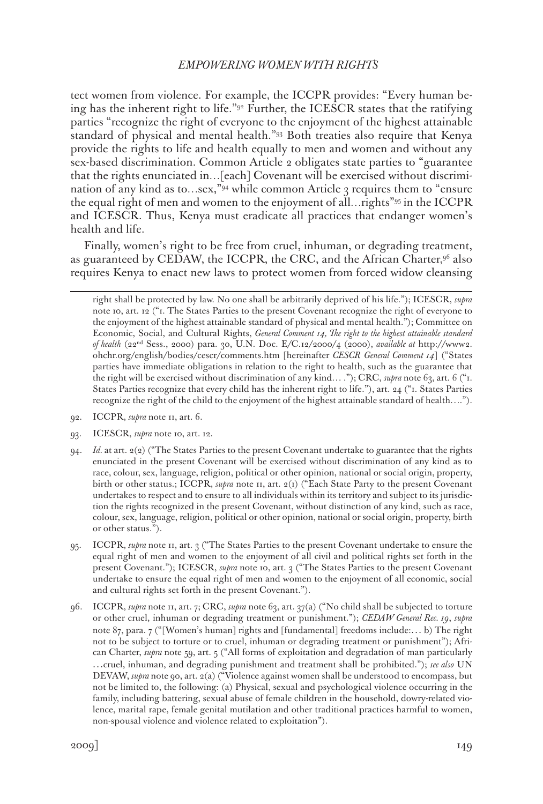tect women from violence. For example, the ICCPR provides: "Every human being has the inherent right to life."92 Further, the ICESCR states that the ratifying parties "recognize the right of everyone to the enjoyment of the highest attainable standard of physical and mental health."93 Both treaties also require that Kenya provide the rights to life and health equally to men and women and without any sex-based discrimination. Common Article 2 obligates state parties to "guarantee that the rights enunciated in…[each] Covenant will be exercised without discrimination of any kind as to…sex,  $\frac{94}{94}$  while common Article 3 requires them to "ensure" the equal right of men and women to the enjoyment of all…rights"95 in the ICCPR and ICESCR. Thus, Kenya must eradicate all practices that endanger women's health and life.

Finally, women's right to be free from cruel, inhuman, or degrading treatment, as guaranteed by CEDAW, the ICCPR, the CRC, and the African Charter, $9^6$  also requires Kenya to enact new laws to protect women from forced widow cleansing

right shall be protected by law. No one shall be arbitrarily deprived of his life."); ICESCR, *supra*  note 10, art. 12 ("1. The States Parties to the present Covenant recognize the right of everyone to the enjoyment of the highest attainable standard of physical and mental health."); Committee on Economic, Social, and Cultural Rights, *General Comment 14, The right to the highest attainable standard of health* (22nd Sess., 2000) para. 30, U.N. Doc. E/C.12/2000/4 (2000), *available at* http://www2. ohchr.org/english/bodies/cescr/comments.htm [hereinafter *CESCR General Comment 14*] ("States parties have immediate obligations in relation to the right to health, such as the guarantee that the right will be exercised without discrimination of any kind… ."); CRC, *supra* note 63, art. 6 ("1. States Parties recognize that every child has the inherent right to life."), art. 24 ("1. States Parties recognize the right of the child to the enjoyment of the highest attainable standard of health….").

- 92. ICCPR, *supra* note 11, art. 6.
- 93. ICESCR, *supra* note 10, art. 12.
- 94. *Id.* at art. 2(2) ("The States Parties to the present Covenant undertake to guarantee that the rights enunciated in the present Covenant will be exercised without discrimination of any kind as to race, colour, sex, language, religion, political or other opinion, national or social origin, property, birth or other status.; ICCPR, *supra* note 11, art. 2(1) ("Each State Party to the present Covenant undertakes to respect and to ensure to all individuals within its territory and subject to its jurisdiction the rights recognized in the present Covenant, without distinction of any kind, such as race, colour, sex, language, religion, political or other opinion, national or social origin, property, birth or other status.").
- 95. ICCPR, *supra* note 11, art. 3 ("The States Parties to the present Covenant undertake to ensure the equal right of men and women to the enjoyment of all civil and political rights set forth in the present Covenant."); ICESCR, *supra* note 10, art. 3 ("The States Parties to the present Covenant undertake to ensure the equal right of men and women to the enjoyment of all economic, social and cultural rights set forth in the present Covenant.").
- 96. ICCPR, *supra* note 11, art. 7; CRC, *supra* note 63, art. 37(a) ("No child shall be subjected to torture or other cruel, inhuman or degrading treatment or punishment."); *CEDAW General Rec. 19*, *supra*  note 87, para. 7 ("[Women's human] rights and [fundamental] freedoms include:… b) The right not to be subject to torture or to cruel, inhuman or degrading treatment or punishment"); African Charter, *supra* note 59, art. 5 ("All forms of exploitation and degradation of man particularly …cruel, inhuman, and degrading punishment and treatment shall be prohibited."); *see also* UN DEVAW, *supra* note 90, art. 2(a) ("Violence against women shall be understood to encompass, but not be limited to, the following: (a) Physical, sexual and psychological violence occurring in the family, including battering, sexual abuse of female children in the household, dowry-related violence, marital rape, female genital mutilation and other traditional practices harmful to women, non-spousal violence and violence related to exploitation").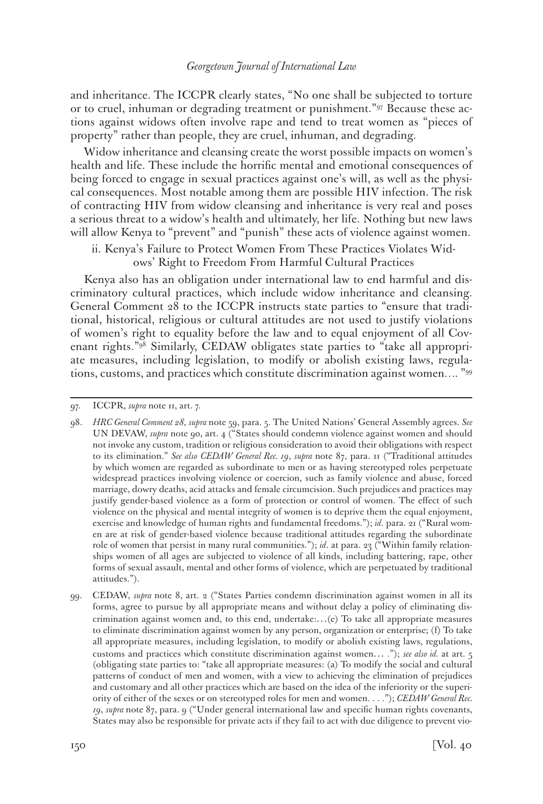and inheritance. The ICCPR clearly states, "No one shall be subjected to torture or to cruel, inhuman or degrading treatment or punishment."97 Because these actions against widows often involve rape and tend to treat women as "pieces of property" rather than people, they are cruel, inhuman, and degrading.

Widow inheritance and cleansing create the worst possible impacts on women's health and life. These include the horrific mental and emotional consequences of being forced to engage in sexual practices against one's will, as well as the physical consequences. Most notable among them are possible HIV infection. The risk of contracting HIV from widow cleansing and inheritance is very real and poses a serious threat to a widow's health and ultimately, her life. Nothing but new laws will allow Kenya to "prevent" and "punish" these acts of violence against women.

ii. Kenya's Failure to Protect Women From These Practices Violates Widows' Right to Freedom From Harmful Cultural Practices

Kenya also has an obligation under international law to end harmful and discriminatory cultural practices, which include widow inheritance and cleansing. General Comment 28 to the ICCPR instructs state parties to "ensure that traditional, historical, religious or cultural attitudes are not used to justify violations of women's right to equality before the law and to equal enjoyment of all Covenant rights."98 Similarly, CEDAW obligates state parties to "take all appropriate measures, including legislation, to modify or abolish existing laws, regulations, customs, and practices which constitute discrimination against women…. "99

<sup>97.</sup> ICCPR, *supra* note 11, art. 7.

<sup>98.</sup> *HRC General Comment 28*, *supra* note 59, para. 5. The United Nations' General Assembly agrees. *See* UN DEVAW, *supra* note 90, art. 4 ("States should condemn violence against women and should not invoke any custom, tradition or religious consideration to avoid their obligations with respect to its elimination." *See also CEDAW General Rec. 19*, *supra* note 87, para. 11 ("Traditional attitudes by which women are regarded as subordinate to men or as having stereotyped roles perpetuate widespread practices involving violence or coercion, such as family violence and abuse, forced marriage, dowry deaths, acid attacks and female circumcision. Such prejudices and practices may justify gender-based violence as a form of protection or control of women. The effect of such violence on the physical and mental integrity of women is to deprive them the equal enjoyment, exercise and knowledge of human rights and fundamental freedoms."); *id*. para. 21 ("Rural women are at risk of gender-based violence because traditional attitudes regarding the subordinate role of women that persist in many rural communities."); *id*. at para. 23 ("Within family relationships women of all ages are subjected to violence of all kinds, including battering, rape, other forms of sexual assault, mental and other forms of violence, which are perpetuated by traditional attitudes.").

<sup>99.</sup> CEDAW, *supra* note 8, art. 2 ("States Parties condemn discrimination against women in all its forms, agree to pursue by all appropriate means and without delay a policy of eliminating discrimination against women and, to this end, undertake:…(e) To take all appropriate measures to eliminate discrimination against women by any person, organization or enterprise; (f) To take all appropriate measures, including legislation, to modify or abolish existing laws, regulations, customs and practices which constitute discrimination against women… ."); *see also id.* at art. 5 (obligating state parties to: "take all appropriate measures: (a) To modify the social and cultural patterns of conduct of men and women, with a view to achieving the elimination of prejudices and customary and all other practices which are based on the idea of the inferiority or the superiority of either of the sexes or on stereotyped roles for men and women. . . ."); *CEDAW General Rec. 19*, *supra* note 87, para. 9 ("Under general international law and specific human rights covenants, States may also be responsible for private acts if they fail to act with due diligence to prevent vio-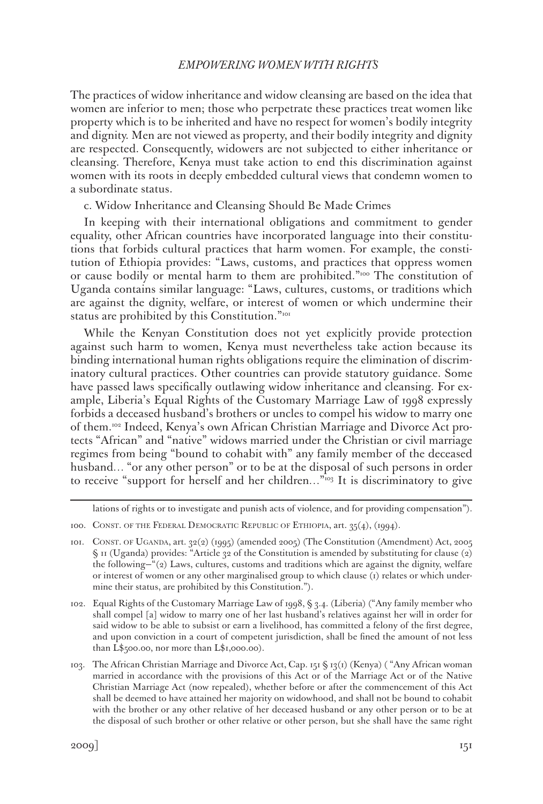The practices of widow inheritance and widow cleansing are based on the idea that women are inferior to men; those who perpetrate these practices treat women like property which is to be inherited and have no respect for women's bodily integrity and dignity. Men are not viewed as property, and their bodily integrity and dignity are respected. Consequently, widowers are not subjected to either inheritance or cleansing. Therefore, Kenya must take action to end this discrimination against women with its roots in deeply embedded cultural views that condemn women to a subordinate status.

c. Widow Inheritance and Cleansing Should Be Made Crimes

In keeping with their international obligations and commitment to gender equality, other African countries have incorporated language into their constitutions that forbids cultural practices that harm women. For example, the constitution of Ethiopia provides: "Laws, customs, and practices that oppress women or cause bodily or mental harm to them are prohibited."100 The constitution of Uganda contains similar language: "Laws, cultures, customs, or traditions which are against the dignity, welfare, or interest of women or which undermine their status are prohibited by this Constitution."<sup>101</sup>

While the Kenyan Constitution does not yet explicitly provide protection against such harm to women, Kenya must nevertheless take action because its binding international human rights obligations require the elimination of discriminatory cultural practices. Other countries can provide statutory guidance. Some have passed laws specifically outlawing widow inheritance and cleansing. For example, Liberia's Equal Rights of the Customary Marriage Law of 1998 expressly forbids a deceased husband's brothers or uncles to compel his widow to marry one of them.102 Indeed, Kenya's own African Christian Marriage and Divorce Act protects "African" and "native" widows married under the Christian or civil marriage regimes from being "bound to cohabit with" any family member of the deceased husband... "or any other person" or to be at the disposal of such persons in order to receive "support for herself and her children..."<sup>103</sup> It is discriminatory to give

lations of rights or to investigate and punish acts of violence, and for providing compensation").

102. Equal Rights of the Customary Marriage Law of 1998, § 3.4. (Liberia) ("Any family member who shall compel [a] widow to marry one of her last husband's relatives against her will in order for said widow to be able to subsist or earn a livelihood, has committed a felony of the first degree, and upon conviction in a court of competent jurisdiction, shall be fined the amount of not less than L\$500.00, nor more than L\$1,000.00).

103. The African Christian Marriage and Divorce Act, Cap. 151 § 13(1) (Kenya) ( "Any African woman married in accordance with the provisions of this Act or of the Marriage Act or of the Native Christian Marriage Act (now repealed), whether before or after the commencement of this Act shall be deemed to have attained her majority on widowhood, and shall not be bound to cohabit with the brother or any other relative of her deceased husband or any other person or to be at the disposal of such brother or other relative or other person, but she shall have the same right

<sup>100.</sup> CONST. OF THE FEDERAL DEMOCRATIC REPUBLIC OF ETHIOPIA, art. 35(4), (1994).

<sup>101.</sup> CONST. OF UGANDA, art. 32(2) (1995) (amended 2005) (The Constitution (Amendment) Act, 2005 § 11 (Uganda) provides: "Article 32 of the Constitution is amended by substituting for clause (2) the following—"(2) Laws, cultures, customs and traditions which are against the dignity, welfare or interest of women or any other marginalised group to which clause (1) relates or which undermine their status, are prohibited by this Constitution.").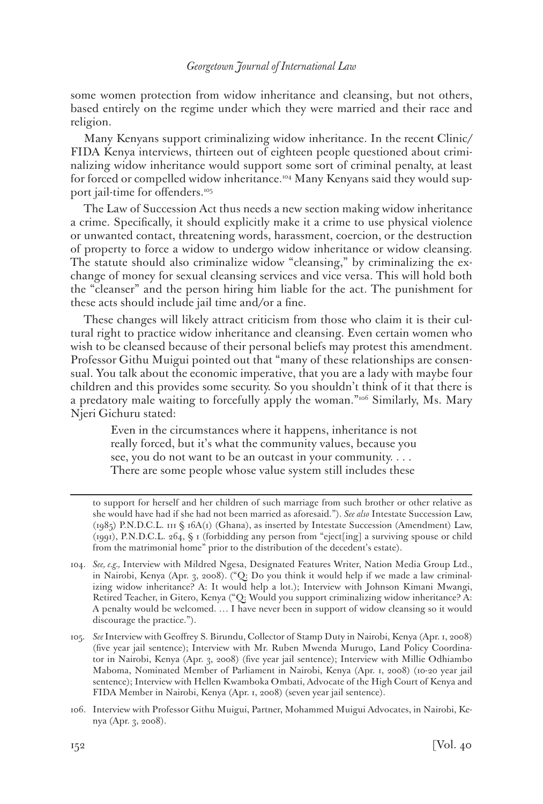some women protection from widow inheritance and cleansing, but not others, based entirely on the regime under which they were married and their race and religion.

Many Kenyans support criminalizing widow inheritance. In the recent Clinic/ FIDA Kenya interviews, thirteen out of eighteen people questioned about criminalizing widow inheritance would support some sort of criminal penalty, at least for forced or compelled widow inheritance.<sup>104</sup> Many Kenyans said they would support jail-time for offenders.<sup>105</sup>

The Law of Succession Act thus needs a new section making widow inheritance a crime. Specifically, it should explicitly make it a crime to use physical violence or unwanted contact, threatening words, harassment, coercion, or the destruction of property to force a widow to undergo widow inheritance or widow cleansing. The statute should also criminalize widow "cleansing," by criminalizing the exchange of money for sexual cleansing services and vice versa. This will hold both the "cleanser" and the person hiring him liable for the act. The punishment for these acts should include jail time and/or a fine.

These changes will likely attract criticism from those who claim it is their cultural right to practice widow inheritance and cleansing. Even certain women who wish to be cleansed because of their personal beliefs may protest this amendment. Professor Githu Muigui pointed out that "many of these relationships are consensual. You talk about the economic imperative, that you are a lady with maybe four children and this provides some security. So you shouldn't think of it that there is a predatory male waiting to forcefully apply the woman."<sup>106</sup> Similarly, Ms. Mary Njeri Gichuru stated:

Even in the circumstances where it happens, inheritance is not really forced, but it's what the community values, because you see, you do not want to be an outcast in your community. . . . There are some people whose value system still includes these

to support for herself and her children of such marriage from such brother or other relative as she would have had if she had not been married as aforesaid."). *See also* Intestate Succession Law, (1985) P.N.D.C.L. 111 § 16A(1) (Ghana), as inserted by Intestate Succession (Amendment) Law, (1991), P.N.D.C.L. 264, § 1 (forbidding any person from "eject[ing] a surviving spouse or child from the matrimonial home" prior to the distribution of the decedent's estate).

<sup>104.</sup> *See, e.g.,* Interview with Mildred Ngesa, Designated Features Writer, Nation Media Group Ltd., in Nairobi, Kenya (Apr. 3, 2008). ("Q: Do you think it would help if we made a law criminalizing widow inheritance? A: It would help a lot.); Interview with Johnson Kimani Mwangi, Retired Teacher, in Gitero, Kenya ("Q: Would you support criminalizing widow inheritance? A: A penalty would be welcomed. … I have never been in support of widow cleansing so it would discourage the practice.").

<sup>105.</sup> *See* Interview with Geoffrey S. Birundu, Collector of Stamp Duty in Nairobi, Kenya (Apr. 1, 2008) (five year jail sentence); Interview with Mr. Ruben Mwenda Murugo, Land Policy Coordinator in Nairobi, Kenya (Apr. 3, 2008) (five year jail sentence); Interview with Millie Odhiambo Maboma, Nominated Member of Parliament in Nairobi, Kenya (Apr. 1, 2008) (10-20 year jail sentence); Interview with Hellen Kwamboka Ombati, Advocate of the High Court of Kenya and FIDA Member in Nairobi, Kenya (Apr. 1, 2008) (seven year jail sentence).

<sup>106.</sup> Interview with Professor Githu Muigui, Partner, Mohammed Muigui Advocates, in Nairobi, Kenya (Apr. 3, 2008).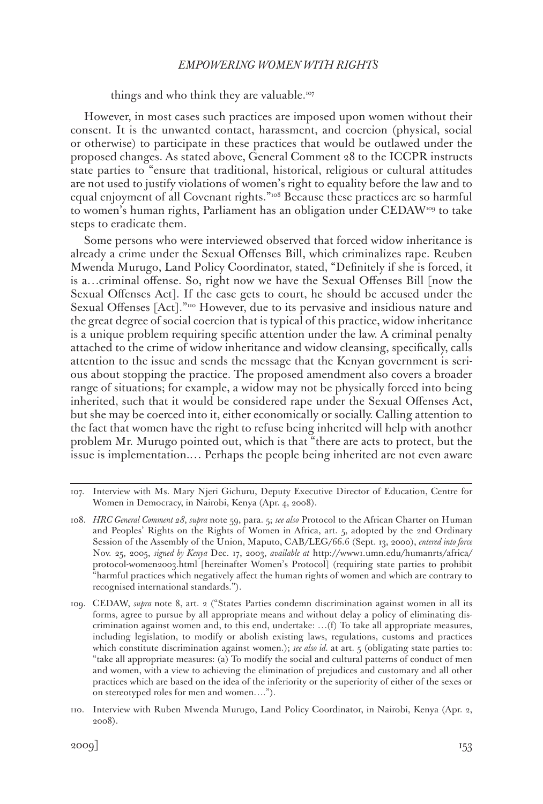things and who think they are valuable.<sup>107</sup>

However, in most cases such practices are imposed upon women without their consent. It is the unwanted contact, harassment, and coercion (physical, social or otherwise) to participate in these practices that would be outlawed under the proposed changes. As stated above, General Comment 28 to the ICCPR instructs state parties to "ensure that traditional, historical, religious or cultural attitudes are not used to justify violations of women's right to equality before the law and to equal enjoyment of all Covenant rights."<sup>108</sup> Because these practices are so harmful to women's human rights, Parliament has an obligation under CEDAW<sup>109</sup> to take steps to eradicate them.

Some persons who were interviewed observed that forced widow inheritance is already a crime under the Sexual Offenses Bill, which criminalizes rape. Reuben Mwenda Murugo, Land Policy Coordinator, stated, "Definitely if she is forced, it is a…criminal offense. So, right now we have the Sexual Offenses Bill [now the Sexual Offenses Act]. If the case gets to court, he should be accused under the Sexual Offenses [Act]."110 However, due to its pervasive and insidious nature and the great degree of social coercion that is typical of this practice, widow inheritance is a unique problem requiring specific attention under the law. A criminal penalty attached to the crime of widow inheritance and widow cleansing, specifically, calls attention to the issue and sends the message that the Kenyan government is serious about stopping the practice. The proposed amendment also covers a broader range of situations; for example, a widow may not be physically forced into being inherited, such that it would be considered rape under the Sexual Offenses Act, but she may be coerced into it, either economically or socially. Calling attention to the fact that women have the right to refuse being inherited will help with another problem Mr. Murugo pointed out, which is that "there are acts to protect, but the issue is implementation.… Perhaps the people being inherited are not even aware

<sup>107.</sup> Interview with Ms. Mary Njeri Gichuru, Deputy Executive Director of Education, Centre for Women in Democracy, in Nairobi, Kenya (Apr. 4, 2008).

<sup>108.</sup> *HRC General Comment 28*, *supra* note 59, para. 5; *see also* Protocol to the African Charter on Human and Peoples' Rights on the Rights of Women in Africa, art. 5, adopted by the 2nd Ordinary Session of the Assembly of the Union, Maputo, CAB/LEG/66.6 (Sept. 13, 2000), *entered into force* Nov. 25, 2005, *signed by Kenya* Dec. 17, 2003, *available at* http://www1.umn.edu/humanrts/africa/ protocol-women2003.html [hereinafter Women's Protocol] (requiring state parties to prohibit "harmful practices which negatively affect the human rights of women and which are contrary to recognised international standards.").

<sup>109.</sup> CEDAW, *supra* note 8, art. 2 ("States Parties condemn discrimination against women in all its forms, agree to pursue by all appropriate means and without delay a policy of eliminating discrimination against women and, to this end, undertake: …(f) To take all appropriate measures, including legislation, to modify or abolish existing laws, regulations, customs and practices which constitute discrimination against women.); *see also id.* at art. 5 (obligating state parties to: "take all appropriate measures: (a) To modify the social and cultural patterns of conduct of men and women, with a view to achieving the elimination of prejudices and customary and all other practices which are based on the idea of the inferiority or the superiority of either of the sexes or on stereotyped roles for men and women….").

<sup>110.</sup> Interview with Ruben Mwenda Murugo, Land Policy Coordinator, in Nairobi, Kenya (Apr. 2, 2008).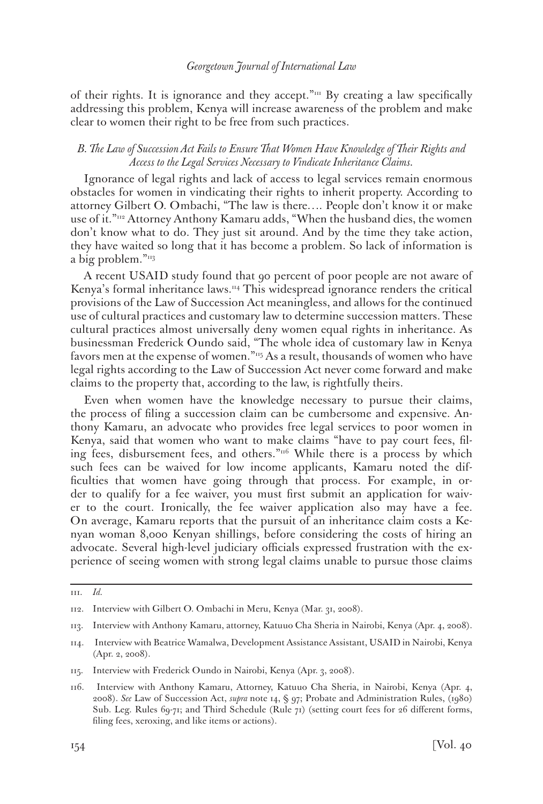of their rights. It is ignorance and they accept." $m$  By creating a law specifically addressing this problem, Kenya will increase awareness of the problem and make clear to women their right to be free from such practices.

# *B. The Law of Succession Act Fails to Ensure That Women Have Knowledge of Their Rights and Access to the Legal Services Necessary to Vindicate Inheritance Claims.*

Ignorance of legal rights and lack of access to legal services remain enormous obstacles for women in vindicating their rights to inherit property. According to attorney Gilbert O. Ombachi, "The law is there…. People don't know it or make use of it."112 Attorney Anthony Kamaru adds, "When the husband dies, the women don't know what to do. They just sit around. And by the time they take action, they have waited so long that it has become a problem. So lack of information is a big problem."<sup>113</sup>

A recent USAID study found that 90 percent of poor people are not aware of Kenya's formal inheritance laws.<sup>114</sup> This widespread ignorance renders the critical provisions of the Law of Succession Act meaningless, and allows for the continued use of cultural practices and customary law to determine succession matters. These cultural practices almost universally deny women equal rights in inheritance. As businessman Frederick Oundo said, "The whole idea of customary law in Kenya favors men at the expense of women."115 As a result, thousands of women who have legal rights according to the Law of Succession Act never come forward and make claims to the property that, according to the law, is rightfully theirs.

Even when women have the knowledge necessary to pursue their claims, the process of filing a succession claim can be cumbersome and expensive. Anthony Kamaru, an advocate who provides free legal services to poor women in Kenya, said that women who want to make claims "have to pay court fees, filing fees, disbursement fees, and others."116 While there is a process by which such fees can be waived for low income applicants, Kamaru noted the difficulties that women have going through that process. For example, in order to qualify for a fee waiver, you must first submit an application for waiver to the court. Ironically, the fee waiver application also may have a fee. On average, Kamaru reports that the pursuit of an inheritance claim costs a Kenyan woman 8,000 Kenyan shillings, before considering the costs of hiring an advocate. Several high-level judiciary officials expressed frustration with the experience of seeing women with strong legal claims unable to pursue those claims

<sup>111.</sup> *Id.*

<sup>112.</sup> Interview with Gilbert O. Ombachi in Meru, Kenya (Mar. 31, 2008).

<sup>113.</sup> Interview with Anthony Kamaru, attorney, Katuuo Cha Sheria in Nairobi, Kenya (Apr. 4, 2008).

<sup>114.</sup> Interview with Beatrice Wamalwa, Development Assistance Assistant, USAID in Nairobi, Kenya (Apr. 2, 2008).

<sup>115.</sup> Interview with Frederick Oundo in Nairobi, Kenya (Apr. 3, 2008).

<sup>116.</sup> Interview with Anthony Kamaru, Attorney, Katuuo Cha Sheria, in Nairobi, Kenya (Apr. 4, 2008). *See* Law of Succession Act, *supra* note 14, § 97; Probate and Administration Rules, (1980) Sub. Leg. Rules 69-71; and Third Schedule (Rule 71) (setting court fees for 26 different forms, filing fees, xeroxing, and like items or actions).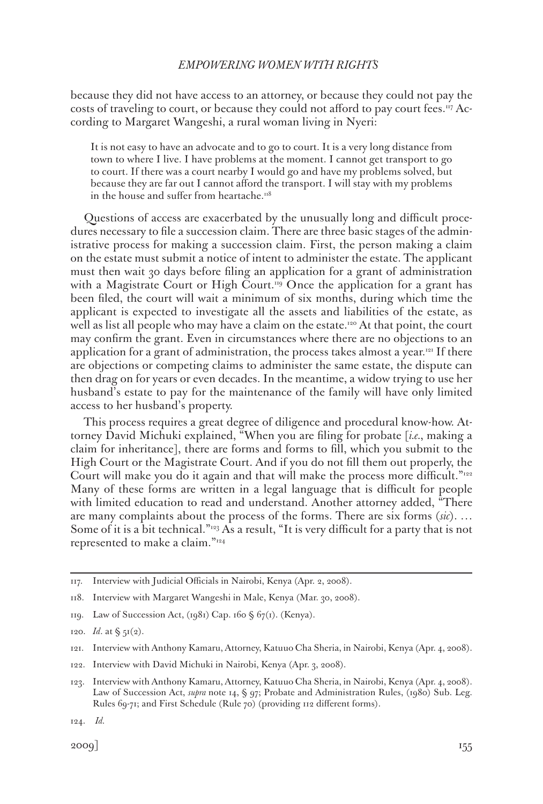because they did not have access to an attorney, or because they could not pay the costs of traveling to court, or because they could not afford to pay court fees.<sup>117</sup> According to Margaret Wangeshi, a rural woman living in Nyeri:

It is not easy to have an advocate and to go to court. It is a very long distance from town to where I live. I have problems at the moment. I cannot get transport to go to court. If there was a court nearby I would go and have my problems solved, but because they are far out I cannot afford the transport. I will stay with my problems in the house and suffer from heartache.<sup>118</sup>

Questions of access are exacerbated by the unusually long and difficult procedures necessary to file a succession claim. There are three basic stages of the administrative process for making a succession claim. First, the person making a claim on the estate must submit a notice of intent to administer the estate. The applicant must then wait 30 days before filing an application for a grant of administration with a Magistrate Court or High Court.<sup>119</sup> Once the application for a grant has been filed, the court will wait a minimum of six months, during which time the applicant is expected to investigate all the assets and liabilities of the estate, as well as list all people who may have a claim on the estate.<sup>120</sup> At that point, the court may confirm the grant. Even in circumstances where there are no objections to an application for a grant of administration, the process takes almost a year.<sup>121</sup> If there are objections or competing claims to administer the same estate, the dispute can then drag on for years or even decades. In the meantime, a widow trying to use her husband's estate to pay for the maintenance of the family will have only limited access to her husband's property.

This process requires a great degree of diligence and procedural know-how. Attorney David Michuki explained, "When you are filing for probate [*i.e.*, making a claim for inheritance], there are forms and forms to fill, which you submit to the High Court or the Magistrate Court. And if you do not fill them out properly, the Court will make you do it again and that will make the process more difficult."<sup>122</sup> Many of these forms are written in a legal language that is difficult for people with limited education to read and understand. Another attorney added, "There are many complaints about the process of the forms. There are six forms (*sic*). … Some of it is a bit technical."<sup>123</sup> As a result, "It is very difficult for a party that is not represented to make a claim."124

122. Interview with David Michuki in Nairobi, Kenya (Apr. 3, 2008).

<sup>117.</sup> Interview with Judicial Officials in Nairobi, Kenya (Apr. 2, 2008).

<sup>118.</sup> Interview with Margaret Wangeshi in Male, Kenya (Mar. 30, 2008).

<sup>119.</sup> Law of Succession Act, (1981) Cap. 160 § 67(1). (Kenya).

<sup>120.</sup> *Id.* at  $\S$   $5I(2)$ .

<sup>121.</sup> Interview with Anthony Kamaru, Attorney, Katuuo Cha Sheria, in Nairobi, Kenya (Apr. 4, 2008).

<sup>123.</sup> Interview with Anthony Kamaru, Attorney, Katuuo Cha Sheria, in Nairobi, Kenya (Apr. 4, 2008). Law of Succession Act, *supra* note 14, § 97; Probate and Administration Rules, (1980) Sub. Leg. Rules 69-71; and First Schedule (Rule 70) (providing 112 different forms).

<sup>124.</sup> *Id.*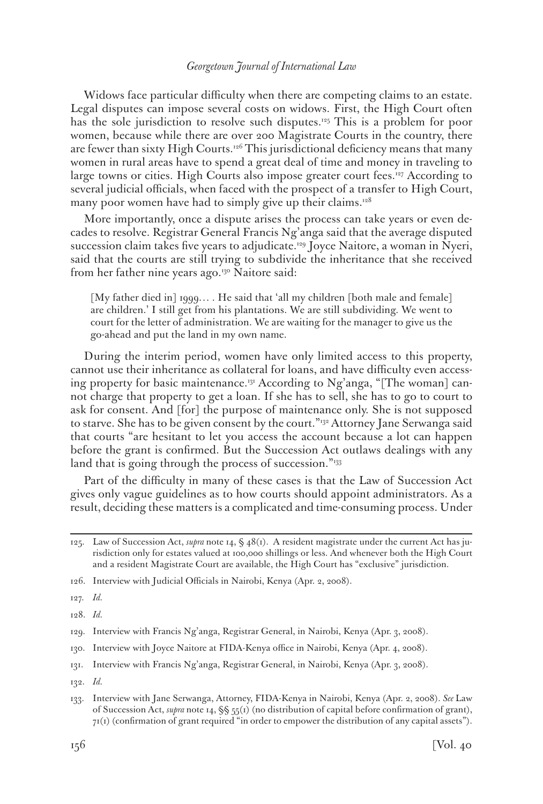Widows face particular difficulty when there are competing claims to an estate. Legal disputes can impose several costs on widows. First, the High Court often has the sole jurisdiction to resolve such disputes.125 This is a problem for poor women, because while there are over 200 Magistrate Courts in the country, there are fewer than sixty High Courts.<sup>126</sup> This jurisdictional deficiency means that many women in rural areas have to spend a great deal of time and money in traveling to large towns or cities. High Courts also impose greater court fees.<sup>127</sup> According to several judicial officials, when faced with the prospect of a transfer to High Court, many poor women have had to simply give up their claims.<sup>128</sup>

More importantly, once a dispute arises the process can take years or even decades to resolve. Registrar General Francis Ng'anga said that the average disputed succession claim takes five years to adjudicate.129 Joyce Naitore, a woman in Nyeri, said that the courts are still trying to subdivide the inheritance that she received from her father nine years ago.<sup>130</sup> Naitore said:

[My father died in] 1999… . He said that 'all my children [both male and female] are children.' I still get from his plantations. We are still subdividing. We went to court for the letter of administration. We are waiting for the manager to give us the go-ahead and put the land in my own name.

During the interim period, women have only limited access to this property, cannot use their inheritance as collateral for loans, and have difficulty even accessing property for basic maintenance.<sup>131</sup> According to Ng'anga, "[The woman] cannot charge that property to get a loan. If she has to sell, she has to go to court to ask for consent. And [for] the purpose of maintenance only. She is not supposed to starve. She has to be given consent by the court."<sup>132</sup> Attorney Jane Serwanga said that courts "are hesitant to let you access the account because a lot can happen before the grant is confirmed. But the Succession Act outlaws dealings with any land that is going through the process of succession."<sup>133</sup>

Part of the difficulty in many of these cases is that the Law of Succession Act gives only vague guidelines as to how courts should appoint administrators. As a result, deciding these matters is a complicated and time-consuming process. Under

127. *Id.*

128. *Id.*

- 130. Interview with Joyce Naitore at FIDA-Kenya office in Nairobi, Kenya (Apr. 4, 2008).
- 131. Interview with Francis Ng'anga, Registrar General, in Nairobi, Kenya (Apr. 3, 2008).

<sup>125.</sup> Law of Succession Act, *supra* note 14, § 48(1). A resident magistrate under the current Act has jurisdiction only for estates valued at 100,000 shillings or less. And whenever both the High Court and a resident Magistrate Court are available, the High Court has "exclusive" jurisdiction.

<sup>126.</sup> Interview with Judicial Officials in Nairobi, Kenya (Apr. 2, 2008).

<sup>129.</sup> Interview with Francis Ng'anga, Registrar General, in Nairobi, Kenya (Apr. 3, 2008).

<sup>132.</sup> *Id.*

<sup>133.</sup> Interview with Jane Serwanga, Attorney, FIDA-Kenya in Nairobi, Kenya (Apr. 2, 2008). *See* Law of Succession Act, *supra* note 14, §§ 55(1) (no distribution of capital before confirmation of grant),  $71(1)$  (confirmation of grant required "in order to empower the distribution of any capital assets").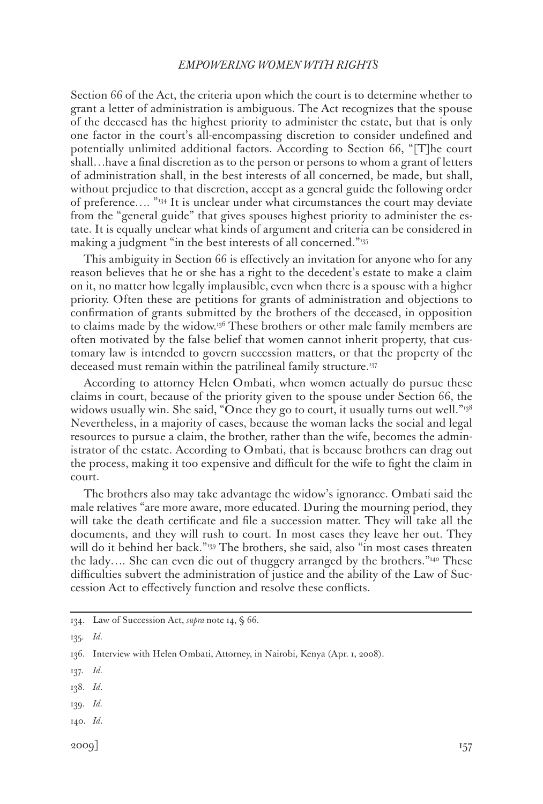Section 66 of the Act, the criteria upon which the court is to determine whether to grant a letter of administration is ambiguous. The Act recognizes that the spouse of the deceased has the highest priority to administer the estate, but that is only one factor in the court's all-encompassing discretion to consider undefined and potentially unlimited additional factors. According to Section 66, "[T]he court shall…have a final discretion as to the person or persons to whom a grant of letters of administration shall, in the best interests of all concerned, be made, but shall, without prejudice to that discretion, accept as a general guide the following order of preference…. "134 It is unclear under what circumstances the court may deviate from the "general guide" that gives spouses highest priority to administer the estate. It is equally unclear what kinds of argument and criteria can be considered in making a judgment "in the best interests of all concerned."<sup>135</sup>

This ambiguity in Section 66 is effectively an invitation for anyone who for any reason believes that he or she has a right to the decedent's estate to make a claim on it, no matter how legally implausible, even when there is a spouse with a higher priority. Often these are petitions for grants of administration and objections to confirmation of grants submitted by the brothers of the deceased, in opposition to claims made by the widow.<sup>136</sup> These brothers or other male family members are often motivated by the false belief that women cannot inherit property, that customary law is intended to govern succession matters, or that the property of the deceased must remain within the patrilineal family structure.<sup>137</sup>

According to attorney Helen Ombati, when women actually do pursue these claims in court, because of the priority given to the spouse under Section 66, the widows usually win. She said, "Once they go to court, it usually turns out well." $138$ Nevertheless, in a majority of cases, because the woman lacks the social and legal resources to pursue a claim, the brother, rather than the wife, becomes the administrator of the estate. According to Ombati, that is because brothers can drag out the process, making it too expensive and difficult for the wife to fight the claim in court.

The brothers also may take advantage the widow's ignorance. Ombati said the male relatives "are more aware, more educated. During the mourning period, they will take the death certificate and file a succession matter. They will take all the documents, and they will rush to court. In most cases they leave her out. They will do it behind her back."<sup>139</sup> The brothers, she said, also "in most cases threaten the lady…. She can even die out of thuggery arranged by the brothers."140 These difficulties subvert the administration of justice and the ability of the Law of Succession Act to effectively function and resolve these conflicts.

135. *Id.*

- 139. *Id.*
- 140. *Id*.

<sup>134.</sup> Law of Succession Act, *supra* note 14, § 66.

<sup>136.</sup> Interview with Helen Ombati, Attorney, in Nairobi, Kenya (Apr. 1, 2008).

<sup>137.</sup> *Id.*

<sup>138.</sup> *Id*.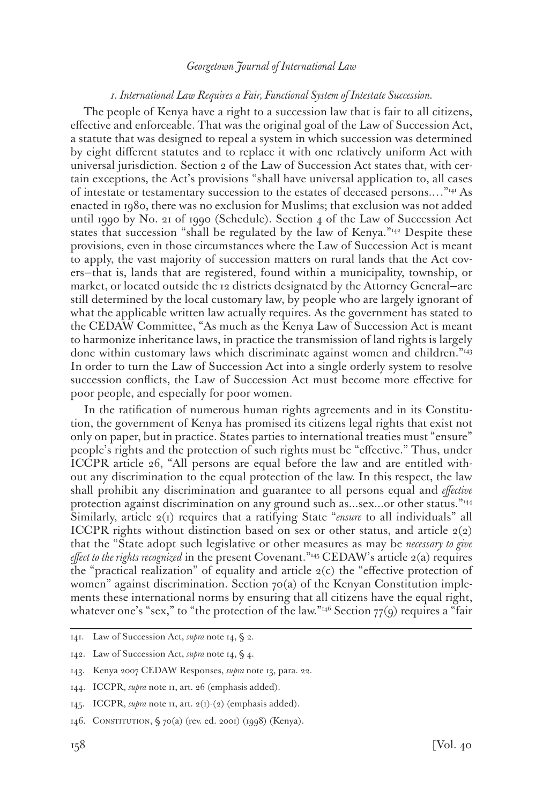#### *1. International Law Requires a Fair, Functional System of Intestate Succession.*

The people of Kenya have a right to a succession law that is fair to all citizens, effective and enforceable. That was the original goal of the Law of Succession Act, a statute that was designed to repeal a system in which succession was determined by eight different statutes and to replace it with one relatively uniform Act with universal jurisdiction. Section 2 of the Law of Succession Act states that, with certain exceptions, the Act's provisions "shall have universal application to, all cases of intestate or testamentary succession to the estates of deceased persons.…"141 As enacted in 1980, there was no exclusion for Muslims; that exclusion was not added until 1990 by No. 21 of 1990 (Schedule). Section 4 of the Law of Succession Act states that succession "shall be regulated by the law of Kenya." $42$  Despite these provisions, even in those circumstances where the Law of Succession Act is meant to apply, the vast majority of succession matters on rural lands that the Act covers—that is, lands that are registered, found within a municipality, township, or market, or located outside the 12 districts designated by the Attorney General—are still determined by the local customary law, by people who are largely ignorant of what the applicable written law actually requires. As the government has stated to the CEDAW Committee, "As much as the Kenya Law of Succession Act is meant to harmonize inheritance laws, in practice the transmission of land rights is largely done within customary laws which discriminate against women and children."143 In order to turn the Law of Succession Act into a single orderly system to resolve succession conflicts, the Law of Succession Act must become more effective for poor people, and especially for poor women.

In the ratification of numerous human rights agreements and in its Constitution, the government of Kenya has promised its citizens legal rights that exist not only on paper, but in practice. States parties to international treaties must "ensure" people's rights and the protection of such rights must be "effective." Thus, under ICCPR article 26, "All persons are equal before the law and are entitled without any discrimination to the equal protection of the law. In this respect, the law shall prohibit any discrimination and guarantee to all persons equal and *effective*  protection against discrimination on any ground such as...sex...or other status."144 Similarly, article 2(1) requires that a ratifying State "*ensure* to all individuals" all ICCPR rights without distinction based on sex or other status, and article  $2(2)$ that the "State adopt such legislative or other measures as may be *necessary to give effect to the rights recognized* in the present Covenant."<sup>145</sup> CEDAW's article 2(a) requires the "practical realization" of equality and article  $2(c)$  the "effective protection of women" against discrimination. Section  $70(a)$  of the Kenyan Constitution implements these international norms by ensuring that all citizens have the equal right, whatever one's "sex," to "the protection of the law."<sup>146</sup> Section  $77(9)$  requires a "fair

<sup>141.</sup> Law of Succession Act, *supra* note 14, § 2.

<sup>142.</sup> Law of Succession Act, *supra* note 14, § 4.

<sup>143.</sup> Kenya 2007 CEDAW Responses, *supra* note 13, para. 22.

<sup>144.</sup> ICCPR, *supra* note 11, art. 26 (emphasis added).

<sup>145.</sup> ICCPR, *supra* note 11, art. 2(1)-(2) (emphasis added).

<sup>146.</sup> Constitution, § 70(a) (rev. ed. 2001) (1998) (Kenya).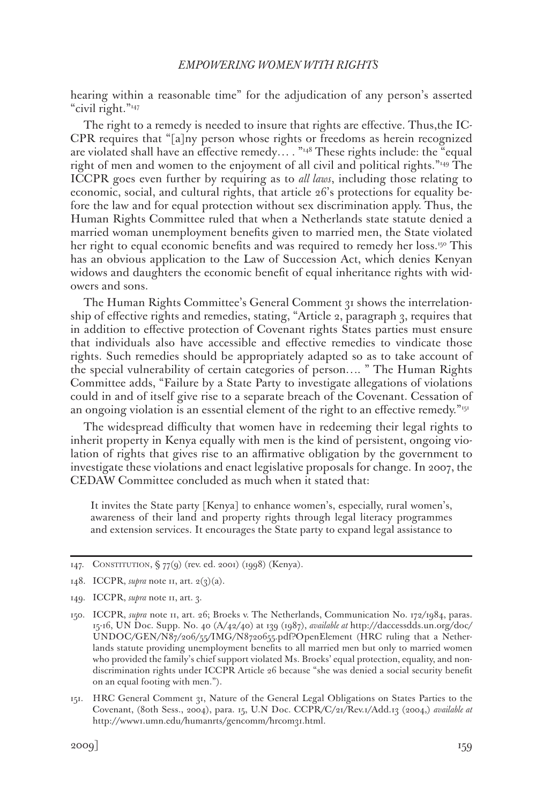hearing within a reasonable time" for the adjudication of any person's asserted "civil right."147

The right to a remedy is needed to insure that rights are effective. Thus,the IC-CPR requires that "[a]ny person whose rights or freedoms as herein recognized are violated shall have an effective remedy....  $\frac{1}{148}$  These rights include: the "equal right of men and women to the enjoyment of all civil and political rights."149 The ICCPR goes even further by requiring as to *all laws*, including those relating to economic, social, and cultural rights, that article 26's protections for equality before the law and for equal protection without sex discrimination apply. Thus, the Human Rights Committee ruled that when a Netherlands state statute denied a married woman unemployment benefits given to married men, the State violated her right to equal economic benefits and was required to remedy her loss.<sup>150</sup> This has an obvious application to the Law of Succession Act, which denies Kenyan widows and daughters the economic benefit of equal inheritance rights with widowers and sons.

The Human Rights Committee's General Comment 31 shows the interrelationship of effective rights and remedies, stating, "Article 2, paragraph 3, requires that in addition to effective protection of Covenant rights States parties must ensure that individuals also have accessible and effective remedies to vindicate those rights. Such remedies should be appropriately adapted so as to take account of the special vulnerability of certain categories of person…. " The Human Rights Committee adds, "Failure by a State Party to investigate allegations of violations could in and of itself give rise to a separate breach of the Covenant. Cessation of an ongoing violation is an essential element of the right to an effective remedy."<sup>151</sup>

The widespread difficulty that women have in redeeming their legal rights to inherit property in Kenya equally with men is the kind of persistent, ongoing violation of rights that gives rise to an affirmative obligation by the government to investigate these violations and enact legislative proposals for change. In 2007, the CEDAW Committee concluded as much when it stated that:

It invites the State party [Kenya] to enhance women's, especially, rural women's, awareness of their land and property rights through legal literacy programmes and extension services. It encourages the State party to expand legal assistance to

<sup>147.</sup> Constitution, § 77(9) (rev. ed. 2001) (1998) (Kenya).

<sup>148.</sup> ICCPR, *supra* note 11, art.  $2(3)(a)$ .

<sup>149.</sup> ICCPR, *supra* note 11, art. 3.

<sup>150.</sup> ICCPR, *supra* note 11, art. 26; Broeks v. The Netherlands, Communication No. 172/1984, paras. 15-16, UN Doc. Supp. No. 40 (A/42/40) at 139 (1987), *available at* http://daccessdds.un.org/doc/ UNDOC/GEN/N87/206/55/IMG/N8720655.pdf?OpenElement (HRC ruling that a Netherlands statute providing unemployment benefits to all married men but only to married women who provided the family's chief support violated Ms. Broeks' equal protection, equality, and nondiscrimination rights under ICCPR Article 26 because "she was denied a social security benefit on an equal footing with men.").

<sup>151.</sup> HRC General Comment 31, Nature of the General Legal Obligations on States Parties to the Covenant, (80th Sess., 2004), para. 15, U.N Doc. CCPR/C/21/Rev.1/Add.13 (2004,) *available at* http://www1.umn.edu/humanrts/gencomm/hrcom31.html.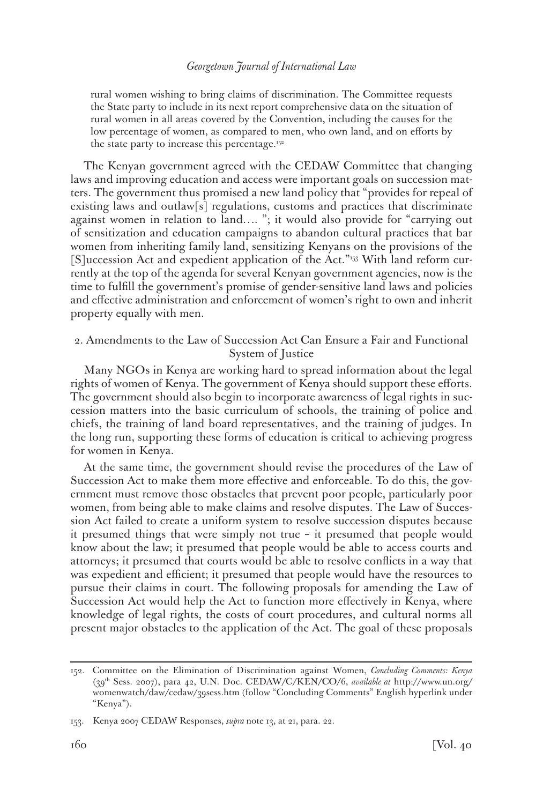rural women wishing to bring claims of discrimination. The Committee requests the State party to include in its next report comprehensive data on the situation of rural women in all areas covered by the Convention, including the causes for the low percentage of women, as compared to men, who own land, and on efforts by the state party to increase this percentage.152

The Kenyan government agreed with the CEDAW Committee that changing laws and improving education and access were important goals on succession matters. The government thus promised a new land policy that "provides for repeal of existing laws and outlaw[s] regulations, customs and practices that discriminate against women in relation to land…. "; it would also provide for "carrying out of sensitization and education campaigns to abandon cultural practices that bar women from inheriting family land, sensitizing Kenyans on the provisions of the [S]uccession Act and expedient application of the Act."153 With land reform currently at the top of the agenda for several Kenyan government agencies, now is the time to fulfill the government's promise of gender-sensitive land laws and policies and effective administration and enforcement of women's right to own and inherit property equally with men.

# 2. Amendments to the Law of Succession Act Can Ensure a Fair and Functional System of Justice

Many NGOs in Kenya are working hard to spread information about the legal rights of women of Kenya. The government of Kenya should support these efforts. The government should also begin to incorporate awareness of legal rights in succession matters into the basic curriculum of schools, the training of police and chiefs, the training of land board representatives, and the training of judges. In the long run, supporting these forms of education is critical to achieving progress for women in Kenya.

At the same time, the government should revise the procedures of the Law of Succession Act to make them more effective and enforceable. To do this, the government must remove those obstacles that prevent poor people, particularly poor women, from being able to make claims and resolve disputes. The Law of Succession Act failed to create a uniform system to resolve succession disputes because it presumed things that were simply not true – it presumed that people would know about the law; it presumed that people would be able to access courts and attorneys; it presumed that courts would be able to resolve conflicts in a way that was expedient and efficient; it presumed that people would have the resources to pursue their claims in court. The following proposals for amending the Law of Succession Act would help the Act to function more effectively in Kenya, where knowledge of legal rights, the costs of court procedures, and cultural norms all present major obstacles to the application of the Act. The goal of these proposals

<sup>152.</sup> Committee on the Elimination of Discrimination against Women, *Concluding Comments: Kenya* (39th Sess. 2007), para 42, U.N. Doc. CEDAW/C/KEN/CO/6, *available at* http://www.un.org/ womenwatch/daw/cedaw/39sess.htm (follow "Concluding Comments" English hyperlink under "Kenya").

<sup>153.</sup> Kenya 2007 CEDAW Responses, *supra* note 13, at 21, para. 22.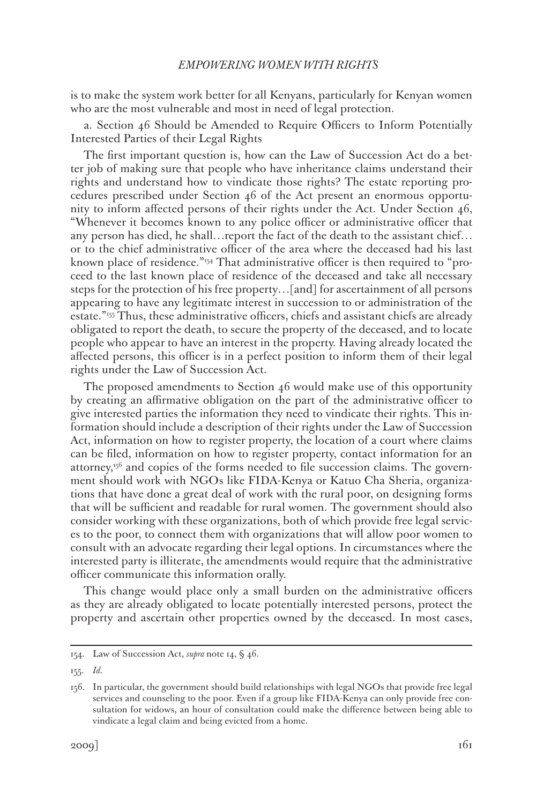is to make the system work better for all Kenyans, particularly for Kenyan women who are the most vulnerable and most in need of legal protection.

a. Section 46 Should be Amended to Require Officers to Inform Potentially Interested Parties of their Legal Rights

The first important question is, how can the Law of Succession Act do a better job of making sure that people who have inheritance claims understand their rights and understand how to vindicate those rights? The estate reporting procedures prescribed under Section 46 of the Act present an enormous opportunity to inform affected persons of their rights under the Act. Under Section 46, "Whenever it becomes known to any police officer or administrative officer that any person has died, he shall…report the fact of the death to the assistant chief… or to the chief administrative officer of the area where the deceased had his last known place of residence."154 That administrative officer is then required to "proceed to the last known place of residence of the deceased and take all necessary steps for the protection of his free property…[and] for ascertainment of all persons appearing to have any legitimate interest in succession to or administration of the estate."<sup>155</sup> Thus, these administrative officers, chiefs and assistant chiefs are already obligated to report the death, to secure the property of the deceased, and to locate people who appear to have an interest in the property. Having already located the affected persons, this officer is in a perfect position to inform them of their legal rights under the Law of Succession Act.

The proposed amendments to Section 46 would make use of this opportunity by creating an affirmative obligation on the part of the administrative officer to give interested parties the information they need to vindicate their rights. This information should include a description of their rights under the Law of Succession Act, information on how to register property, the location of a court where claims can be filed, information on how to register property, contact information for an attorney, $156$  and copies of the forms needed to file succession claims. The government should work with NGOs like FIDA-Kenya or Katuo Cha Sheria, organizations that have done a great deal of work with the rural poor, on designing forms that will be sufficient and readable for rural women. The government should also consider working with these organizations, both of which provide free legal services to the poor, to connect them with organizations that will allow poor women to consult with an advocate regarding their legal options. In circumstances where the interested party is illiterate, the amendments would require that the administrative officer communicate this information orally.

This change would place only a small burden on the administrative officers as they are already obligated to locate potentially interested persons, protect the property and ascertain other properties owned by the deceased. In most cases,

155. *Id.*

<sup>154.</sup> Law of Succession Act, *supra* note 14, § 46.

<sup>156.</sup> In particular, the government should build relationships with legal NGOs that provide free legal services and counseling to the poor. Even if a group like FIDA-Kenya can only provide free consultation for widows, an hour of consultation could make the difference between being able to vindicate a legal claim and being evicted from a home.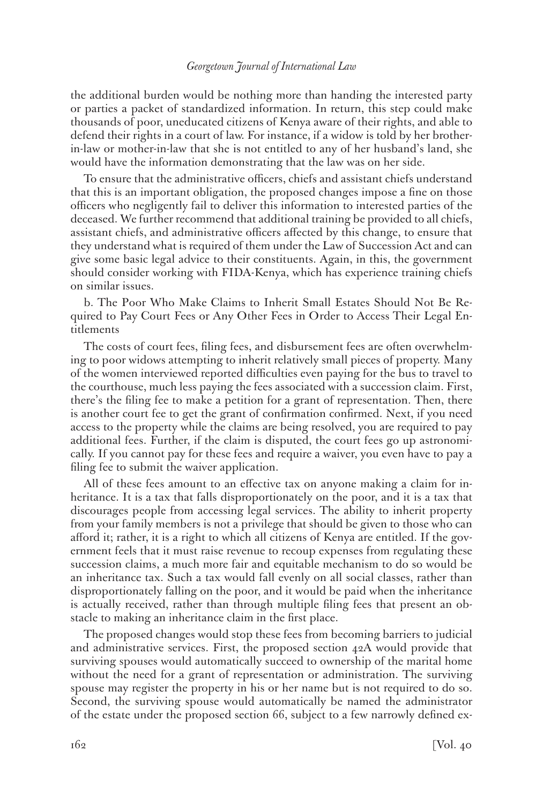the additional burden would be nothing more than handing the interested party or parties a packet of standardized information. In return, this step could make thousands of poor, uneducated citizens of Kenya aware of their rights, and able to defend their rights in a court of law. For instance, if a widow is told by her brotherin-law or mother-in-law that she is not entitled to any of her husband's land, she would have the information demonstrating that the law was on her side.

To ensure that the administrative officers, chiefs and assistant chiefs understand that this is an important obligation, the proposed changes impose a fine on those officers who negligently fail to deliver this information to interested parties of the deceased. We further recommend that additional training be provided to all chiefs, assistant chiefs, and administrative officers affected by this change, to ensure that they understand what is required of them under the Law of Succession Act and can give some basic legal advice to their constituents. Again, in this, the government should consider working with FIDA-Kenya, which has experience training chiefs on similar issues.

b. The Poor Who Make Claims to Inherit Small Estates Should Not Be Required to Pay Court Fees or Any Other Fees in Order to Access Their Legal Entitlements

The costs of court fees, filing fees, and disbursement fees are often overwhelming to poor widows attempting to inherit relatively small pieces of property. Many of the women interviewed reported difficulties even paying for the bus to travel to the courthouse, much less paying the fees associated with a succession claim. First, there's the filing fee to make a petition for a grant of representation. Then, there is another court fee to get the grant of confirmation confirmed. Next, if you need access to the property while the claims are being resolved, you are required to pay additional fees. Further, if the claim is disputed, the court fees go up astronomically. If you cannot pay for these fees and require a waiver, you even have to pay a filing fee to submit the waiver application.

All of these fees amount to an effective tax on anyone making a claim for inheritance. It is a tax that falls disproportionately on the poor, and it is a tax that discourages people from accessing legal services. The ability to inherit property from your family members is not a privilege that should be given to those who can afford it; rather, it is a right to which all citizens of Kenya are entitled. If the government feels that it must raise revenue to recoup expenses from regulating these succession claims, a much more fair and equitable mechanism to do so would be an inheritance tax. Such a tax would fall evenly on all social classes, rather than disproportionately falling on the poor, and it would be paid when the inheritance is actually received, rather than through multiple filing fees that present an obstacle to making an inheritance claim in the first place.

The proposed changes would stop these fees from becoming barriers to judicial and administrative services. First, the proposed section 42A would provide that surviving spouses would automatically succeed to ownership of the marital home without the need for a grant of representation or administration. The surviving spouse may register the property in his or her name but is not required to do so. Second, the surviving spouse would automatically be named the administrator of the estate under the proposed section 66, subject to a few narrowly defined ex-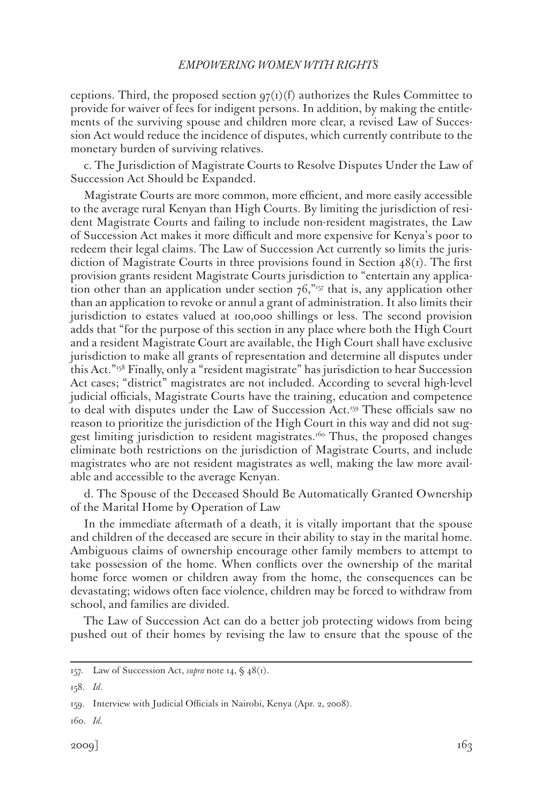ceptions. Third, the proposed section  $q\tau(1)(f)$  authorizes the Rules Committee to provide for waiver of fees for indigent persons. In addition, by making the entitlements of the surviving spouse and children more clear, a revised Law of Succession Act would reduce the incidence of disputes, which currently contribute to the monetary burden of surviving relatives.

c. The Jurisdiction of Magistrate Courts to Resolve Disputes Under the Law of Succession Act Should be Expanded.

Magistrate Courts are more common, more efficient, and more easily accessible to the average rural Kenyan than High Courts. By limiting the jurisdiction of resident Magistrate Courts and failing to include non-resident magistrates, the Law of Succession Act makes it more difficult and more expensive for Kenya's poor to redeem their legal claims. The Law of Succession Act currently so limits the jurisdiction of Magistrate Courts in three provisions found in Section  $48(i)$ . The first provision grants resident Magistrate Courts jurisdiction to "entertain any application other than an application under section  $76$ ,"<sup>157</sup> that is, any application other than an application to revoke or annul a grant of administration. It also limits their jurisdiction to estates valued at 100,000 shillings or less. The second provision adds that "for the purpose of this section in any place where both the High Court and a resident Magistrate Court are available, the High Court shall have exclusive jurisdiction to make all grants of representation and determine all disputes under this Act."158 Finally, only a "resident magistrate" has jurisdiction to hear Succession Act cases; "district" magistrates are not included. According to several high-level judicial officials, Magistrate Courts have the training, education and competence to deal with disputes under the Law of Succession Act.159 These officials saw no reason to prioritize the jurisdiction of the High Court in this way and did not suggest limiting jurisdiction to resident magistrates.<sup>160</sup> Thus, the proposed changes eliminate both restrictions on the jurisdiction of Magistrate Courts, and include magistrates who are not resident magistrates as well, making the law more available and accessible to the average Kenyan.

d. The Spouse of the Deceased Should Be Automatically Granted Ownership of the Marital Home by Operation of Law

In the immediate aftermath of a death, it is vitally important that the spouse and children of the deceased are secure in their ability to stay in the marital home. Ambiguous claims of ownership encourage other family members to attempt to take possession of the home. When conflicts over the ownership of the marital home force women or children away from the home, the consequences can be devastating; widows often face violence, children may be forced to withdraw from school, and families are divided.

The Law of Succession Act can do a better job protecting widows from being pushed out of their homes by revising the law to ensure that the spouse of the

160. *Id.*

<sup>157.</sup> Law of Succession Act, *supra* note 14, § 48(1).

<sup>158.</sup> *Id*.

<sup>159.</sup> Interview with Judicial Officials in Nairobi, Kenya (Apr. 2, 2008).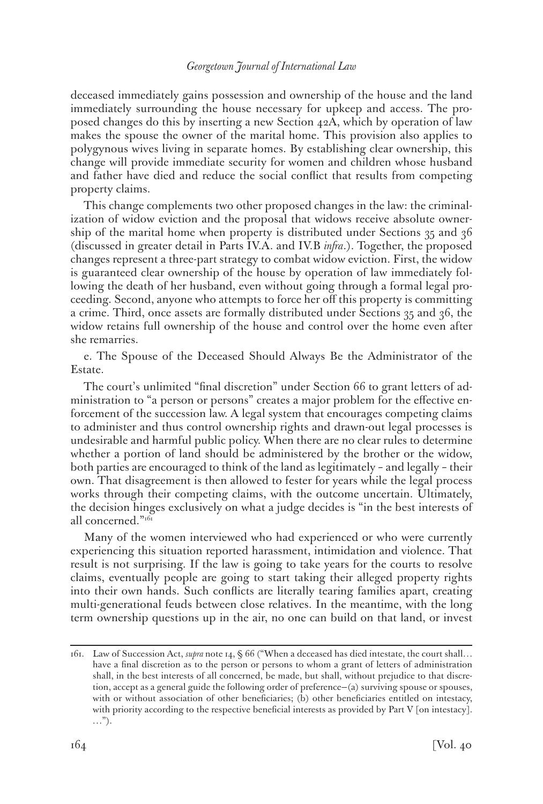deceased immediately gains possession and ownership of the house and the land immediately surrounding the house necessary for upkeep and access. The proposed changes do this by inserting a new Section 42A, which by operation of law makes the spouse the owner of the marital home. This provision also applies to polygynous wives living in separate homes. By establishing clear ownership, this change will provide immediate security for women and children whose husband and father have died and reduce the social conflict that results from competing property claims.

This change complements two other proposed changes in the law: the criminalization of widow eviction and the proposal that widows receive absolute ownership of the marital home when property is distributed under Sections 35 and 36 (discussed in greater detail in Parts IV.A. and IV.B *infra*.). Together, the proposed changes represent a three-part strategy to combat widow eviction. First, the widow is guaranteed clear ownership of the house by operation of law immediately following the death of her husband, even without going through a formal legal proceeding. Second, anyone who attempts to force her off this property is committing a crime. Third, once assets are formally distributed under Sections 35 and 36, the widow retains full ownership of the house and control over the home even after she remarries.

e. The Spouse of the Deceased Should Always Be the Administrator of the Estate.

The court's unlimited "final discretion" under Section 66 to grant letters of administration to "a person or persons" creates a major problem for the effective enforcement of the succession law. A legal system that encourages competing claims to administer and thus control ownership rights and drawn-out legal processes is undesirable and harmful public policy. When there are no clear rules to determine whether a portion of land should be administered by the brother or the widow, both parties are encouraged to think of the land as legitimately – and legally – their own. That disagreement is then allowed to fester for years while the legal process works through their competing claims, with the outcome uncertain. Ultimately, the decision hinges exclusively on what a judge decides is "in the best interests of all concerned."<sup>161</sup>

Many of the women interviewed who had experienced or who were currently experiencing this situation reported harassment, intimidation and violence. That result is not surprising. If the law is going to take years for the courts to resolve claims, eventually people are going to start taking their alleged property rights into their own hands. Such conflicts are literally tearing families apart, creating multi-generational feuds between close relatives. In the meantime, with the long term ownership questions up in the air, no one can build on that land, or invest

<sup>161.</sup> Law of Succession Act, *supra* note 14, § 66 ("When a deceased has died intestate, the court shall… have a final discretion as to the person or persons to whom a grant of letters of administration shall, in the best interests of all concerned, be made, but shall, without prejudice to that discretion, accept as a general guide the following order of preference—(a) surviving spouse or spouses, with or without association of other beneficiaries; (b) other beneficiaries entitled on intestacy, with priority according to the respective beneficial interests as provided by Part V [on intestacy]. …").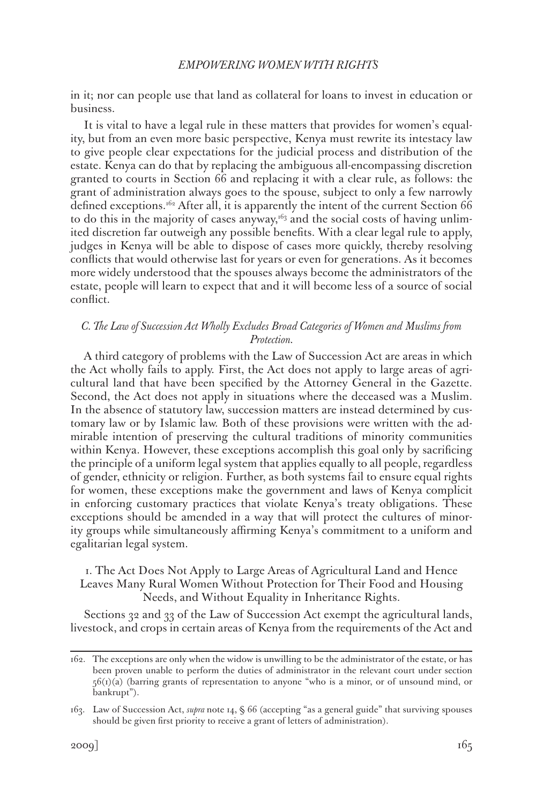in it; nor can people use that land as collateral for loans to invest in education or business.

It is vital to have a legal rule in these matters that provides for women's equality, but from an even more basic perspective, Kenya must rewrite its intestacy law to give people clear expectations for the judicial process and distribution of the estate. Kenya can do that by replacing the ambiguous all-encompassing discretion granted to courts in Section 66 and replacing it with a clear rule, as follows: the grant of administration always goes to the spouse, subject to only a few narrowly defined exceptions.<sup>162</sup> After all, it is apparently the intent of the current Section  $66$ to do this in the majority of cases anyway, $t^{63}$  and the social costs of having unlimited discretion far outweigh any possible benefits. With a clear legal rule to apply, judges in Kenya will be able to dispose of cases more quickly, thereby resolving conflicts that would otherwise last for years or even for generations. As it becomes more widely understood that the spouses always become the administrators of the estate, people will learn to expect that and it will become less of a source of social conflict.

# *C. The Law of Succession Act Wholly Excludes Broad Categories of Women and Muslims from Protection.*

A third category of problems with the Law of Succession Act are areas in which the Act wholly fails to apply. First, the Act does not apply to large areas of agricultural land that have been specified by the Attorney General in the Gazette. Second, the Act does not apply in situations where the deceased was a Muslim. In the absence of statutory law, succession matters are instead determined by customary law or by Islamic law. Both of these provisions were written with the admirable intention of preserving the cultural traditions of minority communities within Kenya. However, these exceptions accomplish this goal only by sacrificing the principle of a uniform legal system that applies equally to all people, regardless of gender, ethnicity or religion. Further, as both systems fail to ensure equal rights for women, these exceptions make the government and laws of Kenya complicit in enforcing customary practices that violate Kenya's treaty obligations. These exceptions should be amended in a way that will protect the cultures of minority groups while simultaneously affirming Kenya's commitment to a uniform and egalitarian legal system.

# 1. The Act Does Not Apply to Large Areas of Agricultural Land and Hence Leaves Many Rural Women Without Protection for Their Food and Housing Needs, and Without Equality in Inheritance Rights.

Sections 32 and 33 of the Law of Succession Act exempt the agricultural lands, livestock, and crops in certain areas of Kenya from the requirements of the Act and

<sup>162.</sup> The exceptions are only when the widow is unwilling to be the administrator of the estate, or has been proven unable to perform the duties of administrator in the relevant court under section  $56(t)(a)$  (barring grants of representation to anyone "who is a minor, or of unsound mind, or bankrupt").

<sup>163.</sup> Law of Succession Act, *supra* note 14, § 66 (accepting "as a general guide" that surviving spouses should be given first priority to receive a grant of letters of administration).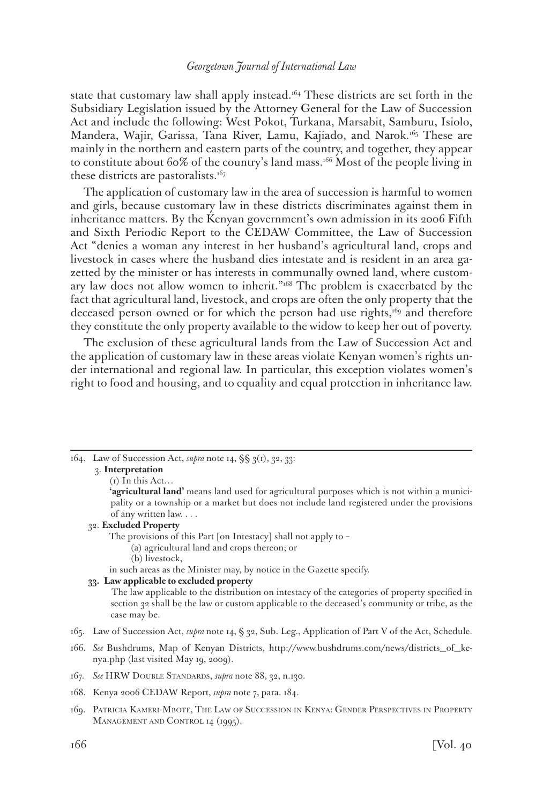state that customary law shall apply instead.<sup>164</sup> These districts are set forth in the Subsidiary Legislation issued by the Attorney General for the Law of Succession Act and include the following: West Pokot, Turkana, Marsabit, Samburu, Isiolo, Mandera, Wajir, Garissa, Tana River, Lamu, Kajiado, and Narok.165 These are mainly in the northern and eastern parts of the country, and together, they appear to constitute about 60% of the country's land mass.166 Most of the people living in these districts are pastoralists.<sup>167</sup>

The application of customary law in the area of succession is harmful to women and girls, because customary law in these districts discriminates against them in inheritance matters. By the Kenyan government's own admission in its 2006 Fifth and Sixth Periodic Report to the CEDAW Committee, the Law of Succession Act "denies a woman any interest in her husband's agricultural land, crops and livestock in cases where the husband dies intestate and is resident in an area gazetted by the minister or has interests in communally owned land, where customary law does not allow women to inherit."<sup>168</sup> The problem is exacerbated by the fact that agricultural land, livestock, and crops are often the only property that the deceased person owned or for which the person had use rights, $169$  and therefore they constitute the only property available to the widow to keep her out of poverty.

The exclusion of these agricultural lands from the Law of Succession Act and the application of customary law in these areas violate Kenyan women's rights under international and regional law. In particular, this exception violates women's right to food and housing, and to equality and equal protection in inheritance law.

164. Law of Succession Act, *supra* note 14, §§ 3(1), 32, 33: 3. **Interpretation**

#### $(i)$  In this Act...

#### 32. **Excluded Property**

The provisions of this Part [on Intestacy] shall not apply to –

- (a) agricultural land and crops thereon; or
	- (b) livestock,
- in such areas as the Minister may, by notice in the Gazette specify.

#### **33. Law applicable to excluded property**

The law applicable to the distribution on intestacy of the categories of property specified in section 32 shall be the law or custom applicable to the deceased's community or tribe, as the case may be.

- 165. Law of Succession Act, *supra* note 14, § 32, Sub. Leg., Application of Part V of the Act, Schedule.
- 166. *See* Bushdrums, Map of Kenyan Districts, http://www.bushdrums.com/news/districts\_of\_kenya.php (last visited May 19, 2009).

- 168. Kenya 2006 CEDAW Report, *supra* note 7, para. 184.
- 169. Patricia Kameri-Mbote, The Law of Succession in Kenya: Gender Perspectives in Property MANAGEMENT AND CONTROL 14 (1995).

**<sup>&#</sup>x27;agricultural land'** means land used for agricultural purposes which is not within a municipality or a township or a market but does not include land registered under the provisions of any written law. . . .

<sup>167.</sup> *See* HRW Double Standards, *supra* note 88, 32, n.130.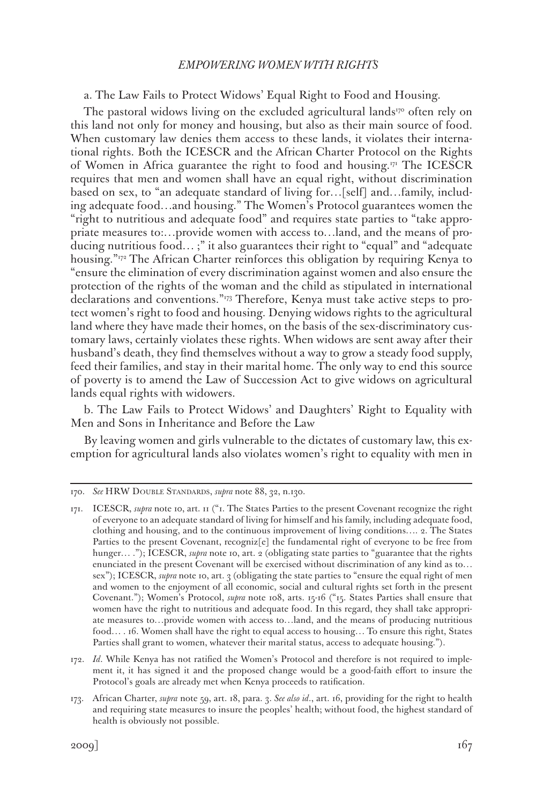# a. The Law Fails to Protect Widows' Equal Right to Food and Housing.

The pastoral widows living on the excluded agricultural lands $170$  often rely on this land not only for money and housing, but also as their main source of food. When customary law denies them access to these lands, it violates their international rights. Both the ICESCR and the African Charter Protocol on the Rights of Women in Africa guarantee the right to food and housing.171 The ICESCR requires that men and women shall have an equal right, without discrimination based on sex, to "an adequate standard of living for…[self] and…family, including adequate food…and housing." The Women's Protocol guarantees women the "right to nutritious and adequate food" and requires state parties to "take appropriate measures to:…provide women with access to…land, and the means of producing nutritious food… ;" it also guarantees their right to "equal" and "adequate housing."172 The African Charter reinforces this obligation by requiring Kenya to "ensure the elimination of every discrimination against women and also ensure the protection of the rights of the woman and the child as stipulated in international declarations and conventions."173 Therefore, Kenya must take active steps to protect women's right to food and housing. Denying widows rights to the agricultural land where they have made their homes, on the basis of the sex-discriminatory customary laws, certainly violates these rights. When widows are sent away after their husband's death, they find themselves without a way to grow a steady food supply, feed their families, and stay in their marital home. The only way to end this source of poverty is to amend the Law of Succession Act to give widows on agricultural lands equal rights with widowers.

b. The Law Fails to Protect Widows' and Daughters' Right to Equality with Men and Sons in Inheritance and Before the Law

By leaving women and girls vulnerable to the dictates of customary law, this exemption for agricultural lands also violates women's right to equality with men in

172. *Id*. While Kenya has not ratified the Women's Protocol and therefore is not required to implement it, it has signed it and the proposed change would be a good-faith effort to insure the Protocol's goals are already met when Kenya proceeds to ratification.

<sup>170.</sup> *See* HRW Double Standards, *supra* note 88, 32, n.130.

<sup>171.</sup> ICESCR, *supra* note 10, art. 11 ("1. The States Parties to the present Covenant recognize the right of everyone to an adequate standard of living for himself and his family, including adequate food, clothing and housing, and to the continuous improvement of living conditions…. 2. The States Parties to the present Covenant, recogniz[e] the fundamental right of everyone to be free from hunger... ."); ICESCR, *supra* note 10, art. 2 (obligating state parties to "guarantee that the rights enunciated in the present Covenant will be exercised without discrimination of any kind as to… sex"); ICESCR, *supra* note 10, art. 3 (obligating the state parties to "ensure the equal right of men and women to the enjoyment of all economic, social and cultural rights set forth in the present Covenant."); Women's Protocol, *supra* note 108, arts. 15-16 ("15. States Parties shall ensure that women have the right to nutritious and adequate food. In this regard, they shall take appropriate measures to…provide women with access to…land, and the means of producing nutritious food… . 16. Women shall have the right to equal access to housing… To ensure this right, States Parties shall grant to women, whatever their marital status, access to adequate housing.").

<sup>173.</sup> African Charter, *supra* note 59, art. 18, para. 3. *See also id*., art. 16, providing for the right to health and requiring state measures to insure the peoples' health; without food, the highest standard of health is obviously not possible.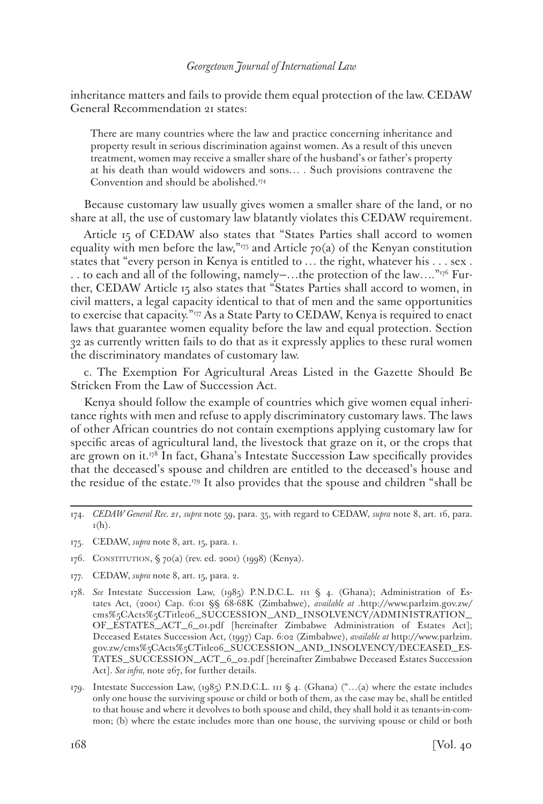inheritance matters and fails to provide them equal protection of the law. CEDAW General Recommendation 21 states:

There are many countries where the law and practice concerning inheritance and property result in serious discrimination against women. As a result of this uneven treatment, women may receive a smaller share of the husband's or father's property at his death than would widowers and sons… . Such provisions contravene the Convention and should be abolished.174

Because customary law usually gives women a smaller share of the land, or no share at all, the use of customary law blatantly violates this CEDAW requirement.

Article 15 of CEDAW also states that "States Parties shall accord to women equality with men before the law," $75$  and Article 70(a) of the Kenyan constitution states that "every person in Kenya is entitled to … the right, whatever his . . . sex . . . to each and all of the following, namely—…the protection of the law…."176 Further, CEDAW Article 15 also states that "States Parties shall accord to women, in civil matters, a legal capacity identical to that of men and the same opportunities to exercise that capacity."<sup>177</sup> As a State Party to CEDAW, Kenya is required to enact laws that guarantee women equality before the law and equal protection. Section 32 as currently written fails to do that as it expressly applies to these rural women the discriminatory mandates of customary law.

c. The Exemption For Agricultural Areas Listed in the Gazette Should Be Stricken From the Law of Succession Act.

Kenya should follow the example of countries which give women equal inheritance rights with men and refuse to apply discriminatory customary laws. The laws of other African countries do not contain exemptions applying customary law for specific areas of agricultural land, the livestock that graze on it, or the crops that are grown on it.<sup>178</sup> In fact, Ghana's Intestate Succession Law specifically provides that the deceased's spouse and children are entitled to the deceased's house and the residue of the estate.179 It also provides that the spouse and children "shall be

- 175. CEDAW, *supra* note 8, art. 15, para. 1.
- 176. CONSTITUTION, § 70(a) (rev. ed. 2001) (1998) (Kenya).
- 177. CEDAW, *supra* note 8, art. 15, para. 2.
- 178. *See* Intestate Succession Law, (1985) P.N.D.C.L. 111 § 4. (Ghana); Administration of Estates Act, (2001) Cap. 6:01 §§ 68-68K (Zimbabwe), *available at* .http://www.parlzim.gov.zw/ cms%5CActs%5CTitle06\_SUCCESSION\_AND\_INSOLVENCY/ADMINISTRATION\_ OF\_ESTATES\_ACT\_6\_01.pdf [hereinafter Zimbabwe Administration of Estates Act]; Deceased Estates Succession Act, (1997) Cap. 6:02 (Zimbabwe), *available at* http://www.parlzim. gov.zw/cms%5CActs%5CTitle06\_SUCCESSION\_AND\_INSOLVENCY/DECEASED\_ES-TATES\_SUCCESSION\_ACT\_6\_02.pdf [hereinafter Zimbabwe Deceased Estates Succession Act]. *See infra,* note 267, for further details.
- 179. Intestate Succession Law, (1985) P.N.D.C.L. 111 § 4. (Ghana) ("...(a) where the estate includes only one house the surviving spouse or child or both of them, as the case may be, shall be entitled to that house and where it devolves to both spouse and child, they shall hold it as tenants-in-common; (b) where the estate includes more than one house, the surviving spouse or child or both

<sup>174.</sup> *CEDAW General Rec. 21*, *supra* note 59, para. 35, with regard to CEDAW, *supra* note 8, art. 16, para.  $I(h)$ .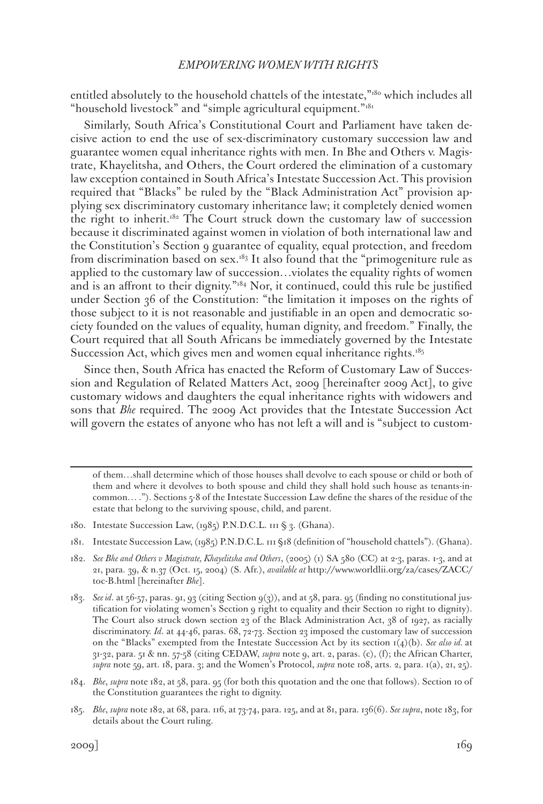entitled absolutely to the household chattels of the intestate,"180 which includes all "household livestock" and "simple agricultural equipment."<sup>181</sup>

Similarly, South Africa's Constitutional Court and Parliament have taken decisive action to end the use of sex-discriminatory customary succession law and guarantee women equal inheritance rights with men. In Bhe and Others v. Magistrate, Khayelitsha, and Others, the Court ordered the elimination of a customary law exception contained in South Africa's Intestate Succession Act. This provision required that "Blacks" be ruled by the "Black Administration Act" provision applying sex discriminatory customary inheritance law; it completely denied women the right to inherit.182 The Court struck down the customary law of succession because it discriminated against women in violation of both international law and the Constitution's Section 9 guarantee of equality, equal protection, and freedom from discrimination based on sex.<sup>183</sup> It also found that the "primogeniture rule as applied to the customary law of succession…violates the equality rights of women and is an affront to their dignity."<sup>184</sup> Nor, it continued, could this rule be justified under Section 36 of the Constitution: "the limitation it imposes on the rights of those subject to it is not reasonable and justifiable in an open and democratic society founded on the values of equality, human dignity, and freedom." Finally, the Court required that all South Africans be immediately governed by the Intestate Succession Act, which gives men and women equal inheritance rights.<sup>185</sup>

Since then, South Africa has enacted the Reform of Customary Law of Succession and Regulation of Related Matters Act, 2009 [hereinafter 2009 Act], to give customary widows and daughters the equal inheritance rights with widowers and sons that *Bhe* required. The 2009 Act provides that the Intestate Succession Act will govern the estates of anyone who has not left a will and is "subject to custom-

of them…shall determine which of those houses shall devolve to each spouse or child or both of them and where it devolves to both spouse and child they shall hold such house as tenants-incommon… ."). Sections 5-8 of the Intestate Succession Law define the shares of the residue of the estate that belong to the surviving spouse, child, and parent.

<sup>180.</sup> Intestate Succession Law, (1985) P.N.D.C.L. 111 § 3. (Ghana).

<sup>181.</sup> Intestate Succession Law, (1985) P.N.D.C.L. 111 §18 (definition of "household chattels"). (Ghana).

<sup>182.</sup> *See Bhe and Others v Magistrate, Khayelitsha and Others*, (2005) (1) SA 580 (CC) at 2-3, paras. 1-3, and at 21, para. 39, & n.37 (Oct. 15, 2004) (S. Afr.), *available at* http://www.worldlii.org/za/cases/ZACC/ toc-B.html [hereinafter *Bhe*].

<sup>183.</sup> *See id*. at 56-57, paras. 91, 93 (citing Section 9(3)), and at 58, para. 95 (finding no constitutional justification for violating women's Section 9 right to equality and their Section 10 right to dignity). The Court also struck down section 23 of the Black Administration Act, 38 of 1927, as racially discriminatory. *Id*. at 44-46, paras. 68, 72-73. Section 23 imposed the customary law of succession on the "Blacks" exempted from the Intestate Succession Act by its section 1(4)(b). *See also id.* at 31-32, para. 51 & nn. 57-58 (citing CEDAW, *supra* note 9, art. 2, paras. (c), (f); the African Charter, *supra* note 59, art. 18, para. 3; and the Women's Protocol, *supra* note 108, arts. 2, para. 1(a), 21, 25).

<sup>184.</sup> *Bhe*, *supra* note 182, at 58, para. 95 (for both this quotation and the one that follows). Section 10 of the Constitution guarantees the right to dignity.

<sup>185.</sup> *Bhe*, *supra* note 182, at 68, para. 116, at 73-74, para. 125, and at 81, para. 136(6). *See supra*, note 183, for details about the Court ruling.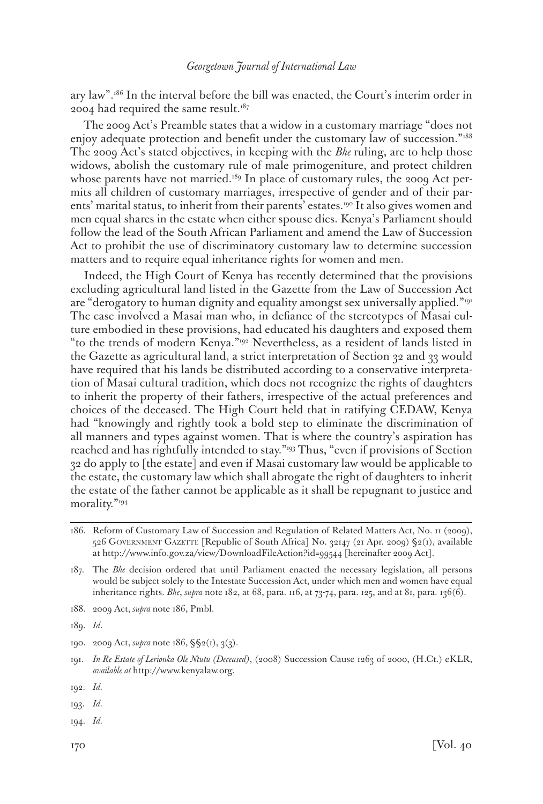ary law".186 In the interval before the bill was enacted, the Court's interim order in 2004 had required the same result. $187$ 

The 2009 Act's Preamble states that a widow in a customary marriage "does not enjoy adequate protection and benefit under the customary law of succession."<sup>188</sup> The 2009 Act's stated objectives, in keeping with the *Bhe* ruling, are to help those widows, abolish the customary rule of male primogeniture, and protect children whose parents have not married.<sup>189</sup> In place of customary rules, the 2009 Act permits all children of customary marriages, irrespective of gender and of their parents' marital status, to inherit from their parents' estates.190 It also gives women and men equal shares in the estate when either spouse dies. Kenya's Parliament should follow the lead of the South African Parliament and amend the Law of Succession Act to prohibit the use of discriminatory customary law to determine succession matters and to require equal inheritance rights for women and men.

Indeed, the High Court of Kenya has recently determined that the provisions excluding agricultural land listed in the Gazette from the Law of Succession Act are "derogatory to human dignity and equality amongst sex universally applied."<sup>191</sup> The case involved a Masai man who, in defiance of the stereotypes of Masai culture embodied in these provisions, had educated his daughters and exposed them "to the trends of modern Kenya."192 Nevertheless, as a resident of lands listed in the Gazette as agricultural land, a strict interpretation of Section 32 and 33 would have required that his lands be distributed according to a conservative interpretation of Masai cultural tradition, which does not recognize the rights of daughters to inherit the property of their fathers, irrespective of the actual preferences and choices of the deceased. The High Court held that in ratifying CEDAW, Kenya had "knowingly and rightly took a bold step to eliminate the discrimination of all manners and types against women. That is where the country's aspiration has reached and has rightfully intended to stay."193 Thus, "even if provisions of Section 32 do apply to [the estate] and even if Masai customary law would be applicable to the estate, the customary law which shall abrogate the right of daughters to inherit the estate of the father cannot be applicable as it shall be repugnant to justice and morality."194

188. 2009 Act, *supra* note 186, Pmbl.

- 190. 2009 Act, *supra* note 186, §§2(1), 3(3).
- 191. *In Re Estate of Lerionka Ole Ntutu (Deceased)*, (2008) Succession Cause 1263 of 2000, (H.Ct.) eKLR, *available at* http://www.kenyalaw.org.

- 193. *Id.*
- 194. *Id.*

<sup>186.</sup> Reform of Customary Law of Succession and Regulation of Related Matters Act, No. 11 (2009), 526 Government Gazette [Republic of South Africa] No. 32147 (21 Apr. 2009) §2(1), available at http://www.info.gov.za/view/DownloadFileAction?id=99544 [hereinafter 2009 Act].

<sup>187.</sup> The *Bhe* decision ordered that until Parliament enacted the necessary legislation, all persons would be subject solely to the Intestate Succession Act, under which men and women have equal inheritance rights. *Bhe*, *supra* note 182, at 68, para. 116, at 73-74, para. 125, and at 81, para. 136(6).

<sup>189.</sup> *Id*.

<sup>192.</sup> *Id.*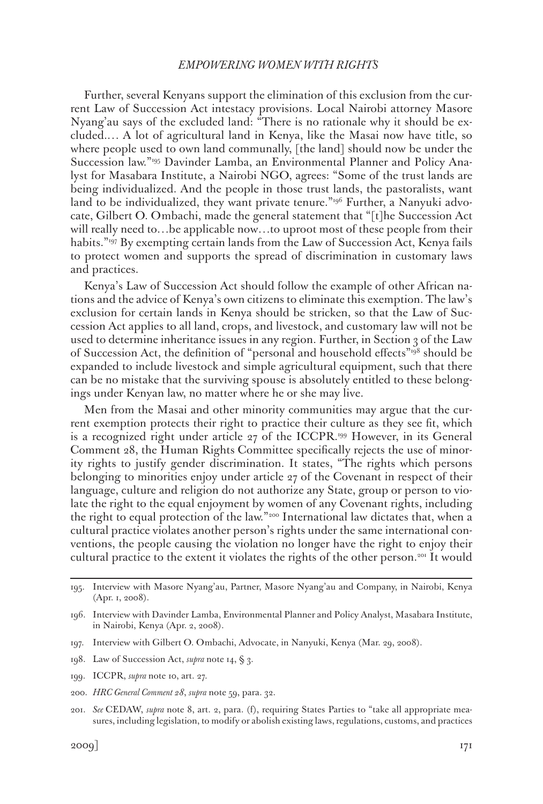Further, several Kenyans support the elimination of this exclusion from the current Law of Succession Act intestacy provisions. Local Nairobi attorney Masore Nyang'au says of the excluded land: "There is no rationale why it should be excluded.… A lot of agricultural land in Kenya, like the Masai now have title, so where people used to own land communally, [the land] should now be under the Succession law."195 Davinder Lamba, an Environmental Planner and Policy Analyst for Masabara Institute, a Nairobi NGO, agrees: "Some of the trust lands are being individualized. And the people in those trust lands, the pastoralists, want land to be individualized, they want private tenure."<sup>196</sup> Further, a Nanyuki advocate, Gilbert O. Ombachi, made the general statement that "[t]he Succession Act will really need to...be applicable now...to uproot most of these people from their habits."197 By exempting certain lands from the Law of Succession Act, Kenya fails to protect women and supports the spread of discrimination in customary laws and practices.

Kenya's Law of Succession Act should follow the example of other African nations and the advice of Kenya's own citizens to eliminate this exemption. The law's exclusion for certain lands in Kenya should be stricken, so that the Law of Succession Act applies to all land, crops, and livestock, and customary law will not be used to determine inheritance issues in any region. Further, in Section 3 of the Law of Succession Act, the definition of "personal and household effects"198 should be expanded to include livestock and simple agricultural equipment, such that there can be no mistake that the surviving spouse is absolutely entitled to these belongings under Kenyan law, no matter where he or she may live.

Men from the Masai and other minority communities may argue that the current exemption protects their right to practice their culture as they see fit, which is a recognized right under article 27 of the ICCPR.199 However, in its General Comment 28, the Human Rights Committee specifically rejects the use of minority rights to justify gender discrimination. It states, "The rights which persons belonging to minorities enjoy under article 27 of the Covenant in respect of their language, culture and religion do not authorize any State, group or person to violate the right to the equal enjoyment by women of any Covenant rights, including the right to equal protection of the law."200 International law dictates that, when a cultural practice violates another person's rights under the same international conventions, the people causing the violation no longer have the right to enjoy their cultural practice to the extent it violates the rights of the other person.201 It would

<sup>195.</sup> Interview with Masore Nyang'au, Partner, Masore Nyang'au and Company, in Nairobi, Kenya (Apr. 1, 2008).

<sup>196.</sup> Interview with Davinder Lamba, Environmental Planner and Policy Analyst, Masabara Institute, in Nairobi, Kenya (Apr. 2, 2008).

<sup>197.</sup> Interview with Gilbert O. Ombachi, Advocate, in Nanyuki, Kenya (Mar. 29, 2008).

<sup>198.</sup> Law of Succession Act, *supra* note 14, § 3.

<sup>199.</sup> ICCPR, *supra* note 10, art. 27.

<sup>200.</sup> *HRC General Comment 28*, *supra* note 59, para. 32.

<sup>201.</sup> *See* CEDAW, *supra* note 8, art. 2, para. (f), requiring States Parties to "take all appropriate measures, including legislation, to modify or abolish existing laws, regulations, customs, and practices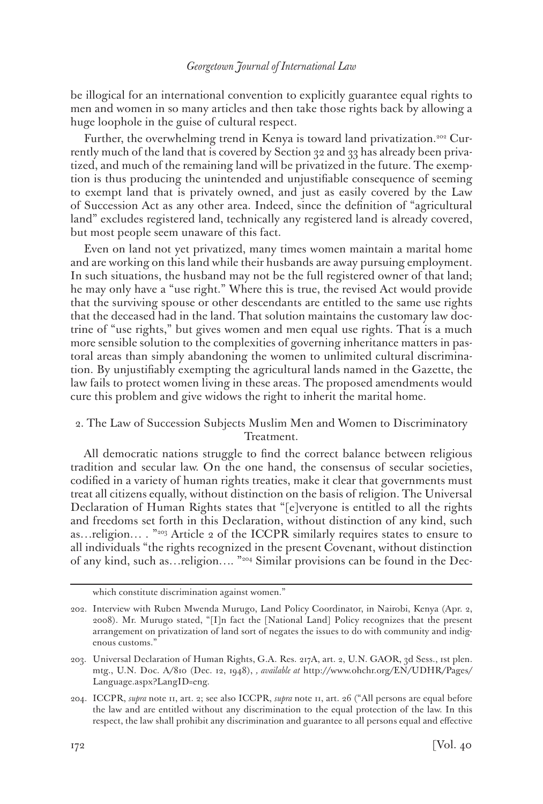be illogical for an international convention to explicitly guarantee equal rights to men and women in so many articles and then take those rights back by allowing a huge loophole in the guise of cultural respect.

Further, the overwhelming trend in Kenya is toward land privatization.<sup>202</sup> Currently much of the land that is covered by Section 32 and 33 has already been privatized, and much of the remaining land will be privatized in the future. The exemption is thus producing the unintended and unjustifiable consequence of seeming to exempt land that is privately owned, and just as easily covered by the Law of Succession Act as any other area. Indeed, since the definition of "agricultural land" excludes registered land, technically any registered land is already covered, but most people seem unaware of this fact.

Even on land not yet privatized, many times women maintain a marital home and are working on this land while their husbands are away pursuing employment. In such situations, the husband may not be the full registered owner of that land; he may only have a "use right." Where this is true, the revised Act would provide that the surviving spouse or other descendants are entitled to the same use rights that the deceased had in the land. That solution maintains the customary law doctrine of "use rights," but gives women and men equal use rights. That is a much more sensible solution to the complexities of governing inheritance matters in pastoral areas than simply abandoning the women to unlimited cultural discrimination. By unjustifiably exempting the agricultural lands named in the Gazette, the law fails to protect women living in these areas. The proposed amendments would cure this problem and give widows the right to inherit the marital home.

# 2. The Law of Succession Subjects Muslim Men and Women to Discriminatory Treatment.

All democratic nations struggle to find the correct balance between religious tradition and secular law. On the one hand, the consensus of secular societies, codified in a variety of human rights treaties, make it clear that governments must treat all citizens equally, without distinction on the basis of religion. The Universal Declaration of Human Rights states that "[e]veryone is entitled to all the rights and freedoms set forth in this Declaration, without distinction of any kind, such as…religion… . "203 Article 2 of the ICCPR similarly requires states to ensure to all individuals "the rights recognized in the present Covenant, without distinction of any kind, such as…religion…. "204 Similar provisions can be found in the Dec-

which constitute discrimination against women."

<sup>202.</sup> Interview with Ruben Mwenda Murugo, Land Policy Coordinator, in Nairobi, Kenya (Apr. 2, 2008). Mr. Murugo stated, "[I]n fact the [National Land] Policy recognizes that the present arrangement on privatization of land sort of negates the issues to do with community and indigenous customs."

<sup>203.</sup> Universal Declaration of Human Rights, G.A. Res. 217A, art. 2, U.N. GAOR, 3d Sess., 1st plen. mtg., U.N. Doc. A/810 (Dec. 12, 1948), *, available at* http://www.ohchr.org/EN/UDHR/Pages/ Language.aspx?LangID=eng.

<sup>204.</sup> ICCPR, *supra* note 11, art. 2; see also ICCPR, *supra* note 11, art. 26 ("All persons are equal before the law and are entitled without any discrimination to the equal protection of the law. In this respect, the law shall prohibit any discrimination and guarantee to all persons equal and effective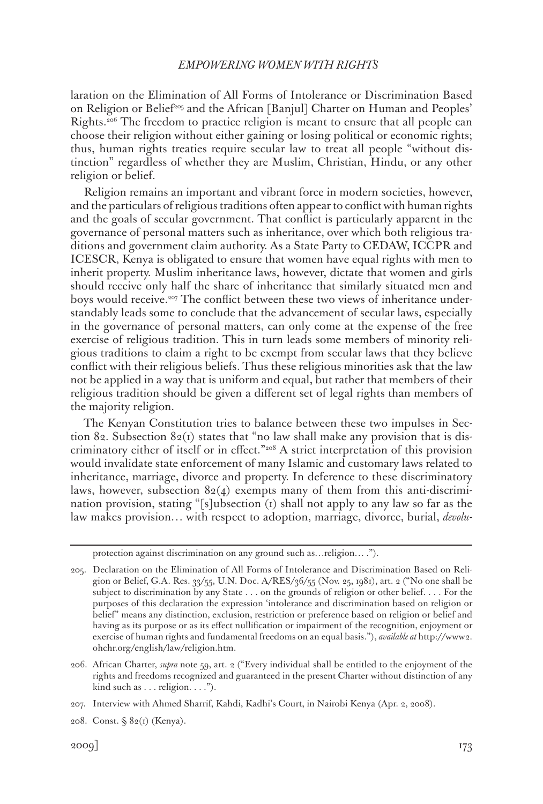laration on the Elimination of All Forms of Intolerance or Discrimination Based on Religion or Belief<sup>205</sup> and the African [Banjul] Charter on Human and Peoples' Rights.206 The freedom to practice religion is meant to ensure that all people can choose their religion without either gaining or losing political or economic rights; thus, human rights treaties require secular law to treat all people "without distinction" regardless of whether they are Muslim, Christian, Hindu, or any other religion or belief.

Religion remains an important and vibrant force in modern societies, however, and the particulars of religious traditions often appear to conflict with human rights and the goals of secular government. That conflict is particularly apparent in the governance of personal matters such as inheritance, over which both religious traditions and government claim authority. As a State Party to CEDAW, ICCPR and ICESCR, Kenya is obligated to ensure that women have equal rights with men to inherit property. Muslim inheritance laws, however, dictate that women and girls should receive only half the share of inheritance that similarly situated men and boys would receive.<sup>207</sup> The conflict between these two views of inheritance understandably leads some to conclude that the advancement of secular laws, especially in the governance of personal matters, can only come at the expense of the free exercise of religious tradition. This in turn leads some members of minority religious traditions to claim a right to be exempt from secular laws that they believe conflict with their religious beliefs. Thus these religious minorities ask that the law not be applied in a way that is uniform and equal, but rather that members of their religious tradition should be given a different set of legal rights than members of the majority religion.

The Kenyan Constitution tries to balance between these two impulses in Section 82. Subsection  $82(1)$  states that "no law shall make any provision that is discriminatory either of itself or in effect."208 A strict interpretation of this provision would invalidate state enforcement of many Islamic and customary laws related to inheritance, marriage, divorce and property. In deference to these discriminatory laws, however, subsection  $82(4)$  exempts many of them from this anti-discrimination provision, stating "[s]ubsection (1) shall not apply to any law so far as the law makes provision… with respect to adoption, marriage, divorce, burial, *devolu-*

208. Const. § 82(1) (Kenya).

protection against discrimination on any ground such as…religion… .").

<sup>205.</sup> Declaration on the Elimination of All Forms of Intolerance and Discrimination Based on Religion or Belief, G.A. Res. 33/55, U.N. Doc. A/RES/36/55 (Nov. 25, 1981), art. 2 ("No one shall be subject to discrimination by any State . . . on the grounds of religion or other belief. . . . For the purposes of this declaration the expression 'intolerance and discrimination based on religion or belief" means any distinction, exclusion, restriction or preference based on religion or belief and having as its purpose or as its effect nullification or impairment of the recognition, enjoyment or exercise of human rights and fundamental freedoms on an equal basis."), *available at* http://www2. ohchr.org/english/law/religion.htm.

<sup>206.</sup> African Charter, *supra* note 59, art. 2 ("Every individual shall be entitled to the enjoyment of the rights and freedoms recognized and guaranteed in the present Charter without distinction of any kind such as . . . religion. . . .").

<sup>207.</sup> Interview with Ahmed Sharrif, Kahdi, Kadhi's Court, in Nairobi Kenya (Apr. 2, 2008).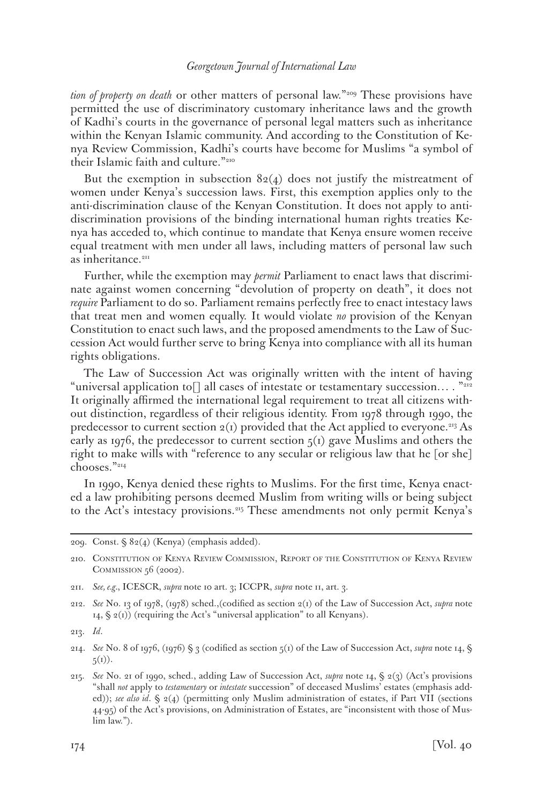*tion of property on death* or other matters of personal law."<sup>209</sup> These provisions have permitted the use of discriminatory customary inheritance laws and the growth of Kadhi's courts in the governance of personal legal matters such as inheritance within the Kenyan Islamic community. And according to the Constitution of Kenya Review Commission, Kadhi's courts have become for Muslims "a symbol of their Islamic faith and culture."210

But the exemption in subsection  $82(4)$  does not justify the mistreatment of women under Kenya's succession laws. First, this exemption applies only to the anti-discrimination clause of the Kenyan Constitution. It does not apply to antidiscrimination provisions of the binding international human rights treaties Kenya has acceded to, which continue to mandate that Kenya ensure women receive equal treatment with men under all laws, including matters of personal law such as inheritance.<sup>211</sup>

Further, while the exemption may *permit* Parliament to enact laws that discriminate against women concerning "devolution of property on death", it does not *require* Parliament to do so. Parliament remains perfectly free to enact intestacy laws that treat men and women equally. It would violate *no* provision of the Kenyan Constitution to enact such laws, and the proposed amendments to the Law of Succession Act would further serve to bring Kenya into compliance with all its human rights obligations.

The Law of Succession Act was originally written with the intent of having "universal application to[] all cases of intestate or testamentary succession… . "212 It originally affirmed the international legal requirement to treat all citizens without distinction, regardless of their religious identity. From 1978 through 1990, the predecessor to current section  $2(i)$  provided that the Act applied to everyone.<sup>213</sup> As early as 1976, the predecessor to current section  $5(1)$  gave Muslims and others the right to make wills with "reference to any secular or religious law that he [or she] chooses."214

In 1990, Kenya denied these rights to Muslims. For the first time, Kenya enacted a law prohibiting persons deemed Muslim from writing wills or being subject to the Act's intestacy provisions.215 These amendments not only permit Kenya's

<sup>209.</sup> Const. § 82(4) (Kenya) (emphasis added).

<sup>210.</sup> Constitution of Kenya Review Commission, Report of the Constitution of Kenya Review COMMISSION 56 (2002).

<sup>211.</sup> *See, e.g.*, ICESCR, *supra* note 10 art. 3; ICCPR, *supra* note 11, art. 3.

<sup>212.</sup> *See* No. 13 of 1978, (1978) sched.,(codified as section 2(1) of the Law of Succession Act, *supra* note 14,  $\S$  2(1)) (requiring the Act's "universal application" to all Kenyans).

<sup>213.</sup> *Id*.

<sup>214.</sup> *See* No. 8 of 1976, (1976) § 3 (codified as section 5(1) of the Law of Succession Act, *supra* note 14, §  $5(i)$ .

<sup>215.</sup> *See* No. 21 of 1990, sched., adding Law of Succession Act, *supra* note 14, § 2(3) (Act's provisions "shall *not* apply to *testamentary* or *intestate* succession" of deceased Muslims' estates (emphasis added)); *see also id*. § 2(4) (permitting only Muslim administration of estates, if Part VII (sections 44-95) of the Act's provisions, on Administration of Estates, are "inconsistent with those of Muslim law.").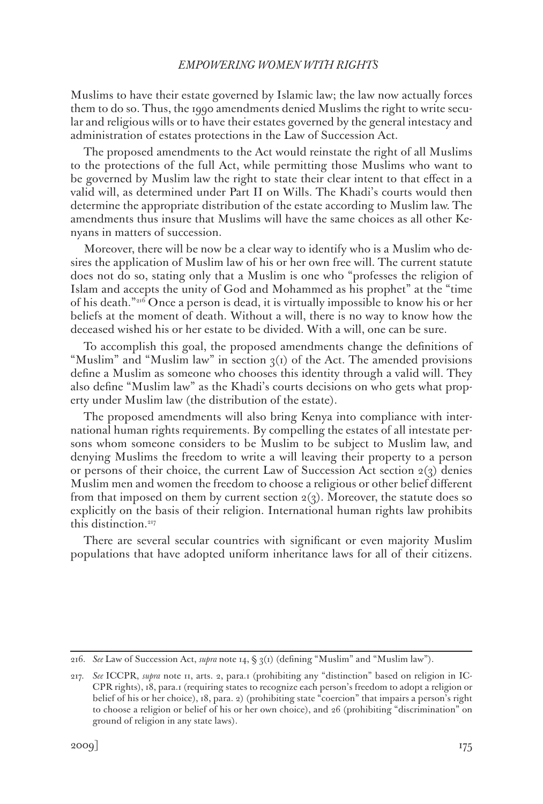Muslims to have their estate governed by Islamic law; the law now actually forces them to do so. Thus, the 1990 amendments denied Muslims the right to write secular and religious wills or to have their estates governed by the general intestacy and administration of estates protections in the Law of Succession Act.

The proposed amendments to the Act would reinstate the right of all Muslims to the protections of the full Act, while permitting those Muslims who want to be governed by Muslim law the right to state their clear intent to that effect in a valid will, as determined under Part II on Wills. The Khadi's courts would then determine the appropriate distribution of the estate according to Muslim law. The amendments thus insure that Muslims will have the same choices as all other Kenyans in matters of succession.

Moreover, there will be now be a clear way to identify who is a Muslim who desires the application of Muslim law of his or her own free will. The current statute does not do so, stating only that a Muslim is one who "professes the religion of Islam and accepts the unity of God and Mohammed as his prophet" at the "time of his death."216 Once a person is dead, it is virtually impossible to know his or her beliefs at the moment of death. Without a will, there is no way to know how the deceased wished his or her estate to be divided. With a will, one can be sure.

To accomplish this goal, the proposed amendments change the definitions of "Muslim" and "Muslim law" in section  $g(t)$  of the Act. The amended provisions define a Muslim as someone who chooses this identity through a valid will. They also define "Muslim law" as the Khadi's courts decisions on who gets what property under Muslim law (the distribution of the estate).

The proposed amendments will also bring Kenya into compliance with international human rights requirements. By compelling the estates of all intestate persons whom someone considers to be Muslim to be subject to Muslim law, and denying Muslims the freedom to write a will leaving their property to a person or persons of their choice, the current Law of Succession Act section  $2(3)$  denies Muslim men and women the freedom to choose a religious or other belief different from that imposed on them by current section  $2(3)$ . Moreover, the statute does so explicitly on the basis of their religion. International human rights law prohibits this distinction.<sup>217</sup>

There are several secular countries with significant or even majority Muslim populations that have adopted uniform inheritance laws for all of their citizens.

<sup>216.</sup> *See* Law of Succession Act, *supra* note 14, § 3(1) (defining "Muslim" and "Muslim law").

<sup>217.</sup> *See* ICCPR, *supra* note 11, arts. 2, para.1 (prohibiting any "distinction" based on religion in IC-CPR rights), 18, para.1 (requiring states to recognize each person's freedom to adopt a religion or belief of his or her choice), 18, para. 2) (prohibiting state "coercion" that impairs a person's right to choose a religion or belief of his or her own choice), and 26 (prohibiting "discrimination" on ground of religion in any state laws).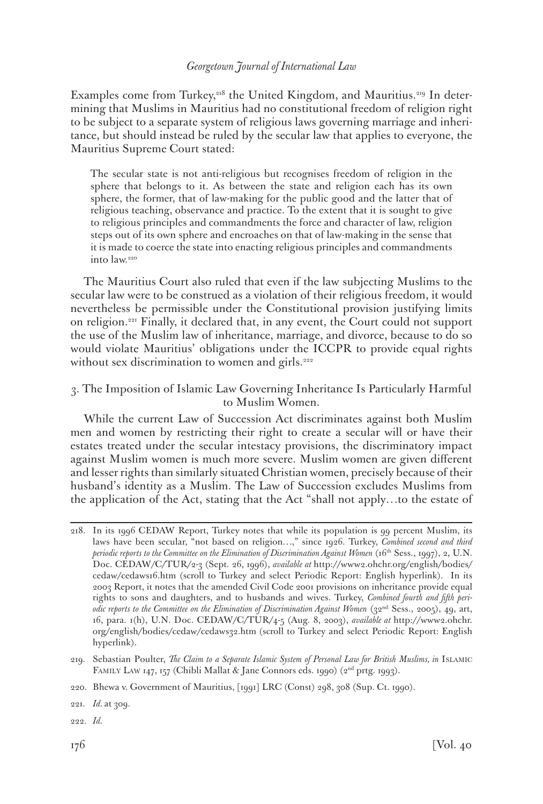Examples come from Turkey, $218$  the United Kingdom, and Mauritius.<sup>219</sup> In determining that Muslims in Mauritius had no constitutional freedom of religion right to be subject to a separate system of religious laws governing marriage and inheritance, but should instead be ruled by the secular law that applies to everyone, the Mauritius Supreme Court stated:

The secular state is not anti-religious but recognises freedom of religion in the sphere that belongs to it. As between the state and religion each has its own sphere, the former, that of law-making for the public good and the latter that of religious teaching, observance and practice. To the extent that it is sought to give to religious principles and commandments the force and character of law, religion steps out of its own sphere and encroaches on that of law-making in the sense that it is made to coerce the state into enacting religious principles and commandments into law.220

The Mauritius Court also ruled that even if the law subjecting Muslims to the secular law were to be construed as a violation of their religious freedom, it would nevertheless be permissible under the Constitutional provision justifying limits on religion.221 Finally, it declared that, in any event, the Court could not support the use of the Muslim law of inheritance, marriage, and divorce, because to do so would violate Mauritius' obligations under the ICCPR to provide equal rights without sex discrimination to women and girls.<sup>222</sup>

# 3. The Imposition of Islamic Law Governing Inheritance Is Particularly Harmful to Muslim Women.

While the current Law of Succession Act discriminates against both Muslim men and women by restricting their right to create a secular will or have their estates treated under the secular intestacy provisions, the discriminatory impact against Muslim women is much more severe. Muslim women are given different and lesser rights than similarly situated Christian women, precisely because of their husband's identity as a Muslim. The Law of Succession excludes Muslims from the application of the Act, stating that the Act "shall not apply…to the estate of

<sup>218.</sup> In its 1996 CEDAW Report, Turkey notes that while its population is 99 percent Muslim, its laws have been secular, "not based on religion…," since 1926. Turkey, *Combined second and third periodic reports to the Committee on the Elimination of Discrimination Against Women* (16<sup>th</sup> Sess., 1997), 2, U.N. Doc. CEDAW/C/TUR/2-3 (Sept. 26, 1996), *available at* http://www2.ohchr.org/english/bodies/ cedaw/cedaws16.htm (scroll to Turkey and select Periodic Report: English hyperlink). In its 2003 Report, it notes that the amended Civil Code 2001 provisions on inheritance provide equal rights to sons and daughters, and to husbands and wives. Turkey, *Combined fourth and fifth periodic reports to the Committee on the Elimination of Discrimination Against Women* (32<sup>nd</sup> Sess., 2005), 49, art, 16, para. 1(h), U.N. Doc. CEDAW/C/TUR/4-5 (Aug. 8, 2003), *available at* http://www2.ohchr. org/english/bodies/cedaw/cedaws32.htm (scroll to Turkey and select Periodic Report: English hyperlink).

<sup>219.</sup> Sebastian Poulter, *The Claim to a Separate Islamic System of Personal Law for British Muslims, in* Islamic FAMILY LAW 147, 157 (Chibli Mallat & Jane Connors eds. 1990) (2<sup>nd</sup> prtg. 1993).

<sup>220.</sup> Bhewa v. Government of Mauritius, [1991] LRC (Const) 298, 308 (Sup. Ct. 1990).

<sup>221.</sup> *Id.* at 309.

<sup>222.</sup> *Id.*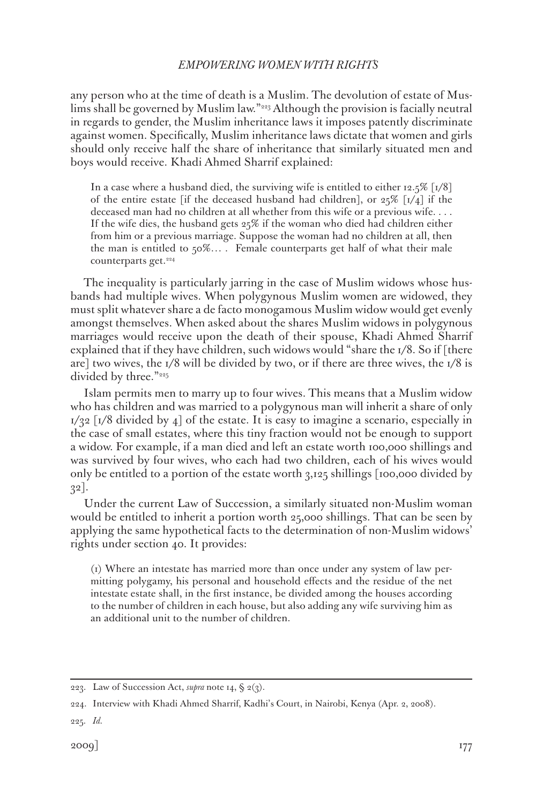any person who at the time of death is a Muslim. The devolution of estate of Muslims shall be governed by Muslim law."223 Although the provision is facially neutral in regards to gender, the Muslim inheritance laws it imposes patently discriminate against women. Specifically, Muslim inheritance laws dictate that women and girls should only receive half the share of inheritance that similarly situated men and boys would receive. Khadi Ahmed Sharrif explained:

In a case where a husband died, the surviving wife is entitled to either 12.5%  $\lceil 1/8 \rceil$ of the entire estate [if the deceased husband had children], or  $25\%$  [1/4] if the deceased man had no children at all whether from this wife or a previous wife. . . . If the wife dies, the husband gets  $25\%$  if the woman who died had children either from him or a previous marriage. Suppose the woman had no children at all, then the man is entitled to  $50\%...$ . Female counterparts get half of what their male counterparts get.<sup>224</sup>

The inequality is particularly jarring in the case of Muslim widows whose husbands had multiple wives. When polygynous Muslim women are widowed, they must split whatever share a de facto monogamous Muslim widow would get evenly amongst themselves. When asked about the shares Muslim widows in polygynous marriages would receive upon the death of their spouse, Khadi Ahmed Sharrif explained that if they have children, such widows would "share the  $1/8$ . So if [there are] two wives, the  $1/8$  will be divided by two, or if there are three wives, the  $1/8$  is divided by three."<sup>225</sup>

Islam permits men to marry up to four wives. This means that a Muslim widow who has children and was married to a polygynous man will inherit a share of only  $1/32$  [1/8 divided by 4] of the estate. It is easy to imagine a scenario, especially in the case of small estates, where this tiny fraction would not be enough to support a widow. For example, if a man died and left an estate worth 100,000 shillings and was survived by four wives, who each had two children, each of his wives would only be entitled to a portion of the estate worth 3,125 shillings [100,000 divided by 32].

Under the current Law of Succession, a similarly situated non-Muslim woman would be entitled to inherit a portion worth 25,000 shillings. That can be seen by applying the same hypothetical facts to the determination of non-Muslim widows' rights under section 40. It provides:

(1) Where an intestate has married more than once under any system of law permitting polygamy, his personal and household effects and the residue of the net intestate estate shall, in the first instance, be divided among the houses according to the number of children in each house, but also adding any wife surviving him as an additional unit to the number of children.

225. *Id.*

<sup>223.</sup> Law of Succession Act, *supra* note 14, § 2(3).

<sup>224.</sup> Interview with Khadi Ahmed Sharrif, Kadhi's Court, in Nairobi, Kenya (Apr. 2, 2008).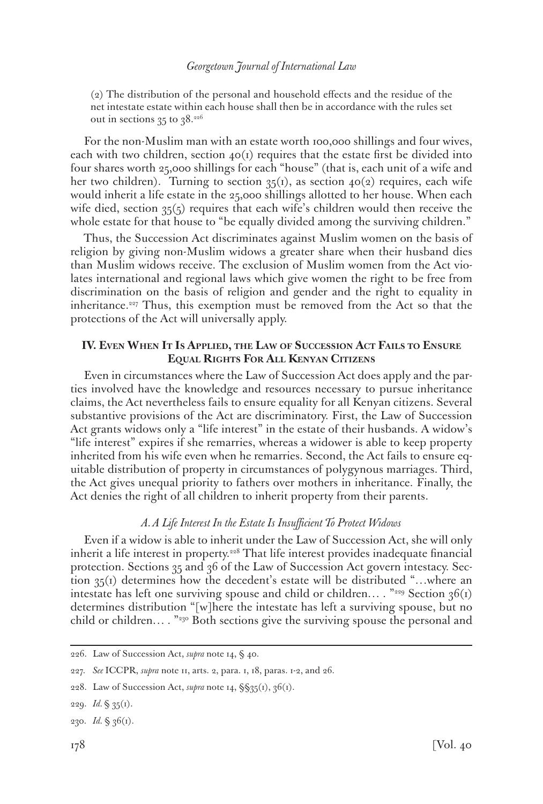(2) The distribution of the personal and household effects and the residue of the net intestate estate within each house shall then be in accordance with the rules set out in sections  $35$  to  $38.^{226}$ 

For the non-Muslim man with an estate worth 100,000 shillings and four wives, each with two children, section  $40<sub>(1)</sub>$  requires that the estate first be divided into four shares worth 25,000 shillings for each "house" (that is, each unit of a wife and her two children). Turning to section  $35(1)$ , as section  $40(2)$  requires, each wife would inherit a life estate in the 25,000 shillings allotted to her house. When each wife died, section 35(5) requires that each wife's children would then receive the whole estate for that house to "be equally divided among the surviving children."

Thus, the Succession Act discriminates against Muslim women on the basis of religion by giving non-Muslim widows a greater share when their husband dies than Muslim widows receive. The exclusion of Muslim women from the Act violates international and regional laws which give women the right to be free from discrimination on the basis of religion and gender and the right to equality in inheritance.<sup>227</sup> Thus, this exemption must be removed from the Act so that the protections of the Act will universally apply.

# **IV. Even When It Is Applied, the Law of Succession Act Fails to Ensure Equal Rights For All Kenyan Citizens**

Even in circumstances where the Law of Succession Act does apply and the parties involved have the knowledge and resources necessary to pursue inheritance claims, the Act nevertheless fails to ensure equality for all Kenyan citizens. Several substantive provisions of the Act are discriminatory. First, the Law of Succession Act grants widows only a "life interest" in the estate of their husbands. A widow's "life interest" expires if she remarries, whereas a widower is able to keep property inherited from his wife even when he remarries. Second, the Act fails to ensure equitable distribution of property in circumstances of polygynous marriages. Third, the Act gives unequal priority to fathers over mothers in inheritance. Finally, the Act denies the right of all children to inherit property from their parents.

# *A. A Life Interest In the Estate Is Insufficient To Protect Widows*

Even if a widow is able to inherit under the Law of Succession Act, she will only inherit a life interest in property.<sup>228</sup> That life interest provides inadequate financial protection. Sections 35 and 36 of the Law of Succession Act govern intestacy. Section 35(1) determines how the decedent's estate will be distributed "…where an intestate has left one surviving spouse and child or children... . "229 Section  $36(i)$ determines distribution "[w]here the intestate has left a surviving spouse, but no child or children… . "230 Both sections give the surviving spouse the personal and

<sup>226.</sup> Law of Succession Act, *supra* note 14, § 40.

<sup>227.</sup> *See* ICCPR, *supra* note 11, arts. 2, para. 1, 18, paras. 1-2, and 26.

<sup>228.</sup> Law of Succession Act, *supra* note 14, §§35(1), 36(1).

<sup>229.</sup> *Id.* § 35(1).

<sup>230.</sup> *Id.* § 36(1).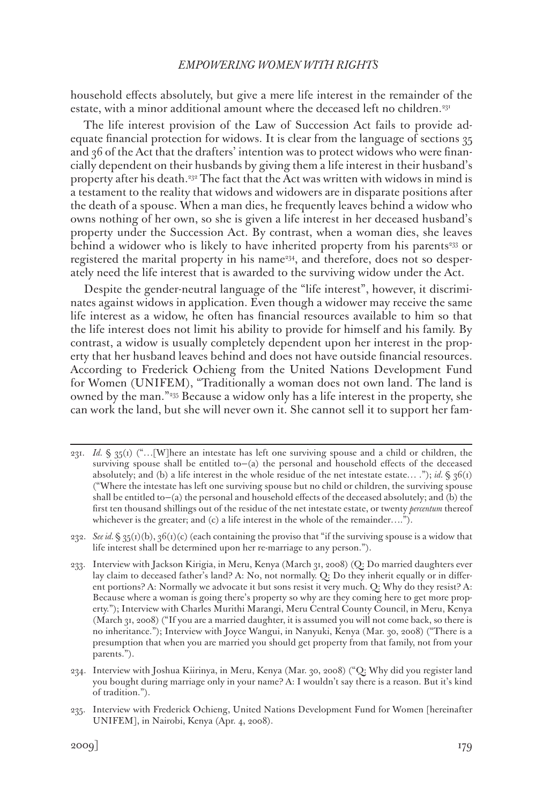household effects absolutely, but give a mere life interest in the remainder of the estate, with a minor additional amount where the deceased left no children.<sup>231</sup>

The life interest provision of the Law of Succession Act fails to provide adequate financial protection for widows. It is clear from the language of sections 35 and 36 of the Act that the drafters' intention was to protect widows who were financially dependent on their husbands by giving them a life interest in their husband's property after his death.232 The fact that the Act was written with widows in mind is a testament to the reality that widows and widowers are in disparate positions after the death of a spouse. When a man dies, he frequently leaves behind a widow who owns nothing of her own, so she is given a life interest in her deceased husband's property under the Succession Act. By contrast, when a woman dies, she leaves behind a widower who is likely to have inherited property from his parents<sup>233</sup> or registered the marital property in his name<sup>234</sup>, and therefore, does not so desperately need the life interest that is awarded to the surviving widow under the Act.

Despite the gender-neutral language of the "life interest", however, it discriminates against widows in application. Even though a widower may receive the same life interest as a widow, he often has financial resources available to him so that the life interest does not limit his ability to provide for himself and his family. By contrast, a widow is usually completely dependent upon her interest in the property that her husband leaves behind and does not have outside financial resources. According to Frederick Ochieng from the United Nations Development Fund for Women (UNIFEM), "Traditionally a woman does not own land. The land is owned by the man."235 Because a widow only has a life interest in the property, she can work the land, but she will never own it. She cannot sell it to support her fam-

232. *See id.* § 35(1)(b), 36(1)(c) (each containing the proviso that "if the surviving spouse is a widow that life interest shall be determined upon her re-marriage to any person.").

233. Interview with Jackson Kirigia, in Meru, Kenya (March 31, 2008) (Q: Do married daughters ever lay claim to deceased father's land? A: No, not normally. Q: Do they inherit equally or in different portions? A: Normally we advocate it but sons resist it very much. Q: Why do they resist? A: Because where a woman is going there's property so why are they coming here to get more property."); Interview with Charles Murithi Marangi, Meru Central County Council, in Meru, Kenya (March 31, 2008) ("If you are a married daughter, it is assumed you will not come back, so there is no inheritance."); Interview with Joyce Wangui, in Nanyuki, Kenya (Mar. 30, 2008) ("There is a presumption that when you are married you should get property from that family, not from your parents.").

234. Interview with Joshua Kiirinya, in Meru, Kenya (Mar. 30, 2008) ("Q: Why did you register land you bought during marriage only in your name? A: I wouldn't say there is a reason. But it's kind of tradition.").

<sup>231.</sup> *Id.* § 35(1) ("…[W]here an intestate has left one surviving spouse and a child or children, the surviving spouse shall be entitled to-(a) the personal and household effects of the deceased absolutely; and (b) a life interest in the whole residue of the net intestate estate… ."); *id.*  $\S 36(t)$ ("Where the intestate has left one surviving spouse but no child or children, the surviving spouse shall be entitled to—(a) the personal and household effects of the deceased absolutely; and (b) the first ten thousand shillings out of the residue of the net intestate estate, or twenty *percentum* thereof whichever is the greater; and (c) a life interest in the whole of the remainder….").

<sup>235.</sup> Interview with Frederick Ochieng, United Nations Development Fund for Women [hereinafter UNIFEM], in Nairobi, Kenya (Apr. 4, 2008).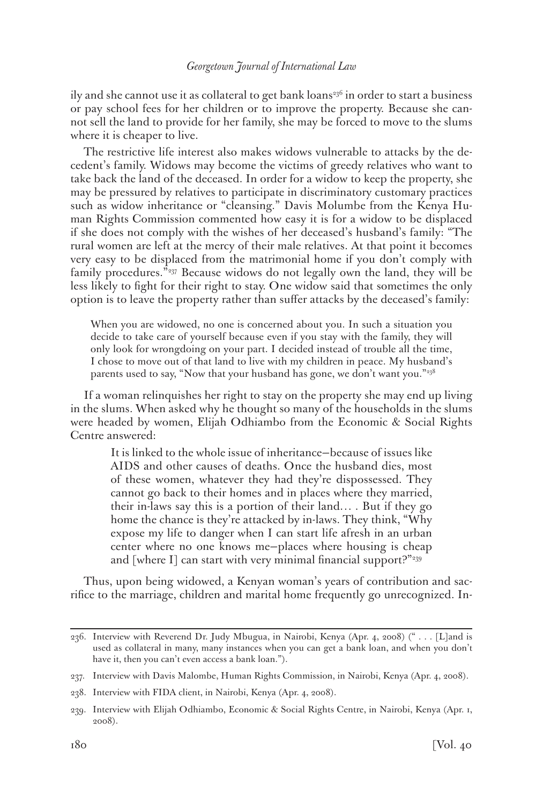ily and she cannot use it as collateral to get bank loans<sup>236</sup> in order to start a business or pay school fees for her children or to improve the property. Because she cannot sell the land to provide for her family, she may be forced to move to the slums where it is cheaper to live.

The restrictive life interest also makes widows vulnerable to attacks by the decedent's family. Widows may become the victims of greedy relatives who want to take back the land of the deceased. In order for a widow to keep the property, she may be pressured by relatives to participate in discriminatory customary practices such as widow inheritance or "cleansing." Davis Molumbe from the Kenya Human Rights Commission commented how easy it is for a widow to be displaced if she does not comply with the wishes of her deceased's husband's family: "The rural women are left at the mercy of their male relatives. At that point it becomes very easy to be displaced from the matrimonial home if you don't comply with family procedures."237 Because widows do not legally own the land, they will be less likely to fight for their right to stay. One widow said that sometimes the only option is to leave the property rather than suffer attacks by the deceased's family:

When you are widowed, no one is concerned about you. In such a situation you decide to take care of yourself because even if you stay with the family, they will only look for wrongdoing on your part. I decided instead of trouble all the time, I chose to move out of that land to live with my children in peace. My husband's parents used to say, "Now that your husband has gone, we don't want you."<sup>238</sup>

If a woman relinquishes her right to stay on the property she may end up living in the slums. When asked why he thought so many of the households in the slums were headed by women, Elijah Odhiambo from the Economic & Social Rights Centre answered:

It is linked to the whole issue of inheritance—because of issues like AIDS and other causes of deaths. Once the husband dies, most of these women, whatever they had they're dispossessed. They cannot go back to their homes and in places where they married, their in-laws say this is a portion of their land… . But if they go home the chance is they're attacked by in-laws. They think, "Why expose my life to danger when I can start life afresh in an urban center where no one knows me—places where housing is cheap and [where I] can start with very minimal financial support?"<sup>239</sup>

Thus, upon being widowed, a Kenyan woman's years of contribution and sacrifice to the marriage, children and marital home frequently go unrecognized. In-

<sup>236.</sup> Interview with Reverend Dr. Judy Mbugua, in Nairobi, Kenya (Apr. 4, 2008) (" . . . [L]and is used as collateral in many, many instances when you can get a bank loan, and when you don't have it, then you can't even access a bank loan.").

<sup>237.</sup> Interview with Davis Malombe, Human Rights Commission, in Nairobi, Kenya (Apr. 4, 2008).

<sup>238.</sup> Interview with FIDA client, in Nairobi, Kenya (Apr. 4, 2008).

<sup>239.</sup> Interview with Elijah Odhiambo, Economic & Social Rights Centre, in Nairobi, Kenya (Apr. 1, 2008).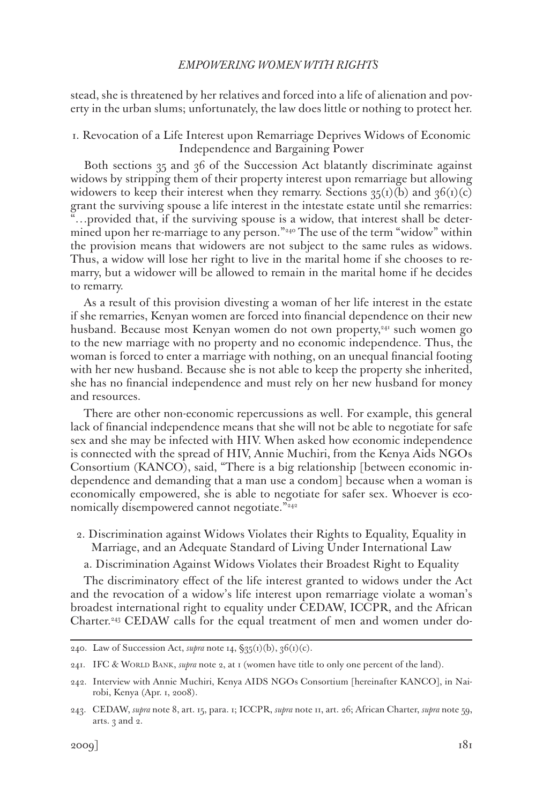stead, she is threatened by her relatives and forced into a life of alienation and poverty in the urban slums; unfortunately, the law does little or nothing to protect her.

# 1. Revocation of a Life Interest upon Remarriage Deprives Widows of Economic Independence and Bargaining Power

Both sections 35 and 36 of the Succession Act blatantly discriminate against widows by stripping them of their property interest upon remarriage but allowing widowers to keep their interest when they remarry. Sections  $35(i)(b)$  and  $36(i)(c)$ grant the surviving spouse a life interest in the intestate estate until she remarries: "…provided that, if the surviving spouse is a widow, that interest shall be determined upon her re-marriage to any person."240 The use of the term "widow" within the provision means that widowers are not subject to the same rules as widows. Thus, a widow will lose her right to live in the marital home if she chooses to remarry, but a widower will be allowed to remain in the marital home if he decides to remarry.

As a result of this provision divesting a woman of her life interest in the estate if she remarries, Kenyan women are forced into financial dependence on their new husband. Because most Kenyan women do not own property,<sup>241</sup> such women go to the new marriage with no property and no economic independence. Thus, the woman is forced to enter a marriage with nothing, on an unequal financial footing with her new husband. Because she is not able to keep the property she inherited, she has no financial independence and must rely on her new husband for money and resources.

There are other non-economic repercussions as well. For example, this general lack of financial independence means that she will not be able to negotiate for safe sex and she may be infected with HIV. When asked how economic independence is connected with the spread of HIV, Annie Muchiri, from the Kenya Aids NGOs Consortium (KANCO), said, "There is a big relationship [between economic independence and demanding that a man use a condom] because when a woman is economically empowered, she is able to negotiate for safer sex. Whoever is economically disempowered cannot negotiate."<sup>242</sup>

2. Discrimination against Widows Violates their Rights to Equality, Equality in Marriage, and an Adequate Standard of Living Under International Law

a. Discrimination Against Widows Violates their Broadest Right to Equality

The discriminatory effect of the life interest granted to widows under the Act and the revocation of a widow's life interest upon remarriage violate a woman's broadest international right to equality under CEDAW, ICCPR, and the African Charter.243 CEDAW calls for the equal treatment of men and women under do-

<sup>240.</sup> Law of Succession Act, *supra* note 14, §35(1)(b), 36(1)(c).

<sup>241.</sup> IFC & World Bank, *supra* note 2, at 1 (women have title to only one percent of the land).

<sup>242.</sup> Interview with Annie Muchiri, Kenya AIDS NGOs Consortium [hereinafter KANCO], in Nairobi, Kenya (Apr. 1, 2008).

<sup>243.</sup> CEDAW, *supra* note 8, art. 15, para. 1; ICCPR, *supra* note 11, art. 26; African Charter, *supra* note 59, arts. 3 and 2.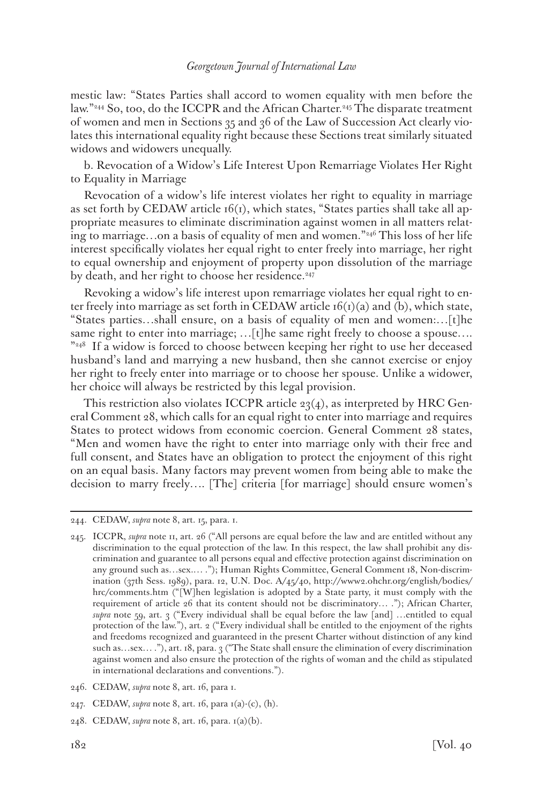mestic law: "States Parties shall accord to women equality with men before the law."<sup>244</sup> So, too, do the ICCPR and the African Charter.<sup>245</sup> The disparate treatment of women and men in Sections 35 and 36 of the Law of Succession Act clearly violates this international equality right because these Sections treat similarly situated widows and widowers unequally.

b. Revocation of a Widow's Life Interest Upon Remarriage Violates Her Right to Equality in Marriage

Revocation of a widow's life interest violates her right to equality in marriage as set forth by CEDAW article  $16(i)$ , which states, "States parties shall take all appropriate measures to eliminate discrimination against women in all matters relating to marriage…on a basis of equality of men and women."246 This loss of her life interest specifically violates her equal right to enter freely into marriage, her right to equal ownership and enjoyment of property upon dissolution of the marriage by death, and her right to choose her residence.<sup>247</sup>

Revoking a widow's life interest upon remarriage violates her equal right to enter freely into marriage as set forth in CEDAW article  $f(x)$  (a) and (b), which state, "States parties…shall ensure, on a basis of equality of men and women:…[t]he same right to enter into marriage; ... [t]he same right freely to choose a spouse.... "248 If a widow is forced to choose between keeping her right to use her deceased husband's land and marrying a new husband, then she cannot exercise or enjoy her right to freely enter into marriage or to choose her spouse. Unlike a widower, her choice will always be restricted by this legal provision.

This restriction also violates ICCPR article 23(4), as interpreted by HRC General Comment 28, which calls for an equal right to enter into marriage and requires States to protect widows from economic coercion. General Comment 28 states, "Men and women have the right to enter into marriage only with their free and full consent, and States have an obligation to protect the enjoyment of this right on an equal basis. Many factors may prevent women from being able to make the decision to marry freely…. [The] criteria [for marriage] should ensure women's

<sup>244.</sup> CEDAW, *supra* note 8, art. 15, para. 1.

<sup>245.</sup> ICCPR, *supra* note 11, art. 26 ("All persons are equal before the law and are entitled without any discrimination to the equal protection of the law. In this respect, the law shall prohibit any discrimination and guarantee to all persons equal and effective protection against discrimination on any ground such as…sex.… ."); Human Rights Committee, General Comment 18, Non-discrimination (37th Sess. 1989), para. 12, U.N. Doc. A/45/40, http://www2.ohchr.org/english/bodies/ hrc/comments.htm ("[W]hen legislation is adopted by a State party, it must comply with the requirement of article 26 that its content should not be discriminatory… ."); African Charter, *supra* note 59, art. 3 ("Every individual shall be equal before the law [and] …entitled to equal protection of the law."), art. 2 ("Every individual shall be entitled to the enjoyment of the rights and freedoms recognized and guaranteed in the present Charter without distinction of any kind such as...sex...."), art. 18, para. 3 ("The State shall ensure the elimination of every discrimination against women and also ensure the protection of the rights of woman and the child as stipulated in international declarations and conventions.").

<sup>246.</sup> CEDAW, *supra* note 8, art. 16, para 1.

<sup>247.</sup> CEDAW, *supra* note 8, art. 16, para 1(a)-(c), (h).

<sup>248.</sup> CEDAW, *supra* note 8, art. 16, para. 1(a)(b).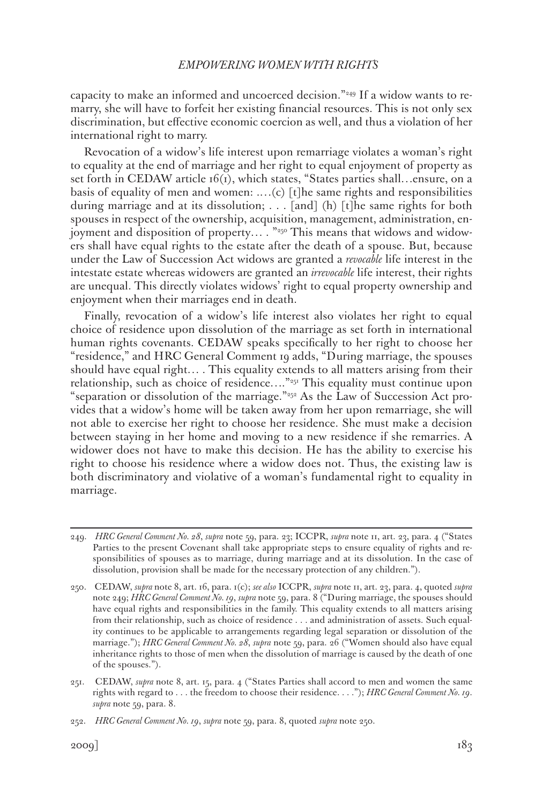capacity to make an informed and uncoerced decision."<sup>249</sup> If a widow wants to remarry, she will have to forfeit her existing financial resources. This is not only sex discrimination, but effective economic coercion as well, and thus a violation of her international right to marry.

Revocation of a widow's life interest upon remarriage violates a woman's right to equality at the end of marriage and her right to equal enjoyment of property as set forth in CEDAW article 16(1), which states, "States parties shall...ensure, on a basis of equality of men and women: .…(c) [t]he same rights and responsibilities during marriage and at its dissolution; . . . [and] (h) [t]he same rights for both spouses in respect of the ownership, acquisition, management, administration, enjoyment and disposition of property… . "250 This means that widows and widowers shall have equal rights to the estate after the death of a spouse. But, because under the Law of Succession Act widows are granted a *revocable* life interest in the intestate estate whereas widowers are granted an *irrevocable* life interest, their rights are unequal. This directly violates widows' right to equal property ownership and enjoyment when their marriages end in death.

Finally, revocation of a widow's life interest also violates her right to equal choice of residence upon dissolution of the marriage as set forth in international human rights covenants. CEDAW speaks specifically to her right to choose her "residence," and HRC General Comment 19 adds, "During marriage, the spouses should have equal right… . This equality extends to all matters arising from their relationship, such as choice of residence…."251 This equality must continue upon "separation or dissolution of the marriage."<sup>252</sup> As the Law of Succession Act provides that a widow's home will be taken away from her upon remarriage, she will not able to exercise her right to choose her residence. She must make a decision between staying in her home and moving to a new residence if she remarries. A widower does not have to make this decision. He has the ability to exercise his right to choose his residence where a widow does not. Thus, the existing law is both discriminatory and violative of a woman's fundamental right to equality in marriage.

<sup>249.</sup> *HRC General Comment No. 28*, *supra* note 59, para. 23; ICCPR, *supra* note 11, art. 23, para. 4 ("States Parties to the present Covenant shall take appropriate steps to ensure equality of rights and responsibilities of spouses as to marriage, during marriage and at its dissolution. In the case of dissolution, provision shall be made for the necessary protection of any children.").

<sup>250.</sup> CEDAW, *supra* note 8, art. 16, para. 1(c); *see also* ICCPR, *supra* note 11, art. 23, para. 4, quoted *supra*  note 249; *HRC General Comment No. 19*, *supra* note 59, para. 8 ("During marriage, the spouses should have equal rights and responsibilities in the family. This equality extends to all matters arising from their relationship, such as choice of residence . . . and administration of assets. Such equality continues to be applicable to arrangements regarding legal separation or dissolution of the marriage."); *HRC General Comment No. 28*, *supra* note 59, para. 26 ("Women should also have equal inheritance rights to those of men when the dissolution of marriage is caused by the death of one of the spouses.").

<sup>251.</sup> CEDAW, *supra* note 8, art. 15, para. 4 ("States Parties shall accord to men and women the same rights with regard to . . . the freedom to choose their residence. . . ."); *HRC General Comment No. 19*. *supra* note 59, para. 8.

<sup>252.</sup> *HRC General Comment No. 19*, *supra* note 59, para. 8, quoted *supra* note 250.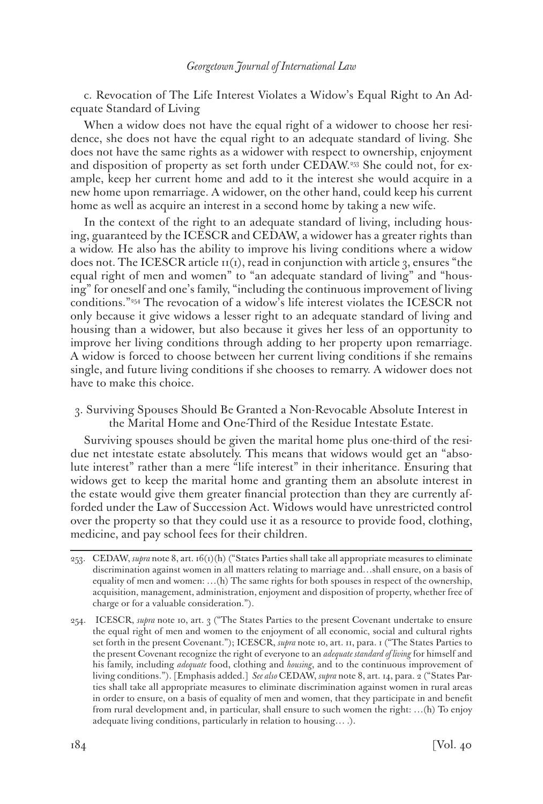c. Revocation of The Life Interest Violates a Widow's Equal Right to An Adequate Standard of Living

When a widow does not have the equal right of a widower to choose her residence, she does not have the equal right to an adequate standard of living. She does not have the same rights as a widower with respect to ownership, enjoyment and disposition of property as set forth under CEDAW.253 She could not, for example, keep her current home and add to it the interest she would acquire in a new home upon remarriage. A widower, on the other hand, could keep his current home as well as acquire an interest in a second home by taking a new wife.

In the context of the right to an adequate standard of living, including housing, guaranteed by the ICESCR and CEDAW, a widower has a greater rights than a widow. He also has the ability to improve his living conditions where a widow does not. The ICESCR article  $\pi(r)$ , read in conjunction with article 3, ensures "the equal right of men and women" to "an adequate standard of living" and "housing" for oneself and one's family, "including the continuous improvement of living conditions."254 The revocation of a widow's life interest violates the ICESCR not only because it give widows a lesser right to an adequate standard of living and housing than a widower, but also because it gives her less of an opportunity to improve her living conditions through adding to her property upon remarriage. A widow is forced to choose between her current living conditions if she remains single, and future living conditions if she chooses to remarry. A widower does not have to make this choice.

3. Surviving Spouses Should Be Granted a Non-Revocable Absolute Interest in the Marital Home and One-Third of the Residue Intestate Estate.

Surviving spouses should be given the marital home plus one-third of the residue net intestate estate absolutely. This means that widows would get an "absolute interest" rather than a mere "life interest" in their inheritance. Ensuring that widows get to keep the marital home and granting them an absolute interest in the estate would give them greater financial protection than they are currently afforded under the Law of Succession Act. Widows would have unrestricted control over the property so that they could use it as a resource to provide food, clothing, medicine, and pay school fees for their children.

<sup>253.</sup> CEDAW, *supra* note 8, art. 16(1)(h) ("States Parties shall take all appropriate measures to eliminate discrimination against women in all matters relating to marriage and…shall ensure, on a basis of equality of men and women: …(h) The same rights for both spouses in respect of the ownership, acquisition, management, administration, enjoyment and disposition of property, whether free of charge or for a valuable consideration.").

<sup>254.</sup> ICESCR, *supra* note 10, art. 3 ("The States Parties to the present Covenant undertake to ensure the equal right of men and women to the enjoyment of all economic, social and cultural rights set forth in the present Covenant."); ICESCR, *supra* note 10, art. 11, para. 1 ("The States Parties to the present Covenant recognize the right of everyone to an *adequate standard of living* for himself and his family, including *adequate* food, clothing and *housing*, and to the continuous improvement of living conditions."). [Emphasis added.] *See also* CEDAW, *supra* note 8, art. 14, para. 2 ("States Parties shall take all appropriate measures to eliminate discrimination against women in rural areas in order to ensure, on a basis of equality of men and women, that they participate in and benefit from rural development and, in particular, shall ensure to such women the right: …(h) To enjoy adequate living conditions, particularly in relation to housing… .).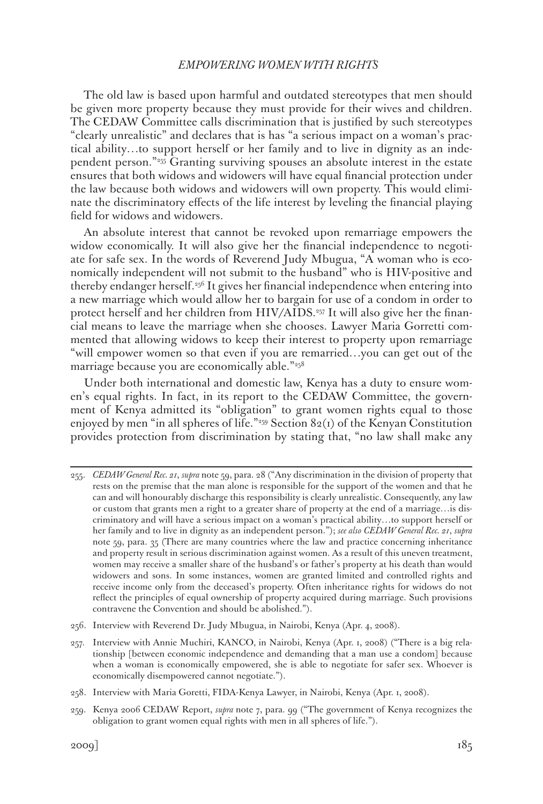The old law is based upon harmful and outdated stereotypes that men should be given more property because they must provide for their wives and children. The CEDAW Committee calls discrimination that is justified by such stereotypes "clearly unrealistic" and declares that is has "a serious impact on a woman's practical ability…to support herself or her family and to live in dignity as an independent person."255 Granting surviving spouses an absolute interest in the estate ensures that both widows and widowers will have equal financial protection under the law because both widows and widowers will own property. This would eliminate the discriminatory effects of the life interest by leveling the financial playing field for widows and widowers.

An absolute interest that cannot be revoked upon remarriage empowers the widow economically. It will also give her the financial independence to negotiate for safe sex. In the words of Reverend Judy Mbugua, "A woman who is economically independent will not submit to the husband" who is HIV-positive and thereby endanger herself.256 It gives her financial independence when entering into a new marriage which would allow her to bargain for use of a condom in order to protect herself and her children from HIV/AIDS.257 It will also give her the financial means to leave the marriage when she chooses. Lawyer Maria Gorretti commented that allowing widows to keep their interest to property upon remarriage "will empower women so that even if you are remarried…you can get out of the marriage because you are economically able."<sup>258</sup>

Under both international and domestic law, Kenya has a duty to ensure women's equal rights. In fact, in its report to the CEDAW Committee, the government of Kenya admitted its "obligation" to grant women rights equal to those enjoyed by men "in all spheres of life."<sup>259</sup> Section  $82(i)$  of the Kenyan Constitution provides protection from discrimination by stating that, "no law shall make any

- 256. Interview with Reverend Dr. Judy Mbugua, in Nairobi, Kenya (Apr. 4, 2008).
- 257. Interview with Annie Muchiri, KANCO, in Nairobi, Kenya (Apr. 1, 2008) ("There is a big relationship [between economic independence and demanding that a man use a condom] because when a woman is economically empowered, she is able to negotiate for safer sex. Whoever is economically disempowered cannot negotiate.").
- 258. Interview with Maria Goretti, FIDA-Kenya Lawyer, in Nairobi, Kenya (Apr. 1, 2008).
- 259. Kenya 2006 CEDAW Report, *supra* note 7, para. 99 ("The government of Kenya recognizes the obligation to grant women equal rights with men in all spheres of life.").

<sup>255.</sup> *CEDAW General Rec. 21*, *supra* note 59, para. 28 ("Any discrimination in the division of property that rests on the premise that the man alone is responsible for the support of the women and that he can and will honourably discharge this responsibility is clearly unrealistic. Consequently, any law or custom that grants men a right to a greater share of property at the end of a marriage…is discriminatory and will have a serious impact on a woman's practical ability…to support herself or her family and to live in dignity as an independent person."); *see also CEDAW General Rec. 21*, *supra*  note 59, para. 35 (There are many countries where the law and practice concerning inheritance and property result in serious discrimination against women. As a result of this uneven treatment, women may receive a smaller share of the husband's or father's property at his death than would widowers and sons. In some instances, women are granted limited and controlled rights and receive income only from the deceased's property. Often inheritance rights for widows do not reflect the principles of equal ownership of property acquired during marriage. Such provisions contravene the Convention and should be abolished.").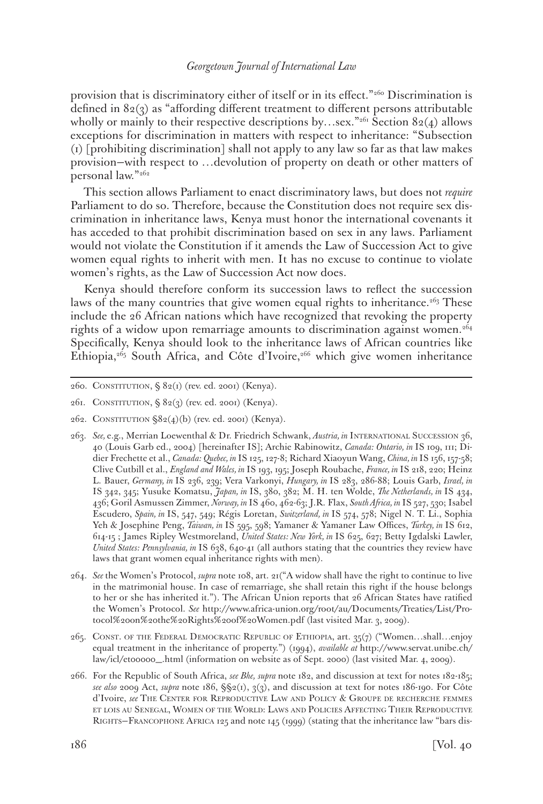provision that is discriminatory either of itself or in its effect."260 Discrimination is defined in 82(3) as "affording different treatment to different persons attributable wholly or mainly to their respective descriptions by…sex."<sup>261</sup> Section 82(4) allows exceptions for discrimination in matters with respect to inheritance: "Subsection (1) [prohibiting discrimination] shall not apply to any law so far as that law makes provision—with respect to …devolution of property on death or other matters of personal law."262

This section allows Parliament to enact discriminatory laws, but does not *require* Parliament to do so. Therefore, because the Constitution does not require sex discrimination in inheritance laws, Kenya must honor the international covenants it has acceded to that prohibit discrimination based on sex in any laws. Parliament would not violate the Constitution if it amends the Law of Succession Act to give women equal rights to inherit with men. It has no excuse to continue to violate women's rights, as the Law of Succession Act now does.

Kenya should therefore conform its succession laws to reflect the succession laws of the many countries that give women equal rights to inheritance.<sup>263</sup> These include the 26 African nations which have recognized that revoking the property rights of a widow upon remarriage amounts to discrimination against women.264 Specifically, Kenya should look to the inheritance laws of African countries like Ethiopia, $2^{65}$  South Africa, and Côte d'Ivoire, $2^{66}$  which give women inheritance

<sup>260.</sup> CONSTITUTION,  $\S 82(i)$  (rev. ed. 2001) (Kenya).

<sup>261.</sup> Constitution, § 82(3) (rev. ed. 2001) (Kenya).

<sup>262.</sup> CONSTITUTION  $\S82(4)(b)$  (rev. ed. 2001) (Kenya).

<sup>263.</sup> *See,* e.g., Merrian Loewenthal & Dr. Friedrich Schwank, *Austria, in* International Succession 36, 40 (Louis Garb ed., 2004) [hereinafter IS]; Archie Rabinowitz, *Canada: Ontario, in* IS 109, 111; Didier Frechette et al., *Canada: Quebec, in* IS 125, 127-8; Richard Xiaoyun Wang, *China, in* IS 156, 157-58; Clive Cutbill et al., *England and Wales, in* IS 193, 195; Joseph Roubache, *France, in* IS 218, 220; Heinz L. Bauer, *Germany, in* IS 236, 239; Vera Varkonyi, *Hungary, in* IS 283, 286-88; Louis Garb, *Israel, in*  IS 342, 345; Yusuke Komatsu, *Japan, in* IS, 380, 382; M. H. ten Wolde, *The Netherlands, in* IS 434, 436; Goril Asmussen Zimmer, *Norway, in* IS 460, 462-63; J.R. Flax, *South Africa, in* IS 527, 530; Isabel Escudero, *Spain, in* IS, 547, 549; Régis Loretan, *Switzerland, in* IS 574, 578; Nigel N. T. Li., Sophia Yeh & Josephine Peng, *Taiwan, in* IS 595, 598; Yamaner & Yamaner Law Offices, *Turkey, in* IS 612, 614-15 ; James Ripley Westmoreland, *United States: New York, in* IS 625, 627; Betty Igdalski Lawler, *United States: Pennsylvania, in* IS 638, 640-41 (all authors stating that the countries they review have laws that grant women equal inheritance rights with men).

<sup>264.</sup> *See* the Women's Protocol, *supra* note 108, art. 21("A widow shall have the right to continue to live in the matrimonial house. In case of remarriage, she shall retain this right if the house belongs to her or she has inherited it."). The African Union reports that 26 African States have ratified the Women's Protocol. *See* http://www.africa-union.org/root/au/Documents/Treaties/List/Protocol%20on%20the%20Rights%20of%20Women.pdf (last visited Mar. 3, 2009).

<sup>265.</sup> Const. of the Federal Democratic Republic of Ethiopia, art. 35(7) ("Women…shall…enjoy equal treatment in the inheritance of property.") (1994), *available at* http://www.servat.unibe.ch/ law/icl/et00000\_.html (information on website as of Sept. 2000) (last visited Mar. 4, 2009).

<sup>266.</sup> For the Republic of South Africa, *see Bhe, supra* note 182, and discussion at text for notes 182-185; *see also* 2009 Act, *supra* note 186, §§2(1), 3(3), and discussion at text for notes 186-190. For Côte d'Ivoire, *see* The Center for Reproductive Law and Policy & Groupe de recherche femmes et lois au Senegal, Women of the World: Laws and Policies Affecting Their Reproductive Rights—Francophone Africa 125 and note 145 (1999) (stating that the inheritance law "bars dis-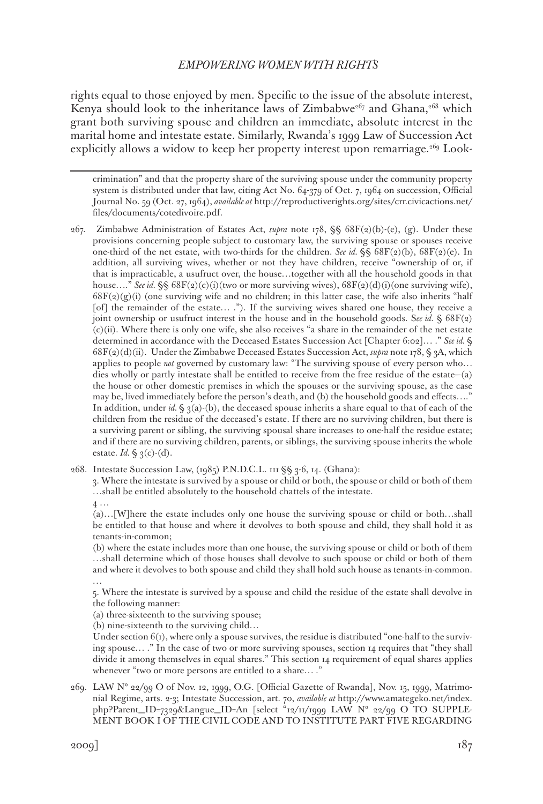rights equal to those enjoyed by men. Specific to the issue of the absolute interest, Kenya should look to the inheritance laws of Zimbabwe<sup>267</sup> and Ghana,<sup>268</sup> which grant both surviving spouse and children an immediate, absolute interest in the marital home and intestate estate. Similarly, Rwanda's 1999 Law of Succession Act explicitly allows a widow to keep her property interest upon remarriage.<sup>269</sup> Look-

crimination" and that the property share of the surviving spouse under the community property system is distributed under that law, citing Act No. 64-379 of Oct. 7, 1964 on succession, Official Journal No. 59 (Oct. 27, 1964), *available at* http://reproductiverights.org/sites/crr.civicactions.net/ files/documents/cotedivoire.pdf.

267. Zimbabwe Administration of Estates Act, *supra* note 178, §§ 68F(2)(b)-(e), (g). Under these provisions concerning people subject to customary law, the surviving spouse or spouses receive one-third of the net estate, with two-thirds for the children. *See id.* §§ 68F(2)(b), 68F(2)(e). In addition, all surviving wives, whether or not they have children, receive "ownership of or, if that is impracticable, a usufruct over, the house…together with all the household goods in that house...." *See id.* §§ 68F(2)(c)(i)(two or more surviving wives), 68F(2)(d)(i)(one surviving wife),  $68F(2)(g)(i)$  (one surviving wife and no children; in this latter case, the wife also inherits "half [of] the remainder of the estate...."). If the surviving wives shared one house, they receive a joint ownership or usufruct interest in the house and in the household goods. See id.  $\S$  68F(2) (c)(ii). Where there is only one wife, she also receives "a share in the remainder of the net estate determined in accordance with the Deceased Estates Succession Act [Chapter 6:02]… ." *See id.* § 68F(2)(d)(ii). Under the Zimbabwe Deceased Estates Succession Act, *supra* note 178, § 3A, which applies to people *not* governed by customary law: "The surviving spouse of every person who… dies wholly or partly intestate shall be entitled to receive from the free residue of the estate—(a) the house or other domestic premises in which the spouses or the surviving spouse, as the case may be, lived immediately before the person's death, and (b) the household goods and effects…." In addition, under *id.*  $\S$  3(a)-(b), the deceased spouse inherits a share equal to that of each of the children from the residue of the deceased's estate. If there are no surviving children, but there is a surviving parent or sibling, the surviving spousal share increases to one-half the residue estate; and if there are no surviving children, parents, or siblings, the surviving spouse inherits the whole estate. *Id.* § 3(c)-(d).

268. Intestate Succession Law, (1985) P.N.D.C.L. 111 §§ 3-6, 14. (Ghana):

3. Where the intestate is survived by a spouse or child or both, the spouse or child or both of them …shall be entitled absolutely to the household chattels of the intestate.

4 …

(a)…[W]here the estate includes only one house the surviving spouse or child or both…shall be entitled to that house and where it devolves to both spouse and child, they shall hold it as tenants-in-common;

(b) where the estate includes more than one house, the surviving spouse or child or both of them …shall determine which of those houses shall devolve to such spouse or child or both of them and where it devolves to both spouse and child they shall hold such house as tenants-in-common. …

5. Where the intestate is survived by a spouse and child the residue of the estate shall devolve in the following manner:

(a) three-sixteenth to the surviving spouse;

(b) nine-sixteenth to the surviving child…

Under section  $6(t)$ , where only a spouse survives, the residue is distributed "one-half to the surviving spouse… ." In the case of two or more surviving spouses, section 14 requires that "they shall divide it among themselves in equal shares." This section 14 requirement of equal shares applies whenever "two or more persons are entitled to a share… ."

269. LAW N° 22/99 O of Nov. 12, 1999, O.G. [Official Gazette of Rwanda], Nov. 15, 1999, Matrimonial Regime, arts. 2-3; Intestate Succession, art. 70, *available at* http://www.amategeko.net/index. php?Parent\_ID=7329&Langue\_ID=An [select "12/11/1999 LAW N° 22/99 O TO SUPPLE-MENT BOOK I OF THE CIVIL CODE AND TO INSTITUTE PART FIVE REGARDING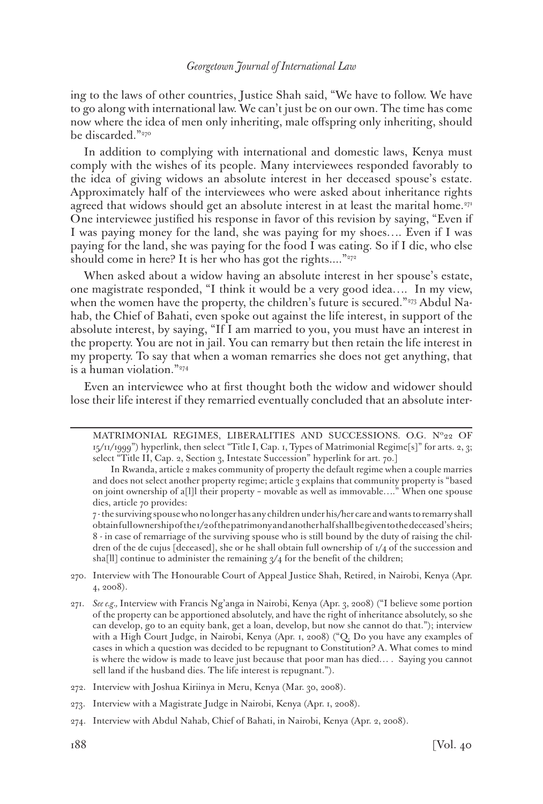ing to the laws of other countries, Justice Shah said, "We have to follow. We have to go along with international law. We can't just be on our own. The time has come now where the idea of men only inheriting, male offspring only inheriting, should be discarded."<sup>270</sup>

In addition to complying with international and domestic laws, Kenya must comply with the wishes of its people. Many interviewees responded favorably to the idea of giving widows an absolute interest in her deceased spouse's estate. Approximately half of the interviewees who were asked about inheritance rights agreed that widows should get an absolute interest in at least the marital home.<sup>271</sup> One interviewee justified his response in favor of this revision by saying, "Even if I was paying money for the land, she was paying for my shoes…. Even if I was paying for the land, she was paying for the food I was eating. So if I die, who else should come in here? It is her who has got the rights...."<sup>272</sup>

When asked about a widow having an absolute interest in her spouse's estate, one magistrate responded, "I think it would be a very good idea…. In my view, when the women have the property, the children's future is secured."273 Abdul Nahab, the Chief of Bahati, even spoke out against the life interest, in support of the absolute interest, by saying, "If I am married to you, you must have an interest in the property. You are not in jail. You can remarry but then retain the life interest in my property. To say that when a woman remarries she does not get anything, that is a human violation."274

Even an interviewee who at first thought both the widow and widower should lose their life interest if they remarried eventually concluded that an absolute inter-

- 270. Interview with The Honourable Court of Appeal Justice Shah, Retired, in Nairobi, Kenya (Apr. 4, 2008).
- 271. *See e.g.,* Interview with Francis Ng'anga in Nairobi, Kenya (Apr. 3, 2008) ("I believe some portion of the property can be apportioned absolutely, and have the right of inheritance absolutely, so she can develop, go to an equity bank, get a loan, develop, but now she cannot do that."); interview with a High Court Judge, in Nairobi, Kenya (Apr. 1, 2008) ("Q. Do you have any examples of cases in which a question was decided to be repugnant to Constitution? A. What comes to mind is where the widow is made to leave just because that poor man has died… . Saying you cannot sell land if the husband dies. The life interest is repugnant.").
- 272. Interview with Joshua Kiriinya in Meru, Kenya (Mar. 30, 2008).
- 273. Interview with a Magistrate Judge in Nairobi, Kenya (Apr. 1, 2008).
- 274. Interview with Abdul Nahab, Chief of Bahati, in Nairobi, Kenya (Apr. 2, 2008).

MATRIMONIAL REGIMES, LIBERALITIES AND SUCCESSIONS. O.G. Nº22 OF  $15/11/1999$ ") hyperlink, then select "Title I, Cap. 1, Types of Matrimonial Regime[s]" for arts. 2, 3; select "Title II, Cap. 2, Section 3, Intestate Succession" hyperlink for art. 70.]

In Rwanda, article 2 makes community of property the default regime when a couple marries and does not select another property regime; article 3 explains that community property is "based on joint ownership of a[l]l their property – movable as well as immovable…." When one spouse dies, article 70 provides:

<sup>7 -</sup> the surviving spouse who no longer has any children under his/her care and wants to remarry shall obtain full ownership of the 1/2 of the patrimony and another half shall be given to the deceased's heirs; 8 - in case of remarriage of the surviving spouse who is still bound by the duty of raising the children of the de cujus [deceased], she or he shall obtain full ownership of 1/4 of the succession and sha[ll] continue to administer the remaining  $\frac{3}{4}$  for the benefit of the children;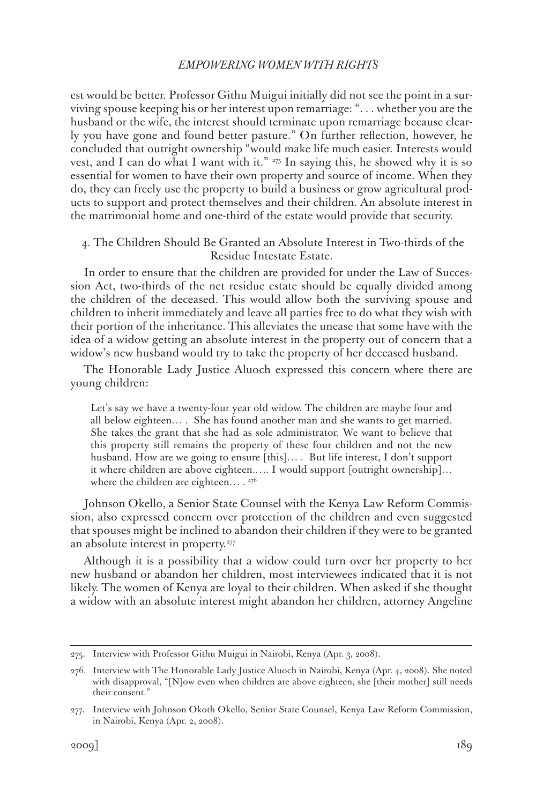est would be better. Professor Githu Muigui initially did not see the point in a surviving spouse keeping his or her interest upon remarriage: ". . . whether you are the husband or the wife, the interest should terminate upon remarriage because clearly you have gone and found better pasture." On further reflection, however, he concluded that outright ownership "would make life much easier. Interests would vest, and I can do what I want with it." <sup>275</sup> In saying this, he showed why it is so essential for women to have their own property and source of income. When they do, they can freely use the property to build a business or grow agricultural products to support and protect themselves and their children. An absolute interest in the matrimonial home and one-third of the estate would provide that security.

# 4. The Children Should Be Granted an Absolute Interest in Two-thirds of the Residue Intestate Estate.

In order to ensure that the children are provided for under the Law of Succession Act, two-thirds of the net residue estate should be equally divided among the children of the deceased. This would allow both the surviving spouse and children to inherit immediately and leave all parties free to do what they wish with their portion of the inheritance. This alleviates the unease that some have with the idea of a widow getting an absolute interest in the property out of concern that a widow's new husband would try to take the property of her deceased husband.

The Honorable Lady Justice Aluoch expressed this concern where there are young children:

Let's say we have a twenty-four year old widow. The children are maybe four and all below eighteen… . She has found another man and she wants to get married. She takes the grant that she had as sole administrator. We want to believe that this property still remains the property of these four children and not the new husband. How are we going to ensure [this]... But life interest, I don't support it where children are above eighteen.…. I would support [outright ownership]… where the children are eighteen...  $.276$ 

Johnson Okello, a Senior State Counsel with the Kenya Law Reform Commission, also expressed concern over protection of the children and even suggested that spouses might be inclined to abandon their children if they were to be granted an absolute interest in property.<sup>277</sup>

Although it is a possibility that a widow could turn over her property to her new husband or abandon her children, most interviewees indicated that it is not likely. The women of Kenya are loyal to their children. When asked if she thought a widow with an absolute interest might abandon her children, attorney Angeline

<sup>275.</sup> Interview with Professor Githu Muigui in Nairobi, Kenya (Apr. 3, 2008).

<sup>276.</sup> Interview with The Honorable Lady Justice Aluoch in Nairobi, Kenya (Apr. 4, 2008). She noted with disapproval, "[N]ow even when children are above eighteen, she [their mother] still needs their consent."

<sup>277.</sup> Interview with Johnson Okoth Okello, Senior State Counsel, Kenya Law Reform Commission, in Nairobi, Kenya (Apr. 2, 2008).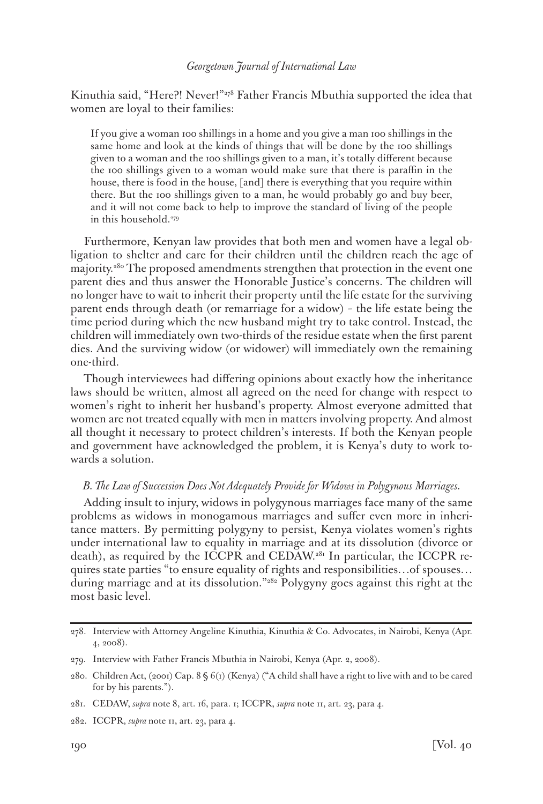Kinuthia said, "Here?! Never!"278 Father Francis Mbuthia supported the idea that women are loyal to their families:

If you give a woman 100 shillings in a home and you give a man 100 shillings in the same home and look at the kinds of things that will be done by the 100 shillings given to a woman and the 100 shillings given to a man, it's totally different because the 100 shillings given to a woman would make sure that there is paraffin in the house, there is food in the house, [and] there is everything that you require within there. But the 100 shillings given to a man, he would probably go and buy beer, and it will not come back to help to improve the standard of living of the people in this household.<sup>279</sup>

Furthermore, Kenyan law provides that both men and women have a legal obligation to shelter and care for their children until the children reach the age of majority.280 The proposed amendments strengthen that protection in the event one parent dies and thus answer the Honorable Justice's concerns. The children will no longer have to wait to inherit their property until the life estate for the surviving parent ends through death (or remarriage for a widow) – the life estate being the time period during which the new husband might try to take control. Instead, the children will immediately own two-thirds of the residue estate when the first parent dies. And the surviving widow (or widower) will immediately own the remaining one-third.

Though interviewees had differing opinions about exactly how the inheritance laws should be written, almost all agreed on the need for change with respect to women's right to inherit her husband's property. Almost everyone admitted that women are not treated equally with men in matters involving property. And almost all thought it necessary to protect children's interests. If both the Kenyan people and government have acknowledged the problem, it is Kenya's duty to work towards a solution.

#### *B. The Law of Succession Does Not Adequately Provide for Widows in Polygynous Marriages.*

Adding insult to injury, widows in polygynous marriages face many of the same problems as widows in monogamous marriages and suffer even more in inheritance matters. By permitting polygyny to persist, Kenya violates women's rights under international law to equality in marriage and at its dissolution (divorce or death), as required by the ICCPR and CEDAW.<sup>281</sup> In particular, the ICCPR requires state parties "to ensure equality of rights and responsibilities…of spouses… during marriage and at its dissolution."282 Polygyny goes against this right at the most basic level.

<sup>278.</sup> Interview with Attorney Angeline Kinuthia, Kinuthia & Co. Advocates, in Nairobi, Kenya (Apr. 4, 2008).

<sup>279.</sup> Interview with Father Francis Mbuthia in Nairobi, Kenya (Apr. 2, 2008).

<sup>280.</sup> Children Act, (2001) Cap. 8 § 6(1) (Kenya) ("A child shall have a right to live with and to be cared for by his parents.").

<sup>281.</sup> CEDAW, *supra* note 8, art. 16, para. 1; ICCPR, *supra* note 11, art. 23, para 4.

<sup>282.</sup> ICCPR, *supra* note 11, art. 23, para 4.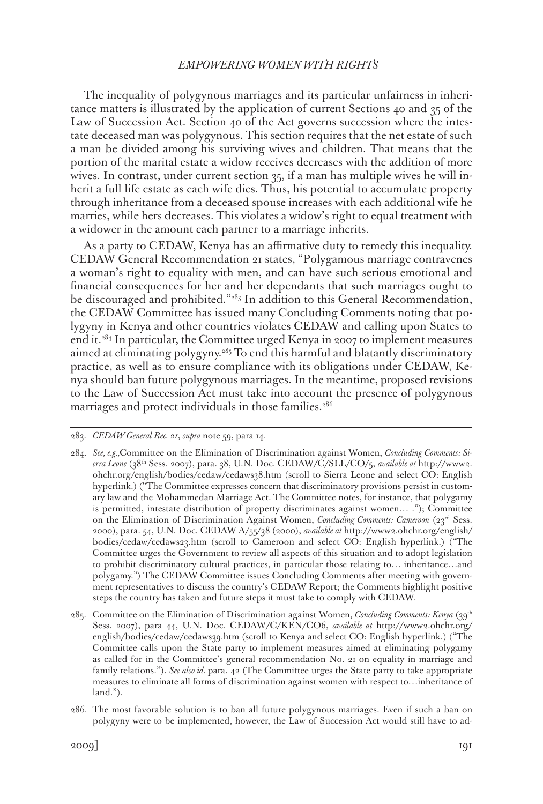The inequality of polygynous marriages and its particular unfairness in inheritance matters is illustrated by the application of current Sections 40 and 35 of the Law of Succession Act. Section 40 of the Act governs succession where the intestate deceased man was polygynous. This section requires that the net estate of such a man be divided among his surviving wives and children. That means that the portion of the marital estate a widow receives decreases with the addition of more wives. In contrast, under current section 35, if a man has multiple wives he will inherit a full life estate as each wife dies. Thus, his potential to accumulate property through inheritance from a deceased spouse increases with each additional wife he marries, while hers decreases. This violates a widow's right to equal treatment with a widower in the amount each partner to a marriage inherits.

As a party to CEDAW, Kenya has an affirmative duty to remedy this inequality. CEDAW General Recommendation 21 states, "Polygamous marriage contravenes a woman's right to equality with men, and can have such serious emotional and financial consequences for her and her dependants that such marriages ought to be discouraged and prohibited."<sup>283</sup> In addition to this General Recommendation, the CEDAW Committee has issued many Concluding Comments noting that polygyny in Kenya and other countries violates CEDAW and calling upon States to end it.284 In particular, the Committee urged Kenya in 2007 to implement measures aimed at eliminating polygyny.<sup>285</sup> To end this harmful and blatantly discriminatory practice, as well as to ensure compliance with its obligations under CEDAW, Kenya should ban future polygynous marriages. In the meantime, proposed revisions to the Law of Succession Act must take into account the presence of polygynous marriages and protect individuals in those families.<sup>286</sup>

<sup>283.</sup> *CEDAW General Rec. 21*, *supra* note 59, para 14.

<sup>284.</sup> *See, e.g.,*Committee on the Elimination of Discrimination against Women, *Concluding Comments: Sierra Leone* (38th Sess. 2007), para. 38, U.N. Doc. CEDAW/C/SLE/CO/5, *available at* http://www2. ohchr.org/english/bodies/cedaw/cedaws38.htm (scroll to Sierra Leone and select CO: English hyperlink.) ("The Committee expresses concern that discriminatory provisions persist in customary law and the Mohammedan Marriage Act. The Committee notes, for instance, that polygamy is permitted, intestate distribution of property discriminates against women… ."); Committee on the Elimination of Discrimination Against Women, *Concluding Comments: Cameroon* (23rd Sess. 2000), para. 54, U.N. Doc. CEDAW A/55/38 (2000), *available at* http://www2.ohchr.org/english/ bodies/cedaw/cedaws23.htm (scroll to Cameroon and select CO: English hyperlink.) ("The Committee urges the Government to review all aspects of this situation and to adopt legislation to prohibit discriminatory cultural practices, in particular those relating to… inheritance…and polygamy.") The CEDAW Committee issues Concluding Comments after meeting with government representatives to discuss the country's CEDAW Report; the Comments highlight positive steps the country has taken and future steps it must take to comply with CEDAW.

<sup>285.</sup> Committee on the Elimination of Discrimination against Women, *Concluding Comments: Kenya* (39th Sess. 2007), para 44, U.N. Doc. CEDAW/C/KEN/CO6, *available at* http://www2.ohchr.org/ english/bodies/cedaw/cedaws39.htm (scroll to Kenya and select CO: English hyperlink.) ("The Committee calls upon the State party to implement measures aimed at eliminating polygamy as called for in the Committee's general recommendation No. 21 on equality in marriage and family relations."). *See also id.* para. 42 (The Committee urges the State party to take appropriate measures to eliminate all forms of discrimination against women with respect to…inheritance of land.").

<sup>286.</sup> The most favorable solution is to ban all future polygynous marriages. Even if such a ban on polygyny were to be implemented, however, the Law of Succession Act would still have to ad-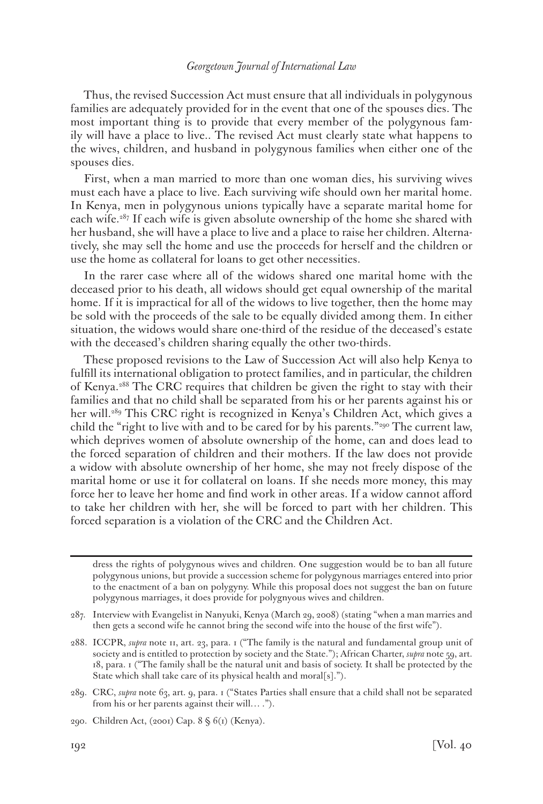Thus, the revised Succession Act must ensure that all individuals in polygynous families are adequately provided for in the event that one of the spouses dies. The most important thing is to provide that every member of the polygynous family will have a place to live.. The revised Act must clearly state what happens to the wives, children, and husband in polygynous families when either one of the spouses dies.

First, when a man married to more than one woman dies, his surviving wives must each have a place to live. Each surviving wife should own her marital home. In Kenya, men in polygynous unions typically have a separate marital home for each wife.<sup>287</sup> If each wife is given absolute ownership of the home she shared with her husband, she will have a place to live and a place to raise her children. Alternatively, she may sell the home and use the proceeds for herself and the children or use the home as collateral for loans to get other necessities.

In the rarer case where all of the widows shared one marital home with the deceased prior to his death, all widows should get equal ownership of the marital home. If it is impractical for all of the widows to live together, then the home may be sold with the proceeds of the sale to be equally divided among them. In either situation, the widows would share one-third of the residue of the deceased's estate with the deceased's children sharing equally the other two-thirds.

These proposed revisions to the Law of Succession Act will also help Kenya to fulfill its international obligation to protect families, and in particular, the children of Kenya.288 The CRC requires that children be given the right to stay with their families and that no child shall be separated from his or her parents against his or her will.<sup>289</sup> This CRC right is recognized in Kenya's Children Act, which gives a child the "right to live with and to be cared for by his parents."<sup>290</sup> The current law, which deprives women of absolute ownership of the home, can and does lead to the forced separation of children and their mothers. If the law does not provide a widow with absolute ownership of her home, she may not freely dispose of the marital home or use it for collateral on loans. If she needs more money, this may force her to leave her home and find work in other areas. If a widow cannot afford to take her children with her, she will be forced to part with her children. This forced separation is a violation of the CRC and the Children Act.

dress the rights of polygynous wives and children. One suggestion would be to ban all future polygynous unions, but provide a succession scheme for polygynous marriages entered into prior to the enactment of a ban on polygyny. While this proposal does not suggest the ban on future polygynous marriages, it does provide for polygnyous wives and children.

<sup>287.</sup> Interview with Evangelist in Nanyuki, Kenya (March 29, 2008) (stating "when a man marries and then gets a second wife he cannot bring the second wife into the house of the first wife").

<sup>288.</sup> ICCPR, *supra* note 11, art. 23, para. 1 ("The family is the natural and fundamental group unit of society and is entitled to protection by society and the State."); African Charter, *supra* note 59, art. 18, para. 1 ("The family shall be the natural unit and basis of society. It shall be protected by the State which shall take care of its physical health and moral[s].").

<sup>289.</sup> CRC, *supra* note 63, art. 9, para. 1 ("States Parties shall ensure that a child shall not be separated from his or her parents against their will… .").

<sup>290.</sup> Children Act, (2001) Cap. 8 § 6(1) (Kenya).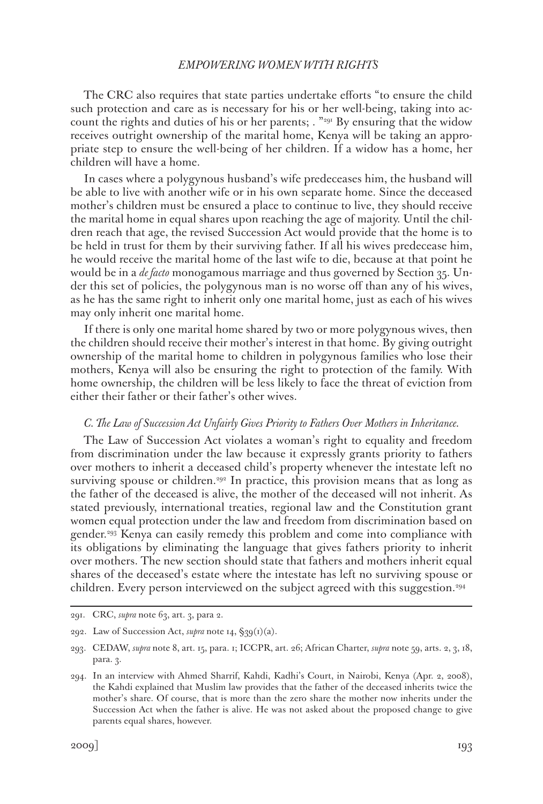The CRC also requires that state parties undertake efforts "to ensure the child such protection and care as is necessary for his or her well-being, taking into account the rights and duties of his or her parents; . "291 By ensuring that the widow receives outright ownership of the marital home, Kenya will be taking an appropriate step to ensure the well-being of her children. If a widow has a home, her children will have a home.

In cases where a polygynous husband's wife predeceases him, the husband will be able to live with another wife or in his own separate home. Since the deceased mother's children must be ensured a place to continue to live, they should receive the marital home in equal shares upon reaching the age of majority. Until the children reach that age, the revised Succession Act would provide that the home is to be held in trust for them by their surviving father. If all his wives predecease him, he would receive the marital home of the last wife to die, because at that point he would be in a *de facto* monogamous marriage and thus governed by Section 35. Under this set of policies, the polygynous man is no worse off than any of his wives, as he has the same right to inherit only one marital home, just as each of his wives may only inherit one marital home.

If there is only one marital home shared by two or more polygynous wives, then the children should receive their mother's interest in that home. By giving outright ownership of the marital home to children in polygynous families who lose their mothers, Kenya will also be ensuring the right to protection of the family. With home ownership, the children will be less likely to face the threat of eviction from either their father or their father's other wives.

#### *C. The Law of Succession Act Unfairly Gives Priority to Fathers Over Mothers in Inheritance.*

The Law of Succession Act violates a woman's right to equality and freedom from discrimination under the law because it expressly grants priority to fathers over mothers to inherit a deceased child's property whenever the intestate left no surviving spouse or children.<sup>292</sup> In practice, this provision means that as long as the father of the deceased is alive, the mother of the deceased will not inherit. As stated previously, international treaties, regional law and the Constitution grant women equal protection under the law and freedom from discrimination based on gender.293 Kenya can easily remedy this problem and come into compliance with its obligations by eliminating the language that gives fathers priority to inherit over mothers. The new section should state that fathers and mothers inherit equal shares of the deceased's estate where the intestate has left no surviving spouse or children. Every person interviewed on the subject agreed with this suggestion.<sup>294</sup>

<sup>291.</sup> CRC, *supra* note 63, art. 3, para 2.

<sup>292.</sup> Law of Succession Act, *supra* note 14, §39(1)(a).

<sup>293.</sup> CEDAW, *supra* note 8, art. 15, para. 1; ICCPR, art. 26; African Charter, *supra* note 59, arts. 2, 3, 18, para. 3.

<sup>294.</sup> In an interview with Ahmed Sharrif, Kahdi, Kadhi's Court, in Nairobi, Kenya (Apr. 2, 2008), the Kahdi explained that Muslim law provides that the father of the deceased inherits twice the mother's share. Of course, that is more than the zero share the mother now inherits under the Succession Act when the father is alive. He was not asked about the proposed change to give parents equal shares, however.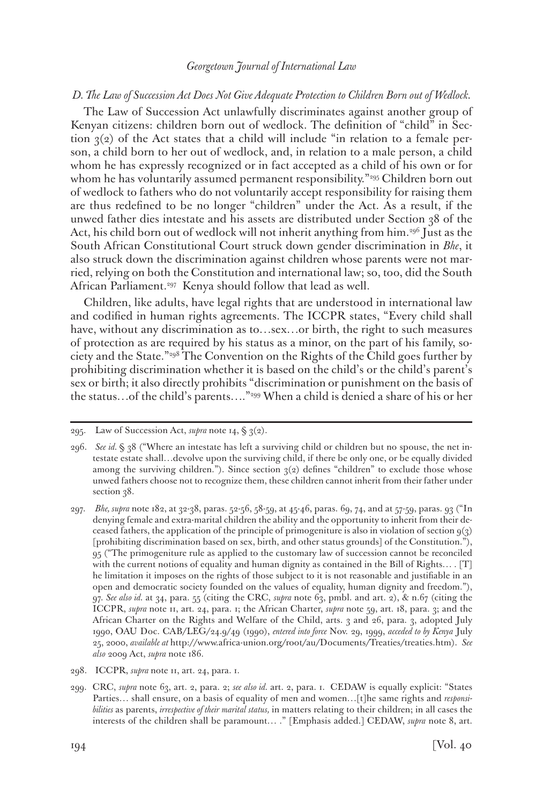#### *D. The Law of Succession Act Does Not Give Adequate Protection to Children Born out of Wedlock.*

The Law of Succession Act unlawfully discriminates against another group of Kenyan citizens: children born out of wedlock. The definition of "child" in Section  $3(2)$  of the Act states that a child will include "in relation to a female person, a child born to her out of wedlock, and, in relation to a male person, a child whom he has expressly recognized or in fact accepted as a child of his own or for whom he has voluntarily assumed permanent responsibility."<sup>295</sup> Children born out of wedlock to fathers who do not voluntarily accept responsibility for raising them are thus redefined to be no longer "children" under the Act. As a result, if the unwed father dies intestate and his assets are distributed under Section 38 of the Act, his child born out of wedlock will not inherit anything from him.296 Just as the South African Constitutional Court struck down gender discrimination in *Bhe*, it also struck down the discrimination against children whose parents were not married, relying on both the Constitution and international law; so, too, did the South African Parliament.<sup>297</sup> Kenya should follow that lead as well.

Children, like adults, have legal rights that are understood in international law and codified in human rights agreements. The ICCPR states, "Every child shall have, without any discrimination as to…sex…or birth, the right to such measures of protection as are required by his status as a minor, on the part of his family, society and the State."298 The Convention on the Rights of the Child goes further by prohibiting discrimination whether it is based on the child's or the child's parent's sex or birth; it also directly prohibits "discrimination or punishment on the basis of the status…of the child's parents…."299 When a child is denied a share of his or her

<sup>295.</sup> Law of Succession Act, *supra* note 14, § 3(2).

<sup>296.</sup> *See id.* § 38 ("Where an intestate has left a surviving child or children but no spouse, the net intestate estate shall…devolve upon the surviving child, if there be only one, or be equally divided among the surviving children."). Since section  $3(2)$  defines "children" to exclude those whose unwed fathers choose not to recognize them, these children cannot inherit from their father under section 38.

<sup>297.</sup> *Bhe, supra* note 182, at 32-38, paras. 52-56, 58-59, at 45-46, paras. 69, 74, and at 57-59, paras. 93 ("In denying female and extra-marital children the ability and the opportunity to inherit from their deceased fathers, the application of the principle of primogeniture is also in violation of section 9(3) [prohibiting discrimination based on sex, birth, and other status grounds] of the Constitution."), 95 ("The primogeniture rule as applied to the customary law of succession cannot be reconciled with the current notions of equality and human dignity as contained in the Bill of Rights… . [T] he limitation it imposes on the rights of those subject to it is not reasonable and justifiable in an open and democratic society founded on the values of equality, human dignity and freedom."), 97. *See also id.* at 34, para. 55 (citing the CRC, *supra* note 63, pmbl. and art. 2), & n.67 (citing the ICCPR, *supra* note 11, art. 24, para. 1; the African Charter, *supra* note 59, art. 18, para. 3; and the African Charter on the Rights and Welfare of the Child, arts. 3 and 26, para. 3, adopted July 1990, OAU Doc. CAB/LEG/24.9/49 (1990), *entered into force* Nov. 29, 1999, *acceded to by Kenya* July 25, 2000, *available at* http://www.africa-union.org/root/au/Documents/Treaties/treaties.htm). *See also* 2009 Act, *supra* note 186.

<sup>298.</sup> ICCPR, *supra* note 11, art. 24, para. 1.

<sup>299.</sup> CRC, *supra* note 63, art. 2, para. 2; *see also id.* art. 2, para. 1. CEDAW is equally explicit: "States Parties… shall ensure, on a basis of equality of men and women…[t]he same rights and *responsibilities* as parents, *irrespective of their marital status,* in matters relating to their children; in all cases the interests of the children shall be paramount… ." [Emphasis added.] CEDAW, *supra* note 8, art.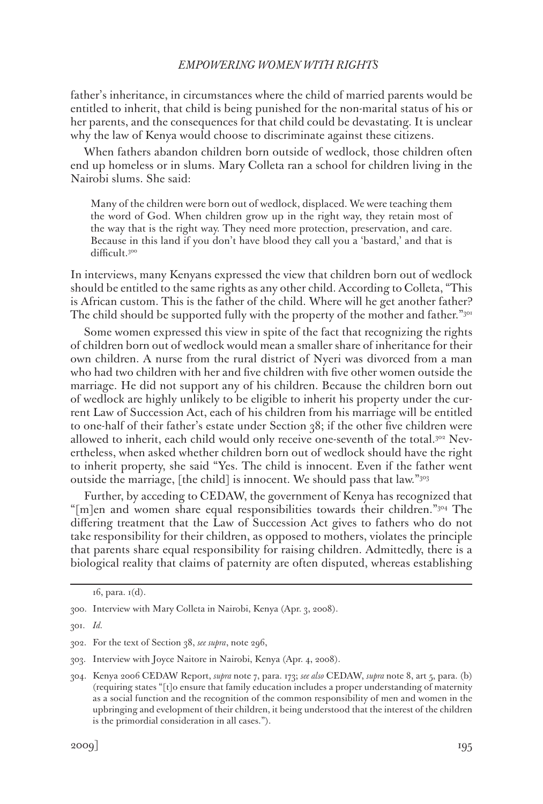father's inheritance, in circumstances where the child of married parents would be entitled to inherit, that child is being punished for the non-marital status of his or her parents, and the consequences for that child could be devastating. It is unclear why the law of Kenya would choose to discriminate against these citizens.

When fathers abandon children born outside of wedlock, those children often end up homeless or in slums. Mary Colleta ran a school for children living in the Nairobi slums. She said:

Many of the children were born out of wedlock, displaced. We were teaching them the word of God. When children grow up in the right way, they retain most of the way that is the right way. They need more protection, preservation, and care. Because in this land if you don't have blood they call you a 'bastard,' and that is difficult.300

In interviews, many Kenyans expressed the view that children born out of wedlock should be entitled to the same rights as any other child. According to Colleta, "This is African custom. This is the father of the child. Where will he get another father? The child should be supported fully with the property of the mother and father."<sup>301</sup>

Some women expressed this view in spite of the fact that recognizing the rights of children born out of wedlock would mean a smaller share of inheritance for their own children. A nurse from the rural district of Nyeri was divorced from a man who had two children with her and five children with five other women outside the marriage. He did not support any of his children. Because the children born out of wedlock are highly unlikely to be eligible to inherit his property under the current Law of Succession Act, each of his children from his marriage will be entitled to one-half of their father's estate under Section 38; if the other five children were allowed to inherit, each child would only receive one-seventh of the total.302 Nevertheless, when asked whether children born out of wedlock should have the right to inherit property, she said "Yes. The child is innocent. Even if the father went outside the marriage, [the child] is innocent. We should pass that law."303

Further, by acceding to CEDAW, the government of Kenya has recognized that "[m]en and women share equal responsibilities towards their children."304 The differing treatment that the Law of Succession Act gives to fathers who do not take responsibility for their children, as opposed to mothers, violates the principle that parents share equal responsibility for raising children. Admittedly, there is a biological reality that claims of paternity are often disputed, whereas establishing

 $16$ , para.  $1(d)$ .

<sup>300.</sup> Interview with Mary Colleta in Nairobi, Kenya (Apr. 3, 2008).

<sup>301.</sup> *Id.*

<sup>302.</sup> For the text of Section 38, *see supra*, note 296,

<sup>303.</sup> Interview with Joyce Naitore in Nairobi, Kenya (Apr. 4, 2008).

<sup>304.</sup> Kenya 2006 CEDAW Report, *supra* note 7, para. 173; *see also* CEDAW, *supra* note 8, art 5, para. (b) (requiring states "[t]o ensure that family education includes a proper understanding of maternity as a social function and the recognition of the common responsibility of men and women in the upbringing and evelopment of their children, it being understood that the interest of the children is the primordial consideration in all cases.").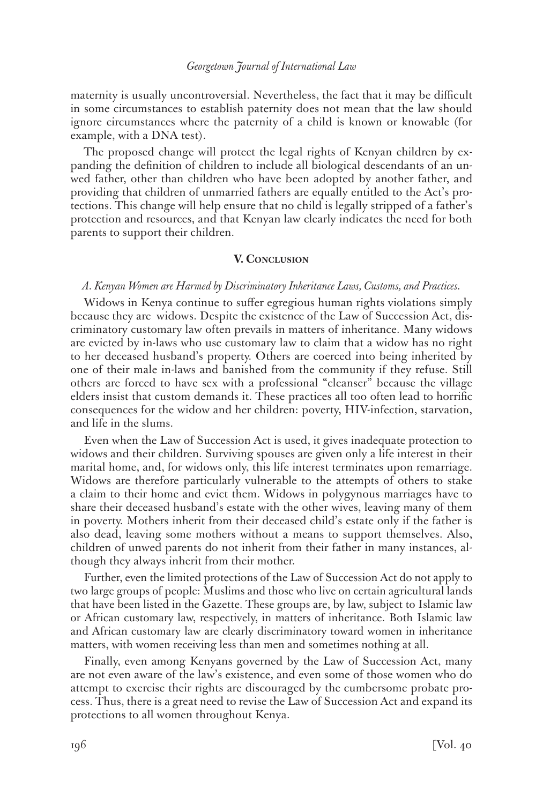maternity is usually uncontroversial. Nevertheless, the fact that it may be difficult in some circumstances to establish paternity does not mean that the law should ignore circumstances where the paternity of a child is known or knowable (for example, with a DNA test).

The proposed change will protect the legal rights of Kenyan children by expanding the definition of children to include all biological descendants of an unwed father, other than children who have been adopted by another father, and providing that children of unmarried fathers are equally entitled to the Act's protections. This change will help ensure that no child is legally stripped of a father's protection and resources, and that Kenyan law clearly indicates the need for both parents to support their children.

#### **V. Conclusion**

#### *A. Kenyan Women are Harmed by Discriminatory Inheritance Laws, Customs, and Practices.*

Widows in Kenya continue to suffer egregious human rights violations simply because they are widows. Despite the existence of the Law of Succession Act, discriminatory customary law often prevails in matters of inheritance. Many widows are evicted by in-laws who use customary law to claim that a widow has no right to her deceased husband's property. Others are coerced into being inherited by one of their male in-laws and banished from the community if they refuse. Still others are forced to have sex with a professional "cleanser" because the village elders insist that custom demands it. These practices all too often lead to horrific consequences for the widow and her children: poverty, HIV-infection, starvation, and life in the slums.

Even when the Law of Succession Act is used, it gives inadequate protection to widows and their children. Surviving spouses are given only a life interest in their marital home, and, for widows only, this life interest terminates upon remarriage. Widows are therefore particularly vulnerable to the attempts of others to stake a claim to their home and evict them. Widows in polygynous marriages have to share their deceased husband's estate with the other wives, leaving many of them in poverty. Mothers inherit from their deceased child's estate only if the father is also dead, leaving some mothers without a means to support themselves. Also, children of unwed parents do not inherit from their father in many instances, although they always inherit from their mother.

Further, even the limited protections of the Law of Succession Act do not apply to two large groups of people: Muslims and those who live on certain agricultural lands that have been listed in the Gazette. These groups are, by law, subject to Islamic law or African customary law, respectively, in matters of inheritance. Both Islamic law and African customary law are clearly discriminatory toward women in inheritance matters, with women receiving less than men and sometimes nothing at all.

Finally, even among Kenyans governed by the Law of Succession Act, many are not even aware of the law's existence, and even some of those women who do attempt to exercise their rights are discouraged by the cumbersome probate process. Thus, there is a great need to revise the Law of Succession Act and expand its protections to all women throughout Kenya.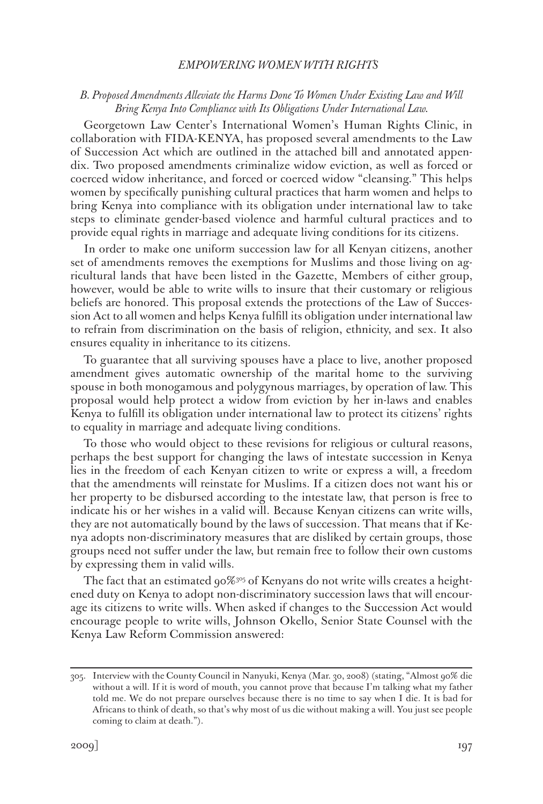## *B. Proposed Amendments Alleviate the Harms Done To Women Under Existing Law and Will Bring Kenya Into Compliance with Its Obligations Under International Law.*

Georgetown Law Center's International Women's Human Rights Clinic, in collaboration with FIDA-KENYA, has proposed several amendments to the Law of Succession Act which are outlined in the attached bill and annotated appendix. Two proposed amendments criminalize widow eviction, as well as forced or coerced widow inheritance, and forced or coerced widow "cleansing." This helps women by specifically punishing cultural practices that harm women and helps to bring Kenya into compliance with its obligation under international law to take steps to eliminate gender-based violence and harmful cultural practices and to provide equal rights in marriage and adequate living conditions for its citizens.

In order to make one uniform succession law for all Kenyan citizens, another set of amendments removes the exemptions for Muslims and those living on agricultural lands that have been listed in the Gazette, Members of either group, however, would be able to write wills to insure that their customary or religious beliefs are honored. This proposal extends the protections of the Law of Succession Act to all women and helps Kenya fulfill its obligation under international law to refrain from discrimination on the basis of religion, ethnicity, and sex. It also ensures equality in inheritance to its citizens.

To guarantee that all surviving spouses have a place to live, another proposed amendment gives automatic ownership of the marital home to the surviving spouse in both monogamous and polygynous marriages, by operation of law. This proposal would help protect a widow from eviction by her in-laws and enables Kenya to fulfill its obligation under international law to protect its citizens' rights to equality in marriage and adequate living conditions.

To those who would object to these revisions for religious or cultural reasons, perhaps the best support for changing the laws of intestate succession in Kenya lies in the freedom of each Kenyan citizen to write or express a will, a freedom that the amendments will reinstate for Muslims. If a citizen does not want his or her property to be disbursed according to the intestate law, that person is free to indicate his or her wishes in a valid will. Because Kenyan citizens can write wills, they are not automatically bound by the laws of succession. That means that if Kenya adopts non-discriminatory measures that are disliked by certain groups, those groups need not suffer under the law, but remain free to follow their own customs by expressing them in valid wills.

The fact that an estimated  $90\%$ <sup>305</sup> of Kenyans do not write wills creates a heightened duty on Kenya to adopt non-discriminatory succession laws that will encourage its citizens to write wills. When asked if changes to the Succession Act would encourage people to write wills, Johnson Okello, Senior State Counsel with the Kenya Law Reform Commission answered:

<sup>305.</sup> Interview with the County Council in Nanyuki, Kenya (Mar. 30, 2008) (stating, "Almost 90% die without a will. If it is word of mouth, you cannot prove that because I'm talking what my father told me. We do not prepare ourselves because there is no time to say when I die. It is bad for Africans to think of death, so that's why most of us die without making a will. You just see people coming to claim at death.").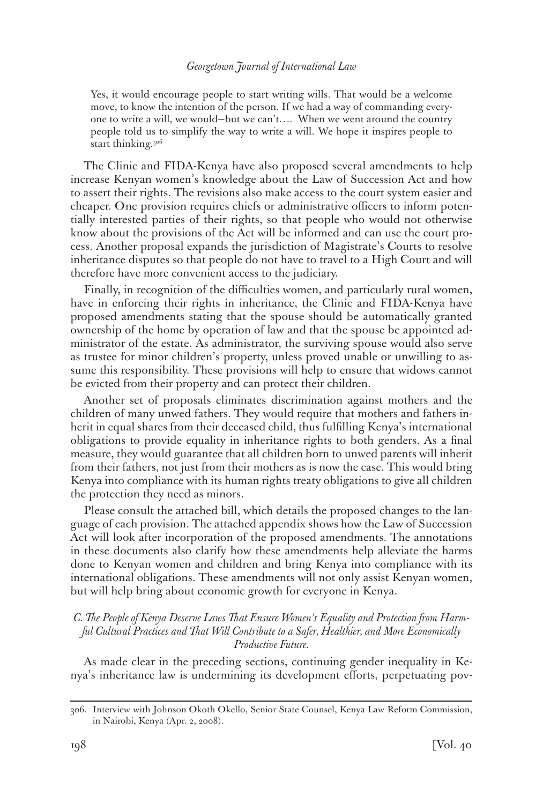Yes, it would encourage people to start writing wills. That would be a welcome move, to know the intention of the person. If we had a way of commanding everyone to write a will, we would—but we can't…. When we went around the country people told us to simplify the way to write a will. We hope it inspires people to start thinking.306

The Clinic and FIDA-Kenya have also proposed several amendments to help increase Kenyan women's knowledge about the Law of Succession Act and how to assert their rights. The revisions also make access to the court system easier and cheaper. One provision requires chiefs or administrative officers to inform potentially interested parties of their rights, so that people who would not otherwise know about the provisions of the Act will be informed and can use the court process. Another proposal expands the jurisdiction of Magistrate's Courts to resolve inheritance disputes so that people do not have to travel to a High Court and will therefore have more convenient access to the judiciary.

Finally, in recognition of the difficulties women, and particularly rural women, have in enforcing their rights in inheritance, the Clinic and FIDA-Kenya have proposed amendments stating that the spouse should be automatically granted ownership of the home by operation of law and that the spouse be appointed administrator of the estate. As administrator, the surviving spouse would also serve as trustee for minor children's property, unless proved unable or unwilling to assume this responsibility. These provisions will help to ensure that widows cannot be evicted from their property and can protect their children.

Another set of proposals eliminates discrimination against mothers and the children of many unwed fathers. They would require that mothers and fathers inherit in equal shares from their deceased child, thus fulfilling Kenya's international obligations to provide equality in inheritance rights to both genders. As a final measure, they would guarantee that all children born to unwed parents will inherit from their fathers, not just from their mothers as is now the case. This would bring Kenya into compliance with its human rights treaty obligations to give all children the protection they need as minors.

Please consult the attached bill, which details the proposed changes to the language of each provision. The attached appendix shows how the Law of Succession Act will look after incorporation of the proposed amendments. The annotations in these documents also clarify how these amendments help alleviate the harms done to Kenyan women and children and bring Kenya into compliance with its international obligations. These amendments will not only assist Kenyan women, but will help bring about economic growth for everyone in Kenya.

# *C. The People of Kenya Deserve Laws That Ensure Women's Equality and Protection from Harmful Cultural Practices and That Will Contribute to a Safer, Healthier, and More Economically Productive Future.*

As made clear in the preceding sections, continuing gender inequality in Kenya's inheritance law is undermining its development efforts, perpetuating pov-

<sup>306.</sup> Interview with Johnson Okoth Okello, Senior State Counsel, Kenya Law Reform Commission, in Nairobi, Kenya (Apr. 2, 2008).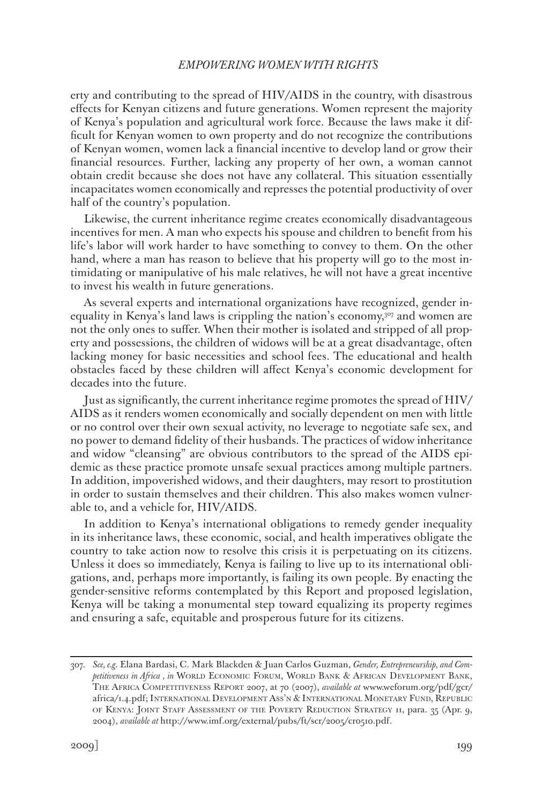erty and contributing to the spread of HIV/AIDS in the country, with disastrous effects for Kenyan citizens and future generations. Women represent the majority of Kenya's population and agricultural work force. Because the laws make it difficult for Kenyan women to own property and do not recognize the contributions of Kenyan women, women lack a financial incentive to develop land or grow their financial resources. Further, lacking any property of her own, a woman cannot obtain credit because she does not have any collateral. This situation essentially incapacitates women economically and represses the potential productivity of over half of the country's population.

Likewise, the current inheritance regime creates economically disadvantageous incentives for men. A man who expects his spouse and children to benefit from his life's labor will work harder to have something to convey to them. On the other hand, where a man has reason to believe that his property will go to the most intimidating or manipulative of his male relatives, he will not have a great incentive to invest his wealth in future generations.

As several experts and international organizations have recognized, gender inequality in Kenya's land laws is crippling the nation's economy,307 and women are not the only ones to suffer. When their mother is isolated and stripped of all property and possessions, the children of widows will be at a great disadvantage, often lacking money for basic necessities and school fees. The educational and health obstacles faced by these children will affect Kenya's economic development for decades into the future.

Just as significantly, the current inheritance regime promotes the spread of HIV/ AIDS as it renders women economically and socially dependent on men with little or no control over their own sexual activity, no leverage to negotiate safe sex, and no power to demand fidelity of their husbands. The practices of widow inheritance and widow "cleansing" are obvious contributors to the spread of the AIDS epidemic as these practice promote unsafe sexual practices among multiple partners. In addition, impoverished widows, and their daughters, may resort to prostitution in order to sustain themselves and their children. This also makes women vulnerable to, and a vehicle for, HIV/AIDS.

In addition to Kenya's international obligations to remedy gender inequality in its inheritance laws, these economic, social, and health imperatives obligate the country to take action now to resolve this crisis it is perpetuating on its citizens. Unless it does so immediately, Kenya is failing to live up to its international obligations, and, perhaps more importantly, is failing its own people. By enacting the gender-sensitive reforms contemplated by this Report and proposed legislation, Kenya will be taking a monumental step toward equalizing its property regimes and ensuring a safe, equitable and prosperous future for its citizens.

<sup>307.</sup> *See, e.g.* Elana Bardasi, C. Mark Blackden & Juan Carlos Guzman, *Gender, Entrepreneurship, and Com*petitiveness in Africa, in WORLD ECONOMIC FORUM, WORLD BANK & AFRICAN DEVELOPMENT BANK, The Africa Competitiveness Report 2007, at 70 (2007), *available at* www.weforum.org/pdf/gcr/ africa/1.4.pdf; International Development Ass'n & International Monetary Fund, Republic of Kenya: Joint Staff Assessment of the Poverty Reduction Strategy 11, para. 35 (Apr. 9, 2004), *available at* http://www.imf.org/external/pubs/ft/scr/2005/cr0510.pdf.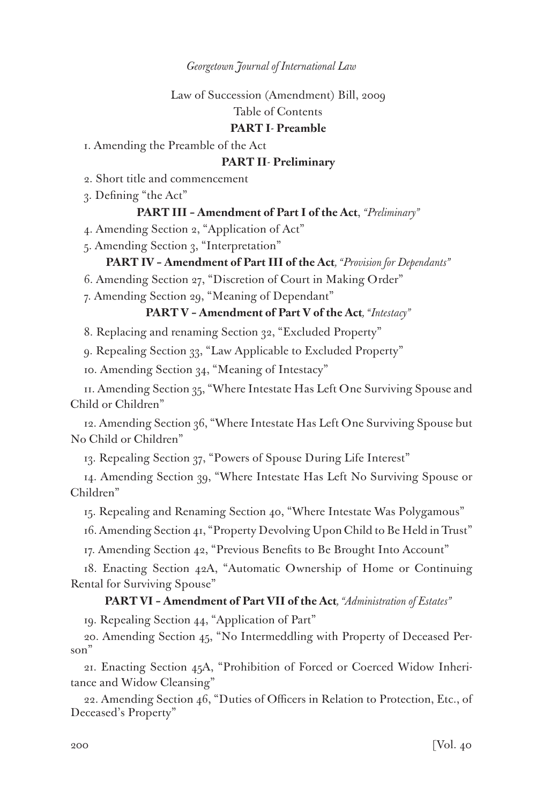Law of Succession (Amendment) Bill, 2009

Table of Contents

# **PART I***-* **Preamble**

1. Amending the Preamble of the Act

# **PART II***-* **Preliminary**

2. Short title and commencement

3. Defining "the Act"

# **PART III – Amendment of Part I of the Act**, *"Preliminary"*

4. Amending Section 2, "Application of Act"

5. Amending Section 3, "Interpretation"

### **PART IV – Amendment of Part III of the Act***, "Provision for Dependants"*

6. Amending Section 27, "Discretion of Court in Making Order"

7. Amending Section 29, "Meaning of Dependant"

# **PART V – Amendment of Part V of the Act***, "Intestacy"*

8. Replacing and renaming Section 32, "Excluded Property"

9. Repealing Section 33, "Law Applicable to Excluded Property"

10. Amending Section 34, "Meaning of Intestacy"

11. Amending Section 35, "Where Intestate Has Left One Surviving Spouse and Child or Children"

12. Amending Section 36, "Where Intestate Has Left One Surviving Spouse but No Child or Children"

13. Repealing Section 37, "Powers of Spouse During Life Interest"

14. Amending Section 39, "Where Intestate Has Left No Surviving Spouse or Children"

15. Repealing and Renaming Section 40, "Where Intestate Was Polygamous"

16. Amending Section 41, "Property Devolving Upon Child to Be Held in Trust"

17. Amending Section 42, "Previous Benefits to Be Brought Into Account"

18. Enacting Section 42A, "Automatic Ownership of Home or Continuing Rental for Surviving Spouse"

# **PART VI – Amendment of Part VII of the Act***, "Administration of Estates"*

19. Repealing Section 44, "Application of Part"

20. Amending Section 45, "No Intermeddling with Property of Deceased Person"

21. Enacting Section 45A, "Prohibition of Forced or Coerced Widow Inheritance and Widow Cleansing"

22. Amending Section 46, "Duties of Officers in Relation to Protection, Etc., of Deceased's Property"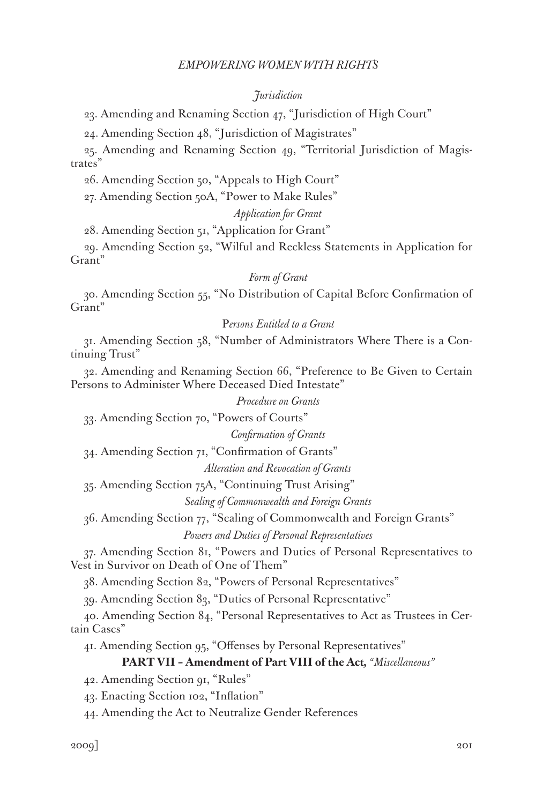### *Jurisdiction*

23. Amending and Renaming Section 47, "Jurisdiction of High Court"

24. Amending Section 48, "Jurisdiction of Magistrates"

25. Amending and Renaming Section 49, "Territorial Jurisdiction of Magistrates"

26. Amending Section 50, "Appeals to High Court"

27. Amending Section 50A, "Power to Make Rules"

### *Application for Grant*

28. Amending Section 51, "Application for Grant"

29. Amending Section 52, "Wilful and Reckless Statements in Application for Grant"

### *Form of Grant*

30. Amending Section 55, "No Distribution of Capital Before Confirmation of Grant"

### P*ersons Entitled to a Grant*

31. Amending Section 58, "Number of Administrators Where There is a Continuing Trust"

32. Amending and Renaming Section 66, "Preference to Be Given to Certain Persons to Administer Where Deceased Died Intestate"

*Procedure on Grants*

33. Amending Section 70, "Powers of Courts"

*Confirmation of Grants*

34. Amending Section 71, "Confirmation of Grants"

*Alteration and Revocation of Grants*

35. Amending Section 75A, "Continuing Trust Arising"

*Sealing of Commonwealth and Foreign Grants*

36. Amending Section 77, "Sealing of Commonwealth and Foreign Grants" *Powers and Duties of Personal Representatives*

37. Amending Section 81, "Powers and Duties of Personal Representatives to Vest in Survivor on Death of One of Them"

38. Amending Section 82, "Powers of Personal Representatives"

39. Amending Section 83, "Duties of Personal Representative"

40. Amending Section 84, "Personal Representatives to Act as Trustees in Certain Cases"

41. Amending Section 95, "Offenses by Personal Representatives"

### **PART VII – Amendment of Part VIII of the Act***, "Miscellaneous"*

42. Amending Section 91, "Rules"

43. Enacting Section 102, "Inflation"

44. Amending the Act to Neutralize Gender References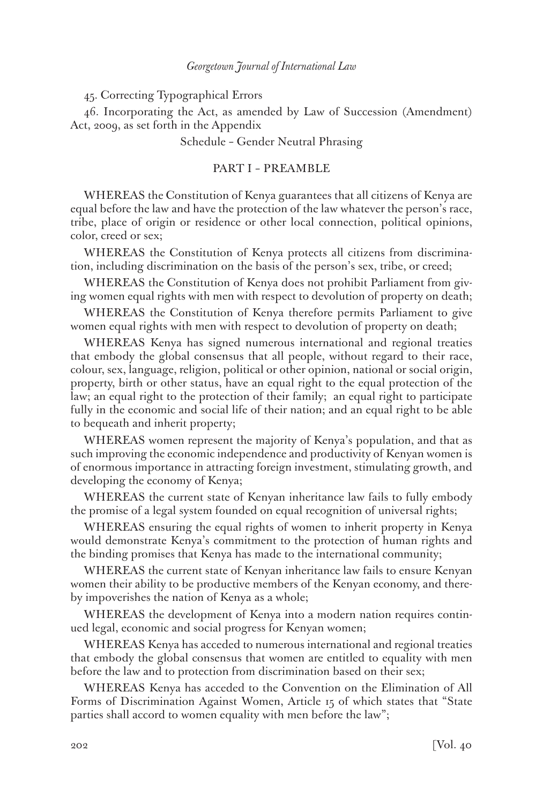45. Correcting Typographical Errors

46. Incorporating the Act, as amended by Law of Succession (Amendment) Act, 2009, as set forth in the Appendix

Schedule – Gender Neutral Phrasing

### PART I – PREAMBLE

WHEREAS the Constitution of Kenya guarantees that all citizens of Kenya are equal before the law and have the protection of the law whatever the person's race, tribe, place of origin or residence or other local connection, political opinions, color, creed or sex;

WHEREAS the Constitution of Kenya protects all citizens from discrimination, including discrimination on the basis of the person's sex, tribe, or creed;

WHEREAS the Constitution of Kenya does not prohibit Parliament from giving women equal rights with men with respect to devolution of property on death;

WHEREAS the Constitution of Kenya therefore permits Parliament to give women equal rights with men with respect to devolution of property on death;

WHEREAS Kenya has signed numerous international and regional treaties that embody the global consensus that all people, without regard to their race, colour, sex, language, religion, political or other opinion, national or social origin, property, birth or other status, have an equal right to the equal protection of the law; an equal right to the protection of their family; an equal right to participate fully in the economic and social life of their nation; and an equal right to be able to bequeath and inherit property;

WHEREAS women represent the majority of Kenya's population, and that as such improving the economic independence and productivity of Kenyan women is of enormous importance in attracting foreign investment, stimulating growth, and developing the economy of Kenya;

WHEREAS the current state of Kenyan inheritance law fails to fully embody the promise of a legal system founded on equal recognition of universal rights;

WHEREAS ensuring the equal rights of women to inherit property in Kenya would demonstrate Kenya's commitment to the protection of human rights and the binding promises that Kenya has made to the international community;

WHEREAS the current state of Kenyan inheritance law fails to ensure Kenyan women their ability to be productive members of the Kenyan economy, and thereby impoverishes the nation of Kenya as a whole;

WHEREAS the development of Kenya into a modern nation requires continued legal, economic and social progress for Kenyan women;

WHEREAS Kenya has acceded to numerous international and regional treaties that embody the global consensus that women are entitled to equality with men before the law and to protection from discrimination based on their sex;

WHEREAS Kenya has acceded to the Convention on the Elimination of All Forms of Discrimination Against Women, Article 15 of which states that "State parties shall accord to women equality with men before the law";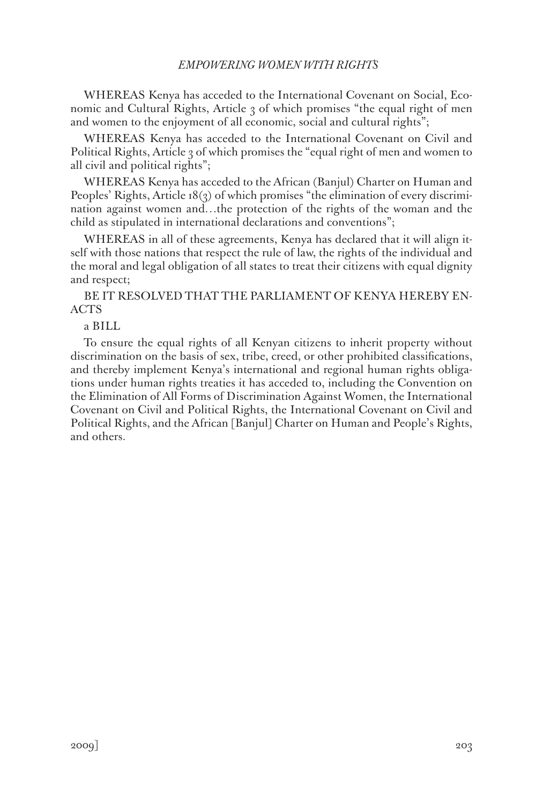WHEREAS Kenya has acceded to the International Covenant on Social, Economic and Cultural Rights, Article 3 of which promises "the equal right of men and women to the enjoyment of all economic, social and cultural rights";

WHEREAS Kenya has acceded to the International Covenant on Civil and Political Rights, Article 3 of which promises the "equal right of men and women to all civil and political rights";

WHEREAS Kenya has acceded to the African (Banjul) Charter on Human and Peoples' Rights, Article 18(3) of which promises "the elimination of every discrimination against women and…the protection of the rights of the woman and the child as stipulated in international declarations and conventions";

WHEREAS in all of these agreements, Kenya has declared that it will align itself with those nations that respect the rule of law, the rights of the individual and the moral and legal obligation of all states to treat their citizens with equal dignity and respect;

BE IT RESOLVED THAT THE PARLIAMENT OF KENYA HEREBY EN-ACTS

a BILL

To ensure the equal rights of all Kenyan citizens to inherit property without discrimination on the basis of sex, tribe, creed, or other prohibited classifications, and thereby implement Kenya's international and regional human rights obligations under human rights treaties it has acceded to, including the Convention on the Elimination of All Forms of Discrimination Against Women, the International Covenant on Civil and Political Rights, the International Covenant on Civil and Political Rights, and the African [Banjul] Charter on Human and People's Rights, and others.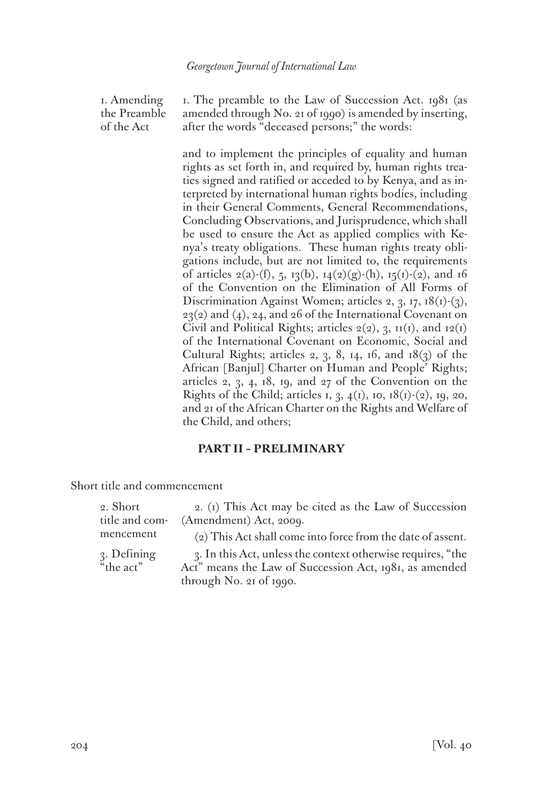1. Amending the Preamble of the Act

1. The preamble to the Law of Succession Act. 1981 (as amended through No. 21 of 1990) is amended by inserting, after the words "deceased persons;" the words:

and to implement the principles of equality and human rights as set forth in, and required by, human rights treaties signed and ratified or acceded to by Kenya, and as interpreted by international human rights bodies, including in their General Comments, General Recommendations, Concluding Observations, and Jurisprudence, which shall be used to ensure the Act as applied complies with Kenya's treaty obligations. These human rights treaty obligations include, but are not limited to, the requirements of articles  $2(a)$ -(f), 5, 13(b), 14(2)(g)-(h), 15(1)-(2), and 16 of the Convention on the Elimination of All Forms of Discrimination Against Women; articles 2, 3, 17,  $18(1)-(3)$ ,  $23(2)$  and (4), 24, and 26 of the International Covenant on Civil and Political Rights; articles  $2(2)$ , 3,  $\text{II}(1)$ , and  $\text{I}(1)$ of the International Covenant on Economic, Social and Cultural Rights; articles 2, 3, 8, 14, 16, and  $18(3)$  of the African [Banjul] Charter on Human and People' Rights; articles 2, 3, 4, 18, 19, and 27 of the Convention on the Rights of the Child; articles 1, 3,  $4(1)$ , 10,  $18(1)-(2)$ , 19, 20, and 21 of the African Charter on the Rights and Welfare of the Child, and others;

# **PART II – PRELIMINARY**

Short title and commencement

| 2. Short       | 2. (1) This Act may be cited as the Law of Succession       |
|----------------|-------------------------------------------------------------|
| title and com- | (Amendment) Act, 2009.                                      |
| mencement      | (2) This Act shall come into force from the date of assent. |
| 3. Defining    | 3. In this Act, unless the context otherwise requires, "the |
| "the act"      | Act" means the Law of Succession Act, 1981, as amended      |
|                | through No. 21 of 1990.                                     |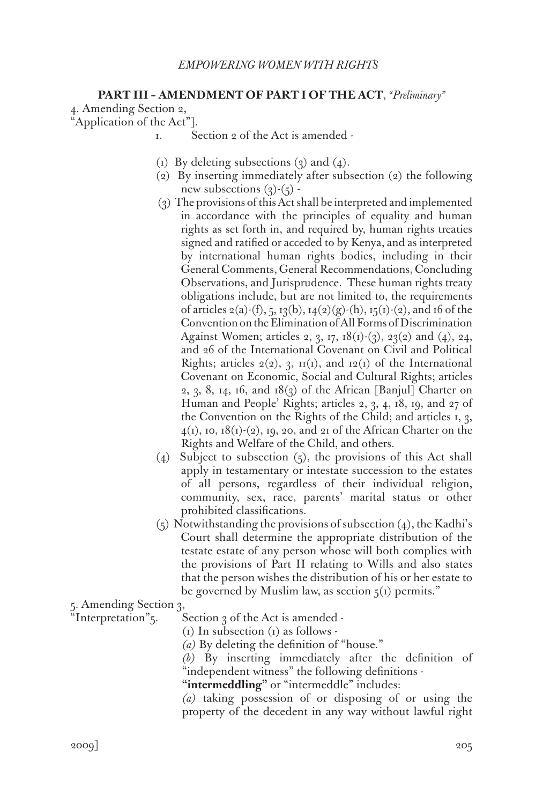# **PART III – AMENDMENT OF PART I OF THE ACT**, *"Preliminary"*

4. Amending Section 2,

"Application of the Act"].

- 1. Section 2 of the Act is amended -
- (1) By deleting subsections  $(3)$  and  $(4)$ .
- (2) By inserting immediately after subsection (2) the following new subsections  $(3)-(5)$ .
- (3) The provisions of this Act shall be interpreted and implemented in accordance with the principles of equality and human rights as set forth in, and required by, human rights treaties signed and ratified or acceded to by Kenya, and as interpreted by international human rights bodies, including in their General Comments, General Recommendations, Concluding Observations, and Jurisprudence. These human rights treaty obligations include, but are not limited to, the requirements of articles 2(a)-(f), 5, 13(b), 14(2)(g)-(h), 15(1)-(2), and 16 of the Convention on the Elimination of All Forms of Discrimination Against Women; articles 2, 3, 17, 18(1)-(3), 23(2) and (4), 24, and 26 of the International Covenant on Civil and Political Rights; articles  $2(2)$ , 3,  $\text{II}(1)$ , and  $\text{I}(2)$  of the International Covenant on Economic, Social and Cultural Rights; articles 2, 3, 8, 14, 16, and  $18(3)$  of the African [Banjul] Charter on Human and People' Rights; articles 2, 3, 4, 18, 19, and 27 of the Convention on the Rights of the Child; and articles 1, 3,  $4(1)$ , 10, 18(1)-(2), 19, 20, and 21 of the African Charter on the Rights and Welfare of the Child, and others.
- (4) Subject to subsection  $(5)$ , the provisions of this Act shall apply in testamentary or intestate succession to the estates of all persons, regardless of their individual religion, community, sex, race, parents' marital status or other prohibited classifications.
- $(5)$  Notwithstanding the provisions of subsection  $(4)$ , the Kadhi's Court shall determine the appropriate distribution of the testate estate of any person whose will both complies with the provisions of Part II relating to Wills and also states that the person wishes the distribution of his or her estate to be governed by Muslim law, as section  $\zeta(t)$  permits."

5. Amending Section 3,

"Interpretation" $\zeta$ . Section  $\zeta$  of the Act is amended -

 $(i)$  In subsection  $(i)$  as follows -

*(a)* By deleting the definition of "house."

*(b)* By inserting immediately after the definition of "independent witness" the following definitions -

**"intermeddling"** or "intermeddle" includes:

*(a)* taking possession of or disposing of or using the property of the decedent in any way without lawful right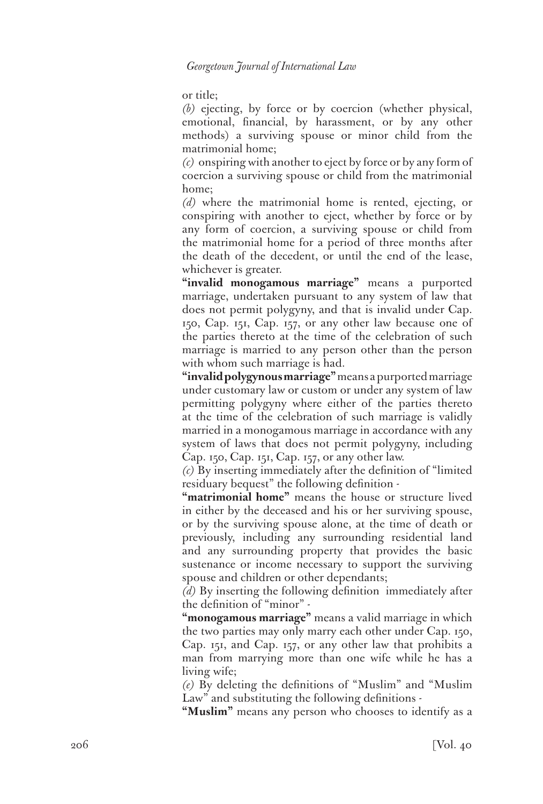or title;

*(b)* ejecting, by force or by coercion (whether physical, emotional, financial, by harassment, or by any other methods) a surviving spouse or minor child from the matrimonial home;

*(c)* onspiring with another to eject by force or by any form of coercion a surviving spouse or child from the matrimonial home;

*(d)* where the matrimonial home is rented, ejecting, or conspiring with another to eject, whether by force or by any form of coercion, a surviving spouse or child from the matrimonial home for a period of three months after the death of the decedent, or until the end of the lease, whichever is greater.

**"invalid monogamous marriage"** means a purported marriage, undertaken pursuant to any system of law that does not permit polygyny, and that is invalid under Cap. 150, Cap. 151, Cap. 157, or any other law because one of the parties thereto at the time of the celebration of such marriage is married to any person other than the person with whom such marriage is had.

**"invalid polygynous marriage"** means a purported marriage under customary law or custom or under any system of law permitting polygyny where either of the parties thereto at the time of the celebration of such marriage is validly married in a monogamous marriage in accordance with any system of laws that does not permit polygyny, including Cap. 150, Cap. 151, Cap. 157, or any other law.

*(c)* By inserting immediately after the definition of "limited residuary bequest" the following definition -

**"matrimonial home"** means the house or structure lived in either by the deceased and his or her surviving spouse, or by the surviving spouse alone, at the time of death or previously, including any surrounding residential land and any surrounding property that provides the basic sustenance or income necessary to support the surviving spouse and children or other dependants;

*(d)* By inserting the following definition immediately after the definition of "minor" -

**"monogamous marriage"** means a valid marriage in which the two parties may only marry each other under Cap. 150, Cap. 151, and Cap. 157, or any other law that prohibits a man from marrying more than one wife while he has a living wife;

*(e)* By deleting the definitions of "Muslim" and "Muslim Law" and substituting the following definitions -

**"Muslim"** means any person who chooses to identify as a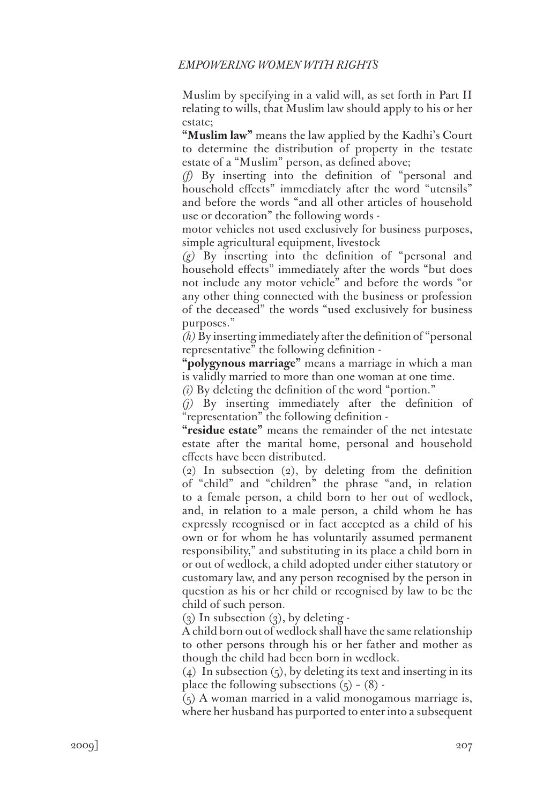Muslim by specifying in a valid will, as set forth in Part II relating to wills, that Muslim law should apply to his or her estate;

**"Muslim law"** means the law applied by the Kadhi's Court to determine the distribution of property in the testate estate of a "Muslim" person, as defined above;

*(f)* By inserting into the definition of "personal and household effects" immediately after the word "utensils" and before the words "and all other articles of household use or decoration" the following words -

motor vehicles not used exclusively for business purposes, simple agricultural equipment, livestock

*(g)* By inserting into the definition of "personal and household effects" immediately after the words "but does not include any motor vehicle" and before the words "or any other thing connected with the business or profession of the deceased" the words "used exclusively for business purposes."

*(h)* By inserting immediately after the definition of "personal representative" the following definition -

**"polygynous marriage"** means a marriage in which a man is validly married to more than one woman at one time.

*(i)* By deleting the definition of the word "portion."

*(j)* By inserting immediately after the definition of "representation" the following definition -

**"residue estate"** means the remainder of the net intestate estate after the marital home, personal and household effects have been distributed.

(2) In subsection (2), by deleting from the definition of "child" and "children" the phrase "and, in relation to a female person, a child born to her out of wedlock, and, in relation to a male person, a child whom he has expressly recognised or in fact accepted as a child of his own or for whom he has voluntarily assumed permanent responsibility," and substituting in its place a child born in or out of wedlock, a child adopted under either statutory or customary law, and any person recognised by the person in question as his or her child or recognised by law to be the child of such person.

 $(3)$  In subsection  $(3)$ , by deleting -

A child born out of wedlock shall have the same relationship to other persons through his or her father and mother as though the child had been born in wedlock.

 $(4)$  In subsection  $(5)$ , by deleting its text and inserting in its place the following subsections  $(5) - (8)$ .

(5) A woman married in a valid monogamous marriage is, where her husband has purported to enter into a subsequent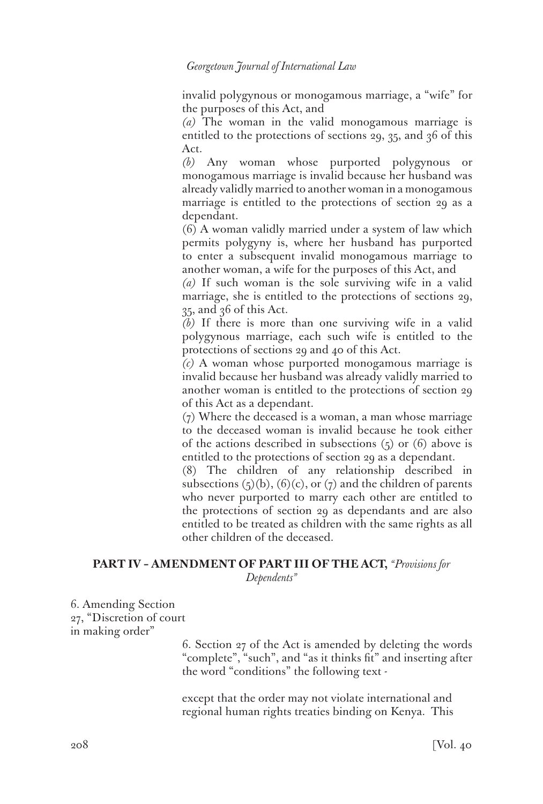invalid polygynous or monogamous marriage, a "wife" for the purposes of this Act, and

*(a)* The woman in the valid monogamous marriage is entitled to the protections of sections 29, 35, and 36 of this Act.

*(b)* Any woman whose purported polygynous or monogamous marriage is invalid because her husband was already validly married to another woman in a monogamous marriage is entitled to the protections of section 29 as a dependant.

(6) A woman validly married under a system of law which permits polygyny is, where her husband has purported to enter a subsequent invalid monogamous marriage to another woman, a wife for the purposes of this Act, and

*(a)* If such woman is the sole surviving wife in a valid marriage, she is entitled to the protections of sections 29, 35, and 36 of this Act.

*(b)* If there is more than one surviving wife in a valid polygynous marriage, each such wife is entitled to the protections of sections 29 and 40 of this Act.

*(c)* A woman whose purported monogamous marriage is invalid because her husband was already validly married to another woman is entitled to the protections of section 29 of this Act as a dependant.

(7) Where the deceased is a woman, a man whose marriage to the deceased woman is invalid because he took either of the actions described in subsections  $(5)$  or  $(6)$  above is entitled to the protections of section 29 as a dependant.

(8) The children of any relationship described in subsections  $(5)(b)$ ,  $(6)(c)$ , or  $(7)$  and the children of parents who never purported to marry each other are entitled to the protections of section 29 as dependants and are also entitled to be treated as children with the same rights as all other children of the deceased.

# **PART IV – AMENDMENT OF PART III OF THE ACT,** *"Provisions for*

*Dependents"*

6. Amending Section 27, "Discretion of court in making order"

> 6. Section 27 of the Act is amended by deleting the words "complete", "such", and "as it thinks fit" and inserting after the word "conditions" the following text -

except that the order may not violate international and regional human rights treaties binding on Kenya. This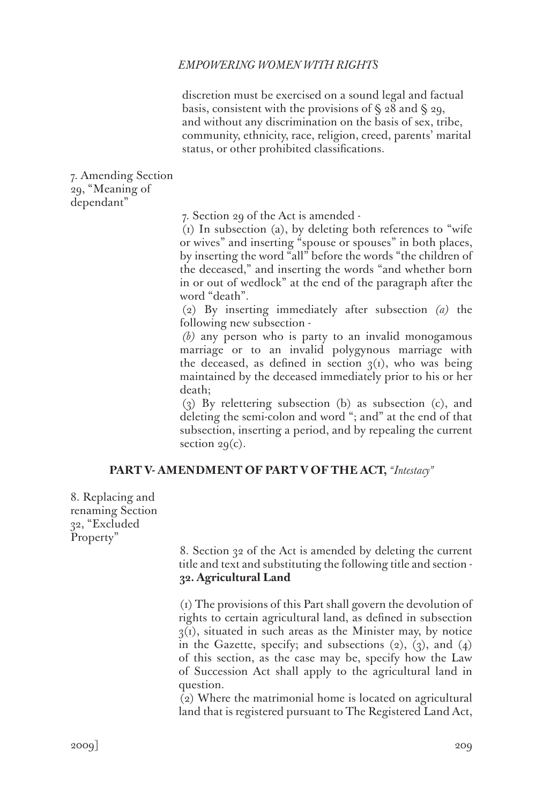discretion must be exercised on a sound legal and factual basis, consistent with the provisions of  $\S$  28 and  $\S$  29, and without any discrimination on the basis of sex, tribe, community, ethnicity, race, religion, creed, parents' marital status, or other prohibited classifications.

7. Amending Section 29, "Meaning of dependant"

7. Section 29 of the Act is amended -

(1) In subsection (a), by deleting both references to "wife or wives" and inserting "spouse or spouses" in both places, by inserting the word "all" before the words "the children of the deceased," and inserting the words "and whether born in or out of wedlock" at the end of the paragraph after the word "death".

(2) By inserting immediately after subsection *(a)* the following new subsection -

*(b)* any person who is party to an invalid monogamous marriage or to an invalid polygynous marriage with the deceased, as defined in section  $q(i)$ , who was being maintained by the deceased immediately prior to his or her death;

(3) By relettering subsection (b) as subsection (c), and deleting the semi-colon and word "; and" at the end of that subsection, inserting a period, and by repealing the current section  $29(c)$ .

# **PART V- AMENDMENT OF PART V OF THE ACT,** *"Intestacy"*

8. Replacing and renaming Section 32, "Excluded Property"

> 8. Section 32 of the Act is amended by deleting the current title and text and substituting the following title and section - **32. Agricultural Land**

> (1) The provisions of this Part shall govern the devolution of rights to certain agricultural land, as defined in subsection  $3(1)$ , situated in such areas as the Minister may, by notice in the Gazette, specify; and subsections  $(2)$ ,  $(3)$ , and  $(4)$ of this section, as the case may be, specify how the Law of Succession Act shall apply to the agricultural land in question.

> (2) Where the matrimonial home is located on agricultural land that is registered pursuant to The Registered Land Act,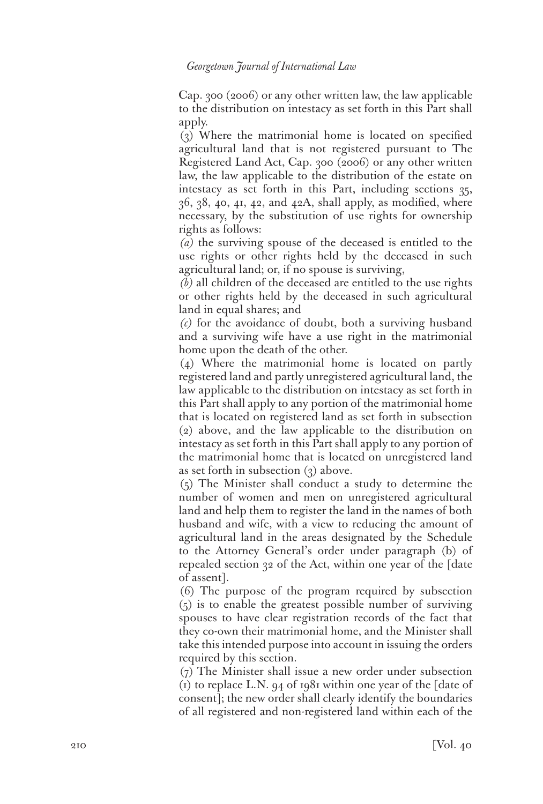Cap. 300 (2006) or any other written law, the law applicable to the distribution on intestacy as set forth in this Part shall apply.

(3) Where the matrimonial home is located on specified agricultural land that is not registered pursuant to The Registered Land Act, Cap. 300 (2006) or any other written law, the law applicable to the distribution of the estate on intestacy as set forth in this Part, including sections 35,  $36, 38, 40, 41, 42,$  and  $42A$ , shall apply, as modified, where necessary, by the substitution of use rights for ownership rights as follows:

*(a)* the surviving spouse of the deceased is entitled to the use rights or other rights held by the deceased in such agricultural land; or, if no spouse is surviving,

*(b)* all children of the deceased are entitled to the use rights or other rights held by the deceased in such agricultural land in equal shares; and

*(c)* for the avoidance of doubt, both a surviving husband and a surviving wife have a use right in the matrimonial home upon the death of the other.

(4) Where the matrimonial home is located on partly registered land and partly unregistered agricultural land, the law applicable to the distribution on intestacy as set forth in this Part shall apply to any portion of the matrimonial home that is located on registered land as set forth in subsection (2) above, and the law applicable to the distribution on intestacy as set forth in this Part shall apply to any portion of the matrimonial home that is located on unregistered land as set forth in subsection (3) above.

(5) The Minister shall conduct a study to determine the number of women and men on unregistered agricultural land and help them to register the land in the names of both husband and wife, with a view to reducing the amount of agricultural land in the areas designated by the Schedule to the Attorney General's order under paragraph (b) of repealed section 32 of the Act, within one year of the [date of assent].

(6) The purpose of the program required by subsection (5) is to enable the greatest possible number of surviving spouses to have clear registration records of the fact that they co-own their matrimonial home, and the Minister shall take this intended purpose into account in issuing the orders required by this section.

(7) The Minister shall issue a new order under subsection (1) to replace L.N. 94 of 1981 within one year of the [date of consent]; the new order shall clearly identify the boundaries of all registered and non-registered land within each of the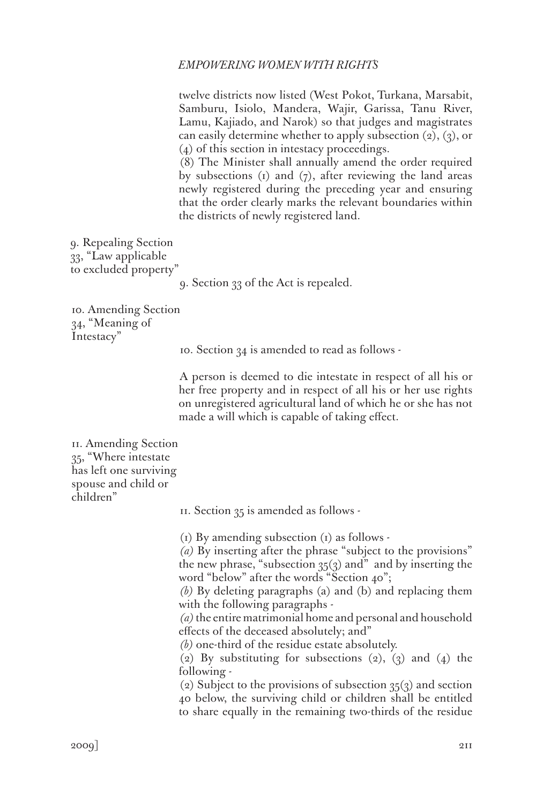twelve districts now listed (West Pokot, Turkana, Marsabit, Samburu, Isiolo, Mandera, Wajir, Garissa, Tanu River, Lamu, Kajiado, and Narok) so that judges and magistrates can easily determine whether to apply subsection  $(2)$ ,  $(3)$ , or (4) of this section in intestacy proceedings.

(8) The Minister shall annually amend the order required by subsections  $(i)$  and  $(j)$ , after reviewing the land areas newly registered during the preceding year and ensuring that the order clearly marks the relevant boundaries within the districts of newly registered land.

9. Repealing Section 33, "Law applicable to excluded property"

9. Section 33 of the Act is repealed.

10. Amending Section 34, "Meaning of Intestacy"

10. Section 34 is amended to read as follows -

A person is deemed to die intestate in respect of all his or her free property and in respect of all his or her use rights on unregistered agricultural land of which he or she has not made a will which is capable of taking effect.

11. Amending Section 35, "Where intestate has left one surviving spouse and child or children"

11. Section 35 is amended as follows -

 $(i)$  By amending subsection  $(i)$  as follows -

*(a)* By inserting after the phrase "subject to the provisions" the new phrase, "subsection  $35(3)$  and" and by inserting the word "below" after the words "Section 40";

*(b)* By deleting paragraphs (a) and (b) and replacing them with the following paragraphs -

*(a)* the entire matrimonial home and personal and household effects of the deceased absolutely; and"

*(b)* one-third of the residue estate absolutely.

(2) By substituting for subsections  $(2)$ ,  $(3)$  and  $(4)$  the following -

(2) Subject to the provisions of subsection  $35(3)$  and section 40 below, the surviving child or children shall be entitled to share equally in the remaining two-thirds of the residue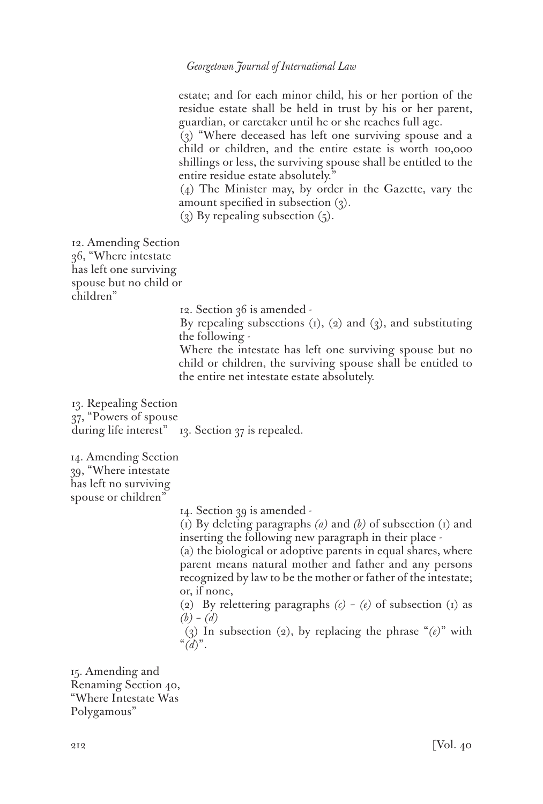estate; and for each minor child, his or her portion of the residue estate shall be held in trust by his or her parent, guardian, or caretaker until he or she reaches full age.

(3) "Where deceased has left one surviving spouse and a child or children, and the entire estate is worth 100,000 shillings or less, the surviving spouse shall be entitled to the entire residue estate absolutely."

(4) The Minister may, by order in the Gazette, vary the amount specified in subsection (3).

(3) By repealing subsection  $(5)$ .

12. Amending Section 36, "Where intestate has left one surviving spouse but no child or children"

12. Section 36 is amended -

By repealing subsections  $(i)$ ,  $(2)$  and  $(3)$ , and substituting the following -

Where the intestate has left one surviving spouse but no child or children, the surviving spouse shall be entitled to the entire net intestate estate absolutely.

13. Repealing Section 37, "Powers of spouse during life interest" 13. Section 37 is repealed.

14. Amending Section 39, "Where intestate has left no surviving spouse or children'

14. Section 39 is amended -

(1) By deleting paragraphs *(a)* and *(b)* of subsection (1) and inserting the following new paragraph in their place -

(a) the biological or adoptive parents in equal shares, where parent means natural mother and father and any persons recognized by law to be the mother or father of the intestate; or, if none,

(2) By relettering paragraphs *(c)* – *(e)* of subsection (1) as *(b)* – *(d)*

 (3) In subsection (2), by replacing the phrase "*(e)*" with "*(d*)".

15. Amending and Renaming Section 40, "Where Intestate Was Polygamous"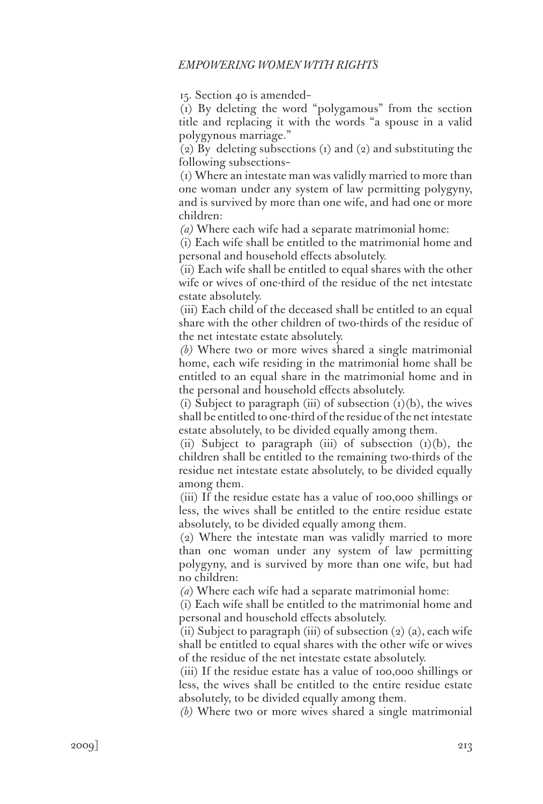15. Section 40 is amended–

(1) By deleting the word "polygamous" from the section title and replacing it with the words "a spouse in a valid polygynous marriage."

(2) By deleting subsections (1) and (2) and substituting the following subsections–

(1) Where an intestate man was validly married to more than one woman under any system of law permitting polygyny, and is survived by more than one wife, and had one or more children:

*(a)* Where each wife had a separate matrimonial home:

(i) Each wife shall be entitled to the matrimonial home and personal and household effects absolutely.

(ii) Each wife shall be entitled to equal shares with the other wife or wives of one-third of the residue of the net intestate estate absolutely.

(iii) Each child of the deceased shall be entitled to an equal share with the other children of two-thirds of the residue of the net intestate estate absolutely.

*(b)* Where two or more wives shared a single matrimonial home, each wife residing in the matrimonial home shall be entitled to an equal share in the matrimonial home and in the personal and household effects absolutely.

(i) Subject to paragraph (iii) of subsection  $(1)(b)$ , the wives shall be entitled to one-third of the residue of the net intestate estate absolutely, to be divided equally among them.

(ii) Subject to paragraph (iii) of subsection  $(I)(b)$ , the children shall be entitled to the remaining two-thirds of the residue net intestate estate absolutely, to be divided equally among them.

(iii) If the residue estate has a value of 100,000 shillings or less, the wives shall be entitled to the entire residue estate absolutely, to be divided equally among them.

(2) Where the intestate man was validly married to more than one woman under any system of law permitting polygyny, and is survived by more than one wife, but had no children:

*(a*) Where each wife had a separate matrimonial home:

(i) Each wife shall be entitled to the matrimonial home and personal and household effects absolutely.

(ii) Subject to paragraph (iii) of subsection  $(2)$   $(a)$ , each wife shall be entitled to equal shares with the other wife or wives of the residue of the net intestate estate absolutely.

(iii) If the residue estate has a value of 100,000 shillings or less, the wives shall be entitled to the entire residue estate absolutely, to be divided equally among them.

*(b)* Where two or more wives shared a single matrimonial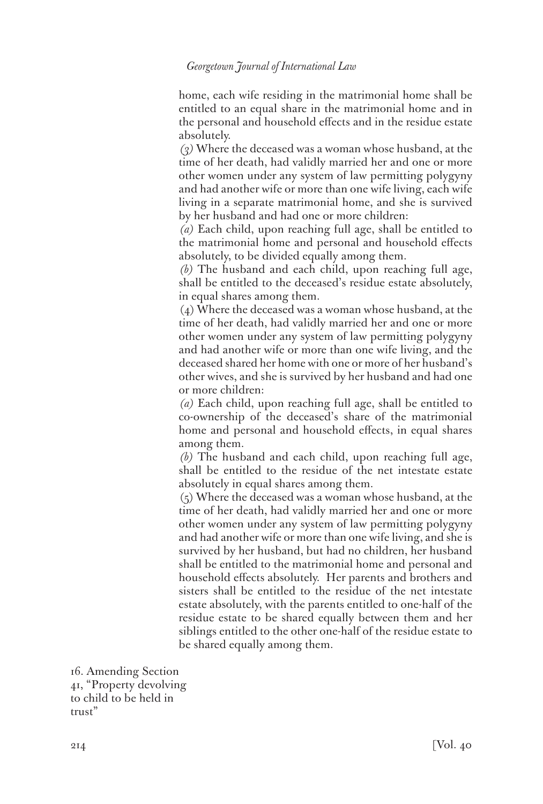home, each wife residing in the matrimonial home shall be entitled to an equal share in the matrimonial home and in the personal and household effects and in the residue estate absolutely.

*(3)* Where the deceased was a woman whose husband, at the time of her death, had validly married her and one or more other women under any system of law permitting polygyny and had another wife or more than one wife living, each wife living in a separate matrimonial home, and she is survived by her husband and had one or more children:

*(a)* Each child, upon reaching full age, shall be entitled to the matrimonial home and personal and household effects absolutely, to be divided equally among them.

*(b)* The husband and each child, upon reaching full age, shall be entitled to the deceased's residue estate absolutely, in equal shares among them.

(4) Where the deceased was a woman whose husband, at the time of her death, had validly married her and one or more other women under any system of law permitting polygyny and had another wife or more than one wife living, and the deceased shared her home with one or more of her husband's other wives, and she is survived by her husband and had one or more children:

*(a)* Each child, upon reaching full age, shall be entitled to co-ownership of the deceased's share of the matrimonial home and personal and household effects, in equal shares among them.

*(b)* The husband and each child, upon reaching full age, shall be entitled to the residue of the net intestate estate absolutely in equal shares among them.

(5) Where the deceased was a woman whose husband, at the time of her death, had validly married her and one or more other women under any system of law permitting polygyny and had another wife or more than one wife living, and she is survived by her husband, but had no children, her husband shall be entitled to the matrimonial home and personal and household effects absolutely. Her parents and brothers and sisters shall be entitled to the residue of the net intestate estate absolutely, with the parents entitled to one-half of the residue estate to be shared equally between them and her siblings entitled to the other one-half of the residue estate to be shared equally among them.

16. Amending Section 41, "Property devolving to child to be held in trust"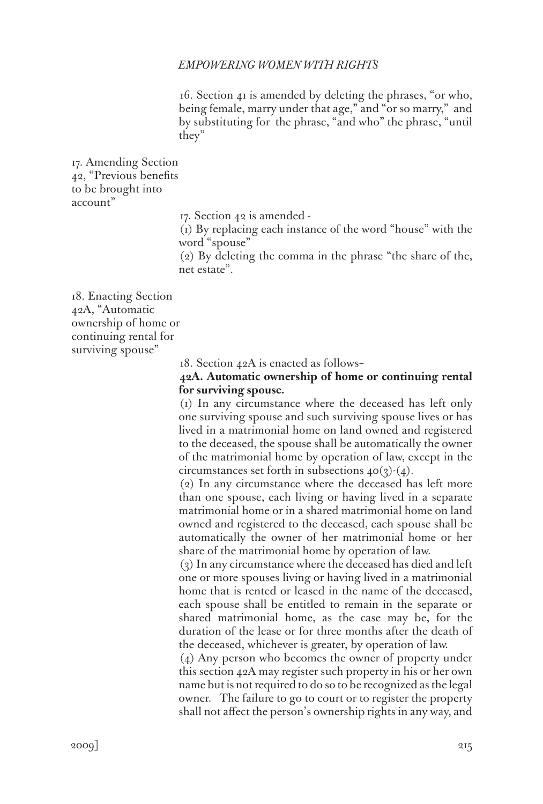16. Section 41 is amended by deleting the phrases, "or who, being female, marry under that age," and "or so marry," and by substituting for the phrase, "and who" the phrase, "until they"

17. Amending Section 42, "Previous benefits to be brought into account"

17. Section 42 is amended -

(1) By replacing each instance of the word "house" with the word "spouse"

(2) By deleting the comma in the phrase "the share of the, net estate".

18. Enacting Section 42A, "Automatic ownership of home or continuing rental for surviving spouse"

18. Section 42A is enacted as follows–

# **42A. Automatic ownership of home or continuing rental for surviving spouse.**

(1) In any circumstance where the deceased has left only one surviving spouse and such surviving spouse lives or has lived in a matrimonial home on land owned and registered to the deceased, the spouse shall be automatically the owner of the matrimonial home by operation of law, except in the circumstances set forth in subsections  $40(3)(4)$ .

(2) In any circumstance where the deceased has left more than one spouse, each living or having lived in a separate matrimonial home or in a shared matrimonial home on land owned and registered to the deceased, each spouse shall be automatically the owner of her matrimonial home or her share of the matrimonial home by operation of law.

(3) In any circumstance where the deceased has died and left one or more spouses living or having lived in a matrimonial home that is rented or leased in the name of the deceased, each spouse shall be entitled to remain in the separate or shared matrimonial home, as the case may be, for the duration of the lease or for three months after the death of the deceased, whichever is greater, by operation of law.

(4) Any person who becomes the owner of property under this section 42A may register such property in his or her own name but is not required to do so to be recognized as the legal owner. The failure to go to court or to register the property shall not affect the person's ownership rights in any way, and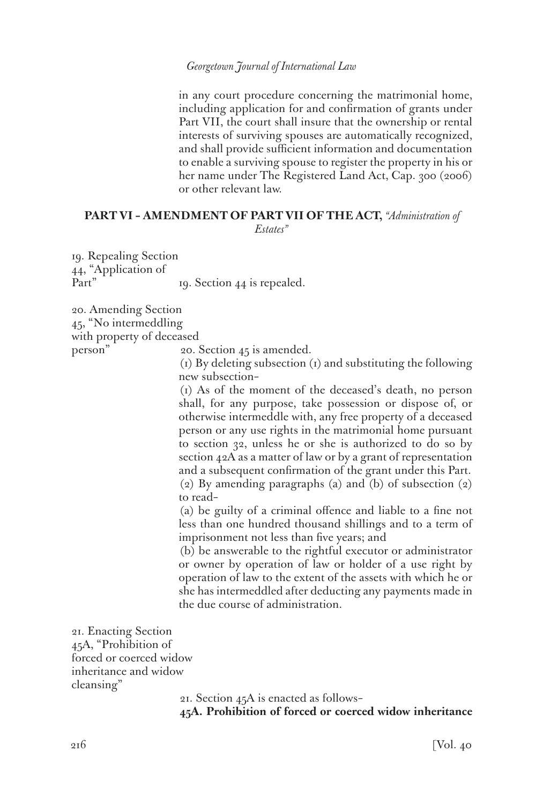in any court procedure concerning the matrimonial home, including application for and confirmation of grants under Part VII, the court shall insure that the ownership or rental interests of surviving spouses are automatically recognized, and shall provide sufficient information and documentation to enable a surviving spouse to register the property in his or her name under The Registered Land Act, Cap. 300 (2006) or other relevant law.

### **PART VI – AMENDMENT OF PART VII OF THE ACT,** *"Administration of Estates"*

19. Repealing Section 44, "Application of Part" 19. Section 44 is repealed.

20. Amending Section 45, "No intermeddling with property of deceased person" 20. Section 45 is amended.

(1) By deleting subsection (1) and substituting the following new subsection–

(1) As of the moment of the deceased's death, no person shall, for any purpose, take possession or dispose of, or otherwise intermeddle with, any free property of a deceased person or any use rights in the matrimonial home pursuant to section 32, unless he or she is authorized to do so by section 42A as a matter of law or by a grant of representation and a subsequent confirmation of the grant under this Part. (2) By amending paragraphs (a) and (b) of subsection (2) to read–

(a) be guilty of a criminal offence and liable to a fine not less than one hundred thousand shillings and to a term of imprisonment not less than five years; and

(b) be answerable to the rightful executor or administrator or owner by operation of law or holder of a use right by operation of law to the extent of the assets with which he or she has intermeddled after deducting any payments made in the due course of administration.

21. Enacting Section 45A, "Prohibition of forced or coerced widow inheritance and widow cleansing"

21. Section 45A is enacted as follows–

**45A. Prohibition of forced or coerced widow inheritance**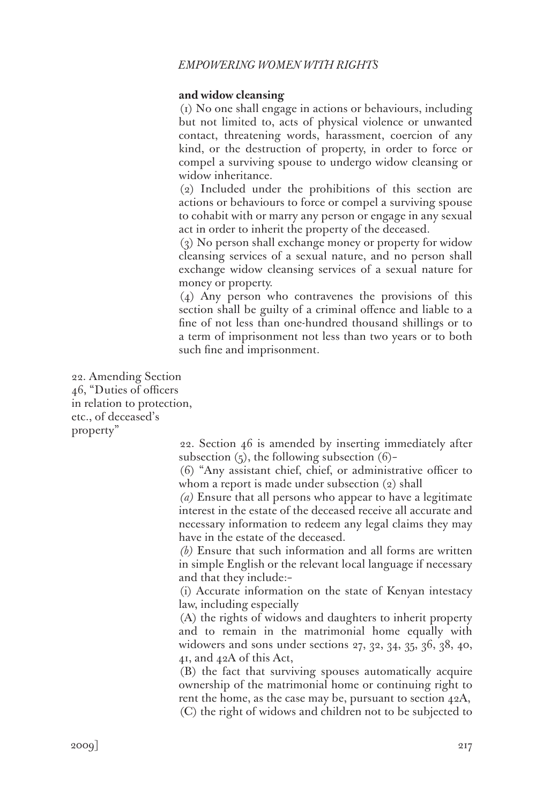### **and widow cleansing**

(1) No one shall engage in actions or behaviours, including but not limited to, acts of physical violence or unwanted contact, threatening words, harassment, coercion of any kind, or the destruction of property, in order to force or compel a surviving spouse to undergo widow cleansing or widow inheritance.

(2) Included under the prohibitions of this section are actions or behaviours to force or compel a surviving spouse to cohabit with or marry any person or engage in any sexual act in order to inherit the property of the deceased.

(3) No person shall exchange money or property for widow cleansing services of a sexual nature, and no person shall exchange widow cleansing services of a sexual nature for money or property.

(4) Any person who contravenes the provisions of this section shall be guilty of a criminal offence and liable to a fine of not less than one-hundred thousand shillings or to a term of imprisonment not less than two years or to both such fine and imprisonment.

22. Amending Section 46, "Duties of officers in relation to protection, etc., of deceased's property"

22. Section 46 is amended by inserting immediately after subsection  $(5)$ , the following subsection  $(6)$ -

(6) "Any assistant chief, chief, or administrative officer to whom a report is made under subsection (2) shall

*(a)* Ensure that all persons who appear to have a legitimate interest in the estate of the deceased receive all accurate and necessary information to redeem any legal claims they may have in the estate of the deceased.

*(b)* Ensure that such information and all forms are written in simple English or the relevant local language if necessary and that they include:–

(i) Accurate information on the state of Kenyan intestacy law, including especially

(A) the rights of widows and daughters to inherit property and to remain in the matrimonial home equally with widowers and sons under sections 27, 32, 34, 35, 36, 38, 40, 41, and 42A of this Act,

(B) the fact that surviving spouses automatically acquire ownership of the matrimonial home or continuing right to rent the home, as the case may be, pursuant to section 42A, (C) the right of widows and children not to be subjected to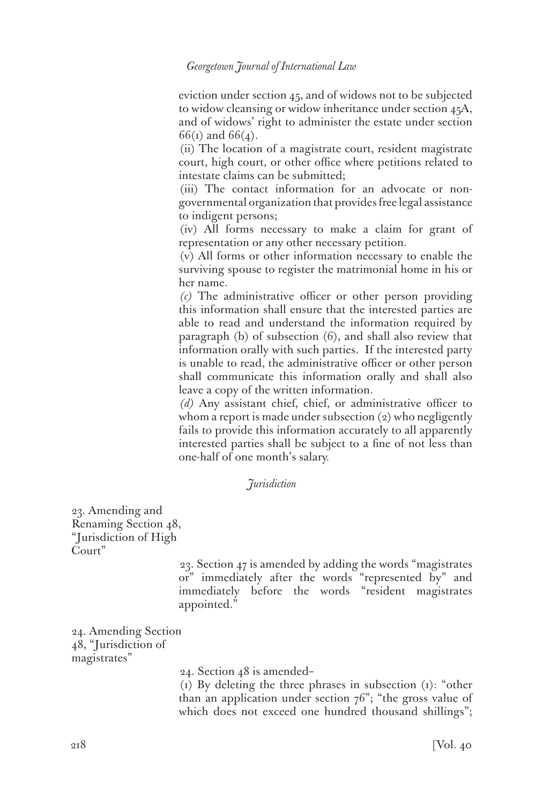eviction under section 45, and of widows not to be subjected to widow cleansing or widow inheritance under section 45A, and of widows' right to administer the estate under section 66(1) and 66(4).

(ii) The location of a magistrate court, resident magistrate court, high court, or other office where petitions related to intestate claims can be submitted;

(iii) The contact information for an advocate or nongovernmental organization that provides free legal assistance to indigent persons;

(iv) All forms necessary to make a claim for grant of representation or any other necessary petition.

(v) All forms or other information necessary to enable the surviving spouse to register the matrimonial home in his or her name.

*(c)* The administrative officer or other person providing this information shall ensure that the interested parties are able to read and understand the information required by paragraph (b) of subsection (6), and shall also review that information orally with such parties. If the interested party is unable to read, the administrative officer or other person shall communicate this information orally and shall also leave a copy of the written information.

*(d)* Any assistant chief, chief, or administrative officer to whom a report is made under subsection  $(2)$  who negligently fails to provide this information accurately to all apparently interested parties shall be subject to a fine of not less than one-half of one month's salary.

### *Jurisdiction*

23. Amending and Renaming Section 48, "Jurisdiction of High Court"

> 23. Section 47 is amended by adding the words "magistrates or" immediately after the words "represented by" and immediately before the words "resident magistrates appointed."

24. Amending Section 48, "Jurisdiction of magistrates"

24. Section 48 is amended–

(1) By deleting the three phrases in subsection (1): "other than an application under section  $76$ "; "the gross value of which does not exceed one hundred thousand shillings";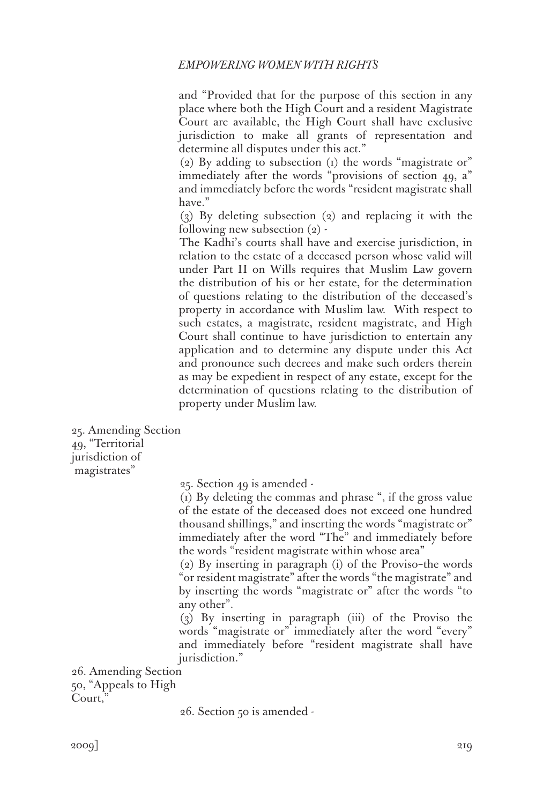and "Provided that for the purpose of this section in any place where both the High Court and a resident Magistrate Court are available, the High Court shall have exclusive jurisdiction to make all grants of representation and determine all disputes under this act."

(2) By adding to subsection (1) the words "magistrate or" immediately after the words "provisions of section 49, a" and immediately before the words "resident magistrate shall have."

(3) By deleting subsection (2) and replacing it with the following new subsection  $(2)$  -

The Kadhi's courts shall have and exercise jurisdiction, in relation to the estate of a deceased person whose valid will under Part II on Wills requires that Muslim Law govern the distribution of his or her estate, for the determination of questions relating to the distribution of the deceased's property in accordance with Muslim law. With respect to such estates, a magistrate, resident magistrate, and High Court shall continue to have jurisdiction to entertain any application and to determine any dispute under this Act and pronounce such decrees and make such orders therein as may be expedient in respect of any estate, except for the determination of questions relating to the distribution of property under Muslim law.

25. Amending Section 49, "Territorial jurisdiction of magistrates"

25. Section 49 is amended -

(1) By deleting the commas and phrase ", if the gross value of the estate of the deceased does not exceed one hundred thousand shillings," and inserting the words "magistrate or" immediately after the word "The" and immediately before the words "resident magistrate within whose area"

(2) By inserting in paragraph (i) of the Proviso–the words "or resident magistrate" after the words "the magistrate" and by inserting the words "magistrate or" after the words "to any other".

(3) By inserting in paragraph (iii) of the Proviso the words "magistrate or" immediately after the word "every" and immediately before "resident magistrate shall have jurisdiction."

26. Amending Section 50, "Appeals to High Court,

26. Section 50 is amended -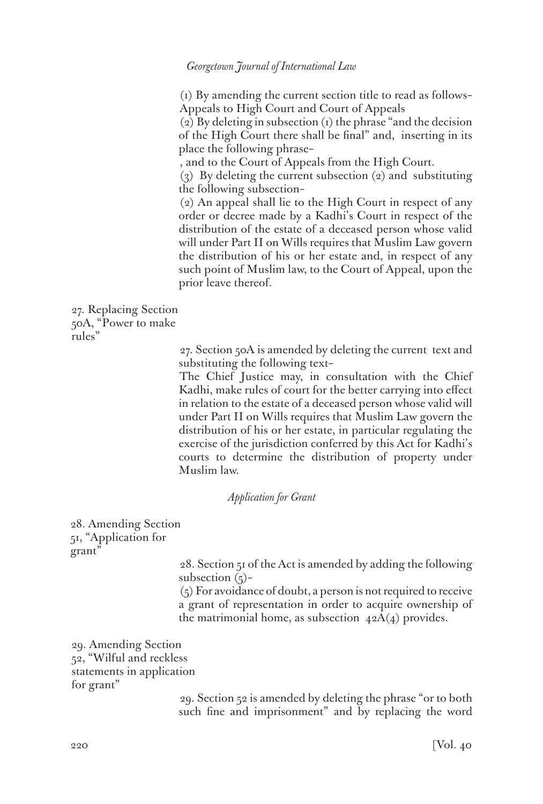(1) By amending the current section title to read as follows– Appeals to High Court and Court of Appeals

(2) By deleting in subsection (1) the phrase "and the decision of the High Court there shall be final" and, inserting in its place the following phrase–

, and to the Court of Appeals from the High Court.

(3) By deleting the current subsection (2) and substituting the following subsection–

(2) An appeal shall lie to the High Court in respect of any order or decree made by a Kadhi's Court in respect of the distribution of the estate of a deceased person whose valid will under Part II on Wills requires that Muslim Law govern the distribution of his or her estate and, in respect of any such point of Muslim law, to the Court of Appeal, upon the prior leave thereof.

27. Replacing Section 50A, "Power to make rules"

> 27. Section 50A is amended by deleting the current text and substituting the following text–

> The Chief Justice may, in consultation with the Chief Kadhi, make rules of court for the better carrying into effect in relation to the estate of a deceased person whose valid will under Part II on Wills requires that Muslim Law govern the distribution of his or her estate, in particular regulating the exercise of the jurisdiction conferred by this Act for Kadhi's courts to determine the distribution of property under Muslim law.

### *Application for Grant*

28. Amending Section 51, "Application for grant"

> 28. Section 51 of the Act is amended by adding the following subsection  $(5)$ -

> (5) For avoidance of doubt, a person is not required to receive a grant of representation in order to acquire ownership of the matrimonial home, as subsection  $42A(4)$  provides.

29. Amending Section 52, "Wilful and reckless statements in application for grant"

> 29. Section 52 is amended by deleting the phrase "or to both such fine and imprisonment" and by replacing the word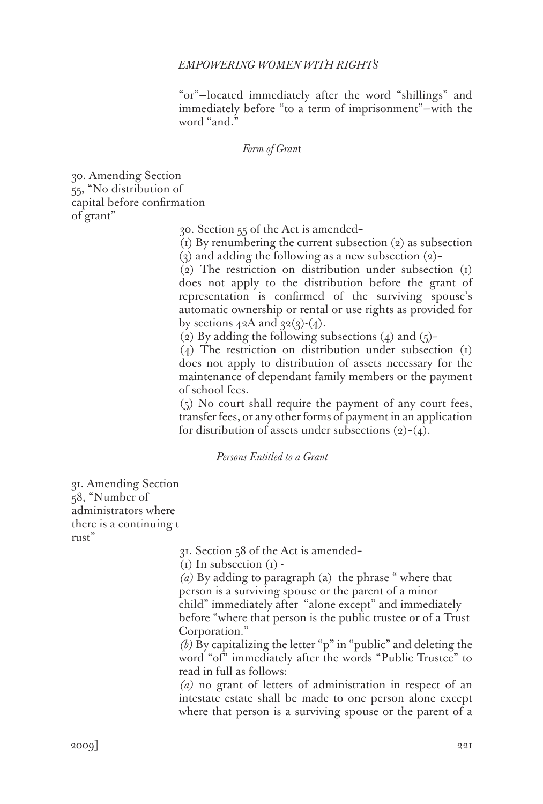"or"—located immediately after the word "shillings" and immediately before "to a term of imprisonment"—with the word "and."

### *Form of Gran*t

30. Amending Section 55, "No distribution of capital before confirmation of grant"

30. Section 55 of the Act is amended–

(1) By renumbering the current subsection (2) as subsection (3) and adding the following as a new subsection  $(2)$ –

(2) The restriction on distribution under subsection (1) does not apply to the distribution before the grant of representation is confirmed of the surviving spouse's automatic ownership or rental or use rights as provided for by sections  $42A$  and  $32(3)-(4)$ .

(2) By adding the following subsections (4) and  $(5)$ -

(4) The restriction on distribution under subsection (1) does not apply to distribution of assets necessary for the maintenance of dependant family members or the payment of school fees.

(5) No court shall require the payment of any court fees, transfer fees, or any other forms of payment in an application for distribution of assets under subsections  $(2)-(4)$ .

# *Persons Entitled to a Grant*

31. Amending Section 58, "Number of administrators where there is a continuing t rust"

31. Section 58 of the Act is amended–

 $(i)$  In subsection  $(i)$  -

*(a)* By adding to paragraph (a) the phrase " where that person is a surviving spouse or the parent of a minor child" immediately after "alone except" and immediately before "where that person is the public trustee or of a Trust Corporation."

*(b)* By capitalizing the letter "p" in "public" and deleting the word "of" immediately after the words "Public Trustee" to read in full as follows:

*(a)* no grant of letters of administration in respect of an intestate estate shall be made to one person alone except where that person is a surviving spouse or the parent of a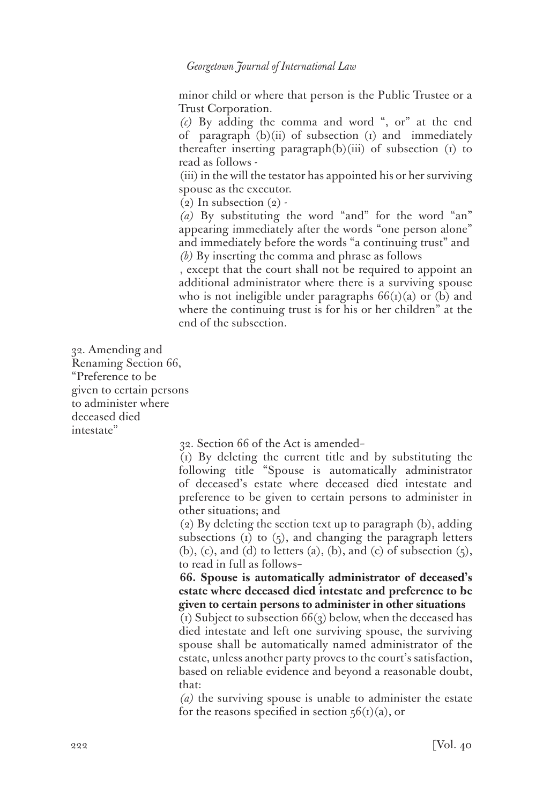minor child or where that person is the Public Trustee or a Trust Corporation.

*(c)* By adding the comma and word ", or" at the end of paragraph  $(b)(ii)$  of subsection  $(i)$  and immediately thereafter inserting paragraph(b)(iii) of subsection (1) to read as follows -

(iii) in the will the testator has appointed his or her surviving spouse as the executor.

 $(2)$  In subsection  $(2)$  -

*(a)* By substituting the word "and" for the word "an" appearing immediately after the words "one person alone" and immediately before the words "a continuing trust" and *(b)* By inserting the comma and phrase as follows

, except that the court shall not be required to appoint an additional administrator where there is a surviving spouse who is not ineligible under paragraphs  $66(i)(a)$  or (b) and where the continuing trust is for his or her children" at the end of the subsection.

32. Amending and Renaming Section 66, "Preference to be given to certain persons to administer where deceased died intestate"

32. Section 66 of the Act is amended–

(1) By deleting the current title and by substituting the following title "Spouse is automatically administrator of deceased's estate where deceased died intestate and preference to be given to certain persons to administer in other situations; and

(2) By deleting the section text up to paragraph (b), adding subsections  $(i)$  to  $(j)$ , and changing the paragraph letters  $(b)$ ,  $(c)$ , and  $(d)$  to letters  $(a)$ ,  $(b)$ , and  $(c)$  of subsection  $(5)$ , to read in full as follows–

**66. Spouse is automatically administrator of deceased's estate where deceased died intestate and preference to be given to certain persons to administer in other situations**

(1) Subject to subsection  $66(3)$  below, when the deceased has died intestate and left one surviving spouse, the surviving spouse shall be automatically named administrator of the estate, unless another party proves to the court's satisfaction, based on reliable evidence and beyond a reasonable doubt, that:

*(a)* the surviving spouse is unable to administer the estate for the reasons specified in section  $56(i)(a)$ , or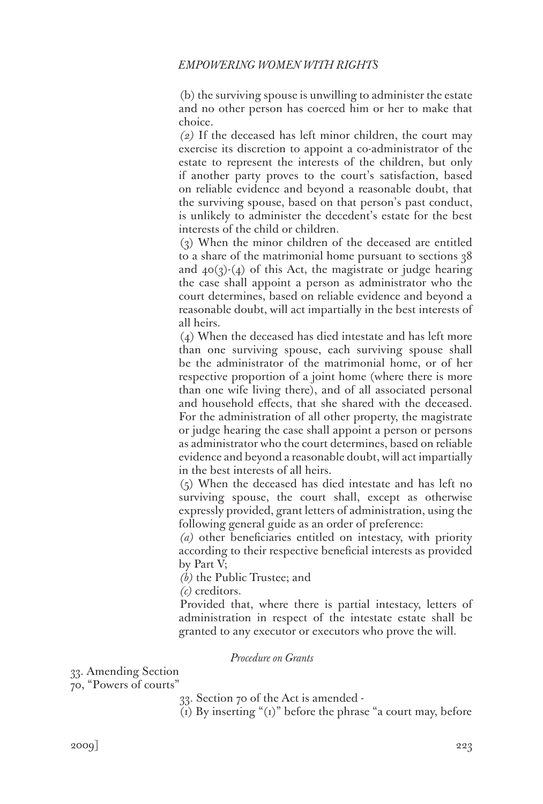(b) the surviving spouse is unwilling to administer the estate and no other person has coerced him or her to make that choice.

*(2)* If the deceased has left minor children, the court may exercise its discretion to appoint a co-administrator of the estate to represent the interests of the children, but only if another party proves to the court's satisfaction, based on reliable evidence and beyond a reasonable doubt, that the surviving spouse, based on that person's past conduct, is unlikely to administer the decedent's estate for the best interests of the child or children.

(3) When the minor children of the deceased are entitled to a share of the matrimonial home pursuant to sections 38 and  $40(3)(4)$  of this Act, the magistrate or judge hearing the case shall appoint a person as administrator who the court determines, based on reliable evidence and beyond a reasonable doubt, will act impartially in the best interests of all heirs.

(4) When the deceased has died intestate and has left more than one surviving spouse, each surviving spouse shall be the administrator of the matrimonial home, or of her respective proportion of a joint home (where there is more than one wife living there), and of all associated personal and household effects, that she shared with the deceased. For the administration of all other property, the magistrate or judge hearing the case shall appoint a person or persons as administrator who the court determines, based on reliable evidence and beyond a reasonable doubt, will act impartially in the best interests of all heirs.

(5) When the deceased has died intestate and has left no surviving spouse, the court shall, except as otherwise expressly provided, grant letters of administration, using the following general guide as an order of preference:

*(a)* other beneficiaries entitled on intestacy, with priority according to their respective beneficial interests as provided by Part V;

*(b)* the Public Trustee; and

*(c)* creditors.

Provided that, where there is partial intestacy, letters of administration in respect of the intestate estate shall be granted to any executor or executors who prove the will.

*Procedure on Grants*

33. Amending Section

70, "Powers of courts"

33. Section 70 of the Act is amended -

(1) By inserting " $(i)$ " before the phrase "a court may, before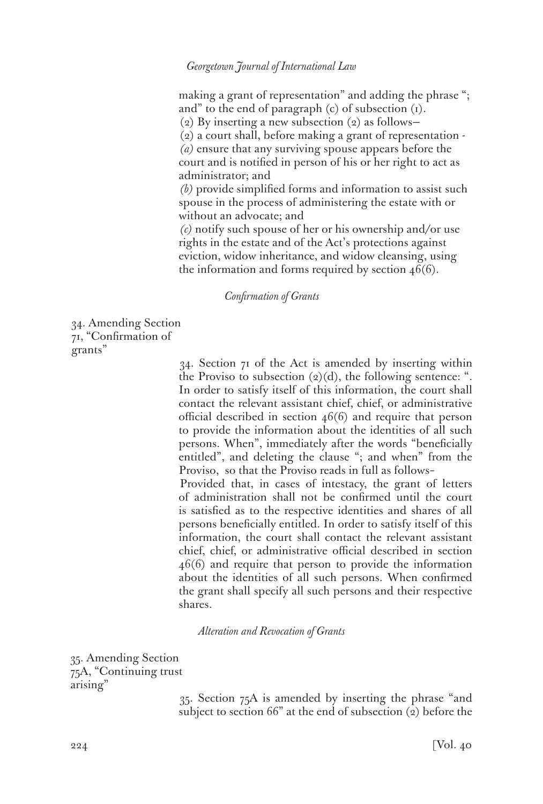making a grant of representation" and adding the phrase "; and" to the end of paragraph (c) of subsection (1). (2) By inserting a new subsection (2) as follows— (2) a court shall, before making a grant of representation - *(a)* ensure that any surviving spouse appears before the court and is notified in person of his or her right to act as administrator; and *(b)* provide simplified forms and information to assist such

spouse in the process of administering the estate with or without an advocate; and

*(c)* notify such spouse of her or his ownership and/or use rights in the estate and of the Act's protections against eviction, widow inheritance, and widow cleansing, using the information and forms required by section  $46(6)$ .

### *Confirmation of Grants*

34. Amending Section 71, "Confirmation of grants"

> 34. Section 71 of the Act is amended by inserting within the Proviso to subsection  $(2)(d)$ , the following sentence: ". In order to satisfy itself of this information, the court shall contact the relevant assistant chief, chief, or administrative official described in section 46(6) and require that person to provide the information about the identities of all such persons. When", immediately after the words "beneficially entitled", and deleting the clause "; and when" from the Proviso, so that the Proviso reads in full as follows–

> Provided that, in cases of intestacy, the grant of letters of administration shall not be confirmed until the court is satisfied as to the respective identities and shares of all persons beneficially entitled. In order to satisfy itself of this information, the court shall contact the relevant assistant chief, chief, or administrative official described in section 46(6) and require that person to provide the information about the identities of all such persons. When confirmed the grant shall specify all such persons and their respective shares.

### *Alteration and Revocation of Grants*

35. Amending Section 75A, "Continuing trust arising"

> 35. Section 75A is amended by inserting the phrase "and subject to section 66" at the end of subsection (2) before the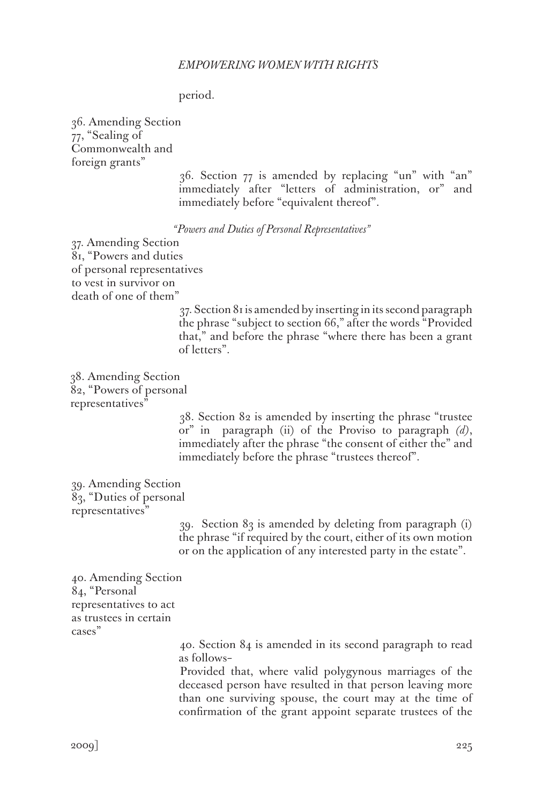### period.

36. Amending Section 77, "Sealing of Commonwealth and foreign grants"

> 36. Section 77 is amended by replacing "un" with "an" immediately after "letters of administration, or" and immediately before "equivalent thereof".

*"Powers and Duties of Personal Representatives"*

37. Amending Section 81, "Powers and duties of personal representatives to vest in survivor on death of one of them"

> 37. Section 81 is amended by inserting in its second paragraph the phrase "subject to section 66," after the words "Provided that," and before the phrase "where there has been a grant of letters".

38. Amending Section 82, "Powers of personal representatives"

> 38. Section 82 is amended by inserting the phrase "trustee or" in paragraph (ii) of the Proviso to paragraph *(d)*, immediately after the phrase "the consent of either the" and immediately before the phrase "trustees thereof".

39. Amending Section 83, "Duties of personal representatives"

> 39. Section 83 is amended by deleting from paragraph (i) the phrase "if required by the court, either of its own motion or on the application of any interested party in the estate".

40. Amending Section 84, "Personal representatives to act as trustees in certain cases"

> 40. Section 84 is amended in its second paragraph to read as follows–

> Provided that, where valid polygynous marriages of the deceased person have resulted in that person leaving more than one surviving spouse, the court may at the time of confirmation of the grant appoint separate trustees of the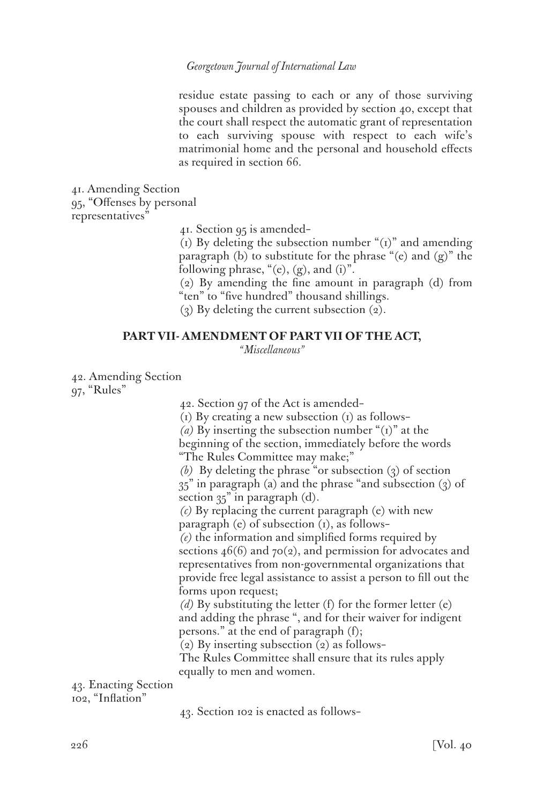residue estate passing to each or any of those surviving spouses and children as provided by section 40, except that the court shall respect the automatic grant of representation to each surviving spouse with respect to each wife's matrimonial home and the personal and household effects as required in section 66.

41. Amending Section 95, "Offenses by personal representatives"

41. Section 95 is amended–

(1) By deleting the subsection number " $(i)$ " and amending paragraph (b) to substitute for the phrase "(e) and (g)" the following phrase, " $(e)$ ,  $(g)$ , and  $(i)$ ".

(2) By amending the fine amount in paragraph (d) from "ten" to "five hundred" thousand shillings.

(3) By deleting the current subsection (2).

#### **PART VII- AMENDMENT OF PART VII OF THE ACT,**

*"Miscellaneous"*

42. Amending Section 97, "Rules"

42. Section 97 of the Act is amended–

 $(i)$  By creating a new subsection  $(i)$  as follows–

*(a)* By inserting the subsection number "(1)" at the beginning of the section, immediately before the words "The Rules Committee may make;"

*(b)* By deleting the phrase "or subsection (3) of section  $35$ " in paragraph (a) and the phrase "and subsection  $(3)$  of section  $35$ " in paragraph (d).

*(c)* By replacing the current paragraph (e) with new paragraph (e) of subsection (1), as follows–

*(e)* the information and simplified forms required by sections  $46(6)$  and  $70(2)$ , and permission for advocates and representatives from non-governmental organizations that provide free legal assistance to assist a person to fill out the forms upon request;

*(d)* By substituting the letter (f) for the former letter (e) and adding the phrase ", and for their waiver for indigent persons." at the end of paragraph (f);

(2) By inserting subsection (2) as follows–

The Rules Committee shall ensure that its rules apply equally to men and women.

43. Enacting Section 102, "Inflation"

43. Section 102 is enacted as follows–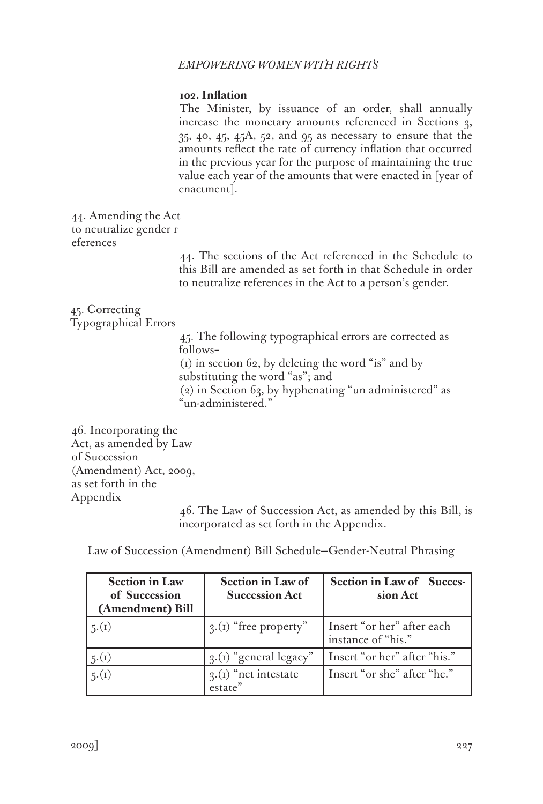# **102. Inflation**

The Minister, by issuance of an order, shall annually increase the monetary amounts referenced in Sections 3, 35, 40, 45, 45A, 52, and 95 as necessary to ensure that the amounts reflect the rate of currency inflation that occurred in the previous year for the purpose of maintaining the true value each year of the amounts that were enacted in [year of enactment].

44. Amending the Act to neutralize gender r eferences

> 44. The sections of the Act referenced in the Schedule to this Bill are amended as set forth in that Schedule in order to neutralize references in the Act to a person's gender.

45. Correcting Typographical Errors

> 45. The following typographical errors are corrected as follows–

(1) in section 62, by deleting the word "is" and by substituting the word "as"; and

(2) in Section 63, by hyphenating "un administered" as "un-administered."

46. Incorporating the Act, as amended by Law of Succession (Amendment) Act, 2009, as set forth in the Appendix

46. The Law of Succession Act, as amended by this Bill, is incorporated as set forth in the Appendix.

Law of Succession (Amendment) Bill Schedule—Gender-Neutral Phrasing

| <b>Section in Law</b><br>of Succession<br>(Amendment) Bill | <b>Section in Law of</b><br><b>Succession Act</b> | Section in Law of Succes-<br>sion Act            |
|------------------------------------------------------------|---------------------------------------------------|--------------------------------------------------|
| 5.(1)                                                      | $\mathfrak{g}$ .(1) "free property"               | Insert "or her" after each<br>instance of "his." |
| 5(1)                                                       | 3.(1) "general legacy"                            | Insert "or her" after "his."                     |
| 5.(1)                                                      | $3(1)$ "net intestate"<br>estate"                 | Insert "or she" after "he."                      |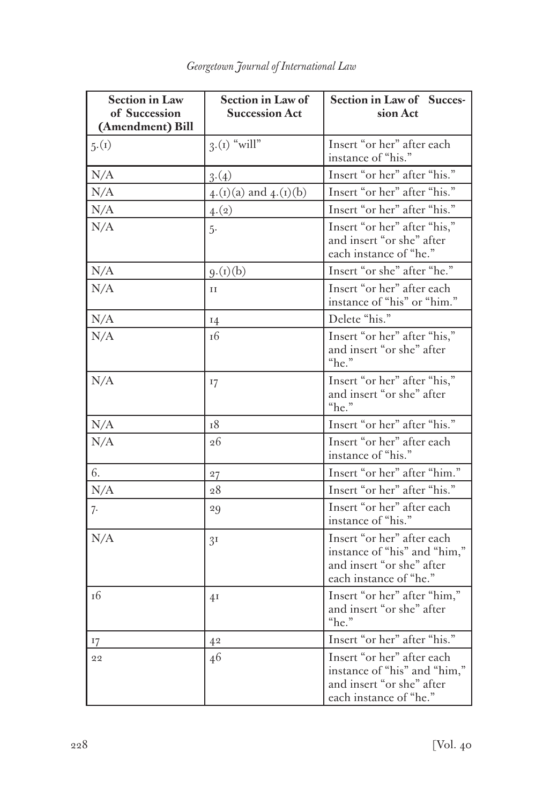| <b>Section in Law</b><br>of Succession<br>(Amendment) Bill | Section in Law of<br><b>Succession Act</b> | Section in Law of Succes-<br>sion Act                                                                             |
|------------------------------------------------------------|--------------------------------------------|-------------------------------------------------------------------------------------------------------------------|
| 5.(1)                                                      | $3.(1)$ "will"                             | Insert "or her" after each<br>instance of "his."                                                                  |
| N/A                                                        | 3(4)                                       | Insert "or her" after "his."                                                                                      |
| N/A                                                        | $4.(i)(a)$ and $4.(i)(b)$                  | Insert "or her" after "his."                                                                                      |
| N/A                                                        | 4.(2)                                      | Insert "or her" after "his."                                                                                      |
| N/A                                                        | $5-$                                       | Insert "or her" after "his,"<br>and insert "or she" after<br>each instance of "he."                               |
| N/A                                                        | 9.(1)(b)                                   | Insert "or she" after "he."                                                                                       |
| N/A                                                        | $_{II}$                                    | Insert "or her" after each<br>instance of "his" or "him."                                                         |
| N/A                                                        | 14                                         | Delete "his."                                                                                                     |
| N/A                                                        | 16                                         | Insert "or her" after "his,"<br>and insert "or she" after<br>"he."                                                |
| N/A                                                        | 17                                         | Insert "or her" after "his,"<br>and insert "or she" after<br>"he."                                                |
| N/A                                                        | <sup>18</sup>                              | Insert "or her" after "his."                                                                                      |
| N/A                                                        | 26                                         | Insert "or her" after each<br>instance of "his."                                                                  |
| 6.                                                         | 27                                         | Insert "or her" after "him."                                                                                      |
| N/A                                                        | 28                                         | Insert "or her" after "his."                                                                                      |
| 7.                                                         | 29                                         | Insert "or her" after each<br>instance of "his."                                                                  |
| N/A                                                        | 3 <sup>I</sup>                             | Insert "or her" after each<br>instance of "his" and "him,"<br>and insert "or she" after<br>each instance of "he." |
| 16                                                         | 4 <sub>I</sub>                             | Insert "or her" after "him,"<br>and insert "or she" after<br>"he."                                                |
| 17                                                         | 42                                         | Insert "or her" after "his."                                                                                      |
| 22                                                         | 46                                         | Insert "or her" after each<br>instance of "his" and "him,"<br>and insert "or she" after<br>each instance of "he." |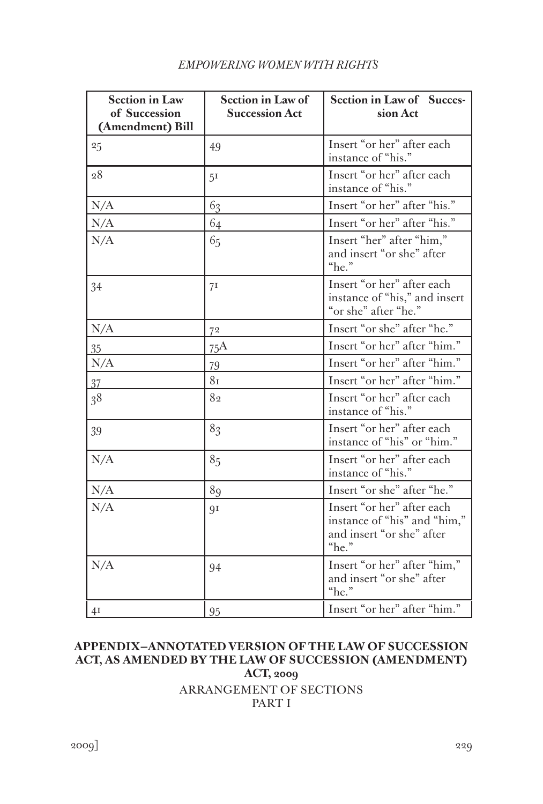| <b>Section in Law</b><br>of Succession<br>(Amendment) Bill | <b>Section in Law of</b><br><b>Succession Act</b> | <b>Section in Law of Succes-</b><br>sion Act                                                     |
|------------------------------------------------------------|---------------------------------------------------|--------------------------------------------------------------------------------------------------|
| 25                                                         | 49                                                | Insert "or her" after each<br>instance of "his."                                                 |
| 28                                                         | 5 <sup>I</sup>                                    | Insert "or her" after each<br>instance of "his."                                                 |
| N/A                                                        | 63                                                | Insert "or her" after "his."                                                                     |
| N/A                                                        | 64                                                | Insert "or her" after "his."                                                                     |
| N/A                                                        | 65                                                | Insert "her" after "him,"<br>and insert "or she" after<br>"he."                                  |
| 34                                                         | 71                                                | Insert "or her" after each<br>instance of "his," and insert<br>"or she" after "he."              |
| N/A                                                        | 72                                                | Insert "or she" after "he."                                                                      |
| $35\overline{)}$                                           | 75A                                               | Insert "or her" after "him."                                                                     |
| N/A                                                        | 79                                                | Insert "or her" after "him."                                                                     |
| 37                                                         | 81                                                | Insert "or her" after "him."                                                                     |
| 38                                                         | 82                                                | Insert "or her" after each<br>instance of "his."                                                 |
| 39                                                         | 83                                                | Insert "or her" after each<br>instance of "his" or "him."                                        |
| N/A                                                        | 85                                                | Insert "or her" after each<br>instance of "his."                                                 |
| N/A                                                        | 89                                                | Insert "or she" after "he."                                                                      |
| N/A                                                        | 91                                                | Insert "or her" after each<br>instance of "his" and "him,"<br>and insert "or she" after<br>"he." |
| N/A                                                        | 94                                                | Insert "or her" after "him,"<br>and insert "or she" after<br>"he."                               |
| 4I                                                         | 95                                                | Insert "or her" after "him."                                                                     |

# **APPENDIX—ANNOTATED VERSION OF THE LAW OF SUCCESSION ACT, AS AMENDED BY THE LAW OF SUCCESSION (AMENDMENT) ACT, 2009** ARRANGEMENT OF SECTIONS PART I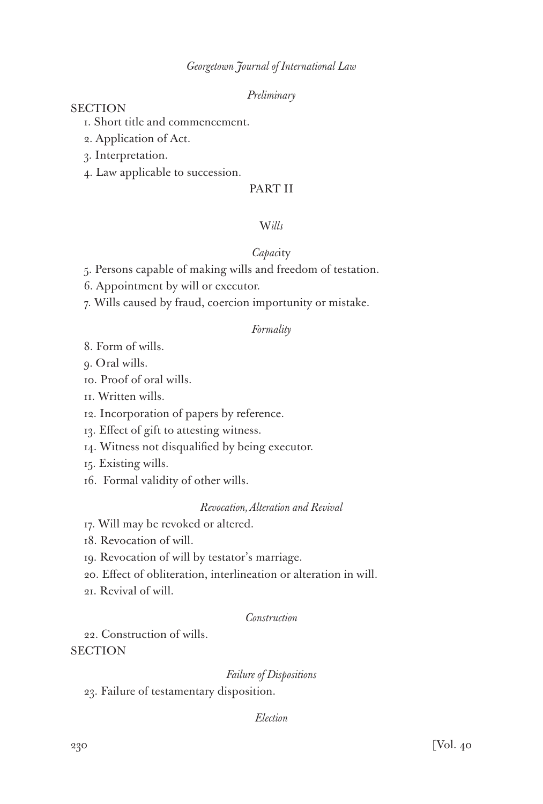# *Preliminary*

# **SECTION**

- 1. Short title and commencement.
- 2. Application of Act.
- 3. Interpretation.
- 4. Law applicable to succession.

# PART II

### W*ills*

## *Capac*ity

- 5. Persons capable of making wills and freedom of testation.
- 6. Appointment by will or executor.
- 7. Wills caused by fraud, coercion importunity or mistake.

# *Formality*

- 8. Form of wills.
- 9. Oral wills.
- 10. Proof of oral wills.
- 11. Written wills.
- 12. Incorporation of papers by reference.
- 13. Effect of gift to attesting witness.
- 14. Witness not disqualified by being executor.
- 15. Existing wills.
- 16. Formal validity of other wills.

### *Revocation, Alteration and Revival*

- 17. Will may be revoked or altered.
- 18. Revocation of will.
- 19. Revocation of will by testator's marriage.
- 20. Effect of obliteration, interlineation or alteration in will.
- 21. Revival of will.

### *Construction*

22. Construction of wills.

**SECTION** 

### *Failure of Dispositions*

23. Failure of testamentary disposition.

### *Election*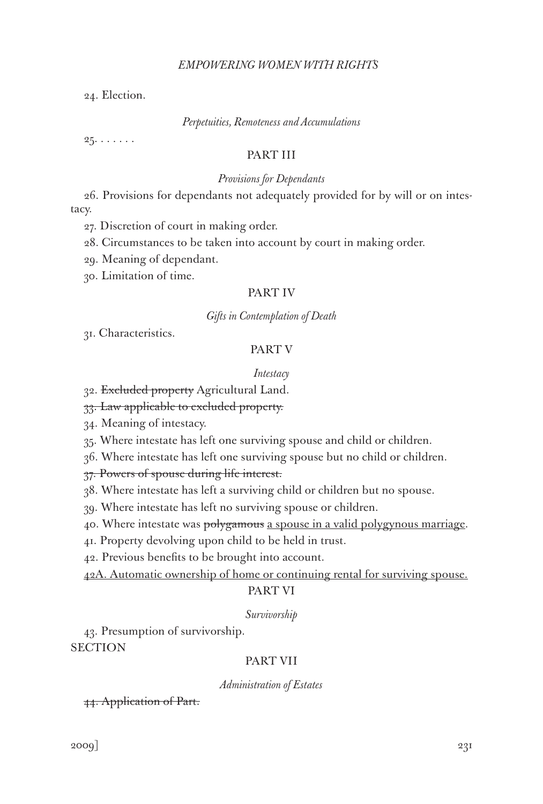24. Election.

#### *Perpetuities, Remoteness and Accumulations*

 $25. \ldots \ldots$ 

# PART III

#### *Provisions for Dependants*

26. Provisions for dependants not adequately provided for by will or on intestacy.

27. Discretion of court in making order.

28. Circumstances to be taken into account by court in making order.

29. Meaning of dependant.

30. Limitation of time.

### PART IV

### *Gifts in Contemplation of Death*

31. Characteristics.

# PART V

#### *Intestacy*

32. Excluded property Agricultural Land.

33. Law applicable to excluded property.

34. Meaning of intestacy.

35. Where intestate has left one surviving spouse and child or children.

36. Where intestate has left one surviving spouse but no child or children.

37. Powers of spouse during life interest.

38. Where intestate has left a surviving child or children but no spouse.

39. Where intestate has left no surviving spouse or children.

40. Where intestate was polygamous a spouse in a valid polygynous marriage.

41. Property devolving upon child to be held in trust.

42. Previous benefits to be brought into account.

42A. Automatic ownership of home or continuing rental for surviving spouse.

# PART VI

#### *Survivorship*

43. Presumption of survivorship. **SECTION** 

### PART VII

*Administration of Estates*

44. Application of Part.

 $2009$ ]  $231$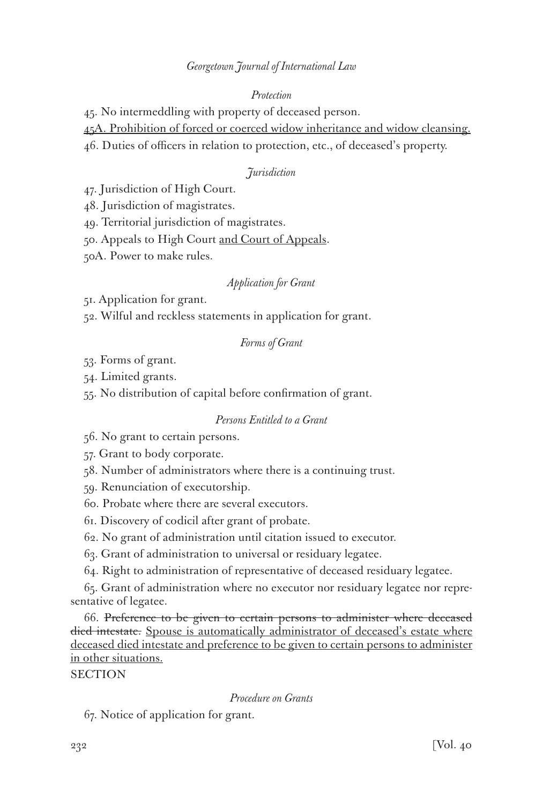# *Protection*

45. No intermeddling with property of deceased person.

45A. Prohibition of forced or coerced widow inheritance and widow cleansing.

46. Duties of officers in relation to protection, etc., of deceased's property.

# *Jurisdiction*

47. Jurisdiction of High Court.

48. Jurisdiction of magistrates.

49. Territorial jurisdiction of magistrates.

50. Appeals to High Court and Court of Appeals.

50A. Power to make rules.

# *Application for Grant*

51. Application for grant.

52. Wilful and reckless statements in application for grant.

### *Forms of Grant*

53. Forms of grant.

54. Limited grants.

55. No distribution of capital before confirmation of grant.

# *Persons Entitled to a Grant*

56. No grant to certain persons.

57. Grant to body corporate.

58. Number of administrators where there is a continuing trust.

59. Renunciation of executorship.

60. Probate where there are several executors.

61. Discovery of codicil after grant of probate.

62. No grant of administration until citation issued to executor.

63. Grant of administration to universal or residuary legatee.

64. Right to administration of representative of deceased residuary legatee.

65. Grant of administration where no executor nor residuary legatee nor representative of legatee.

66. Preference to be given to certain persons to administer where deceased died intestate. Spouse is automatically administrator of deceased's estate where deceased died intestate and preference to be given to certain persons to administer in other situations.

# **SECTION**

# *Procedure on Grants*

67. Notice of application for grant.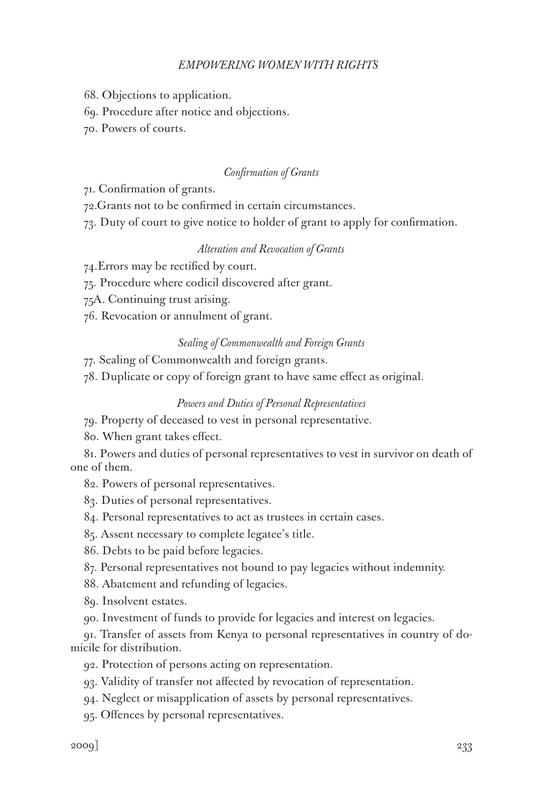- 68. Objections to application.
- 69. Procedure after notice and objections.
- 70. Powers of courts.

### *Confirmation of Grants*

- 71. Confirmation of grants.
- 72.Grants not to be confirmed in certain circumstances.
- 73. Duty of court to give notice to holder of grant to apply for confirmation.

### *Alteration and Revocation of Grants*

- 74.Errors may be rectified by court.
- 75. Procedure where codicil discovered after grant.
- 75A. Continuing trust arising.
- 76. Revocation or annulment of grant.

### *Sealing of Commonwealth and Foreign Grants*

77. Sealing of Commonwealth and foreign grants.

78. Duplicate or copy of foreign grant to have same effect as original.

# *Powers and Duties of Personal Representatives*

79. Property of deceased to vest in personal representative.

80. When grant takes effect.

81. Powers and duties of personal representatives to vest in survivor on death of one of them.

82. Powers of personal representatives.

- 83. Duties of personal representatives.
- 84. Personal representatives to act as trustees in certain cases.
- 85. Assent necessary to complete legatee's title.
- 86. Debts to be paid before legacies.
- 87. Personal representatives not bound to pay legacies without indemnity.
- 88. Abatement and refunding of legacies.
- 89. Insolvent estates.
- 90. Investment of funds to provide for legacies and interest on legacies.

91. Transfer of assets from Kenya to personal representatives in country of domicile for distribution.

- 92. Protection of persons acting on representation.
- 93. Validity of transfer not affected by revocation of representation.
- 94. Neglect or misapplication of assets by personal representatives.
- 95. Offences by personal representatives.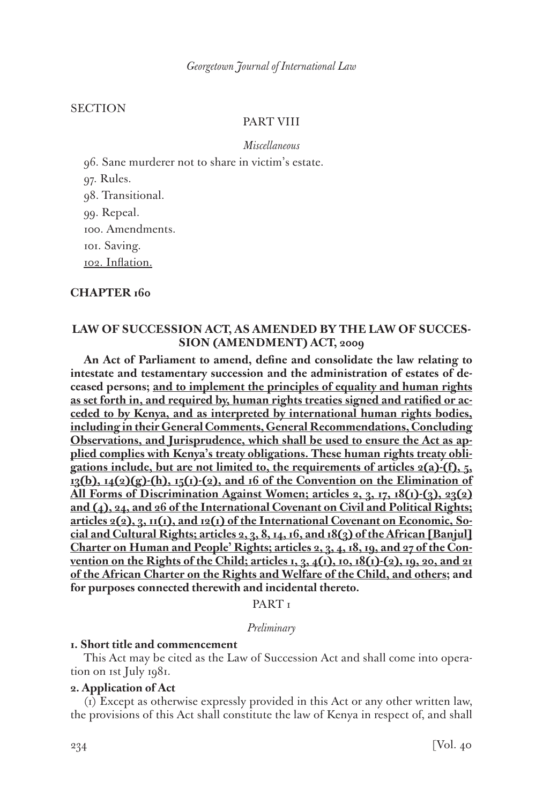### **SECTION**

# PART VIII

*Miscellaneous*

96. Sane murderer not to share in victim's estate.

97. Rules.

98. Transitional.

99. Repeal.

100. Amendments.

101. Saving.

102. Inflation.

#### **CHAPTER 160**

# **LAW OF SUCCESSION ACT, AS AMENDED BY THE LAW OF SUCCES-SION (AMENDMENT) ACT, 2009**

**An Act of Parliament to amend, define and consolidate the law relating to intestate and testamentary succession and the administration of estates of deceased persons; and to implement the principles of equality and human rights as set forth in, and required by, human rights treaties signed and ratified or acceded to by Kenya, and as interpreted by international human rights bodies, including in their General Comments, General Recommendations, Concluding Observations, and Jurisprudence, which shall be used to ensure the Act as applied complies with Kenya's treaty obligations. These human rights treaty obligations include, but are not limited to, the requirements of articles 2(a)-(f), 5,**   $13(b)$ ,  $14(2)(g)$ -(h),  $15(1)$ -(2), and 16 of the Convention on the Elimination of **All Forms of Discrimination Against Women; articles 2, 3, 17, 18(1)-(3), 23(2) and (4), 24, and 26 of the International Covenant on Civil and Political Rights; articles 2(2), 3, 11(1), and 12(1) of the International Covenant on Economic, Social and Cultural Rights; articles 2, 3, 8, 14, 16, and 18(3) of the African [Banjul] Charter on Human and People' Rights; articles 2, 3, 4, 18, 19, and 27 of the Convention on the Rights of the Child; articles 1, 3, 4(1), 10, 18(1)-(2), 19, 20, and 21 of the African Charter on the Rights and Welfare of the Child, and others; and for purposes connected therewith and incidental thereto.** 

PART<sub>I</sub>

#### *Preliminary*

# **1. Short title and commencement**

This Act may be cited as the Law of Succession Act and shall come into operation on 1st July 1981.

#### **2. Application of Act**

(1) Except as otherwise expressly provided in this Act or any other written law, the provisions of this Act shall constitute the law of Kenya in respect of, and shall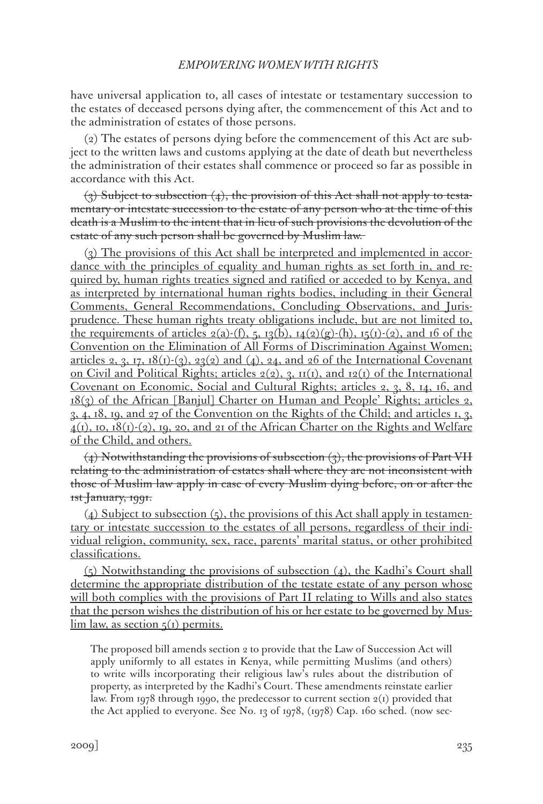have universal application to, all cases of intestate or testamentary succession to the estates of deceased persons dying after, the commencement of this Act and to the administration of estates of those persons.

(2) The estates of persons dying before the commencement of this Act are subject to the written laws and customs applying at the date of death but nevertheless the administration of their estates shall commence or proceed so far as possible in accordance with this Act.

 $(3)$  Subject to subsection  $(4)$ , the provision of this Act shall not apply to testamentary or intestate succession to the estate of any person who at the time of this death is a Muslim to the intent that in lieu of such provisions the devolution of the estate of any such person shall be governed by Muslim law.

(3) The provisions of this Act shall be interpreted and implemented in accordance with the principles of equality and human rights as set forth in, and required by, human rights treaties signed and ratified or acceded to by Kenya, and as interpreted by international human rights bodies, including in their General Comments, General Recommendations, Concluding Observations, and Jurisprudence. These human rights treaty obligations include, but are not limited to, the requirements of articles  $2(a)-(f)$ ,  $5$ ,  $13(b)$ ,  $14(2)(g)-(h)$ ,  $15(1)-(2)$ , and 16 of the Convention on the Elimination of All Forms of Discrimination Against Women; articles 2, 3, 17,  $18(1)-(3)$ ,  $23(2)$  and  $(4)$ , 24, and 26 of the International Covenant on Civil and Political Rights; articles  $2(2)$ , 3,  $\text{II}(1)$ , and  $\text{I2}(1)$  of the International Covenant on Economic, Social and Cultural Rights; articles 2, 3, 8, 14, 16, and 18(3) of the African [Banjul] Charter on Human and People' Rights; articles 2, 3, 4, 18, 19, and 27 of the Convention on the Rights of the Child; and articles 1, 3,  $4(1)$ , 10, 18(1)-(2), 19, 20, and 21 of the African Charter on the Rights and Welfare of the Child, and others.

 $(4)$  Notwithstanding the provisions of subsection  $(3)$ , the provisions of Part VII relating to the administration of estates shall where they are not inconsistent with those of Muslim law apply in case of every Muslim dying before, on or after the 1st January, 1991.

 $(4)$  Subject to subsection  $(5)$ , the provisions of this Act shall apply in testamentary or intestate succession to the estates of all persons, regardless of their individual religion, community, sex, race, parents' marital status, or other prohibited classifications.

(5) Notwithstanding the provisions of subsection (4), the Kadhi's Court shall determine the appropriate distribution of the testate estate of any person whose will both complies with the provisions of Part II relating to Wills and also states that the person wishes the distribution of his or her estate to be governed by Mus- $\lim$  law, as section  $\zeta(1)$  permits.

The proposed bill amends section 2 to provide that the Law of Succession Act will apply uniformly to all estates in Kenya, while permitting Muslims (and others) to write wills incorporating their religious law's rules about the distribution of property, as interpreted by the Kadhi's Court. These amendments reinstate earlier law. From 1978 through 1990, the predecessor to current section  $2(i)$  provided that the Act applied to everyone. See No. 13 of 1978, (1978) Cap. 160 sched. (now sec-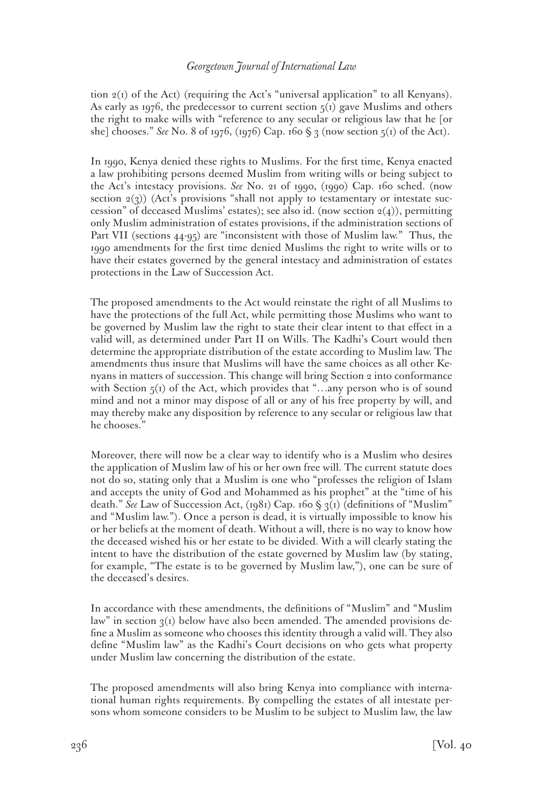tion  $2(I)$  of the Act) (requiring the Act's "universal application" to all Kenyans). As early as 1976, the predecessor to current section  $5<sub>(1)</sub>$  gave Muslims and others the right to make wills with "reference to any secular or religious law that he [or she] chooses." *See* No. 8 of 1976, (1976) Cap. 160 § 3 (now section  $5(1)$  of the Act).

In 1990, Kenya denied these rights to Muslims. For the first time, Kenya enacted a law prohibiting persons deemed Muslim from writing wills or being subject to the Act's intestacy provisions. *See* No. 21 of 1990, (1990) Cap. 160 sched. (now section  $2(3)$ ) (Act's provisions "shall not apply to testamentary or intestate succession" of deceased Muslims' estates); see also id. (now section  $2(4)$ ), permitting only Muslim administration of estates provisions, if the administration sections of Part VII (sections 44-95) are "inconsistent with those of Muslim law." Thus, the 1990 amendments for the first time denied Muslims the right to write wills or to have their estates governed by the general intestacy and administration of estates protections in the Law of Succession Act.

The proposed amendments to the Act would reinstate the right of all Muslims to have the protections of the full Act, while permitting those Muslims who want to be governed by Muslim law the right to state their clear intent to that effect in a valid will, as determined under Part II on Wills. The Kadhi's Court would then determine the appropriate distribution of the estate according to Muslim law. The amendments thus insure that Muslims will have the same choices as all other Kenyans in matters of succession. This change will bring Section 2 into conformance with Section  $5(1)$  of the Act, which provides that "...any person who is of sound mind and not a minor may dispose of all or any of his free property by will, and may thereby make any disposition by reference to any secular or religious law that he chooses."

Moreover, there will now be a clear way to identify who is a Muslim who desires the application of Muslim law of his or her own free will. The current statute does not do so, stating only that a Muslim is one who "professes the religion of Islam and accepts the unity of God and Mohammed as his prophet" at the "time of his death." *See* Law of Succession Act, (1981) Cap. 160 § 3(1) (definitions of "Muslim" and "Muslim law."). Once a person is dead, it is virtually impossible to know his or her beliefs at the moment of death. Without a will, there is no way to know how the deceased wished his or her estate to be divided. With a will clearly stating the intent to have the distribution of the estate governed by Muslim law (by stating, for example, "The estate is to be governed by Muslim law,"), one can be sure of the deceased's desires.

In accordance with these amendments, the definitions of "Muslim" and "Muslim law" in section  $q(t)$  below have also been amended. The amended provisions define a Muslim as someone who chooses this identity through a valid will. They also define "Muslim law" as the Kadhi's Court decisions on who gets what property under Muslim law concerning the distribution of the estate.

The proposed amendments will also bring Kenya into compliance with international human rights requirements. By compelling the estates of all intestate persons whom someone considers to be Muslim to be subject to Muslim law, the law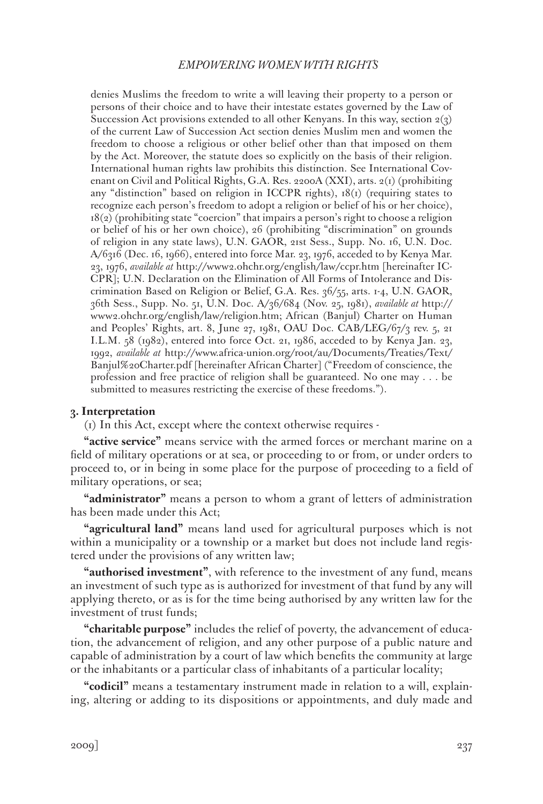denies Muslims the freedom to write a will leaving their property to a person or persons of their choice and to have their intestate estates governed by the Law of Succession Act provisions extended to all other Kenyans. In this way, section  $2(3)$ of the current Law of Succession Act section denies Muslim men and women the freedom to choose a religious or other belief other than that imposed on them by the Act. Moreover, the statute does so explicitly on the basis of their religion. International human rights law prohibits this distinction. See International Covenant on Civil and Political Rights, G.A. Res. 2200A (XXI), arts. 2(1) (prohibiting any "distinction" based on religion in ICCPR rights),  $18(i)$  (requiring states to recognize each person's freedom to adopt a religion or belief of his or her choice), 18(2) (prohibiting state "coercion" that impairs a person's right to choose a religion or belief of his or her own choice), 26 (prohibiting "discrimination" on grounds of religion in any state laws), U.N. GAOR, 21st Sess., Supp. No. 16, U.N. Doc. A/6316 (Dec. 16, 1966), entered into force Mar. 23, 1976, acceded to by Kenya Mar. 23, 1976, *available at* http://www2.ohchr.org/english/law/ccpr.htm [hereinafter IC-CPR]; U.N. Declaration on the Elimination of All Forms of Intolerance and Discrimination Based on Religion or Belief, G.A. Res. 36/55, arts. 1-4, U.N. GAOR, 36th Sess., Supp. No. 51, U.N. Doc. A/36/684 (Nov. 25, 1981), *available at* http:// www2.ohchr.org/english/law/religion.htm; African (Banjul) Charter on Human and Peoples' Rights, art. 8, June 27, 1981, OAU Doc. CAB/LEG/67/3 rev. 5, 21 I.L.M. 58 (1982), entered into force Oct. 21, 1986, acceded to by Kenya Jan. 23, 1992, *available at* http://www.africa-union.org/root/au/Documents/Treaties/Text/ Banjul%20Charter.pdf [hereinafter African Charter] ("Freedom of conscience, the profession and free practice of religion shall be guaranteed. No one may . . . be submitted to measures restricting the exercise of these freedoms.").

# **3. Interpretation**

(1) In this Act, except where the context otherwise requires -

**"active service"** means service with the armed forces or merchant marine on a field of military operations or at sea, or proceeding to or from, or under orders to proceed to, or in being in some place for the purpose of proceeding to a field of military operations, or sea;

**"administrator"** means a person to whom a grant of letters of administration has been made under this Act;

**"agricultural land"** means land used for agricultural purposes which is not within a municipality or a township or a market but does not include land registered under the provisions of any written law;

**"authorised investment"**, with reference to the investment of any fund, means an investment of such type as is authorized for investment of that fund by any will applying thereto, or as is for the time being authorised by any written law for the investment of trust funds;

**"charitable purpose"** includes the relief of poverty, the advancement of education, the advancement of religion, and any other purpose of a public nature and capable of administration by a court of law which benefits the community at large or the inhabitants or a particular class of inhabitants of a particular locality;

**"codicil"** means a testamentary instrument made in relation to a will, explaining, altering or adding to its dispositions or appointments, and duly made and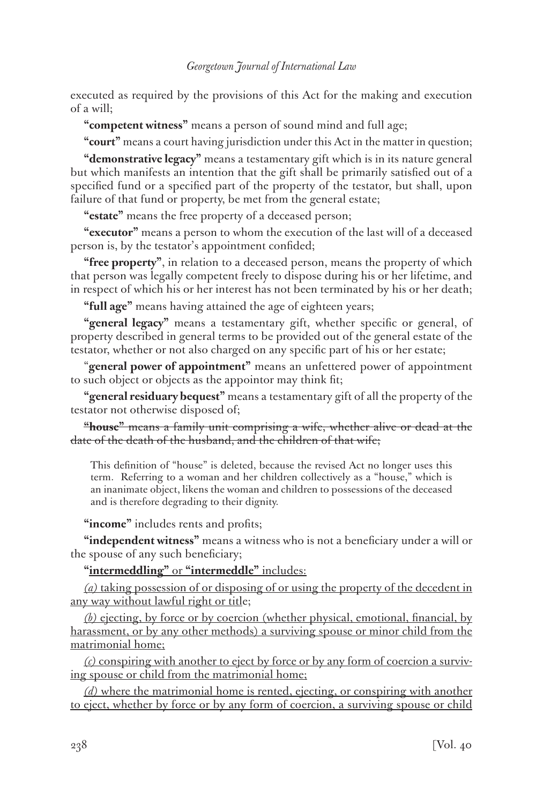executed as required by the provisions of this Act for the making and execution of a will;

**"competent witness"** means a person of sound mind and full age;

**"court"** means a court having jurisdiction under this Act in the matter in question;

**"demonstrative legacy"** means a testamentary gift which is in its nature general but which manifests an intention that the gift shall be primarily satisfied out of a specified fund or a specified part of the property of the testator, but shall, upon failure of that fund or property, be met from the general estate;

**"estate"** means the free property of a deceased person;

**"executor"** means a person to whom the execution of the last will of a deceased person is, by the testator's appointment confided;

**"free property"**, in relation to a deceased person, means the property of which that person was legally competent freely to dispose during his or her lifetime, and in respect of which his or her interest has not been terminated by his or her death;

**"full age"** means having attained the age of eighteen years;

**"general legacy"** means a testamentary gift, whether specific or general, of property described in general terms to be provided out of the general estate of the testator, whether or not also charged on any specific part of his or her estate;

"**general power of appointment"** means an unfettered power of appointment to such object or objects as the appointor may think fit;

**"general residuary bequest"** means a testamentary gift of all the property of the testator not otherwise disposed of;

**"house"** means a family unit comprising a wife, whether alive or dead at the date of the death of the husband, and the children of that wife;

This definition of "house" is deleted, because the revised Act no longer uses this term. Referring to a woman and her children collectively as a "house," which is an inanimate object, likens the woman and children to possessions of the deceased and is therefore degrading to their dignity.

**"income"** includes rents and profits;

**"independent witness"** means a witness who is not a beneficiary under a will or the spouse of any such beneficiary;

**"intermeddling"** or **"intermeddle"** includes:

*(a)* taking possession of or disposing of or using the property of the decedent in any way without lawful right or title;

*(b)* ejecting, by force or by coercion (whether physical, emotional, financial, by harassment, or by any other methods) a surviving spouse or minor child from the matrimonial home;

*(c)* conspiring with another to eject by force or by any form of coercion a surviving spouse or child from the matrimonial home;

*(d)* where the matrimonial home is rented, ejecting, or conspiring with another to eject, whether by force or by any form of coercion, a surviving spouse or child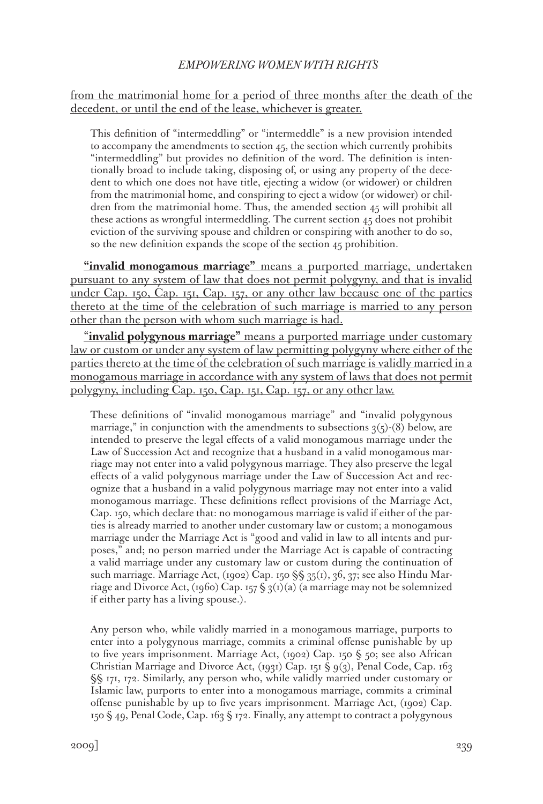# from the matrimonial home for a period of three months after the death of the decedent, or until the end of the lease, whichever is greater.

This definition of "intermeddling" or "intermeddle" is a new provision intended to accompany the amendments to section 45, the section which currently prohibits "intermeddling" but provides no definition of the word. The definition is intentionally broad to include taking, disposing of, or using any property of the decedent to which one does not have title, ejecting a widow (or widower) or children from the matrimonial home, and conspiring to eject a widow (or widower) or children from the matrimonial home. Thus, the amended section 45 will prohibit all these actions as wrongful intermeddling. The current section 45 does not prohibit eviction of the surviving spouse and children or conspiring with another to do so, so the new definition expands the scope of the section 45 prohibition.

**"invalid monogamous marriage"** means a purported marriage, undertaken pursuant to any system of law that does not permit polygyny, and that is invalid under Cap. 150, Cap. 151, Cap. 157, or any other law because one of the parties thereto at the time of the celebration of such marriage is married to any person other than the person with whom such marriage is had.

"**invalid polygynous marriage"** means a purported marriage under customary law or custom or under any system of law permitting polygyny where either of the parties thereto at the time of the celebration of such marriage is validly married in a monogamous marriage in accordance with any system of laws that does not permit polygyny, including Cap. 150, Cap. 151, Cap. 157, or any other law.

These definitions of "invalid monogamous marriage" and "invalid polygynous marriage," in conjunction with the amendments to subsections  $3(5)-(8)$  below, are intended to preserve the legal effects of a valid monogamous marriage under the Law of Succession Act and recognize that a husband in a valid monogamous marriage may not enter into a valid polygynous marriage. They also preserve the legal effects of a valid polygynous marriage under the Law of Succession Act and recognize that a husband in a valid polygynous marriage may not enter into a valid monogamous marriage. These definitions reflect provisions of the Marriage Act, Cap. 150, which declare that: no monogamous marriage is valid if either of the parties is already married to another under customary law or custom; a monogamous marriage under the Marriage Act is "good and valid in law to all intents and purposes," and; no person married under the Marriage Act is capable of contracting a valid marriage under any customary law or custom during the continuation of such marriage. Marriage Act, (1902) Cap. 150 §§ 35(1), 36, 37; see also Hindu Marriage and Divorce Act, (1960) Cap. 157  $\S$  3(1)(a) (a marriage may not be solemnized if either party has a living spouse.).

Any person who, while validly married in a monogamous marriage, purports to enter into a polygynous marriage, commits a criminal offense punishable by up to five years imprisonment. Marriage Act, (1902) Cap. 150 § 50; see also African Christian Marriage and Divorce Act, (1931) Cap. 151  $\mathcal{S}_9$  (3), Penal Code, Cap. 163 §§ 171, 172. Similarly, any person who, while validly married under customary or Islamic law, purports to enter into a monogamous marriage, commits a criminal offense punishable by up to five years imprisonment. Marriage Act, (1902) Cap. 150 § 49, Penal Code, Cap. 163 § 172. Finally, any attempt to contract a polygynous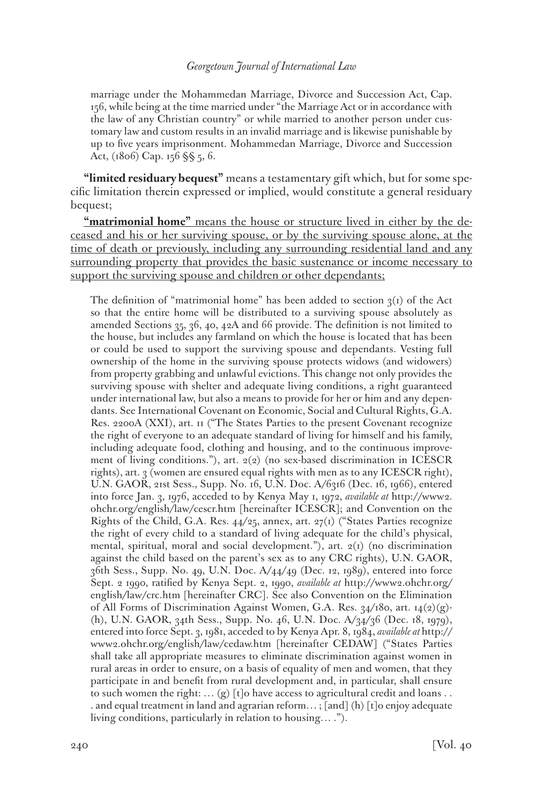marriage under the Mohammedan Marriage, Divorce and Succession Act, Cap. 156, while being at the time married under "the Marriage Act or in accordance with the law of any Christian country" or while married to another person under customary law and custom results in an invalid marriage and is likewise punishable by up to five years imprisonment. Mohammedan Marriage, Divorce and Succession Act, (1806) Cap. 156 §§ 5, 6.

**"limited residuary bequest"** means a testamentary gift which, but for some specific limitation therein expressed or implied, would constitute a general residuary bequest;

**"matrimonial home"** means the house or structure lived in either by the deceased and his or her surviving spouse, or by the surviving spouse alone, at the time of death or previously, including any surrounding residential land and any surrounding property that provides the basic sustenance or income necessary to support the surviving spouse and children or other dependants;

The definition of "matrimonial home" has been added to section  $3(1)$  of the Act so that the entire home will be distributed to a surviving spouse absolutely as amended Sections 35, 36, 40, 42A and 66 provide. The definition is not limited to the house, but includes any farmland on which the house is located that has been or could be used to support the surviving spouse and dependants. Vesting full ownership of the home in the surviving spouse protects widows (and widowers) from property grabbing and unlawful evictions. This change not only provides the surviving spouse with shelter and adequate living conditions, a right guaranteed under international law, but also a means to provide for her or him and any dependants. See International Covenant on Economic, Social and Cultural Rights, G.A. Res. 2200A (XXI), art. 11 ("The States Parties to the present Covenant recognize the right of everyone to an adequate standard of living for himself and his family, including adequate food, clothing and housing, and to the continuous improvement of living conditions."), art. 2(2) (no sex-based discrimination in ICESCR rights), art. 3 (women are ensured equal rights with men as to any ICESCR right), U.N. GAOR, 21st Sess., Supp. No. 16, U.N. Doc. A/6316 (Dec. 16, 1966), entered into force Jan. 3, 1976, acceded to by Kenya May 1, 1972, *available at* http://www2. ohchr.org/english/law/cescr.htm [hereinafter ICESCR]; and Convention on the Rights of the Child, G.A. Res. 44/25, annex, art. 27(1) ("States Parties recognize the right of every child to a standard of living adequate for the child's physical, mental, spiritual, moral and social development."), art. 2(1) (no discrimination against the child based on the parent's sex as to any CRC rights), U.N. GAOR, 36th Sess., Supp. No. 49, U.N. Doc. A/44/49 (Dec. 12, 1989), entered into force Sept. 2 1990, ratified by Kenya Sept. 2, 1990, *available at* http://www2.ohchr.org/ english/law/crc.htm [hereinafter CRC]. See also Convention on the Elimination of All Forms of Discrimination Against Women, G.A. Res.  $34/180$ , art.  $14(2)(g)$ -(h), U.N. GAOR, 34th Sess., Supp. No. 46, U.N. Doc. A/34/36 (Dec. 18, 1979), entered into force Sept. 3, 1981, acceded to by Kenya Apr. 8, 1984, *available at* http:// www2.ohchr.org/english/law/cedaw.htm [hereinafter CEDAW] ("States Parties shall take all appropriate measures to eliminate discrimination against women in rural areas in order to ensure, on a basis of equality of men and women, that they participate in and benefit from rural development and, in particular, shall ensure to such women the right: ...  $(g)$  [t]o have access to agricultural credit and loans ... . and equal treatment in land and agrarian reform… ; [and] (h) [t]o enjoy adequate living conditions, particularly in relation to housing… .").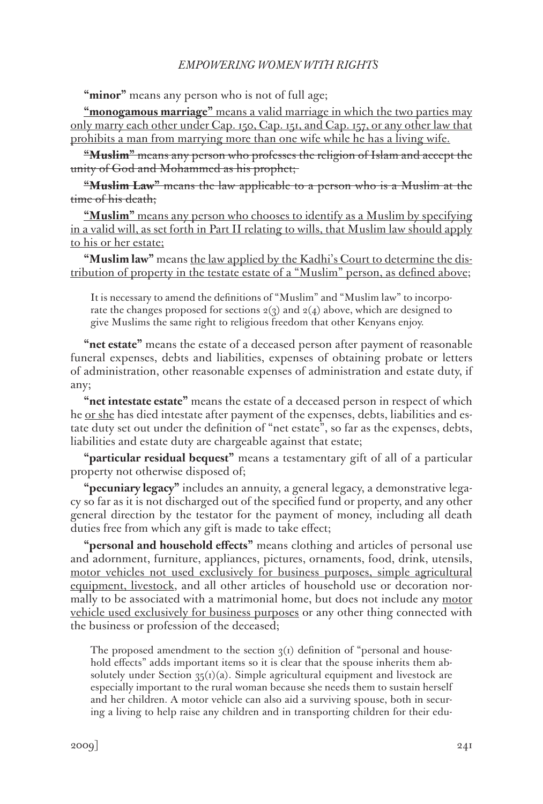"minor" means any person who is not of full age;

**"monogamous marriage"** means a valid marriage in which the two parties may only marry each other under Cap. 150, Cap. 151, and Cap. 157, or any other law that prohibits a man from marrying more than one wife while he has a living wife.

**"Muslim"** means any person who professes the religion of Islam and accept the unity of God and Mohammed as his prophet;

**"Muslim Law"** means the law applicable to a person who is a Muslim at the time of his death;

**"Muslim"** means any person who chooses to identify as a Muslim by specifying in a valid will, as set forth in Part II relating to wills, that Muslim law should apply to his or her estate;

**"Muslim law"** means the law applied by the Kadhi's Court to determine the distribution of property in the testate estate of a "Muslim" person, as defined above;

It is necessary to amend the definitions of "Muslim" and "Muslim law" to incorporate the changes proposed for sections  $2(3)$  and  $2(4)$  above, which are designed to give Muslims the same right to religious freedom that other Kenyans enjoy.

**"net estate"** means the estate of a deceased person after payment of reasonable funeral expenses, debts and liabilities, expenses of obtaining probate or letters of administration, other reasonable expenses of administration and estate duty, if any;

**"net intestate estate"** means the estate of a deceased person in respect of which he or she has died intestate after payment of the expenses, debts, liabilities and estate duty set out under the definition of "net estate", so far as the expenses, debts, liabilities and estate duty are chargeable against that estate;

**"particular residual bequest"** means a testamentary gift of all of a particular property not otherwise disposed of;

**"pecuniary legacy"** includes an annuity, a general legacy, a demonstrative legacy so far as it is not discharged out of the specified fund or property, and any other general direction by the testator for the payment of money, including all death duties free from which any gift is made to take effect;

**"personal and household effects"** means clothing and articles of personal use and adornment, furniture, appliances, pictures, ornaments, food, drink, utensils, motor vehicles not used exclusively for business purposes, simple agricultural equipment, livestock, and all other articles of household use or decoration normally to be associated with a matrimonial home, but does not include any motor vehicle used exclusively for business purposes or any other thing connected with the business or profession of the deceased;

The proposed amendment to the section  $\chi(r)$  definition of "personal and household effects" adds important items so it is clear that the spouse inherits them absolutely under Section  $35(t)(a)$ . Simple agricultural equipment and livestock are especially important to the rural woman because she needs them to sustain herself and her children. A motor vehicle can also aid a surviving spouse, both in securing a living to help raise any children and in transporting children for their edu-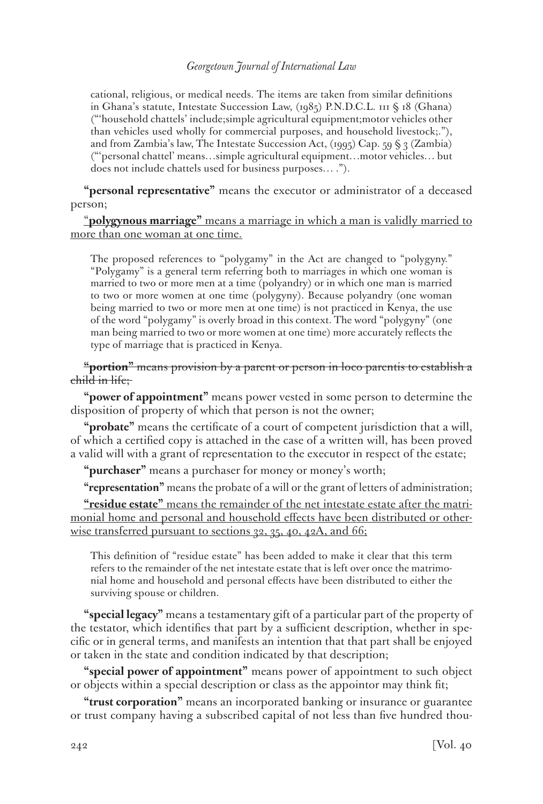cational, religious, or medical needs. The items are taken from similar definitions in Ghana's statute, Intestate Succession Law, (1985) P.N.D.C.L. 111 § 18 (Ghana) ("'household chattels' include;simple agricultural equipment;motor vehicles other than vehicles used wholly for commercial purposes, and household livestock;."), and from Zambia's law, The Intestate Succession Act, (1995) Cap. 59  $\S$  3 (Zambia) ("'personal chattel' means…simple agricultural equipment…motor vehicles… but does not include chattels used for business purposes… .").

**"personal representative"** means the executor or administrator of a deceased person;

# "**polygynous marriage"** means a marriage in which a man is validly married to more than one woman at one time.

The proposed references to "polygamy" in the Act are changed to "polygyny." "Polygamy" is a general term referring both to marriages in which one woman is married to two or more men at a time (polyandry) or in which one man is married to two or more women at one time (polygyny). Because polyandry (one woman being married to two or more men at one time) is not practiced in Kenya, the use of the word "polygamy" is overly broad in this context. The word "polygyny" (one man being married to two or more women at one time) more accurately reflects the type of marriage that is practiced in Kenya.

# **"portion"** means provision by a parent or person in loco parentis to establish a child in life;

**"power of appointment"** means power vested in some person to determine the disposition of property of which that person is not the owner;

**"probate"** means the certificate of a court of competent jurisdiction that a will, of which a certified copy is attached in the case of a written will, has been proved a valid will with a grant of representation to the executor in respect of the estate;

**"purchaser"** means a purchaser for money or money's worth;

**"representation"** means the probate of a will or the grant of letters of administration;

**"residue estate"** means the remainder of the net intestate estate after the matrimonial home and personal and household effects have been distributed or otherwise transferred pursuant to sections  $32, 35, 40, 42A,$  and  $66$ ;

This definition of "residue estate" has been added to make it clear that this term refers to the remainder of the net intestate estate that is left over once the matrimonial home and household and personal effects have been distributed to either the surviving spouse or children.

**"special legacy"** means a testamentary gift of a particular part of the property of the testator, which identifies that part by a sufficient description, whether in specific or in general terms, and manifests an intention that that part shall be enjoyed or taken in the state and condition indicated by that description;

**"special power of appointment"** means power of appointment to such object or objects within a special description or class as the appointor may think fit;

**"trust corporation"** means an incorporated banking or insurance or guarantee or trust company having a subscribed capital of not less than five hundred thou-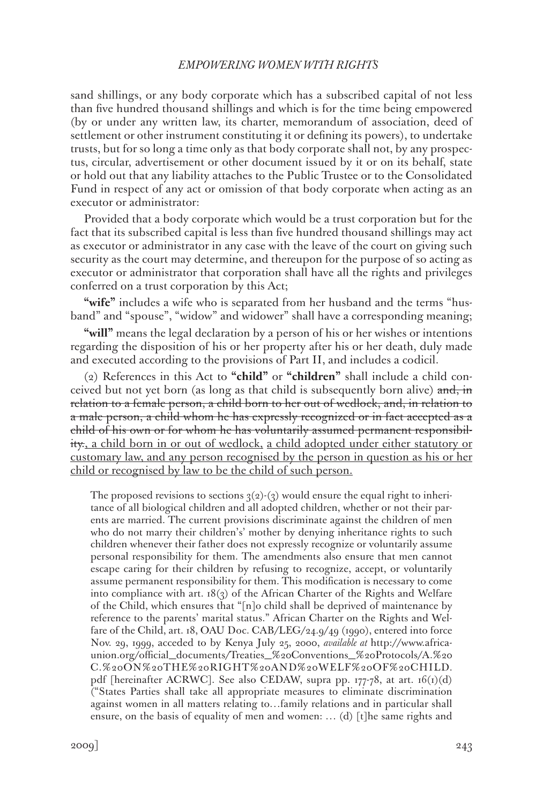sand shillings, or any body corporate which has a subscribed capital of not less than five hundred thousand shillings and which is for the time being empowered (by or under any written law, its charter, memorandum of association, deed of settlement or other instrument constituting it or defining its powers), to undertake trusts, but for so long a time only as that body corporate shall not, by any prospectus, circular, advertisement or other document issued by it or on its behalf, state or hold out that any liability attaches to the Public Trustee or to the Consolidated Fund in respect of any act or omission of that body corporate when acting as an executor or administrator:

Provided that a body corporate which would be a trust corporation but for the fact that its subscribed capital is less than five hundred thousand shillings may act as executor or administrator in any case with the leave of the court on giving such security as the court may determine, and thereupon for the purpose of so acting as executor or administrator that corporation shall have all the rights and privileges conferred on a trust corporation by this Act;

"wife" includes a wife who is separated from her husband and the terms "husband" and "spouse", "widow" and widower" shall have a corresponding meaning;

**"will"** means the legal declaration by a person of his or her wishes or intentions regarding the disposition of his or her property after his or her death, duly made and executed according to the provisions of Part II, and includes a codicil.

(2) References in this Act to **"child"** or **"children"** shall include a child conceived but not yet born (as long as that child is subsequently born alive) and, in relation to a female person, a child born to her out of wedlock, and, in relation to a male person, a child whom he has expressly recognized or in fact accepted as a child of his own or for whom he has voluntarily assumed permanent responsibility., a child born in or out of wedlock, a child adopted under either statutory or customary law, and any person recognised by the person in question as his or her child or recognised by law to be the child of such person.

The proposed revisions to sections  $3(2)-(3)$  would ensure the equal right to inheritance of all biological children and all adopted children, whether or not their parents are married. The current provisions discriminate against the children of men who do not marry their children's' mother by denying inheritance rights to such children whenever their father does not expressly recognize or voluntarily assume personal responsibility for them. The amendments also ensure that men cannot escape caring for their children by refusing to recognize, accept, or voluntarily assume permanent responsibility for them. This modification is necessary to come into compliance with art.  $18(3)$  of the African Charter of the Rights and Welfare of the Child, which ensures that "[n]o child shall be deprived of maintenance by reference to the parents' marital status." African Charter on the Rights and Welfare of the Child, art. 18, OAU Doc. CAB/LEG/24.9/49 (1990), entered into force Nov. 29, 1999, acceded to by Kenya July 25, 2000, *available at* http://www.africaunion.org/official\_documents/Treaties\_%20Conventions\_%20Protocols/A.%20 C.%20ON%20THE%20RIGHT%20AND%20WELF%20OF%20CHILD. pdf [hereinafter ACRWC]. See also CEDAW, supra pp.  $177-78$ , at art.  $16(i)(d)$ ("States Parties shall take all appropriate measures to eliminate discrimination against women in all matters relating to…family relations and in particular shall ensure, on the basis of equality of men and women: … (d) [t]he same rights and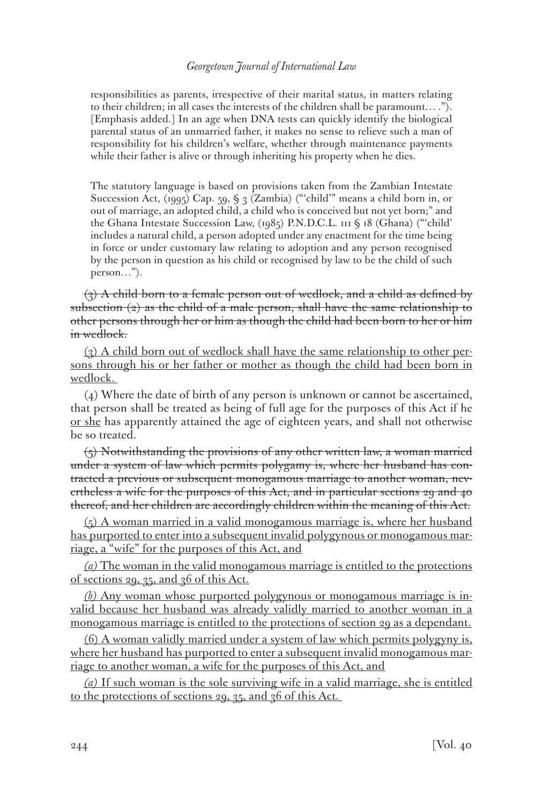responsibilities as parents, irrespective of their marital status, in matters relating to their children; in all cases the interests of the children shall be paramount… ."). [Emphasis added.] In an age when DNA tests can quickly identify the biological parental status of an unmarried father, it makes no sense to relieve such a man of responsibility for his children's welfare, whether through maintenance payments while their father is alive or through inheriting his property when he dies.

The statutory language is based on provisions taken from the Zambian Intestate Succession Act, (1995) Cap. 59, § 3 (Zambia) ("'child'" means a child born in, or out of marriage, an adopted child, a child who is conceived but not yet born;" and the Ghana Intestate Succession Law, (1985) P.N.D.C.L. 111 § 18 (Ghana) ("'child' includes a natural child, a person adopted under any enactment for the time being in force or under customary law relating to adoption and any person recognised by the person in question as his child or recognised by law to be the child of such person…").

 $(3)$  A child born to a female person out of wedlock, and a child as defined by subsection  $(2)$  as the child of a male person, shall have the same relationship to other persons through her or him as though the child had been born to her or him in wedlock.

(3) A child born out of wedlock shall have the same relationship to other persons through his or her father or mother as though the child had been born in wedlock.

(4) Where the date of birth of any person is unknown or cannot be ascertained, that person shall be treated as being of full age for the purposes of this Act if he or she has apparently attained the age of eighteen years, and shall not otherwise be so treated.

 $(5)$  Notwithstanding the provisions of any other written law, a woman married under a system of law which permits polygamy is, where her husband has contracted a previous or subsequent monogamous marriage to another woman, nevertheless a wife for the purposes of this Act, and in particular sections 29 and 40 thereof, and her children are accordingly children within the meaning of this Act.

(5) A woman married in a valid monogamous marriage is, where her husband has purported to enter into a subsequent invalid polygynous or monogamous marriage, a "wife" for the purposes of this Act, and

*(a)* The woman in the valid monogamous marriage is entitled to the protections of sections 29, 35, and 36 of this Act.

*(b)* Any woman whose purported polygynous or monogamous marriage is invalid because her husband was already validly married to another woman in a monogamous marriage is entitled to the protections of section 29 as a dependant.

(6) A woman validly married under a system of law which permits polygyny is, where her husband has purported to enter a subsequent invalid monogamous marriage to another woman, a wife for the purposes of this Act, and

*(a)* If such woman is the sole surviving wife in a valid marriage, she is entitled to the protections of sections 29, 35, and 36 of this Act.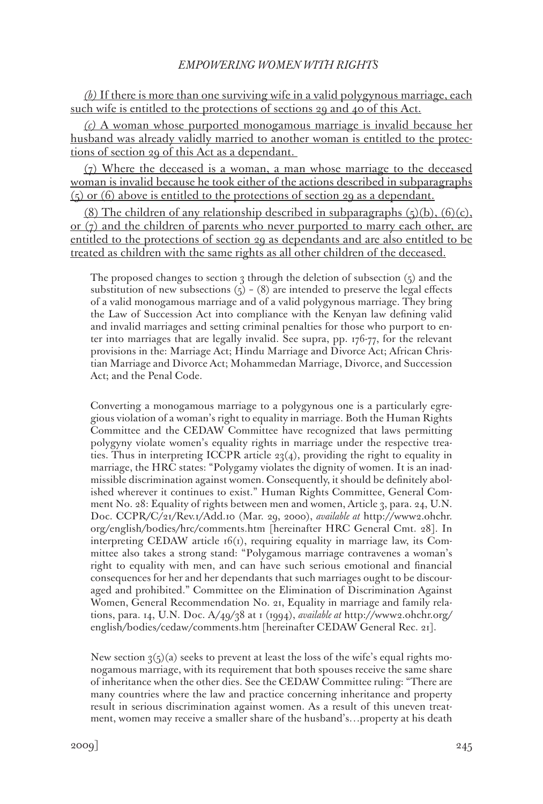*(b)* If there is more than one surviving wife in a valid polygynous marriage, each such wife is entitled to the protections of sections 29 and 40 of this Act.

*(c)* A woman whose purported monogamous marriage is invalid because her husband was already validly married to another woman is entitled to the protections of section 29 of this Act as a dependant.

 $(7)$  Where the deceased is a woman, a man whose marriage to the deceased woman is invalid because he took either of the actions described in subparagraphs (5) or (6) above is entitled to the protections of section 29 as a dependant.

(8) The children of any relationship described in subparagraphs  $(5)(b)$ ,  $(6)(c)$ , or  $(7)$  and the children of parents who never purported to marry each other, are entitled to the protections of section 29 as dependants and are also entitled to be treated as children with the same rights as all other children of the deceased.

The proposed changes to section 3 through the deletion of subsection  $(5)$  and the substitution of new subsections  $(5) - (8)$  are intended to preserve the legal effects of a valid monogamous marriage and of a valid polygynous marriage. They bring the Law of Succession Act into compliance with the Kenyan law defining valid and invalid marriages and setting criminal penalties for those who purport to enter into marriages that are legally invalid. See supra, pp. 176-77, for the relevant provisions in the: Marriage Act; Hindu Marriage and Divorce Act; African Christian Marriage and Divorce Act; Mohammedan Marriage, Divorce, and Succession Act; and the Penal Code.

Converting a monogamous marriage to a polygynous one is a particularly egregious violation of a woman's right to equality in marriage. Both the Human Rights Committee and the CEDAW Committee have recognized that laws permitting polygyny violate women's equality rights in marriage under the respective treaties. Thus in interpreting ICCPR article 23(4), providing the right to equality in marriage, the HRC states: "Polygamy violates the dignity of women. It is an inadmissible discrimination against women. Consequently, it should be definitely abolished wherever it continues to exist." Human Rights Committee, General Comment No. 28: Equality of rights between men and women, Article 3, para. 24, U.N. Doc. CCPR/C/21/Rev.1/Add.10 (Mar. 29, 2000), *available at* http://www2.ohchr. org/english/bodies/hrc/comments.htm [hereinafter HRC General Cmt. 28]. In interpreting CEDAW article  $16(i)$ , requiring equality in marriage law, its Committee also takes a strong stand: "Polygamous marriage contravenes a woman's right to equality with men, and can have such serious emotional and financial consequences for her and her dependants that such marriages ought to be discouraged and prohibited." Committee on the Elimination of Discrimination Against Women, General Recommendation No. 21, Equality in marriage and family relations, para. 14, U.N. Doc. A/49/38 at 1 (1994), *available at* http://www2.ohchr.org/ english/bodies/cedaw/comments.htm [hereinafter CEDAW General Rec. 21].

New section  $3(5)(a)$  seeks to prevent at least the loss of the wife's equal rights monogamous marriage, with its requirement that both spouses receive the same share of inheritance when the other dies. See the CEDAW Committee ruling: "There are many countries where the law and practice concerning inheritance and property result in serious discrimination against women. As a result of this uneven treatment, women may receive a smaller share of the husband's…property at his death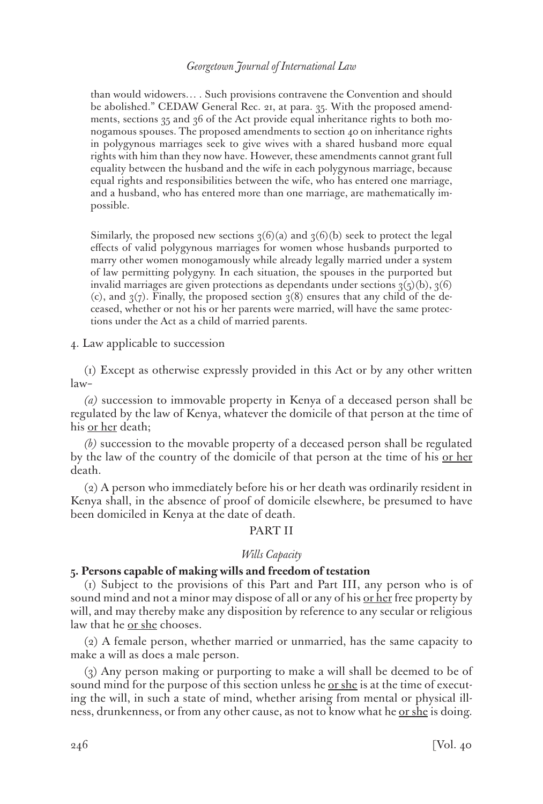than would widowers… . Such provisions contravene the Convention and should be abolished." CEDAW General Rec. 21, at para. 35. With the proposed amendments, sections 35 and 36 of the Act provide equal inheritance rights to both monogamous spouses. The proposed amendments to section 40 on inheritance rights in polygynous marriages seek to give wives with a shared husband more equal rights with him than they now have. However, these amendments cannot grant full equality between the husband and the wife in each polygynous marriage, because equal rights and responsibilities between the wife, who has entered one marriage, and a husband, who has entered more than one marriage, are mathematically impossible.

Similarly, the proposed new sections  $3(6)(a)$  and  $3(6)(b)$  seek to protect the legal effects of valid polygynous marriages for women whose husbands purported to marry other women monogamously while already legally married under a system of law permitting polygyny. In each situation, the spouses in the purported but invalid marriages are given protections as dependants under sections  $3(5)(b)$ ,  $3(6)$ (c), and  $\mathfrak{z}(7)$ . Finally, the proposed section  $\mathfrak{z}(8)$  ensures that any child of the deceased, whether or not his or her parents were married, will have the same protections under the Act as a child of married parents.

4. Law applicable to succession

(1) Except as otherwise expressly provided in this Act or by any other written law–

*(a)* succession to immovable property in Kenya of a deceased person shall be regulated by the law of Kenya, whatever the domicile of that person at the time of his <u>or her</u> death;

*(b)* succession to the movable property of a deceased person shall be regulated by the law of the country of the domicile of that person at the time of his or her death.

(2) A person who immediately before his or her death was ordinarily resident in Kenya shall, in the absence of proof of domicile elsewhere, be presumed to have been domiciled in Kenya at the date of death.

## PART II

#### *Wills Capacity*

## **5. Persons capable of making wills and freedom of testation**

(1) Subject to the provisions of this Part and Part III, any person who is of sound mind and not a minor may dispose of all or any of his <u>or her</u> free property by will, and may thereby make any disposition by reference to any secular or religious law that he or she chooses.

(2) A female person, whether married or unmarried, has the same capacity to make a will as does a male person.

(3) Any person making or purporting to make a will shall be deemed to be of sound mind for the purpose of this section unless he <u>or she</u> is at the time of executing the will, in such a state of mind, whether arising from mental or physical illness, drunkenness, or from any other cause, as not to know what he <u>or she</u> is doing.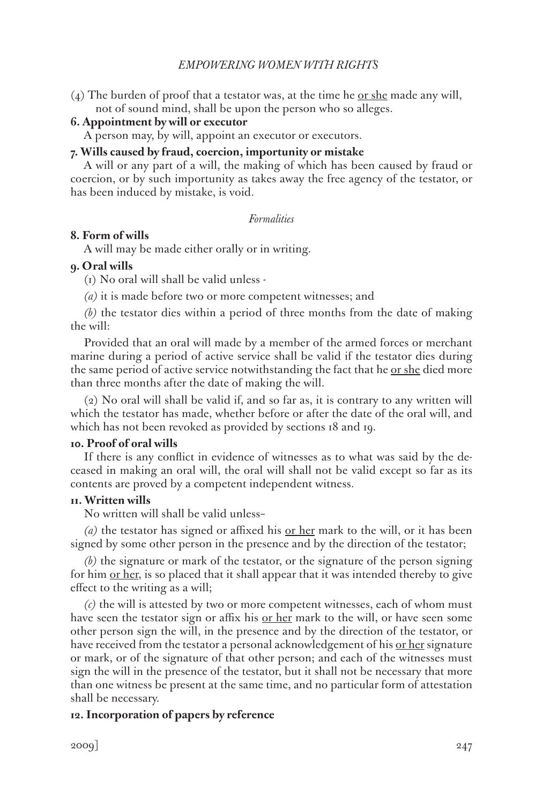(4) The burden of proof that a testator was, at the time he  $or she made any will,$ </u> not of sound mind, shall be upon the person who so alleges.

# **6. Appointment by will or executor**

A person may, by will, appoint an executor or executors.

## **7. Wills caused by fraud, coercion, importunity or mistake**

A will or any part of a will, the making of which has been caused by fraud or coercion, or by such importunity as takes away the free agency of the testator, or has been induced by mistake, is void.

# *Formalities*

# **8. Form of wills**

A will may be made either orally or in writing.

# **9. Oral wills**

(1) No oral will shall be valid unless -

*(a)* it is made before two or more competent witnesses; and

*(b)* the testator dies within a period of three months from the date of making the will:

Provided that an oral will made by a member of the armed forces or merchant marine during a period of active service shall be valid if the testator dies during the same period of active service notwithstanding the fact that he <u>or she</u> died more than three months after the date of making the will.

(2) No oral will shall be valid if, and so far as, it is contrary to any written will which the testator has made, whether before or after the date of the oral will, and which has not been revoked as provided by sections 18 and 19.

# **10. Proof of oral wills**

If there is any conflict in evidence of witnesses as to what was said by the deceased in making an oral will, the oral will shall not be valid except so far as its contents are proved by a competent independent witness.

## **11. Written wills**

No written will shall be valid unless–

*(a)* the testator has signed or affixed his or her mark to the will, or it has been signed by some other person in the presence and by the direction of the testator;

*(b)* the signature or mark of the testator, or the signature of the person signing for him <u>or her</u>, is so placed that it shall appear that it was intended thereby to give effect to the writing as a will;

*(c)* the will is attested by two or more competent witnesses, each of whom must have seen the testator sign or affix his <u>or her</u> mark to the will, or have seen some other person sign the will, in the presence and by the direction of the testator, or have received from the testator a personal acknowledgement of his <u>or her</u> signature or mark, or of the signature of that other person; and each of the witnesses must sign the will in the presence of the testator, but it shall not be necessary that more than one witness be present at the same time, and no particular form of attestation shall be necessary.

# **12. Incorporation of papers by reference**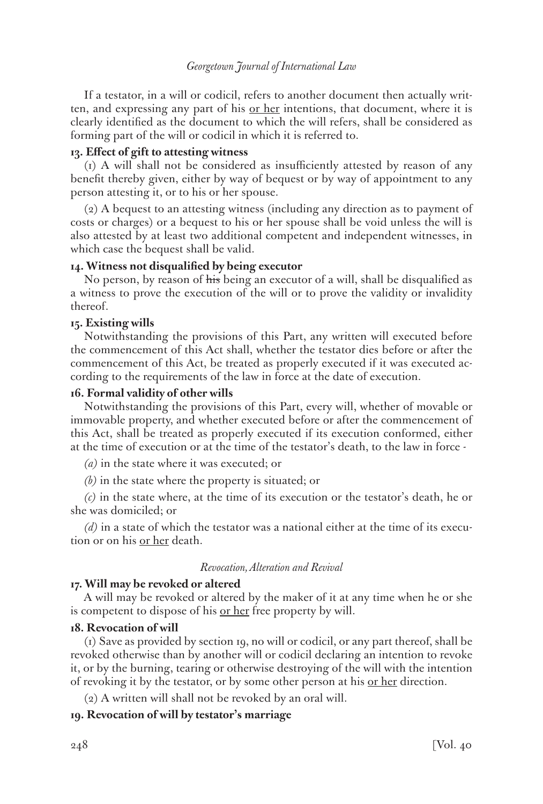If a testator, in a will or codicil, refers to another document then actually written, and expressing any part of his <u>or her</u> intentions, that document, where it is clearly identified as the document to which the will refers, shall be considered as forming part of the will or codicil in which it is referred to.

## **13. Effect of gift to attesting witness**

(1) A will shall not be considered as insufficiently attested by reason of any benefit thereby given, either by way of bequest or by way of appointment to any person attesting it, or to his or her spouse.

(2) A bequest to an attesting witness (including any direction as to payment of costs or charges) or a bequest to his or her spouse shall be void unless the will is also attested by at least two additional competent and independent witnesses, in which case the bequest shall be valid.

## **14. Witness not disqualified by being executor**

No person, by reason of his being an executor of a will, shall be disqualified as a witness to prove the execution of the will or to prove the validity or invalidity thereof.

## **15. Existing wills**

Notwithstanding the provisions of this Part, any written will executed before the commencement of this Act shall, whether the testator dies before or after the commencement of this Act, be treated as properly executed if it was executed according to the requirements of the law in force at the date of execution.

#### **16. Formal validity of other wills**

Notwithstanding the provisions of this Part, every will, whether of movable or immovable property, and whether executed before or after the commencement of this Act, shall be treated as properly executed if its execution conformed, either at the time of execution or at the time of the testator's death, to the law in force -

*(a)* in the state where it was executed; or

*(b)* in the state where the property is situated; or

*(c)* in the state where, at the time of its execution or the testator's death, he or she was domiciled; or

*(d)* in a state of which the testator was a national either at the time of its execution or on his or her death.

### *Revocation, Alteration and Revival*

#### **17. Will may be revoked or altered**

A will may be revoked or altered by the maker of it at any time when he or she is competent to dispose of his <u>or her</u> free property by will.

#### **18. Revocation of will**

(1) Save as provided by section 19, no will or codicil, or any part thereof, shall be revoked otherwise than by another will or codicil declaring an intention to revoke it, or by the burning, tearing or otherwise destroying of the will with the intention of revoking it by the testator, or by some other person at his <u>or her</u> direction.

(2) A written will shall not be revoked by an oral will.

## **19. Revocation of will by testator's marriage**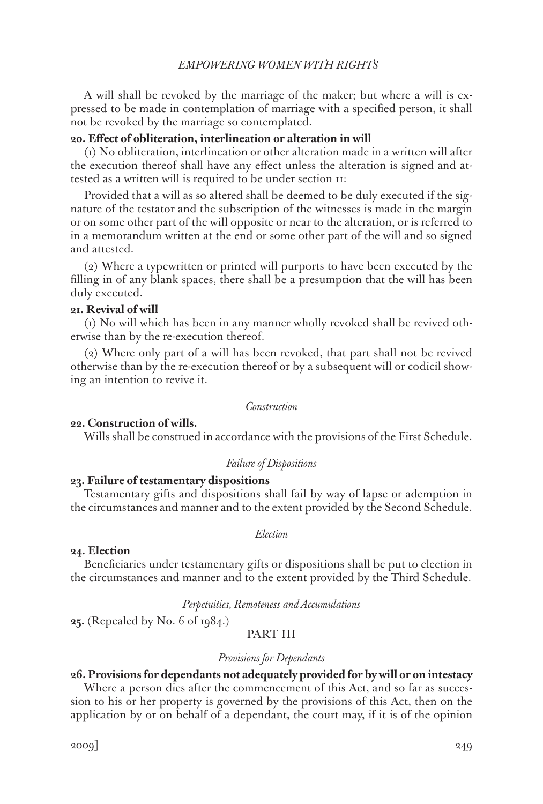A will shall be revoked by the marriage of the maker; but where a will is expressed to be made in contemplation of marriage with a specified person, it shall not be revoked by the marriage so contemplated.

## **20. Effect of obliteration, interlineation or alteration in will**

(1) No obliteration, interlineation or other alteration made in a written will after the execution thereof shall have any effect unless the alteration is signed and attested as a written will is required to be under section 11:

Provided that a will as so altered shall be deemed to be duly executed if the signature of the testator and the subscription of the witnesses is made in the margin or on some other part of the will opposite or near to the alteration, or is referred to in a memorandum written at the end or some other part of the will and so signed and attested.

(2) Where a typewritten or printed will purports to have been executed by the filling in of any blank spaces, there shall be a presumption that the will has been duly executed.

### **21. Revival of will**

(1) No will which has been in any manner wholly revoked shall be revived otherwise than by the re-execution thereof.

(2) Where only part of a will has been revoked, that part shall not be revived otherwise than by the re-execution thereof or by a subsequent will or codicil showing an intention to revive it.

#### *Construction*

### **22. Construction of wills.**

Wills shall be construed in accordance with the provisions of the First Schedule.

#### *Failure of Dispositions*

### **23. Failure of testamentary dispositions**

Testamentary gifts and dispositions shall fail by way of lapse or ademption in the circumstances and manner and to the extent provided by the Second Schedule.

#### *Election*

### **24. Election**

Beneficiaries under testamentary gifts or dispositions shall be put to election in the circumstances and manner and to the extent provided by the Third Schedule.

*Perpetuities, Remoteness and Accumulations*

**25.** (Repealed by No. 6 of 1984.)

# PART III

#### *Provisions for Dependants*

### **26. Provisions for dependants not adequately provided for by will or on intestacy**

Where a person dies after the commencement of this Act, and so far as succession to his <u>or her</u> property is governed by the provisions of this Act, then on the application by or on behalf of a dependant, the court may, if it is of the opinion

2009] 249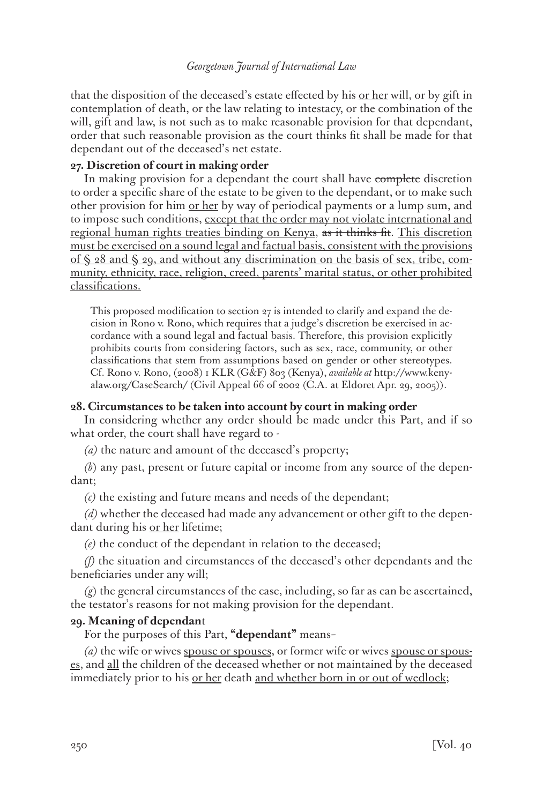that the disposition of the deceased's estate effected by his <u>or her</u> will, or by gift in contemplation of death, or the law relating to intestacy, or the combination of the will, gift and law, is not such as to make reasonable provision for that dependant, order that such reasonable provision as the court thinks fit shall be made for that dependant out of the deceased's net estate.

# **27. Discretion of court in making order**

In making provision for a dependant the court shall have complete discretion to order a specific share of the estate to be given to the dependant, or to make such other provision for him <u>or her</u> by way of periodical payments or a lump sum, and to impose such conditions, except that the order may not violate international and regional human rights treaties binding on Kenya, as it thinks fit. This discretion must be exercised on a sound legal and factual basis, consistent with the provisions of § 28 and § 29, and without any discrimination on the basis of sex, tribe, community, ethnicity, race, religion, creed, parents' marital status, or other prohibited classifications.

This proposed modification to section 27 is intended to clarify and expand the decision in Rono v. Rono, which requires that a judge's discretion be exercised in accordance with a sound legal and factual basis. Therefore, this provision explicitly prohibits courts from considering factors, such as sex, race, community, or other classifications that stem from assumptions based on gender or other stereotypes. Cf. Rono v. Rono, (2008) 1 KLR (G&F) 803 (Kenya), *available at* http://www.kenyalaw.org/CaseSearch/ (Civil Appeal 66 of 2002 (C.A. at Eldoret Apr. 29, 2005)).

# **28. Circumstances to be taken into account by court in making order**

In considering whether any order should be made under this Part, and if so what order, the court shall have regard to -

*(a)* the nature and amount of the deceased's property;

*(b*) any past, present or future capital or income from any source of the dependant;

*(c)* the existing and future means and needs of the dependant;

*(d)* whether the deceased had made any advancement or other gift to the dependant during his or her lifetime;

*(e)* the conduct of the dependant in relation to the deceased;

*(f)* the situation and circumstances of the deceased's other dependants and the beneficiaries under any will;

*(g*) the general circumstances of the case, including, so far as can be ascertained, the testator's reasons for not making provision for the dependant.

## **29. Meaning of dependan**t

For the purposes of this Part, **"dependant"** means–

*(a)* the wife or wives spouse or spouses, or former wife or wives spouse or spouses, and all the children of the deceased whether or not maintained by the deceased immediately prior to his <u>or her</u> death and whether born in or out of wedlock;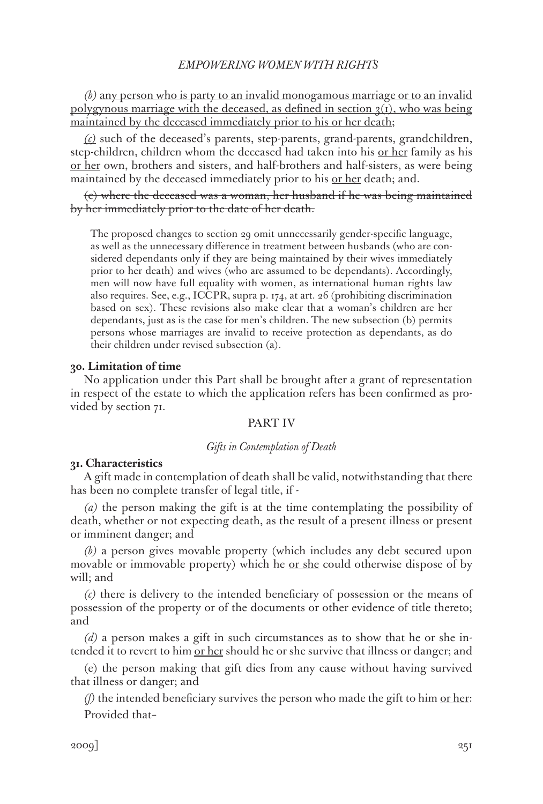*(b)* any person who is party to an invalid monogamous marriage or to an invalid polygynous marriage with the deceased, as defined in section  $q(t)$ , who was being maintained by the deceased immediately prior to his or her death;

*(c)* such of the deceased's parents, step-parents, grand-parents, grandchildren, step-children, children whom the deceased had taken into his or her family as his or her own, brothers and sisters, and half-brothers and half-sisters, as were being maintained by the deceased immediately prior to his <u>or her</u> death; and.

(c) where the deceased was a woman, her husband if he was being maintained by her immediately prior to the date of her death.

The proposed changes to section 29 omit unnecessarily gender-specific language, as well as the unnecessary difference in treatment between husbands (who are considered dependants only if they are being maintained by their wives immediately prior to her death) and wives (who are assumed to be dependants). Accordingly, men will now have full equality with women, as international human rights law also requires. See, e.g., ICCPR, supra p. 174, at art. 26 (prohibiting discrimination based on sex). These revisions also make clear that a woman's children are her dependants, just as is the case for men's children. The new subsection (b) permits persons whose marriages are invalid to receive protection as dependants, as do their children under revised subsection (a).

## **30. Limitation of time**

No application under this Part shall be brought after a grant of representation in respect of the estate to which the application refers has been confirmed as provided by section 71.

## PART IV

#### *Gifts in Contemplation of Death*

## **31. Characteristics**

A gift made in contemplation of death shall be valid, notwithstanding that there has been no complete transfer of legal title, if -

*(a)* the person making the gift is at the time contemplating the possibility of death, whether or not expecting death, as the result of a present illness or present or imminent danger; and

*(b)* a person gives movable property (which includes any debt secured upon movable or immovable property) which he <u>or she</u> could otherwise dispose of by will; and

*(c)* there is delivery to the intended beneficiary of possession or the means of possession of the property or of the documents or other evidence of title thereto; and

*(d)* a person makes a gift in such circumstances as to show that he or she intended it to revert to him <u>or her</u> should he or she survive that illness or danger; and

(e) the person making that gift dies from any cause without having survived that illness or danger; and

*(f)* the intended beneficiary survives the person who made the gift to him or her: Provided that–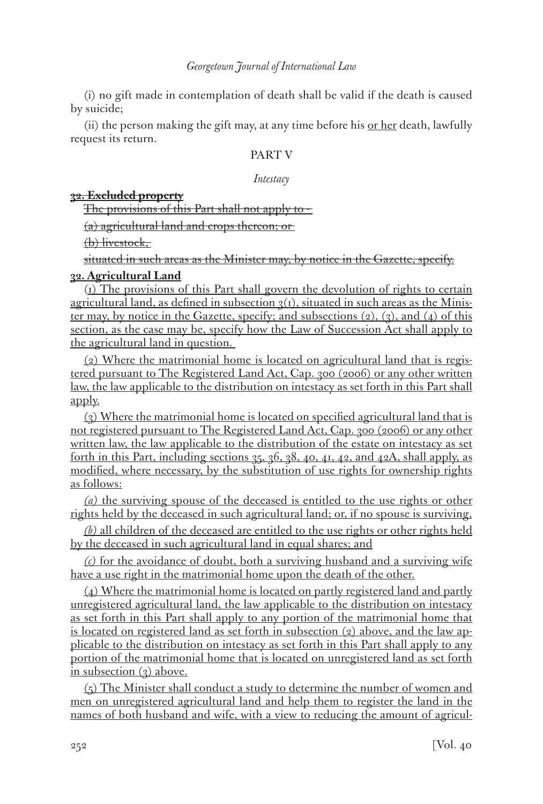(i) no gift made in contemplation of death shall be valid if the death is caused by suicide;

(ii) the person making the gift may, at any time before his or her death, lawfully request its return.

# PART V

# *Intestacy*

# **32. Excluded property**

The provisions of this Part shall not apply to -

(a) agricultural land and crops thereon; or

(b) livestock,

situated in such areas as the Minister may, by notice in the Gazette, specify.

# **32. Agricultural Land**

(1) The provisions of this Part shall govern the devolution of rights to certain agricultural land, as defined in subsection  $q(t)$ , situated in such areas as the Minister may, by notice in the Gazette, specify; and subsections  $(2)$ ,  $(3)$ , and  $(4)$  of this section, as the case may be, specify how the Law of Succession Act shall apply to the agricultural land in question.

(2) Where the matrimonial home is located on agricultural land that is registered pursuant to The Registered Land Act, Cap. 300 (2006) or any other written law, the law applicable to the distribution on intestacy as set forth in this Part shall apply.

(3) Where the matrimonial home is located on specified agricultural land that is not registered pursuant to The Registered Land Act, Cap. 300 (2006) or any other written law, the law applicable to the distribution of the estate on intestacy as set forth in this Part, including sections  $35, 36, 38, 40, 41, 42,$  and  $42A$ , shall apply, as modified, where necessary, by the substitution of use rights for ownership rights as follows:

*(a)* the surviving spouse of the deceased is entitled to the use rights or other rights held by the deceased in such agricultural land; or, if no spouse is surviving,

*(b)* all children of the deceased are entitled to the use rights or other rights held by the deceased in such agricultural land in equal shares; and

*(c)* for the avoidance of doubt, both a surviving husband and a surviving wife have a use right in the matrimonial home upon the death of the other.

(4) Where the matrimonial home is located on partly registered land and partly unregistered agricultural land, the law applicable to the distribution on intestacy as set forth in this Part shall apply to any portion of the matrimonial home that is located on registered land as set forth in subsection  $(2)$  above, and the law applicable to the distribution on intestacy as set forth in this Part shall apply to any portion of the matrimonial home that is located on unregistered land as set forth in subsection (3) above.

(5) The Minister shall conduct a study to determine the number of women and men on unregistered agricultural land and help them to register the land in the names of both husband and wife, with a view to reducing the amount of agricul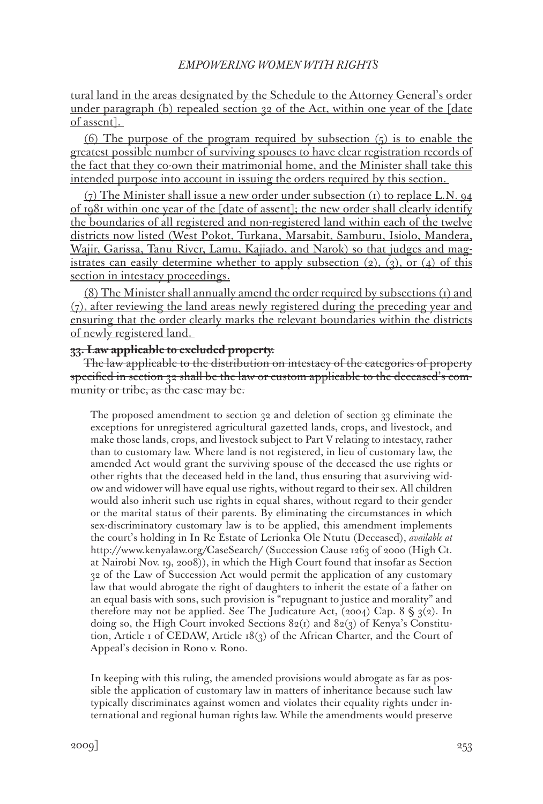tural land in the areas designated by the Schedule to the Attorney General's order under paragraph (b) repealed section 32 of the Act, within one year of the [date of assent].

(6) The purpose of the program required by subsection  $(5)$  is to enable the greatest possible number of surviving spouses to have clear registration records of the fact that they co-own their matrimonial home, and the Minister shall take this intended purpose into account in issuing the orders required by this section.

 $(7)$  The Minister shall issue a new order under subsection (1) to replace L.N.  $94$ of 1981 within one year of the [date of assent]; the new order shall clearly identify the boundaries of all registered and non-registered land within each of the twelve districts now listed (West Pokot, Turkana, Marsabit, Samburu, Isiolo, Mandera, Wajir, Garissa, Tanu River, Lamu, Kajiado, and Narok) so that judges and magistrates can easily determine whether to apply subsection  $(2)$ ,  $(3)$ , or  $(4)$  of this section in intestacy proceedings.

(8) The Minister shall annually amend the order required by subsections (1) and  $(7)$ , after reviewing the land areas newly registered during the preceding year and ensuring that the order clearly marks the relevant boundaries within the districts of newly registered land.

## **33. Law applicable to excluded property.**

The law applicable to the distribution on intestacy of the categories of property specified in section 32 shall be the law or custom applicable to the deceased's community or tribe, as the case may be.

The proposed amendment to section 32 and deletion of section 33 eliminate the exceptions for unregistered agricultural gazetted lands, crops, and livestock, and make those lands, crops, and livestock subject to Part V relating to intestacy, rather than to customary law. Where land is not registered, in lieu of customary law, the amended Act would grant the surviving spouse of the deceased the use rights or other rights that the deceased held in the land, thus ensuring that asurviving widow and widower will have equal use rights, without regard to their sex. All children would also inherit such use rights in equal shares, without regard to their gender or the marital status of their parents. By eliminating the circumstances in which sex-discriminatory customary law is to be applied, this amendment implements the court's holding in In Re Estate of Lerionka Ole Ntutu (Deceased), *available at* http://www.kenyalaw.org/CaseSearch/ (Succession Cause 1263 of 2000 (High Ct. at Nairobi Nov. 19, 2008)), in which the High Court found that insofar as Section 32 of the Law of Succession Act would permit the application of any customary law that would abrogate the right of daughters to inherit the estate of a father on an equal basis with sons, such provision is "repugnant to justice and morality" and therefore may not be applied. See The Judicature Act, (2004) Cap. 8  $\S$  3(2). In doing so, the High Court invoked Sections  $82(1)$  and  $82(3)$  of Kenya's Constitution, Article 1 of CEDAW, Article 18(3) of the African Charter, and the Court of Appeal's decision in Rono v. Rono.

In keeping with this ruling, the amended provisions would abrogate as far as possible the application of customary law in matters of inheritance because such law typically discriminates against women and violates their equality rights under international and regional human rights law. While the amendments would preserve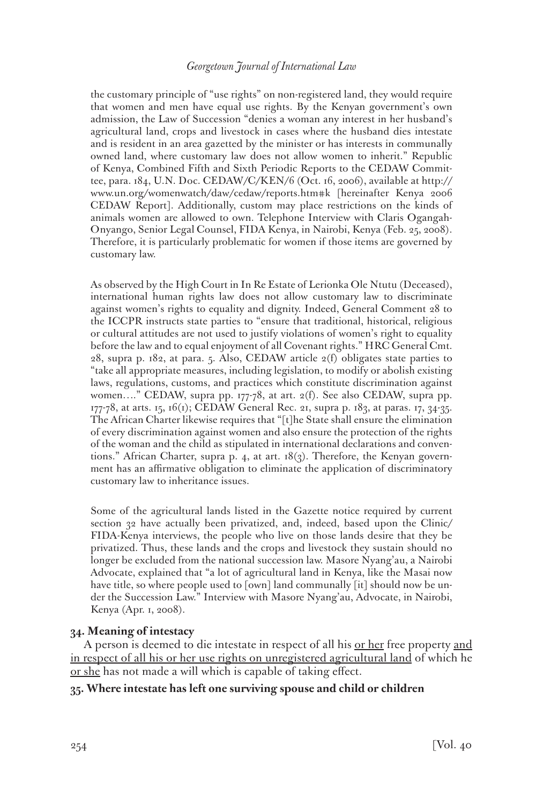the customary principle of "use rights" on non-registered land, they would require that women and men have equal use rights. By the Kenyan government's own admission, the Law of Succession "denies a woman any interest in her husband's agricultural land, crops and livestock in cases where the husband dies intestate and is resident in an area gazetted by the minister or has interests in communally owned land, where customary law does not allow women to inherit." Republic of Kenya, Combined Fifth and Sixth Periodic Reports to the CEDAW Committee, para. 184, U.N. Doc. CEDAW/C/KEN/6 (Oct. 16, 2006), available at http:// www.un.org/womenwatch/daw/cedaw/reports.htm#k [hereinafter Kenya 2006 CEDAW Report]. Additionally, custom may place restrictions on the kinds of animals women are allowed to own. Telephone Interview with Claris Ogangah-Onyango, Senior Legal Counsel, FIDA Kenya, in Nairobi, Kenya (Feb. 25, 2008). Therefore, it is particularly problematic for women if those items are governed by customary law.

As observed by the High Court in In Re Estate of Lerionka Ole Ntutu (Deceased), international human rights law does not allow customary law to discriminate against women's rights to equality and dignity. Indeed, General Comment 28 to the ICCPR instructs state parties to "ensure that traditional, historical, religious or cultural attitudes are not used to justify violations of women's right to equality before the law and to equal enjoyment of all Covenant rights." HRC General Cmt. 28, supra p. 182, at para. 5. Also, CEDAW article  $2(f)$  obligates state parties to "take all appropriate measures, including legislation, to modify or abolish existing laws, regulations, customs, and practices which constitute discrimination against women...." CEDAW, supra pp. 177-78, at art. 2(f). See also CEDAW, supra pp. 177-78, at arts. 15, 16(1); CEDAW General Rec. 21, supra p. 183, at paras. 17, 34-35. The African Charter likewise requires that "[t]he State shall ensure the elimination of every discrimination against women and also ensure the protection of the rights of the woman and the child as stipulated in international declarations and conventions." African Charter, supra p. 4, at art. 18(3). Therefore, the Kenyan government has an affirmative obligation to eliminate the application of discriminatory customary law to inheritance issues.

Some of the agricultural lands listed in the Gazette notice required by current section 32 have actually been privatized, and, indeed, based upon the Clinic/ FIDA-Kenya interviews, the people who live on those lands desire that they be privatized. Thus, these lands and the crops and livestock they sustain should no longer be excluded from the national succession law. Masore Nyang'au, a Nairobi Advocate, explained that "a lot of agricultural land in Kenya, like the Masai now have title, so where people used to [own] land communally [it] should now be under the Succession Law." Interview with Masore Nyang'au, Advocate, in Nairobi, Kenya (Apr. 1, 2008).

## **34. Meaning of intestacy**

A person is deemed to die intestate in respect of all his or her free property and in respect of all his or her use rights on unregistered agricultural land of which he or she has not made a will which is capable of taking effect.

# **35. Where intestate has left one surviving spouse and child or children**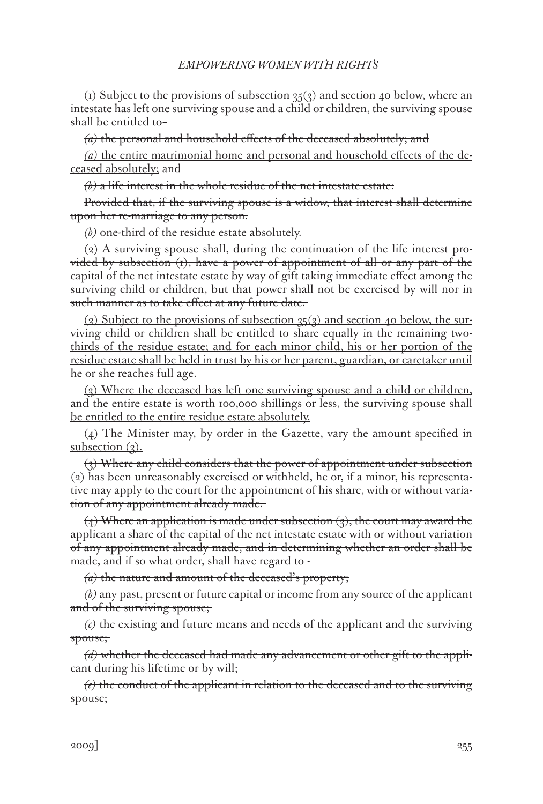(1) Subject to the provisions of <u>subsection 35(3)</u> and section 40 below, where an intestate has left one surviving spouse and a child or children, the surviving spouse shall be entitled to–

*(a)* the personal and household effects of the deceased absolutely; and

*(a)* the entire matrimonial home and personal and household effects of the deceased absolutely; and

*(b)* a life interest in the whole residue of the net intestate estate:

Provided that, if the surviving spouse is a widow, that interest shall determine upon her re-marriage to any person.

*(b)* one-third of the residue estate absolutely.

(2) A surviving spouse shall, during the continuation of the life interest provided by subsection  $(t)$ , have a power of appointment of all or any part of the capital of the net intestate estate by way of gift taking immediate effect among the surviving child or children, but that power shall not be exercised by will nor in such manner as to take effect at any future date.

(2) Subject to the provisions of subsection  $35(3)$  and section 40 below, the surviving child or children shall be entitled to share equally in the remaining twothirds of the residue estate; and for each minor child, his or her portion of the residue estate shall be held in trust by his or her parent, guardian, or caretaker until he or she reaches full age.

(3) Where the deceased has left one surviving spouse and a child or children, and the entire estate is worth 100,000 shillings or less, the surviving spouse shall be entitled to the entire residue estate absolutely.

(4) The Minister may, by order in the Gazette, vary the amount specified in subsection  $(3)$ .

(3) Where any child considers that the power of appointment under subsection  $\langle 2 \rangle$  has been unreasonably exercised or withheld, he or, if a minor, his representative may apply to the court for the appointment of his share, with or without variation of any appointment already made.

(4) Where an application is made under subsection (3), the court may award the applicant a share of the capital of the net intestate estate with or without variation of any appointment already made, and in determining whether an order shall be made, and if so what order, shall have regard to -

*(a)* the nature and amount of the deceased's property;

*(b)* any past, present or future capital or income from any source of the applicant and of the surviving spouse;

*(c)* the existing and future means and needs of the applicant and the surviving spouse;

*(d)* whether the deceased had made any advancement or other gift to the applicant during his lifetime or by will;

*(e)* the conduct of the applicant in relation to the deceased and to the surviving spouse;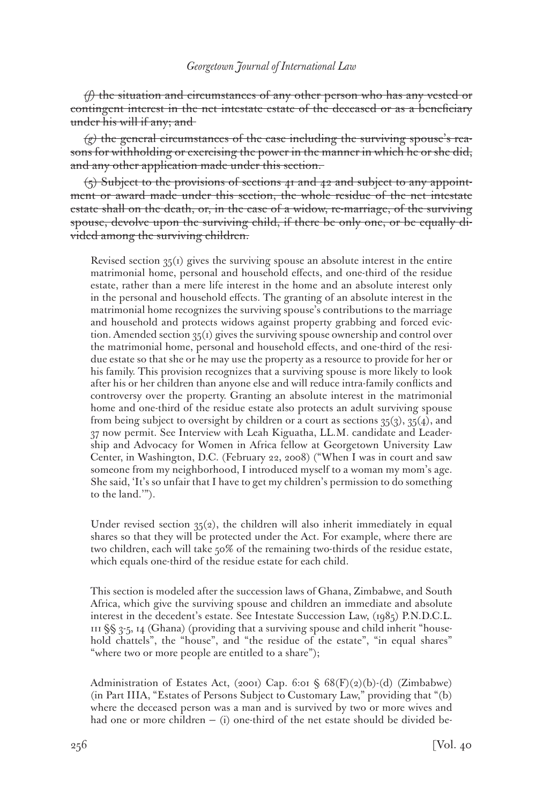*(f)* the situation and circumstances of any other person who has any vested or contingent interest in the net intestate estate of the deceased or as a beneficiary under his will if any; and

*(g)* the general circumstances of the case including the surviving spouse's reasons for withholding or exercising the power in the manner in which he or she did, and any other application made under this section.

 $(5)$  Subject to the provisions of sections 41 and 42 and subject to any appointment or award made under this section, the whole residue of the net intestate estate shall on the death, or, in the case of a widow, re-marriage, of the surviving spouse, devolve upon the surviving child, if there be only one, or be equally divided among the surviving children.

Revised section 35(1) gives the surviving spouse an absolute interest in the entire matrimonial home, personal and household effects, and one-third of the residue estate, rather than a mere life interest in the home and an absolute interest only in the personal and household effects. The granting of an absolute interest in the matrimonial home recognizes the surviving spouse's contributions to the marriage and household and protects widows against property grabbing and forced eviction. Amended section  $35(1)$  gives the surviving spouse ownership and control over the matrimonial home, personal and household effects, and one-third of the residue estate so that she or he may use the property as a resource to provide for her or his family. This provision recognizes that a surviving spouse is more likely to look after his or her children than anyone else and will reduce intra-family conflicts and controversy over the property. Granting an absolute interest in the matrimonial home and one-third of the residue estate also protects an adult surviving spouse from being subject to oversight by children or a court as sections  $35(3)$ ,  $35(4)$ , and 37 now permit. See Interview with Leah Kiguatha, LL.M. candidate and Leadership and Advocacy for Women in Africa fellow at Georgetown University Law Center, in Washington, D.C. (February 22, 2008) ("When I was in court and saw someone from my neighborhood, I introduced myself to a woman my mom's age. She said, 'It's so unfair that I have to get my children's permission to do something to the land.'").

Under revised section  $35(2)$ , the children will also inherit immediately in equal shares so that they will be protected under the Act. For example, where there are two children, each will take 50% of the remaining two-thirds of the residue estate, which equals one-third of the residue estate for each child.

This section is modeled after the succession laws of Ghana, Zimbabwe, and South Africa, which give the surviving spouse and children an immediate and absolute interest in the decedent's estate. See Intestate Succession Law, (1985) P.N.D.C.L.  $111$  §§ 3-5, 14 (Ghana) (providing that a surviving spouse and child inherit "household chattels", the "house", and "the residue of the estate", "in equal shares" "where two or more people are entitled to a share");

Administration of Estates Act, (2001) Cap. 6:01 § 68(F)(2)(b)-(d) (Zimbabwe) (in Part IIIA, "Estates of Persons Subject to Customary Law," providing that "(b) where the deceased person was a man and is survived by two or more wives and had one or more children  $-$  (i) one-third of the net estate should be divided be-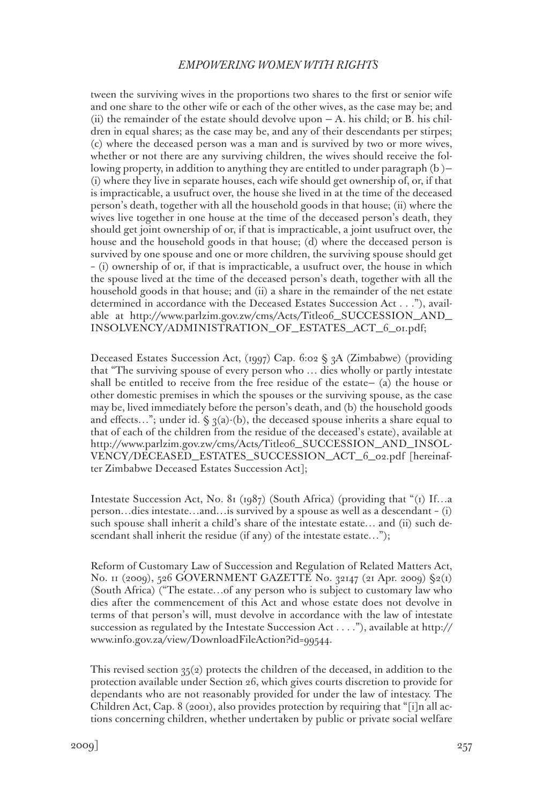tween the surviving wives in the proportions two shares to the first or senior wife and one share to the other wife or each of the other wives, as the case may be; and (ii) the remainder of the estate should devolve upon  $- A$ . his child; or B. his children in equal shares; as the case may be, and any of their descendants per stirpes; (c) where the deceased person was a man and is survived by two or more wives, whether or not there are any surviving children, the wives should receive the following property, in addition to anything they are entitled to under paragraph (b )— (i) where they live in separate houses, each wife should get ownership of, or, if that is impracticable, a usufruct over, the house she lived in at the time of the deceased person's death, together with all the household goods in that house; (ii) where the wives live together in one house at the time of the deceased person's death, they should get joint ownership of or, if that is impracticable, a joint usufruct over, the house and the household goods in that house; (d) where the deceased person is survived by one spouse and one or more children, the surviving spouse should get – (i) ownership of or, if that is impracticable, a usufruct over, the house in which the spouse lived at the time of the deceased person's death, together with all the household goods in that house; and (ii) a share in the remainder of the net estate determined in accordance with the Deceased Estates Succession Act . . ."), available at http://www.parlzim.gov.zw/cms/Acts/Title06\_SUCCESSION\_AND\_ INSOLVENCY/ADMINISTRATION\_OF\_ESTATES\_ACT\_6\_01.pdf;

Deceased Estates Succession Act, (1997) Cap. 6:02 § 3A (Zimbabwe) (providing that "The surviving spouse of every person who … dies wholly or partly intestate shall be entitled to receive from the free residue of the estate— (a) the house or other domestic premises in which the spouses or the surviving spouse, as the case may be, lived immediately before the person's death, and (b) the household goods and effects..."; under id.  $\zeta_3(a)$ -(b), the deceased spouse inherits a share equal to that of each of the children from the residue of the deceased's estate), available at http://www.parlzim.gov.zw/cms/Acts/Title06\_SUCCESSION\_AND\_INSOL-VENCY/DECEASED\_ESTATES\_SUCCESSION\_ACT\_6\_02.pdf [hereinafter Zimbabwe Deceased Estates Succession Act];

Intestate Succession Act, No. 81 (1987) (South Africa) (providing that "(1) If…a person…dies intestate…and…is survived by a spouse as well as a descendant – (i) such spouse shall inherit a child's share of the intestate estate… and (ii) such descendant shall inherit the residue (if any) of the intestate estate...");

Reform of Customary Law of Succession and Regulation of Related Matters Act, No. 11 (2009), 526 GOVERNMENT GAZETTE No. 32147 (21 Apr. 2009) §2(1) (South Africa) ("The estate…of any person who is subject to customary law who dies after the commencement of this Act and whose estate does not devolve in terms of that person's will, must devolve in accordance with the law of intestate succession as regulated by the Intestate Succession Act . . . ."), available at http:// www.info.gov.za/view/DownloadFileAction?id=99544.

This revised section  $35(2)$  protects the children of the deceased, in addition to the protection available under Section 26, which gives courts discretion to provide for dependants who are not reasonably provided for under the law of intestacy. The Children Act, Cap. 8 (2001), also provides protection by requiring that "[i]n all actions concerning children, whether undertaken by public or private social welfare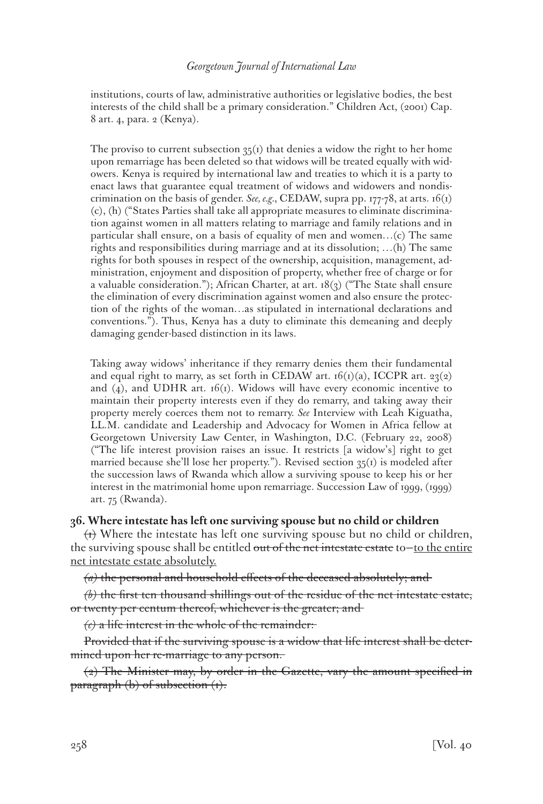institutions, courts of law, administrative authorities or legislative bodies, the best interests of the child shall be a primary consideration." Children Act, (2001) Cap. 8 art. 4, para. 2 (Kenya).

The proviso to current subsection  $35(1)$  that denies a widow the right to her home upon remarriage has been deleted so that widows will be treated equally with widowers. Kenya is required by international law and treaties to which it is a party to enact laws that guarantee equal treatment of widows and widowers and nondiscrimination on the basis of gender. *See, e.g.*, CEDAW, supra pp. 177-78, at arts. 16(1) (c), (h) ("States Parties shall take all appropriate measures to eliminate discrimination against women in all matters relating to marriage and family relations and in particular shall ensure, on a basis of equality of men and women…(c) The same rights and responsibilities during marriage and at its dissolution; …(h) The same rights for both spouses in respect of the ownership, acquisition, management, administration, enjoyment and disposition of property, whether free of charge or for a valuable consideration."); African Charter, at art.  $18(3)$  ("The State shall ensure the elimination of every discrimination against women and also ensure the protection of the rights of the woman…as stipulated in international declarations and conventions."). Thus, Kenya has a duty to eliminate this demeaning and deeply damaging gender-based distinction in its laws.

Taking away widows' inheritance if they remarry denies them their fundamental and equal right to marry, as set forth in CEDAW art.  $16(i)(a)$ , ICCPR art. 23(2) and  $(4)$ , and UDHR art. 16(1). Widows will have every economic incentive to maintain their property interests even if they do remarry, and taking away their property merely coerces them not to remarry. *See* Interview with Leah Kiguatha, LL.M. candidate and Leadership and Advocacy for Women in Africa fellow at Georgetown University Law Center, in Washington, D.C. (February 22, 2008) ("The life interest provision raises an issue. It restricts [a widow's] right to get married because she'll lose her property."). Revised section  $35(i)$  is modeled after the succession laws of Rwanda which allow a surviving spouse to keep his or her interest in the matrimonial home upon remarriage. Succession Law of 1999, (1999) art. 75 (Rwanda).

# **36. Where intestate has left one surviving spouse but no child or children**

 $\leftrightarrow$  Where the intestate has left one surviving spouse but no child or children, the surviving spouse shall be entitled out of the net intestate estate to-to the entire net intestate estate absolutely.

*(a)* the personal and household effects of the deceased absolutely; and

*(b)* the first ten thousand shillings out of the residue of the net intestate estate, or twenty per centum thereof, whichever is the greater; and

 $\langle \epsilon \rangle$  a life interest in the whole of the remainder:

Provided that if the surviving spouse is a widow that life interest shall be determined upon her re-marriage to any person.

 $\langle 2 \rangle$  The Minister may, by order in the Gazette, vary the amount specified in paragraph  $(b)$  of subsection  $(t)$ .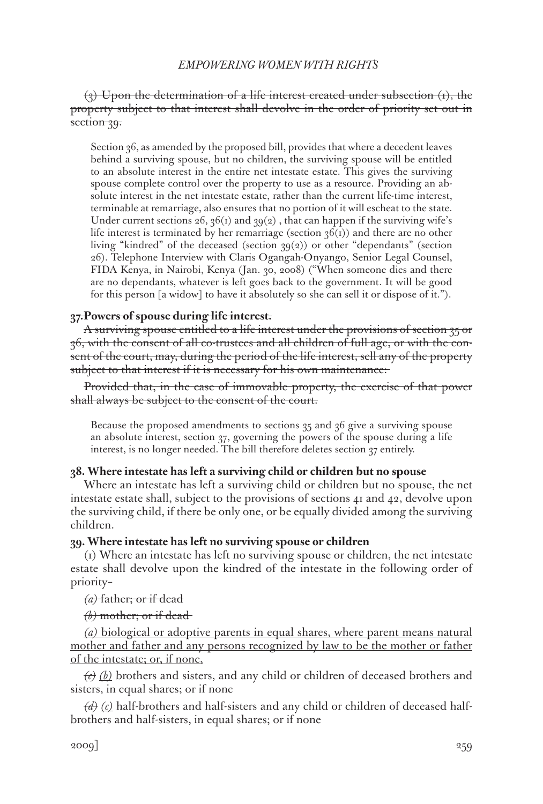# $(3)$  Upon the determination of a life interest created under subsection  $(t)$ , the property subject to that interest shall devolve in the order of priority set out in section 39.

Section 36, as amended by the proposed bill, provides that where a decedent leaves behind a surviving spouse, but no children, the surviving spouse will be entitled to an absolute interest in the entire net intestate estate. This gives the surviving spouse complete control over the property to use as a resource. Providing an absolute interest in the net intestate estate, rather than the current life-time interest, terminable at remarriage, also ensures that no portion of it will escheat to the state. Under current sections  $26$ ,  $36(i)$  and  $39(2)$ , that can happen if the surviving wife's life interest is terminated by her remarriage (section  $36(i)$ ) and there are no other living "kindred" of the deceased (section 39(2)) or other "dependants" (section 26). Telephone Interview with Claris Ogangah-Onyango, Senior Legal Counsel, FIDA Kenya, in Nairobi, Kenya (Jan. 30, 2008) ("When someone dies and there are no dependants, whatever is left goes back to the government. It will be good for this person [a widow] to have it absolutely so she can sell it or dispose of it.").

## **37.Powers of spouse during life interest.**

A surviving spouse entitled to a life interest under the provisions of section 35 or 36, with the consent of all co-trustees and all children of full age, or with the consent of the court, may, during the period of the life interest, sell any of the property subject to that interest if it is necessary for his own maintenance:

Provided that, in the case of immovable property, the exercise of that power shall always be subject to the consent of the court.

Because the proposed amendments to sections 35 and 36 give a surviving spouse an absolute interest, section 37, governing the powers of the spouse during a life interest, is no longer needed. The bill therefore deletes section 37 entirely.

## **38. Where intestate has left a surviving child or children but no spouse**

Where an intestate has left a surviving child or children but no spouse, the net intestate estate shall, subject to the provisions of sections 41 and 42, devolve upon the surviving child, if there be only one, or be equally divided among the surviving children.

## **39. Where intestate has left no surviving spouse or children**

(1) Where an intestate has left no surviving spouse or children, the net intestate estate shall devolve upon the kindred of the intestate in the following order of priority–

# *(a)* father; or if dead

## *(b)* mother; or if dead

*(a)* biological or adoptive parents in equal shares, where parent means natural mother and father and any persons recognized by law to be the mother or father of the intestate; or, if none,

*(c) (b)* brothers and sisters, and any child or children of deceased brothers and sisters, in equal shares; or if none

*(d) (c)* half-brothers and half-sisters and any child or children of deceased halfbrothers and half-sisters, in equal shares; or if none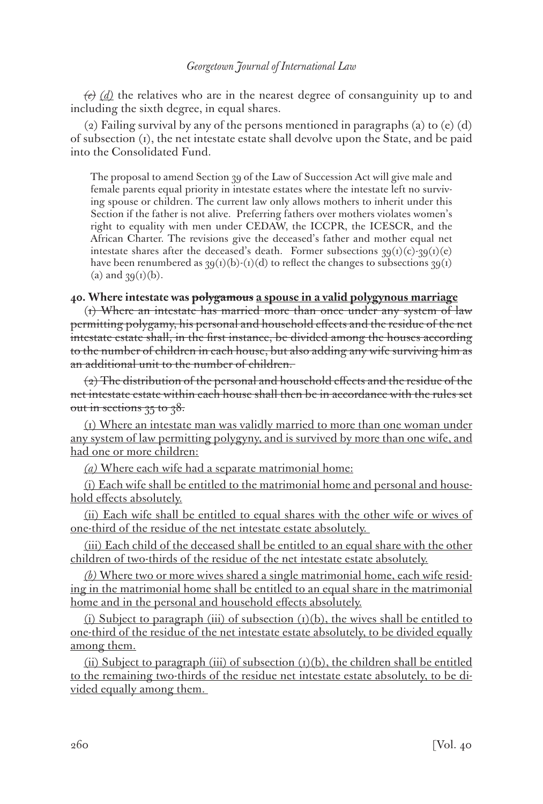*(e) (d)* the relatives who are in the nearest degree of consanguinity up to and including the sixth degree, in equal shares.

(2) Failing survival by any of the persons mentioned in paragraphs (a) to (e) (d) of subsection (1), the net intestate estate shall devolve upon the State, and be paid into the Consolidated Fund.

The proposal to amend Section 39 of the Law of Succession Act will give male and female parents equal priority in intestate estates where the intestate left no surviving spouse or children. The current law only allows mothers to inherit under this Section if the father is not alive. Preferring fathers over mothers violates women's right to equality with men under CEDAW, the ICCPR, the ICESCR, and the African Charter. The revisions give the deceased's father and mother equal net intestate shares after the deceased's death. Former subsections  $39(i)(c)-39(i)(e)$ have been renumbered as  $39(t)(b)-(1)(d)$  to reflect the changes to subsections  $39(t)$ (a) and  $39(1)(b)$ .

# **40. Where intestate was polygamous a spouse in a valid polygynous marriage**

(1) Where an intestate has married more than once under any system of law permitting polygamy, his personal and household effects and the residue of the net intestate estate shall, in the first instance, be divided among the houses according to the number of children in each house, but also adding any wife surviving him as an additional unit to the number of children.

(2) The distribution of the personal and household effects and the residue of the net intestate estate within each house shall then be in accordance with the rules set out in sections  $35$  to  $38$ .

(1) Where an intestate man was validly married to more than one woman under any system of law permitting polygyny, and is survived by more than one wife, and had one or more children:

*(a)* Where each wife had a separate matrimonial home:

(i) Each wife shall be entitled to the matrimonial home and personal and household effects absolutely.

(ii) Each wife shall be entitled to equal shares with the other wife or wives of one-third of the residue of the net intestate estate absolutely.

(iii) Each child of the deceased shall be entitled to an equal share with the other children of two-thirds of the residue of the net intestate estate absolutely.

*(b)* Where two or more wives shared a single matrimonial home, each wife residing in the matrimonial home shall be entitled to an equal share in the matrimonial home and in the personal and household effects absolutely.

(i) Subject to paragraph (iii) of subsection  $(I)(b)$ , the wives shall be entitled to one-third of the residue of the net intestate estate absolutely, to be divided equally among them.

(ii) Subject to paragraph (iii) of subsection  $(1)(b)$ , the children shall be entitled to the remaining two-thirds of the residue net intestate estate absolutely, to be divided equally among them.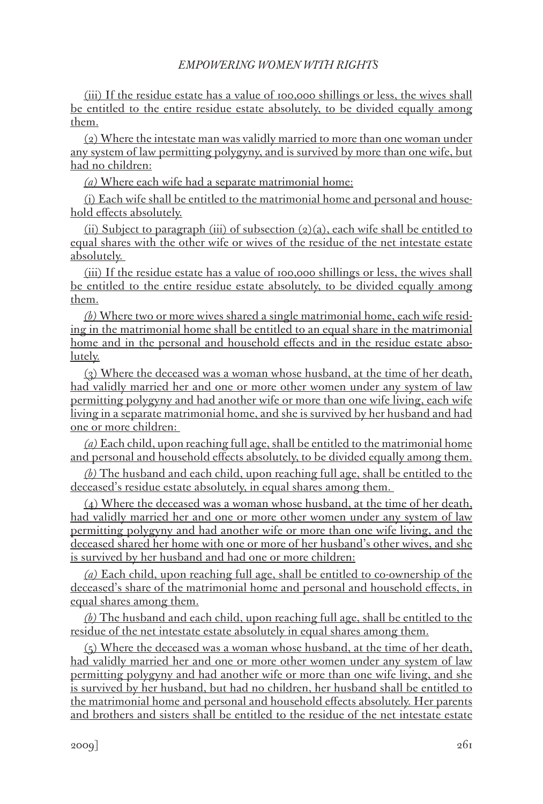(iii) If the residue estate has a value of 100,000 shillings or less, the wives shall be entitled to the entire residue estate absolutely, to be divided equally among them.

(2) Where the intestate man was validly married to more than one woman under any system of law permitting polygyny, and is survived by more than one wife, but had no children:

*(a)* Where each wife had a separate matrimonial home:

(i) Each wife shall be entitled to the matrimonial home and personal and household effects absolutely.

(ii) Subject to paragraph (iii) of subsection  $(2)(a)$ , each wife shall be entitled to equal shares with the other wife or wives of the residue of the net intestate estate absolutely.

(iii) If the residue estate has a value of 100,000 shillings or less, the wives shall be entitled to the entire residue estate absolutely, to be divided equally among them.

*(b)* Where two or more wives shared a single matrimonial home, each wife residing in the matrimonial home shall be entitled to an equal share in the matrimonial home and in the personal and household effects and in the residue estate absolutely.

(3) Where the deceased was a woman whose husband, at the time of her death, had validly married her and one or more other women under any system of law permitting polygyny and had another wife or more than one wife living, each wife living in a separate matrimonial home, and she is survived by her husband and had one or more children:

*(a)* Each child, upon reaching full age, shall be entitled to the matrimonial home and personal and household effects absolutely, to be divided equally among them.

*(b)* The husband and each child, upon reaching full age, shall be entitled to the deceased's residue estate absolutely, in equal shares among them.

(4) Where the deceased was a woman whose husband, at the time of her death, had validly married her and one or more other women under any system of law permitting polygyny and had another wife or more than one wife living, and the deceased shared her home with one or more of her husband's other wives, and she is survived by her husband and had one or more children:

*(a)* Each child, upon reaching full age, shall be entitled to co-ownership of the deceased's share of the matrimonial home and personal and household effects, in equal shares among them.

*(b)* The husband and each child, upon reaching full age, shall be entitled to the residue of the net intestate estate absolutely in equal shares among them.

(5) Where the deceased was a woman whose husband, at the time of her death, had validly married her and one or more other women under any system of law permitting polygyny and had another wife or more than one wife living, and she is survived by her husband, but had no children, her husband shall be entitled to the matrimonial home and personal and household effects absolutely. Her parents and brothers and sisters shall be entitled to the residue of the net intestate estate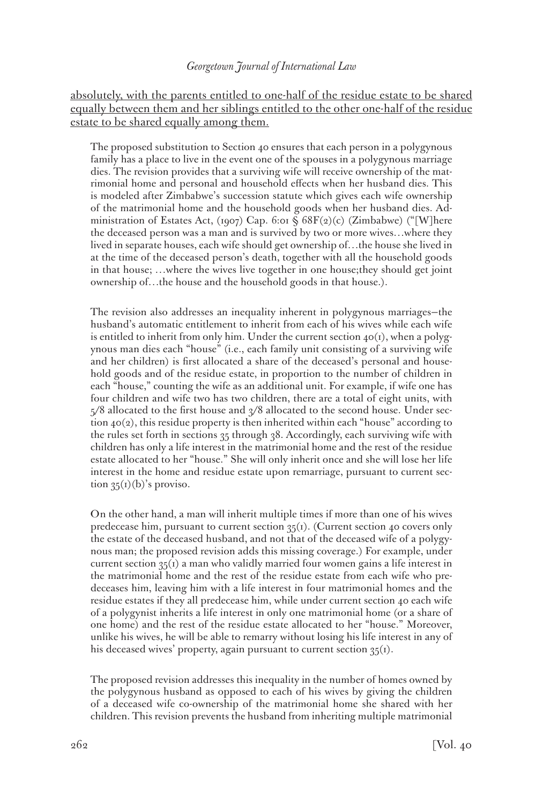absolutely, with the parents entitled to one-half of the residue estate to be shared equally between them and her siblings entitled to the other one-half of the residue estate to be shared equally among them.

The proposed substitution to Section 40 ensures that each person in a polygynous family has a place to live in the event one of the spouses in a polygynous marriage dies. The revision provides that a surviving wife will receive ownership of the matrimonial home and personal and household effects when her husband dies. This is modeled after Zimbabwe's succession statute which gives each wife ownership of the matrimonial home and the household goods when her husband dies. Administration of Estates Act, (1907) Cap. 6:01 § 68F(2)(c) (Zimbabwe) ("[W]here the deceased person was a man and is survived by two or more wives…where they lived in separate houses, each wife should get ownership of…the house she lived in at the time of the deceased person's death, together with all the household goods in that house; …where the wives live together in one house;they should get joint ownership of…the house and the household goods in that house.).

The revision also addresses an inequality inherent in polygynous marriages—the husband's automatic entitlement to inherit from each of his wives while each wife is entitled to inherit from only him. Under the current section  $40(1)$ , when a polygynous man dies each "house" (i.e., each family unit consisting of a surviving wife and her children) is first allocated a share of the deceased's personal and household goods and of the residue estate, in proportion to the number of children in each "house," counting the wife as an additional unit. For example, if wife one has four children and wife two has two children, there are a total of eight units, with  $5/8$  allocated to the first house and  $\frac{3}{8}$  allocated to the second house. Under section  $40(2)$ , this residue property is then inherited within each "house" according to the rules set forth in sections 35 through 38. Accordingly, each surviving wife with children has only a life interest in the matrimonial home and the rest of the residue estate allocated to her "house." She will only inherit once and she will lose her life interest in the home and residue estate upon remarriage, pursuant to current section  $35<sub>(1)</sub>(b)$ 's proviso.

On the other hand, a man will inherit multiple times if more than one of his wives predecease him, pursuant to current section  $35(i)$ . (Current section 40 covers only the estate of the deceased husband, and not that of the deceased wife of a polygynous man; the proposed revision adds this missing coverage.) For example, under current section  $35(i)$  a man who validly married four women gains a life interest in the matrimonial home and the rest of the residue estate from each wife who predeceases him, leaving him with a life interest in four matrimonial homes and the residue estates if they all predecease him, while under current section 40 each wife of a polygynist inherits a life interest in only one matrimonial home (or a share of one home) and the rest of the residue estate allocated to her "house." Moreover, unlike his wives, he will be able to remarry without losing his life interest in any of his deceased wives' property, again pursuant to current section  $35<sub>(1)</sub>$ .

The proposed revision addresses this inequality in the number of homes owned by the polygynous husband as opposed to each of his wives by giving the children of a deceased wife co-ownership of the matrimonial home she shared with her children. This revision prevents the husband from inheriting multiple matrimonial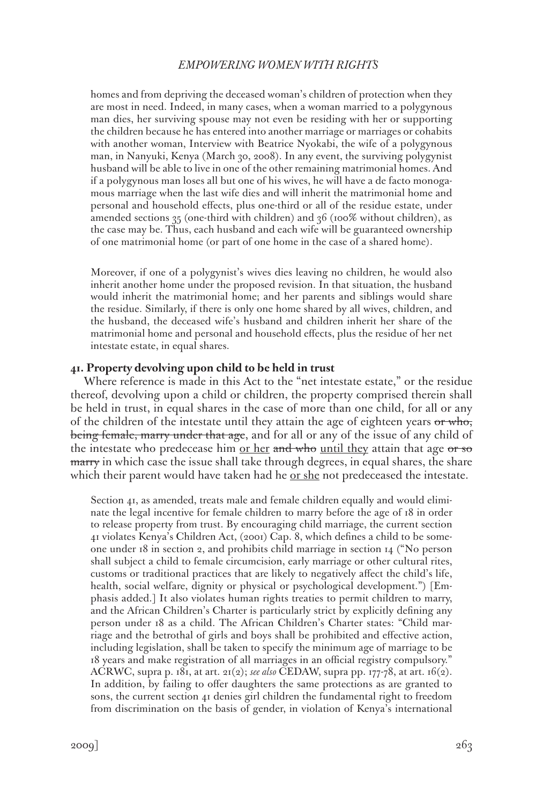homes and from depriving the deceased woman's children of protection when they are most in need. Indeed, in many cases, when a woman married to a polygynous man dies, her surviving spouse may not even be residing with her or supporting the children because he has entered into another marriage or marriages or cohabits with another woman, Interview with Beatrice Nyokabi, the wife of a polygynous man, in Nanyuki, Kenya (March 30, 2008). In any event, the surviving polygynist husband will be able to live in one of the other remaining matrimonial homes. And if a polygynous man loses all but one of his wives, he will have a de facto monogamous marriage when the last wife dies and will inherit the matrimonial home and personal and household effects, plus one-third or all of the residue estate, under amended sections 35 (one-third with children) and 36 (100% without children), as the case may be. Thus, each husband and each wife will be guaranteed ownership of one matrimonial home (or part of one home in the case of a shared home).

Moreover, if one of a polygynist's wives dies leaving no children, he would also inherit another home under the proposed revision. In that situation, the husband would inherit the matrimonial home; and her parents and siblings would share the residue. Similarly, if there is only one home shared by all wives, children, and the husband, the deceased wife's husband and children inherit her share of the matrimonial home and personal and household effects, plus the residue of her net intestate estate, in equal shares.

## **41. Property devolving upon child to be held in trust**

Where reference is made in this Act to the "net intestate estate," or the residue thereof, devolving upon a child or children, the property comprised therein shall be held in trust, in equal shares in the case of more than one child, for all or any of the children of the intestate until they attain the age of eighteen years  $\sigma r$  who, being female, marry under that age, and for all or any of the issue of any child of the intestate who predecease him <u>or her and who until they</u> attain that age or so marry in which case the issue shall take through degrees, in equal shares, the share which their parent would have taken had he <u>or she</u> not predeceased the intestate.

Section 41, as amended, treats male and female children equally and would eliminate the legal incentive for female children to marry before the age of 18 in order to release property from trust. By encouraging child marriage, the current section 41 violates Kenya's Children Act, (2001) Cap. 8, which defines a child to be someone under 18 in section 2, and prohibits child marriage in section 14 ("No person shall subject a child to female circumcision, early marriage or other cultural rites, customs or traditional practices that are likely to negatively affect the child's life, health, social welfare, dignity or physical or psychological development.") [Emphasis added.] It also violates human rights treaties to permit children to marry, and the African Children's Charter is particularly strict by explicitly defining any person under 18 as a child. The African Children's Charter states: "Child marriage and the betrothal of girls and boys shall be prohibited and effective action, including legislation, shall be taken to specify the minimum age of marriage to be 18 years and make registration of all marriages in an official registry compulsory." ACRWC, supra p. 181, at art. 21(2); *see also* CEDAW, supra pp. 177-78, at art. 16(2). In addition, by failing to offer daughters the same protections as are granted to sons, the current section 41 denies girl children the fundamental right to freedom from discrimination on the basis of gender, in violation of Kenya's international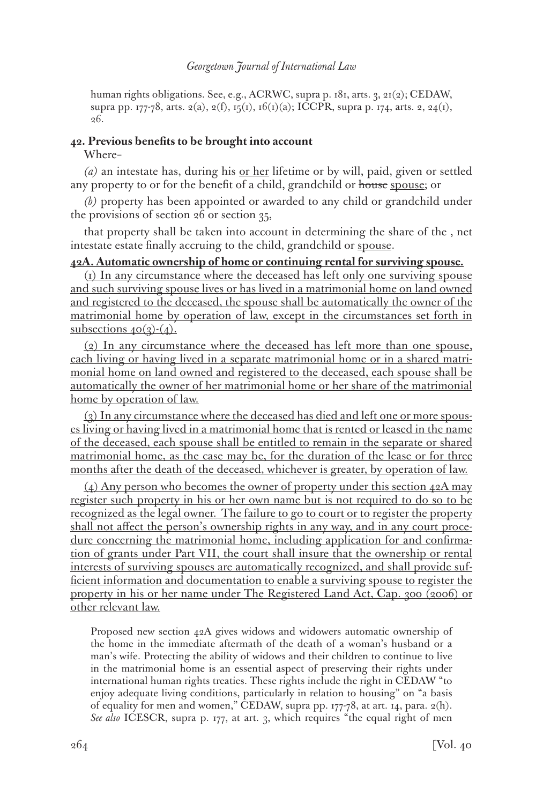human rights obligations. See, e.g., ACRWC, supra p. 181, arts. 3, 21(2); CEDAW, supra pp. 177-78, arts. 2(a), 2(f), 15(1), 16(1)(a); ICCPR, supra p. 174, arts. 2, 24(1), 26.

# **42. Previous benefits to be brought into account**

Where–

*(a)* an intestate has, during his or her lifetime or by will, paid, given or settled any property to or for the benefit of a child, grandchild or house spouse; or

*(b)* property has been appointed or awarded to any child or grandchild under the provisions of section 26 or section 35,

that property shall be taken into account in determining the share of the , net intestate estate finally accruing to the child, grandchild or spouse.

# **42A. Automatic ownership of home or continuing rental for surviving spouse.**

(1) In any circumstance where the deceased has left only one surviving spouse and such surviving spouse lives or has lived in a matrimonial home on land owned and registered to the deceased, the spouse shall be automatically the owner of the matrimonial home by operation of law, except in the circumstances set forth in subsections  $40(3)-(4)$ .

 $(2)$  In any circumstance where the deceased has left more than one spouse, each living or having lived in a separate matrimonial home or in a shared matrimonial home on land owned and registered to the deceased, each spouse shall be automatically the owner of her matrimonial home or her share of the matrimonial home by operation of law.

(3) In any circumstance where the deceased has died and left one or more spouses living or having lived in a matrimonial home that is rented or leased in the name of the deceased, each spouse shall be entitled to remain in the separate or shared matrimonial home, as the case may be, for the duration of the lease or for three months after the death of the deceased, whichever is greater, by operation of law.

(4) Any person who becomes the owner of property under this section  $42A$  may register such property in his or her own name but is not required to do so to be recognized as the legal owner. The failure to go to court or to register the property shall not affect the person's ownership rights in any way, and in any court procedure concerning the matrimonial home, including application for and confirmation of grants under Part VII, the court shall insure that the ownership or rental interests of surviving spouses are automatically recognized, and shall provide sufficient information and documentation to enable a surviving spouse to register the property in his or her name under The Registered Land Act, Cap. 300 (2006) or other relevant law.

Proposed new section 42A gives widows and widowers automatic ownership of the home in the immediate aftermath of the death of a woman's husband or a man's wife. Protecting the ability of widows and their children to continue to live in the matrimonial home is an essential aspect of preserving their rights under international human rights treaties. These rights include the right in CEDAW "to enjoy adequate living conditions, particularly in relation to housing" on "a basis of equality for men and women," CEDAW, supra pp. 177-78, at art. 14, para. 2(h). *See also* ICESCR, supra p. 177, at art. 3, which requires "the equal right of men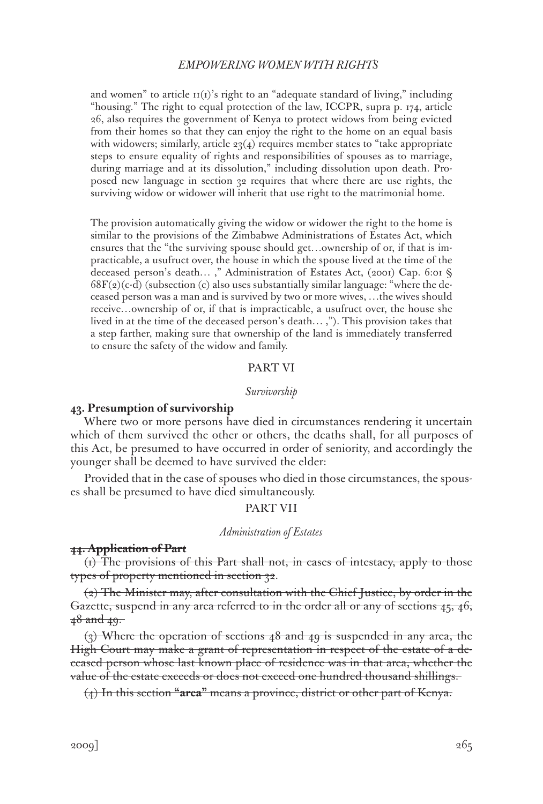and women" to article  $H(I)$ 's right to an "adequate standard of living," including "housing." The right to equal protection of the law, ICCPR, supra p. 174, article 26, also requires the government of Kenya to protect widows from being evicted from their homes so that they can enjoy the right to the home on an equal basis with widowers; similarly, article  $23(4)$  requires member states to "take appropriate" steps to ensure equality of rights and responsibilities of spouses as to marriage, during marriage and at its dissolution," including dissolution upon death. Proposed new language in section 32 requires that where there are use rights, the surviving widow or widower will inherit that use right to the matrimonial home.

The provision automatically giving the widow or widower the right to the home is similar to the provisions of the Zimbabwe Administrations of Estates Act, which ensures that the "the surviving spouse should get…ownership of or, if that is impracticable, a usufruct over, the house in which the spouse lived at the time of the deceased person's death… ," Administration of Estates Act, (2001) Cap. 6:01 §  $68F(2)(c-d)$  (subsection (c) also uses substantially similar language: "where the deceased person was a man and is survived by two or more wives, …the wives should receive…ownership of or, if that is impracticable, a usufruct over, the house she lived in at the time of the deceased person's death… ,"). This provision takes that a step farther, making sure that ownership of the land is immediately transferred to ensure the safety of the widow and family.

## PART VI

#### *Survivorship*

## **43. Presumption of survivorship**

Where two or more persons have died in circumstances rendering it uncertain which of them survived the other or others, the deaths shall, for all purposes of this Act, be presumed to have occurred in order of seniority, and accordingly the younger shall be deemed to have survived the elder:

Provided that in the case of spouses who died in those circumstances, the spouses shall be presumed to have died simultaneously.

# PART VII

#### *Administration of Estates*

## **44. Application of Part**

(1) The provisions of this Part shall not, in cases of intestacy, apply to those types of property mentioned in section 32.

(2) The Minister may, after consultation with the Chief Justice, by order in the Gazette, suspend in any area referred to in the order all or any of sections 45, 46, 48 and 49.

 $(3)$  Where the operation of sections 48 and 49 is suspended in any area, the High Court may make a grant of representation in respect of the estate of a deceased person whose last known place of residence was in that area, whether the value of the estate exceeds or does not exceed one hundred thousand shillings.

(4) In this section **"area"** means a province, district or other part of Kenya.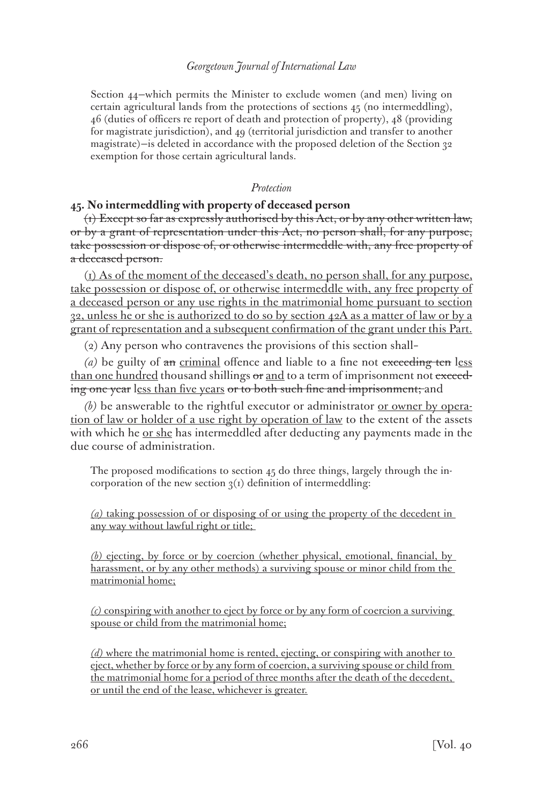Section 44—which permits the Minister to exclude women (and men) living on certain agricultural lands from the protections of sections 45 (no intermeddling), 46 (duties of officers re report of death and protection of property), 48 (providing for magistrate jurisdiction), and 49 (territorial jurisdiction and transfer to another magistrate)—is deleted in accordance with the proposed deletion of the Section 32 exemption for those certain agricultural lands.

## *Protection*

# **45. No intermeddling with property of deceased person**

(1) Except so far as expressly authorised by this Act, or by any other written law, or by a grant of representation under this Act, no person shall, for any purpose, take possession or dispose of, or otherwise intermeddle with, any free property of a deceased person.

(1) As of the moment of the deceased's death, no person shall, for any purpose, take possession or dispose of, or otherwise intermeddle with, any free property of a deceased person or any use rights in the matrimonial home pursuant to section 32, unless he or she is authorized to do so by section 42A as a matter of law or by a grant of representation and a subsequent confirmation of the grant under this Part.

(2) Any person who contravenes the provisions of this section shall–

*(a)* be guilty of an criminal offence and liable to a fine not exceeding ten less than one hundred thousand shillings or and to a term of imprisonment not exceeding one year less than five years or to both such fine and imprisonment; and

*(b)* be answerable to the rightful executor or administrator or owner by operation of law or holder of a use right by operation of law to the extent of the assets with which he <u>or she</u> has intermeddled after deducting any payments made in the due course of administration.

The proposed modifications to section 45 do three things, largely through the incorporation of the new section  $3<sub>(1)</sub>$  definition of intermeddling:

*(a)* taking possession of or disposing of or using the property of the decedent in any way without lawful right or title;

*(b)* ejecting, by force or by coercion (whether physical, emotional, financial, by harassment, or by any other methods) a surviving spouse or minor child from the matrimonial home;

*(c)* conspiring with another to eject by force or by any form of coercion a surviving spouse or child from the matrimonial home;

*(d)* where the matrimonial home is rented, ejecting, or conspiring with another to eject, whether by force or by any form of coercion, a surviving spouse or child from the matrimonial home for a period of three months after the death of the decedent, or until the end of the lease, whichever is greater.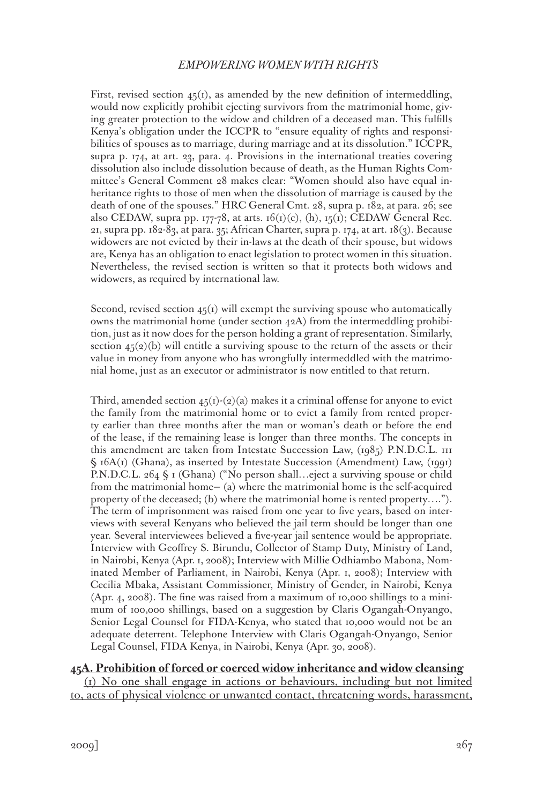First, revised section  $45(i)$ , as amended by the new definition of intermeddling, would now explicitly prohibit ejecting survivors from the matrimonial home, giving greater protection to the widow and children of a deceased man. This fulfills Kenya's obligation under the ICCPR to "ensure equality of rights and responsibilities of spouses as to marriage, during marriage and at its dissolution." ICCPR, supra p. 174, at art. 23, para. 4. Provisions in the international treaties covering dissolution also include dissolution because of death, as the Human Rights Committee's General Comment 28 makes clear: "Women should also have equal inheritance rights to those of men when the dissolution of marriage is caused by the death of one of the spouses." HRC General Cmt. 28, supra p. 182, at para. 26; see also CEDAW, supra pp. 177-78, at arts. 16(1)(c), (h), 15(1); CEDAW General Rec. 21, supra pp.  $182-83$ , at para. 35; African Charter, supra p. 174, at art.  $18(3)$ . Because widowers are not evicted by their in-laws at the death of their spouse, but widows are, Kenya has an obligation to enact legislation to protect women in this situation. Nevertheless, the revised section is written so that it protects both widows and widowers, as required by international law.

Second, revised section  $45(1)$  will exempt the surviving spouse who automatically owns the matrimonial home (under section 42A) from the intermeddling prohibition, just as it now does for the person holding a grant of representation. Similarly, section  $45(2)(b)$  will entitle a surviving spouse to the return of the assets or their value in money from anyone who has wrongfully intermeddled with the matrimonial home, just as an executor or administrator is now entitled to that return.

Third, amended section  $45(i)-(2)(a)$  makes it a criminal offense for anyone to evict the family from the matrimonial home or to evict a family from rented property earlier than three months after the man or woman's death or before the end of the lease, if the remaining lease is longer than three months. The concepts in this amendment are taken from Intestate Succession Law, (1985) P.N.D.C.L. III § 16A(1) (Ghana), as inserted by Intestate Succession (Amendment) Law, (1991) P.N.D.C.L. 264 § 1 (Ghana) ("No person shall…eject a surviving spouse or child from the matrimonial home— (a) where the matrimonial home is the self-acquired property of the deceased; (b) where the matrimonial home is rented property…."). The term of imprisonment was raised from one year to five years, based on interviews with several Kenyans who believed the jail term should be longer than one year. Several interviewees believed a five-year jail sentence would be appropriate. Interview with Geoffrey S. Birundu, Collector of Stamp Duty, Ministry of Land, in Nairobi, Kenya (Apr. 1, 2008); Interview with Millie Odhiambo Mabona, Nominated Member of Parliament, in Nairobi, Kenya (Apr. 1, 2008); Interview with Cecilia Mbaka, Assistant Commissioner, Ministry of Gender, in Nairobi, Kenya (Apr. 4, 2008). The fine was raised from a maximum of 10,000 shillings to a minimum of 100,000 shillings, based on a suggestion by Claris Ogangah-Onyango, Senior Legal Counsel for FIDA-Kenya, who stated that 10,000 would not be an adequate deterrent. Telephone Interview with Claris Ogangah-Onyango, Senior Legal Counsel, FIDA Kenya, in Nairobi, Kenya (Apr. 30, 2008).

# **45A. Prohibition of forced or coerced widow inheritance and widow cleansing** (1) No one shall engage in actions or behaviours, including but not limited to, acts of physical violence or unwanted contact, threatening words, harassment,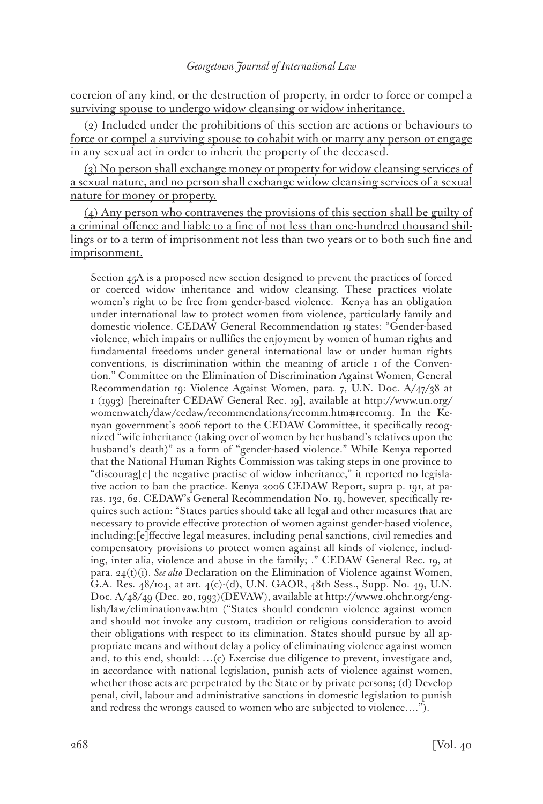coercion of any kind, or the destruction of property, in order to force or compel a surviving spouse to undergo widow cleansing or widow inheritance.

(2) Included under the prohibitions of this section are actions or behaviours to force or compel a surviving spouse to cohabit with or marry any person or engage in any sexual act in order to inherit the property of the deceased.

(3) No person shall exchange money or property for widow cleansing services of a sexual nature, and no person shall exchange widow cleansing services of a sexual nature for money or property.

(4) Any person who contravenes the provisions of this section shall be guilty of a criminal offence and liable to a fine of not less than one-hundred thousand shillings or to a term of imprisonment not less than two years or to both such fine and imprisonment.

Section 45A is a proposed new section designed to prevent the practices of forced or coerced widow inheritance and widow cleansing. These practices violate women's right to be free from gender-based violence. Kenya has an obligation under international law to protect women from violence, particularly family and domestic violence. CEDAW General Recommendation 19 states: "Gender-based violence, which impairs or nullifies the enjoyment by women of human rights and fundamental freedoms under general international law or under human rights conventions, is discrimination within the meaning of article 1 of the Convention." Committee on the Elimination of Discrimination Against Women, General Recommendation 19: Violence Against Women, para. 7, U.N. Doc. A/47/38 at 1 (1993) [hereinafter CEDAW General Rec. 19], available at http://www.un.org/ womenwatch/daw/cedaw/recommendations/recomm.htm#recom19. In the Kenyan government's 2006 report to the CEDAW Committee, it specifically recognized "wife inheritance (taking over of women by her husband's relatives upon the husband's death)" as a form of "gender-based violence." While Kenya reported that the National Human Rights Commission was taking steps in one province to "discourag[e] the negative practise of widow inheritance," it reported no legislative action to ban the practice. Kenya 2006 CEDAW Report, supra p. 191, at paras. 132, 62. CEDAW's General Recommendation No. 19, however, specifically requires such action: "States parties should take all legal and other measures that are necessary to provide effective protection of women against gender-based violence, including;[e]ffective legal measures, including penal sanctions, civil remedies and compensatory provisions to protect women against all kinds of violence, including, inter alia, violence and abuse in the family; ." CEDAW General Rec. 19, at para. 24(t)(i). *See also* Declaration on the Elimination of Violence against Women, G.A. Res. 48/104, at art. 4(c)-(d), U.N. GAOR, 48th Sess., Supp. No. 49, U.N. Doc. A/48/49 (Dec. 20, 1993)(DEVAW), available at http://www2.ohchr.org/english/law/eliminationvaw.htm ("States should condemn violence against women and should not invoke any custom, tradition or religious consideration to avoid their obligations with respect to its elimination. States should pursue by all appropriate means and without delay a policy of eliminating violence against women and, to this end, should: …(c) Exercise due diligence to prevent, investigate and, in accordance with national legislation, punish acts of violence against women, whether those acts are perpetrated by the State or by private persons; (d) Develop penal, civil, labour and administrative sanctions in domestic legislation to punish and redress the wrongs caused to women who are subjected to violence….").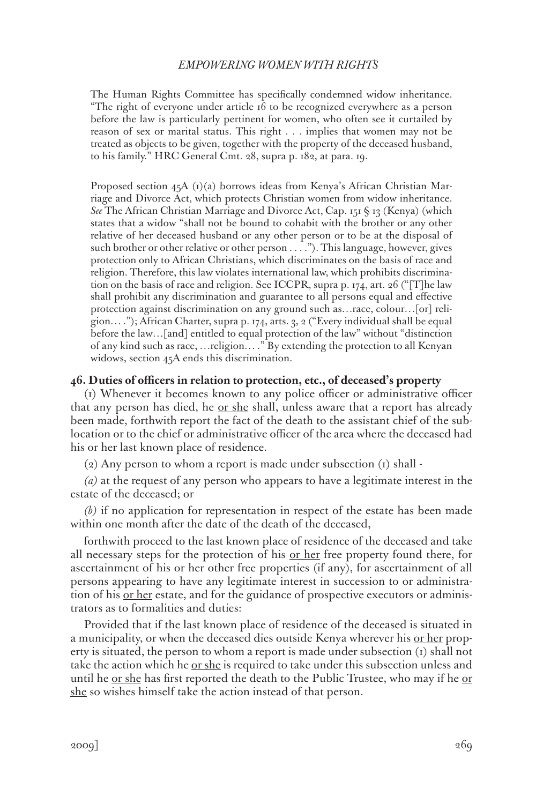The Human Rights Committee has specifically condemned widow inheritance. "The right of everyone under article 16 to be recognized everywhere as a person before the law is particularly pertinent for women, who often see it curtailed by reason of sex or marital status. This right . . . implies that women may not be treated as objects to be given, together with the property of the deceased husband, to his family." HRC General Cmt. 28, supra p. 182, at para. 19.

Proposed section 45A (1)(a) borrows ideas from Kenya's African Christian Marriage and Divorce Act, which protects Christian women from widow inheritance. *See* The African Christian Marriage and Divorce Act, Cap. 151 § 13 (Kenya) (which states that a widow "shall not be bound to cohabit with the brother or any other relative of her deceased husband or any other person or to be at the disposal of such brother or other relative or other person . . . ."). This language, however, gives protection only to African Christians, which discriminates on the basis of race and religion. Therefore, this law violates international law, which prohibits discrimination on the basis of race and religion. See ICCPR, supra p. 174, art. 26 ("[T]he law shall prohibit any discrimination and guarantee to all persons equal and effective protection against discrimination on any ground such as…race, colour…[or] religion… ."); African Charter, supra p. 174, arts. 3, 2 ("Every individual shall be equal before the law…[and] entitled to equal protection of the law" without "distinction of any kind such as race, …religion… ." By extending the protection to all Kenyan widows, section 45A ends this discrimination.

## **46. Duties of officers in relation to protection, etc., of deceased's property**

(1) Whenever it becomes known to any police officer or administrative officer that any person has died, he <u>or she</u> shall, unless aware that a report has already been made, forthwith report the fact of the death to the assistant chief of the sublocation or to the chief or administrative officer of the area where the deceased had his or her last known place of residence.

 $(2)$  Any person to whom a report is made under subsection  $(1)$  shall -

*(a)* at the request of any person who appears to have a legitimate interest in the estate of the deceased; or

*(b)* if no application for representation in respect of the estate has been made within one month after the date of the death of the deceased,

forthwith proceed to the last known place of residence of the deceased and take all necessary steps for the protection of his <u>or her</u> free property found there, for ascertainment of his or her other free properties (if any), for ascertainment of all persons appearing to have any legitimate interest in succession to or administration of his <u>or her</u> estate, and for the guidance of prospective executors or administrators as to formalities and duties:

Provided that if the last known place of residence of the deceased is situated in a municipality, or when the deceased dies outside Kenya wherever his <u>or her</u> property is situated, the person to whom a report is made under subsection  $(i)$  shall not take the action which he  $or she$  is required to take under this subsection unless and</u> until he <u>or she</u> has first reported the death to the Public Trustee, who may if he <u>or</u> she so wishes himself take the action instead of that person.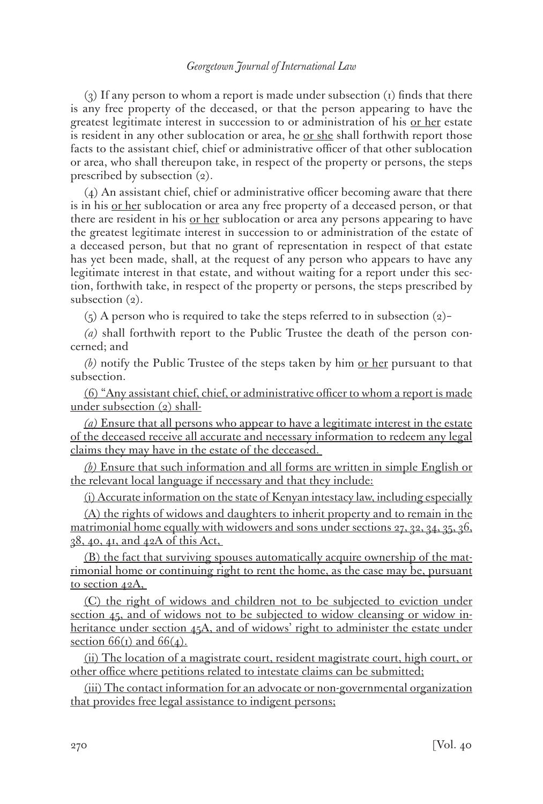(3) If any person to whom a report is made under subsection (1) finds that there is any free property of the deceased, or that the person appearing to have the greatest legitimate interest in succession to or administration of his <u>or her</u> estate is resident in any other sublocation or area, he <u>or she</u> shall forthwith report those facts to the assistant chief, chief or administrative officer of that other sublocation or area, who shall thereupon take, in respect of the property or persons, the steps prescribed by subsection (2).

(4) An assistant chief, chief or administrative officer becoming aware that there is in his <u>or her</u> sublocation or area any free property of a deceased person, or that there are resident in his <u>or her</u> sublocation or area any persons appearing to have the greatest legitimate interest in succession to or administration of the estate of a deceased person, but that no grant of representation in respect of that estate has yet been made, shall, at the request of any person who appears to have any legitimate interest in that estate, and without waiting for a report under this section, forthwith take, in respect of the property or persons, the steps prescribed by subsection  $(2)$ .

(5) A person who is required to take the steps referred to in subsection (2)–

*(a)* shall forthwith report to the Public Trustee the death of the person concerned; and

*(b)* notify the Public Trustee of the steps taken by him or her pursuant to that subsection.

(6) "Any assistant chief, chief, or administrative officer to whom a report is made under subsection (2) shall-

*(a)* Ensure that all persons who appear to have a legitimate interest in the estate of the deceased receive all accurate and necessary information to redeem any legal claims they may have in the estate of the deceased.

*(b)* Ensure that such information and all forms are written in simple English or the relevant local language if necessary and that they include:

(i) Accurate information on the state of Kenyan intestacy law, including especially

(A) the rights of widows and daughters to inherit property and to remain in the matrimonial home equally with widowers and sons under sections 27, 32, 34, 35, 36, 38, 40, 41, and 42A of this Act,

(B) the fact that surviving spouses automatically acquire ownership of the matrimonial home or continuing right to rent the home, as the case may be, pursuant to section 42A,

(C) the right of widows and children not to be subjected to eviction under section 45, and of widows not to be subjected to widow cleansing or widow inheritance under section 45A, and of widows' right to administer the estate under section  $66(i)$  and  $66(4)$ .

(ii) The location of a magistrate court, resident magistrate court, high court, or other office where petitions related to intestate claims can be submitted;

(iii) The contact information for an advocate or non-governmental organization that provides free legal assistance to indigent persons;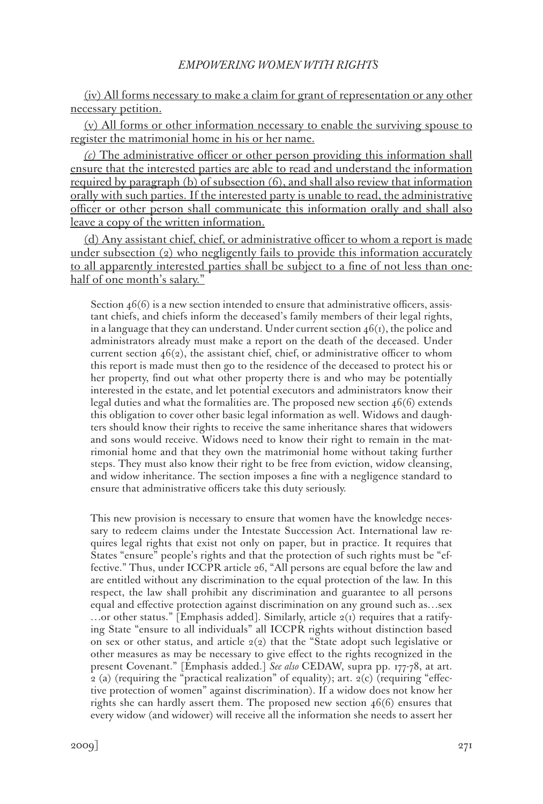(iv) All forms necessary to make a claim for grant of representation or any other necessary petition.

(v) All forms or other information necessary to enable the surviving spouse to register the matrimonial home in his or her name.

*(c)* The administrative officer or other person providing this information shall ensure that the interested parties are able to read and understand the information required by paragraph (b) of subsection (6), and shall also review that information orally with such parties. If the interested party is unable to read, the administrative officer or other person shall communicate this information orally and shall also leave a copy of the written information.

(d) Any assistant chief, chief, or administrative officer to whom a report is made under subsection  $(q)$  who negligently fails to provide this information accurately to all apparently interested parties shall be subject to a fine of not less than onehalf of one month's salary."

Section  $46(6)$  is a new section intended to ensure that administrative officers, assistant chiefs, and chiefs inform the deceased's family members of their legal rights, in a language that they can understand. Under current section  $46(i)$ , the police and administrators already must make a report on the death of the deceased. Under current section  $46(2)$ , the assistant chief, chief, or administrative officer to whom this report is made must then go to the residence of the deceased to protect his or her property, find out what other property there is and who may be potentially interested in the estate, and let potential executors and administrators know their legal duties and what the formalities are. The proposed new section 46(6) extends this obligation to cover other basic legal information as well. Widows and daughters should know their rights to receive the same inheritance shares that widowers and sons would receive. Widows need to know their right to remain in the matrimonial home and that they own the matrimonial home without taking further steps. They must also know their right to be free from eviction, widow cleansing, and widow inheritance. The section imposes a fine with a negligence standard to ensure that administrative officers take this duty seriously.

This new provision is necessary to ensure that women have the knowledge necessary to redeem claims under the Intestate Succession Act. International law requires legal rights that exist not only on paper, but in practice. It requires that States "ensure" people's rights and that the protection of such rights must be "effective." Thus, under ICCPR article 26, "All persons are equal before the law and are entitled without any discrimination to the equal protection of the law. In this respect, the law shall prohibit any discrimination and guarantee to all persons equal and effective protection against discrimination on any ground such as…sex ...or other status." [Emphasis added]. Similarly, article  $2(I)$  requires that a ratifying State "ensure to all individuals" all ICCPR rights without distinction based on sex or other status, and article  $2(2)$  that the "State adopt such legislative or other measures as may be necessary to give effect to the rights recognized in the present Covenant." [Emphasis added.] *See also* CEDAW, supra pp. 177-78, at art.  $2$  (a) (requiring the "practical realization" of equality); art.  $2(c)$  (requiring "effective protection of women" against discrimination). If a widow does not know her rights she can hardly assert them. The proposed new section 46(6) ensures that every widow (and widower) will receive all the information she needs to assert her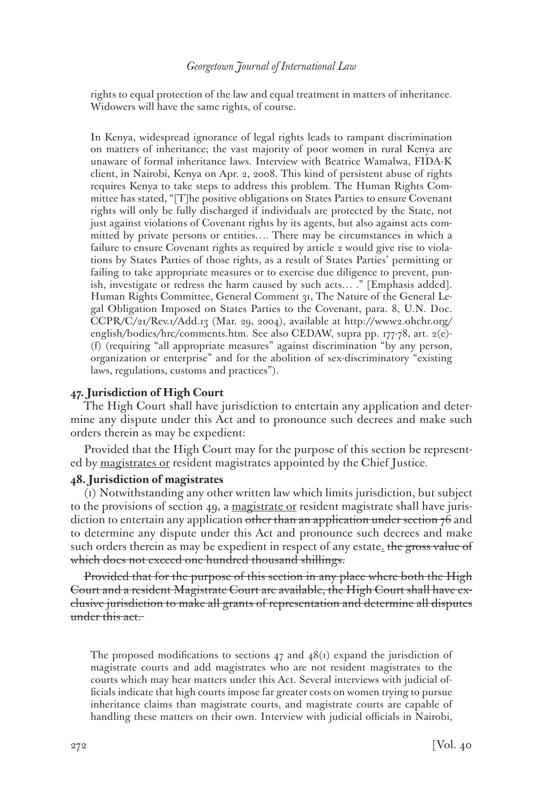rights to equal protection of the law and equal treatment in matters of inheritance. Widowers will have the same rights, of course.

In Kenya, widespread ignorance of legal rights leads to rampant discrimination on matters of inheritance; the vast majority of poor women in rural Kenya are unaware of formal inheritance laws. Interview with Beatrice Wamalwa, FIDA-K client, in Nairobi, Kenya on Apr. 2, 2008. This kind of persistent abuse of rights requires Kenya to take steps to address this problem. The Human Rights Committee has stated, "[T]he positive obligations on States Parties to ensure Covenant rights will only be fully discharged if individuals are protected by the State, not just against violations of Covenant rights by its agents, but also against acts committed by private persons or entities…. There may be circumstances in which a failure to ensure Covenant rights as required by article 2 would give rise to violations by States Parties of those rights, as a result of States Parties' permitting or failing to take appropriate measures or to exercise due diligence to prevent, punish, investigate or redress the harm caused by such acts… ." [Emphasis added]. Human Rights Committee, General Comment 31, The Nature of the General Legal Obligation Imposed on States Parties to the Covenant, para. 8, U.N. Doc. CCPR/C/21/Rev.1/Add.13 (Mar. 29, 2004), available at http://www2.ohchr.org/ english/bodies/hrc/comments.htm. See also CEDAW, supra pp. 177-78, art. 2(e)- (f) (requiring "all appropriate measures" against discrimination "by any person, organization or enterprise" and for the abolition of sex-discriminatory "existing laws, regulations, customs and practices").

# **47. Jurisdiction of High Court**

The High Court shall have jurisdiction to entertain any application and determine any dispute under this Act and to pronounce such decrees and make such orders therein as may be expedient:

Provided that the High Court may for the purpose of this section be represented by magistrates or resident magistrates appointed by the Chief Justice.

#### **48. Jurisdiction of magistrates**

(1) Notwithstanding any other written law which limits jurisdiction, but subject to the provisions of section 49, a magistrate or resident magistrate shall have jurisdiction to entertain any application other than an application under section 76 and to determine any dispute under this Act and pronounce such decrees and make such orders therein as may be expedient in respect of any estate. the gross value of which does not exceed one hundred thousand shillings.

Provided that for the purpose of this section in any place where both the High Court and a resident Magistrate Court are available, the High Court shall have exclusive jurisdiction to make all grants of representation and determine all disputes under this act.

The proposed modifications to sections 47 and  $48(i)$  expand the jurisdiction of magistrate courts and add magistrates who are not resident magistrates to the courts which may hear matters under this Act. Several interviews with judicial officials indicate that high courts impose far greater costs on women trying to pursue inheritance claims than magistrate courts, and magistrate courts are capable of handling these matters on their own. Interview with judicial officials in Nairobi,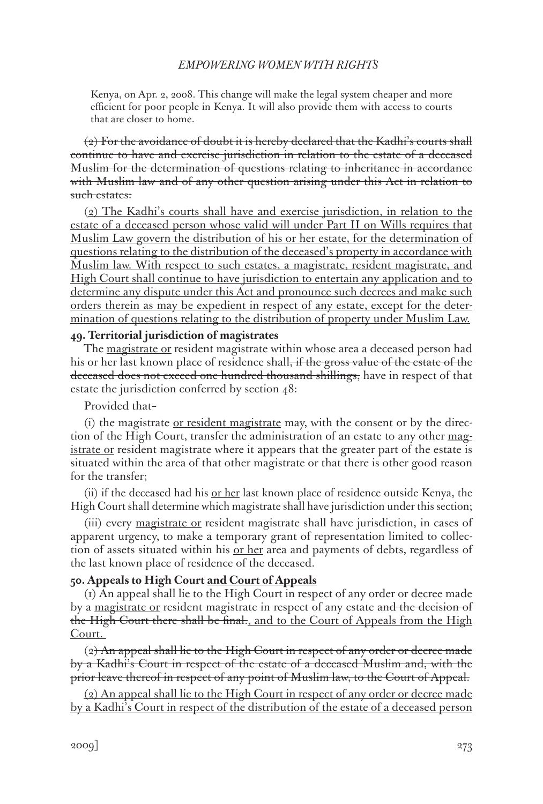Kenya, on Apr. 2, 2008. This change will make the legal system cheaper and more efficient for poor people in Kenya. It will also provide them with access to courts that are closer to home.

 $(2)$  For the avoidance of doubt it is hereby declared that the Kadhi's courts shall continue to have and exercise jurisdiction in relation to the estate of a deceased Muslim for the determination of questions relating to inheritance in accordance with Muslim law and of any other question arising under this Act in relation to such estates:

(2) The Kadhi's courts shall have and exercise jurisdiction, in relation to the estate of a deceased person whose valid will under Part II on Wills requires that Muslim Law govern the distribution of his or her estate, for the determination of questions relating to the distribution of the deceased's property in accordance with Muslim law. With respect to such estates, a magistrate, resident magistrate, and High Court shall continue to have jurisdiction to entertain any application and to determine any dispute under this Act and pronounce such decrees and make such orders therein as may be expedient in respect of any estate, except for the determination of questions relating to the distribution of property under Muslim Law.

# **49. Territorial jurisdiction of magistrates**

The magistrate or resident magistrate within whose area a deceased person had his or her last known place of residence shall<del>, if the gross value of the estate of the</del> deceased does not exceed one hundred thousand shillings, have in respect of that estate the jurisdiction conferred by section 48:

# Provided that–

(i) the magistrate or resident magistrate may, with the consent or by the direction of the High Court, transfer the administration of an estate to any other magistrate or resident magistrate where it appears that the greater part of the estate is situated within the area of that other magistrate or that there is other good reason for the transfer;

(ii) if the deceased had his or her last known place of residence outside Kenya, the High Court shall determine which magistrate shall have jurisdiction under this section;

(iii) every magistrate or resident magistrate shall have jurisdiction, in cases of apparent urgency, to make a temporary grant of representation limited to collection of assets situated within his <u>or her</u> area and payments of debts, regardless of the last known place of residence of the deceased.

# **50. Appeals to High Court and Court of Appeals**

(1) An appeal shall lie to the High Court in respect of any order or decree made by a magistrate or resident magistrate in respect of any estate and the decision of the High Court there shall be final., and to the Court of Appeals from the High Court.

 $(2)$  An appeal shall lie to the High Court in respect of any order or decree made by a Kadhi's Court in respect of the estate of a deceased Muslim and, with the prior leave thereof in respect of any point of Muslim law, to the Court of Appeal.

(2) An appeal shall lie to the High Court in respect of any order or decree made by a Kadhi's Court in respect of the distribution of the estate of a deceased person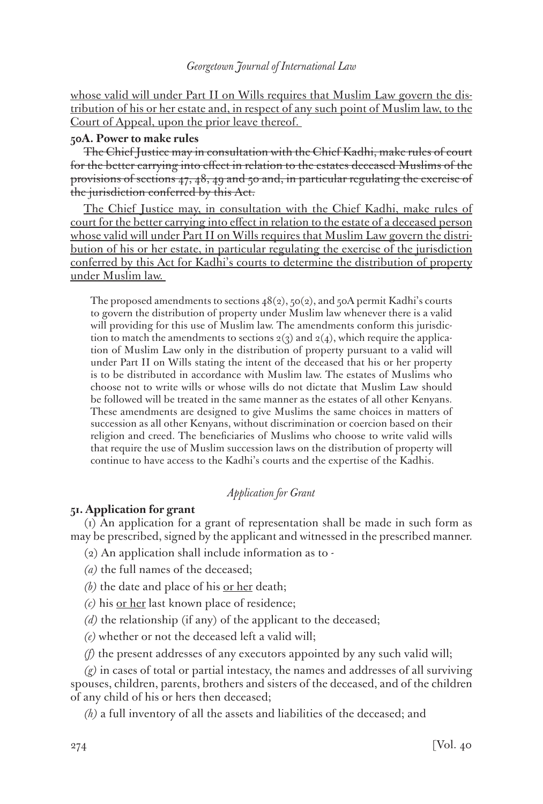whose valid will under Part II on Wills requires that Muslim Law govern the distribution of his or her estate and, in respect of any such point of Muslim law, to the Court of Appeal, upon the prior leave thereof.

# **50A. Power to make rules**

The Chief Justice may in consultation with the Chief Kadhi, make rules of court for the better carrying into effect in relation to the estates deceased Muslims of the provisions of sections 47, 48, 49 and 50 and, in particular regulating the exercise of the jurisdiction conferred by this Act.

The Chief Justice may, in consultation with the Chief Kadhi, make rules of court for the better carrying into effect in relation to the estate of a deceased person whose valid will under Part II on Wills requires that Muslim Law govern the distribution of his or her estate, in particular regulating the exercise of the jurisdiction conferred by this Act for Kadhi's courts to determine the distribution of property under Muslim law.

The proposed amendments to sections  $48(2)$ ,  $50(2)$ , and  $50A$  permit Kadhi's courts to govern the distribution of property under Muslim law whenever there is a valid will providing for this use of Muslim law. The amendments conform this jurisdiction to match the amendments to sections  $2(3)$  and  $2(4)$ , which require the application of Muslim Law only in the distribution of property pursuant to a valid will under Part II on Wills stating the intent of the deceased that his or her property is to be distributed in accordance with Muslim law. The estates of Muslims who choose not to write wills or whose wills do not dictate that Muslim Law should be followed will be treated in the same manner as the estates of all other Kenyans. These amendments are designed to give Muslims the same choices in matters of succession as all other Kenyans, without discrimination or coercion based on their religion and creed. The beneficiaries of Muslims who choose to write valid wills that require the use of Muslim succession laws on the distribution of property will continue to have access to the Kadhi's courts and the expertise of the Kadhis.

# *Application for Grant*

# **51. Application for grant**

(1) An application for a grant of representation shall be made in such form as may be prescribed, signed by the applicant and witnessed in the prescribed manner.

- (2) An application shall include information as to -
- *(a)* the full names of the deceased;
- *(b)* the date and place of his <u>or her</u> death;
- *(c)* his or her last known place of residence;
- *(d)* the relationship (if any) of the applicant to the deceased;
- *(e)* whether or not the deceased left a valid will;
- *(f)* the present addresses of any executors appointed by any such valid will;

*(g)* in cases of total or partial intestacy, the names and addresses of all surviving spouses, children, parents, brothers and sisters of the deceased, and of the children of any child of his or hers then deceased;

*(h)* a full inventory of all the assets and liabilities of the deceased; and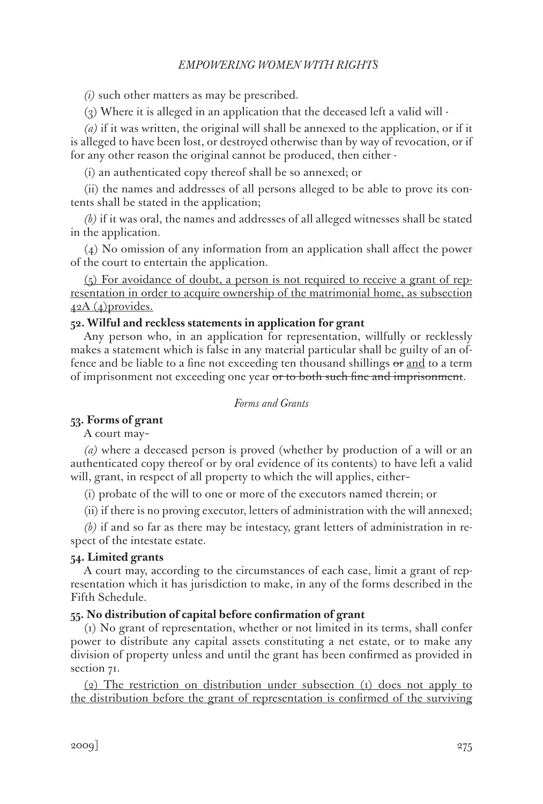*(i)* such other matters as may be prescribed.

(3) Where it is alleged in an application that the deceased left a valid will -

*(a)* if it was written, the original will shall be annexed to the application, or if it is alleged to have been lost, or destroyed otherwise than by way of revocation, or if for any other reason the original cannot be produced, then either -

(i) an authenticated copy thereof shall be so annexed; or

(ii) the names and addresses of all persons alleged to be able to prove its contents shall be stated in the application;

*(b)* if it was oral, the names and addresses of all alleged witnesses shall be stated in the application.

(4) No omission of any information from an application shall affect the power of the court to entertain the application.

(5) For avoidance of doubt, a person is not required to receive a grant of representation in order to acquire ownership of the matrimonial home, as subsection  $42A(4)$ provides.

#### **52. Wilful and reckless statements in application for grant**

Any person who, in an application for representation, willfully or recklessly makes a statement which is false in any material particular shall be guilty of an offence and be liable to a fine not exceeding ten thousand shillings or and to a term of imprisonment not exceeding one year or to both such fine and imprisonment.

# *Forms and Grants*

# **53. Forms of grant**

A court may–

*(a)* where a deceased person is proved (whether by production of a will or an authenticated copy thereof or by oral evidence of its contents) to have left a valid will, grant, in respect of all property to which the will applies, either–

(i) probate of the will to one or more of the executors named therein; or

(ii) if there is no proving executor, letters of administration with the will annexed;

*(b)* if and so far as there may be intestacy, grant letters of administration in respect of the intestate estate.

### **54. Limited grants**

A court may, according to the circumstances of each case, limit a grant of representation which it has jurisdiction to make, in any of the forms described in the Fifth Schedule.

### **55. No distribution of capital before confirmation of grant**

(1) No grant of representation, whether or not limited in its terms, shall confer power to distribute any capital assets constituting a net estate, or to make any division of property unless and until the grant has been confirmed as provided in section 71.

(2) The restriction on distribution under subsection (1) does not apply to the distribution before the grant of representation is confirmed of the surviving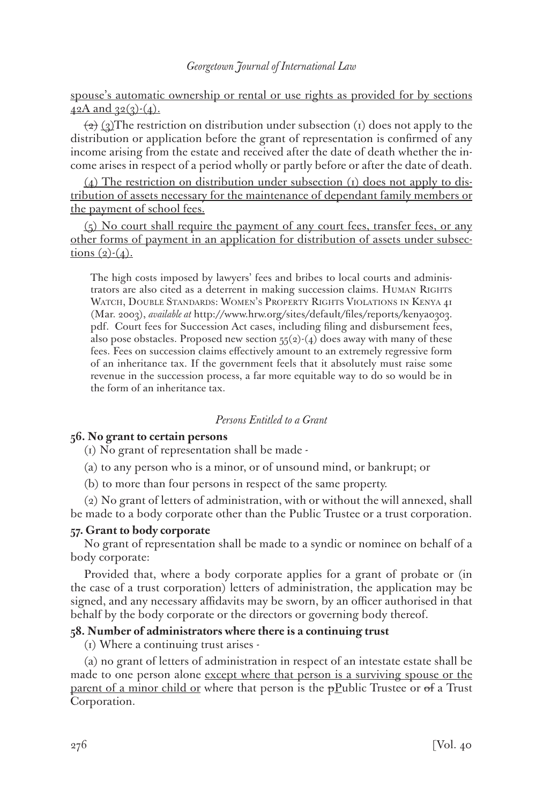spouse's automatic ownership or rental or use rights as provided for by sections  $42A$  and  $32(3)-(4)$ .

 $\left(\frac{1}{2}\right)$  (3) The restriction on distribution under subsection (1) does not apply to the distribution or application before the grant of representation is confirmed of any income arising from the estate and received after the date of death whether the income arises in respect of a period wholly or partly before or after the date of death.

 $(4)$  The restriction on distribution under subsection (1) does not apply to distribution of assets necessary for the maintenance of dependant family members or the payment of school fees.

 $(5)$  No court shall require the payment of any court fees, transfer fees, or any other forms of payment in an application for distribution of assets under subsec $tions (2)-(4)$ .

The high costs imposed by lawyers' fees and bribes to local courts and administrators are also cited as a deterrent in making succession claims. HUMAN RIGHTS Watch, Double Standards: Women's Property Rights Violations in Kenya 41 (Mar. 2003), *available at* http://www.hrw.org/sites/default/files/reports/kenya0303. pdf. Court fees for Succession Act cases, including filing and disbursement fees, also pose obstacles. Proposed new section  $55(2)-(4)$  does away with many of these fees. Fees on succession claims effectively amount to an extremely regressive form of an inheritance tax. If the government feels that it absolutely must raise some revenue in the succession process, a far more equitable way to do so would be in the form of an inheritance tax.

# *Persons Entitled to a Grant*

# **56. No grant to certain persons**

(1) No grant of representation shall be made -

(a) to any person who is a minor, or of unsound mind, or bankrupt; or

(b) to more than four persons in respect of the same property.

(2) No grant of letters of administration, with or without the will annexed, shall be made to a body corporate other than the Public Trustee or a trust corporation.

# **57. Grant to body corporate**

No grant of representation shall be made to a syndic or nominee on behalf of a body corporate:

Provided that, where a body corporate applies for a grant of probate or (in the case of a trust corporation) letters of administration, the application may be signed, and any necessary affidavits may be sworn, by an officer authorised in that behalf by the body corporate or the directors or governing body thereof.

# **58. Number of administrators where there is a continuing trust**

(1) Where a continuing trust arises -

(a) no grant of letters of administration in respect of an intestate estate shall be made to one person alone <u>except where that person is a surviving spouse or the</u> <u>parent of a minor child or</u> where that person is the  $p$ -*Public Trustee or of a Trust* Corporation.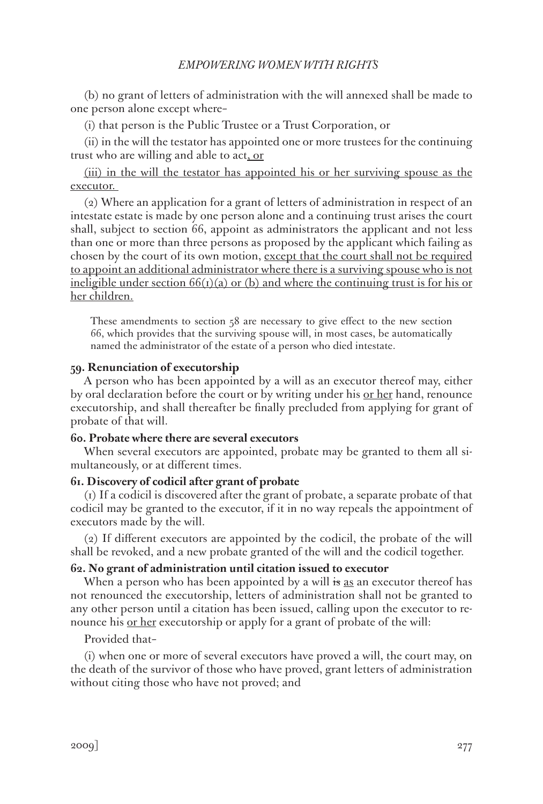(b) no grant of letters of administration with the will annexed shall be made to one person alone except where–

(i) that person is the Public Trustee or a Trust Corporation, or

(ii) in the will the testator has appointed one or more trustees for the continuing trust who are willing and able to act, or

(iii) in the will the testator has appointed his or her surviving spouse as the executor.

(2) Where an application for a grant of letters of administration in respect of an intestate estate is made by one person alone and a continuing trust arises the court shall, subject to section 66, appoint as administrators the applicant and not less than one or more than three persons as proposed by the applicant which failing as chosen by the court of its own motion, except that the court shall not be required to appoint an additional administrator where there is a surviving spouse who is not ineligible under section  $66(r)(a)$  or (b) and where the continuing trust is for his or her children.

These amendments to section 58 are necessary to give effect to the new section 66, which provides that the surviving spouse will, in most cases, be automatically named the administrator of the estate of a person who died intestate.

### **59. Renunciation of executorship**

A person who has been appointed by a will as an executor thereof may, either by oral declaration before the court or by writing under his <u>or her</u> hand, renounce executorship, and shall thereafter be finally precluded from applying for grant of probate of that will.

### **60. Probate where there are several executors**

When several executors are appointed, probate may be granted to them all simultaneously, or at different times.

### **61. Discovery of codicil after grant of probate**

(1) If a codicil is discovered after the grant of probate, a separate probate of that codicil may be granted to the executor, if it in no way repeals the appointment of executors made by the will.

(2) If different executors are appointed by the codicil, the probate of the will shall be revoked, and a new probate granted of the will and the codicil together.

### **62. No grant of administration until citation issued to executor**

When a person who has been appointed by a will is as an executor thereof has not renounced the executorship, letters of administration shall not be granted to any other person until a citation has been issued, calling upon the executor to renounce his <u>or her</u> executorship or apply for a grant of probate of the will:

Provided that–

(i) when one or more of several executors have proved a will, the court may, on the death of the survivor of those who have proved, grant letters of administration without citing those who have not proved; and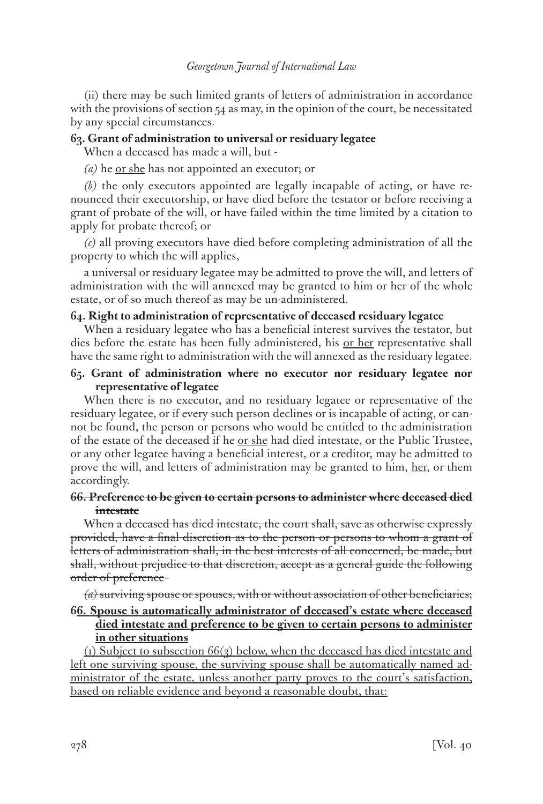(ii) there may be such limited grants of letters of administration in accordance with the provisions of section  $54$  as may, in the opinion of the court, be necessitated by any special circumstances.

# **63. Grant of administration to universal or residuary legatee**

When a deceased has made a will, but -

*(a)* he or she has not appointed an executor; or

*(b)* the only executors appointed are legally incapable of acting, or have renounced their executorship, or have died before the testator or before receiving a grant of probate of the will, or have failed within the time limited by a citation to apply for probate thereof; or

*(c)* all proving executors have died before completing administration of all the property to which the will applies,

a universal or residuary legatee may be admitted to prove the will, and letters of administration with the will annexed may be granted to him or her of the whole estate, or of so much thereof as may be un-administered.

# **64. Right to administration of representative of deceased residuary legatee**

When a residuary legatee who has a beneficial interest survives the testator, but dies before the estate has been fully administered, his or her representative shall have the same right to administration with the will annexed as the residuary legatee.

# **65. Grant of administration where no executor nor residuary legatee nor representative of legatee**

When there is no executor, and no residuary legatee or representative of the residuary legatee, or if every such person declines or is incapable of acting, or cannot be found, the person or persons who would be entitled to the administration of the estate of the deceased if he <u>or she</u> had died intestate, or the Public Trustee, or any other legatee having a beneficial interest, or a creditor, may be admitted to prove the will, and letters of administration may be granted to him, her, or them accordingly.

# **66. Preference to be given to certain persons to administer where deceased died intestate**

When a deceased has died intestate, the court shall, save as otherwise expressly provided, have a final discretion as to the person or persons to whom a grant of letters of administration shall, in the best interests of all concerned, be made, but shall, without prejudice to that discretion, accept as a general guide the following order of preference–

*(a)* surviving spouse or spouses, with or without association of other beneficiaries;

# **66. Spouse is automatically administrator of deceased's estate where deceased died intestate and preference to be given to certain persons to administer in other situations**

(1) Subject to subsection  $66\left(3\right)$  below, when the deceased has died intestate and left one surviving spouse, the surviving spouse shall be automatically named administrator of the estate, unless another party proves to the court's satisfaction, based on reliable evidence and beyond a reasonable doubt, that: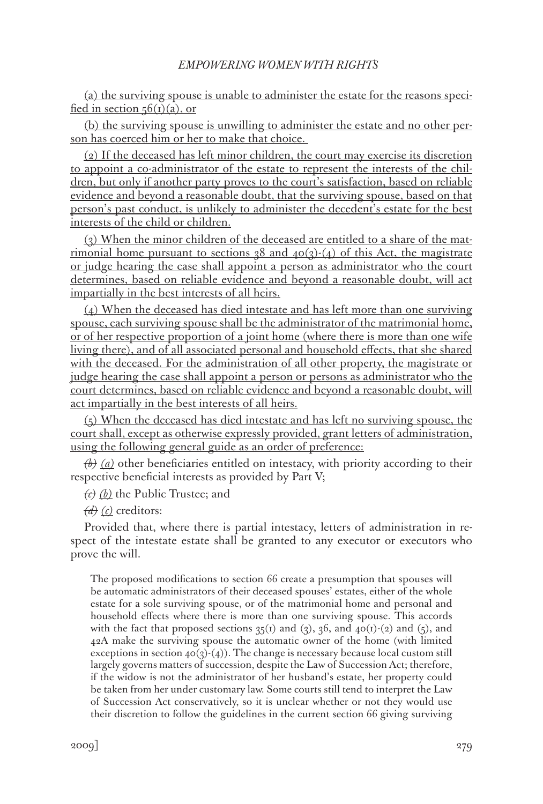(a) the surviving spouse is unable to administer the estate for the reasons specified in section  $56(i)(a)$ , or

(b) the surviving spouse is unwilling to administer the estate and no other person has coerced him or her to make that choice.

(2) If the deceased has left minor children, the court may exercise its discretion to appoint a co-administrator of the estate to represent the interests of the children, but only if another party proves to the court's satisfaction, based on reliable evidence and beyond a reasonable doubt, that the surviving spouse, based on that person's past conduct, is unlikely to administer the decedent's estate for the best interests of the child or children.

(3) When the minor children of the deceased are entitled to a share of the matrimonial home pursuant to sections  $38$  and  $40(3)-(4)$  of this Act, the magistrate or judge hearing the case shall appoint a person as administrator who the court determines, based on reliable evidence and beyond a reasonable doubt, will act impartially in the best interests of all heirs.

(4) When the deceased has died intestate and has left more than one surviving spouse, each surviving spouse shall be the administrator of the matrimonial home, or of her respective proportion of a joint home (where there is more than one wife living there), and of all associated personal and household effects, that she shared with the deceased. For the administration of all other property, the magistrate or judge hearing the case shall appoint a person or persons as administrator who the court determines, based on reliable evidence and beyond a reasonable doubt, will act impartially in the best interests of all heirs.

 $(5)$  When the deceased has died intestate and has left no surviving spouse, the court shall, except as otherwise expressly provided, grant letters of administration, using the following general guide as an order of preference:

*(b) (a)* other beneficiaries entitled on intestacy, with priority according to their respective beneficial interests as provided by Part V;

*(c) (b)* the Public Trustee; and

*(d) (c)* creditors:

Provided that, where there is partial intestacy, letters of administration in respect of the intestate estate shall be granted to any executor or executors who prove the will.

The proposed modifications to section 66 create a presumption that spouses will be automatic administrators of their deceased spouses' estates, either of the whole estate for a sole surviving spouse, or of the matrimonial home and personal and household effects where there is more than one surviving spouse. This accords with the fact that proposed sections  $35(i)$  and  $(3)$ ,  $36$ , and  $40(i)-(2)$  and  $(5)$ , and 42A make the surviving spouse the automatic owner of the home (with limited exceptions in section  $40(3)-(4)$ ). The change is necessary because local custom still largely governs matters of succession, despite the Law of Succession Act; therefore, if the widow is not the administrator of her husband's estate, her property could be taken from her under customary law. Some courts still tend to interpret the Law of Succession Act conservatively, so it is unclear whether or not they would use their discretion to follow the guidelines in the current section 66 giving surviving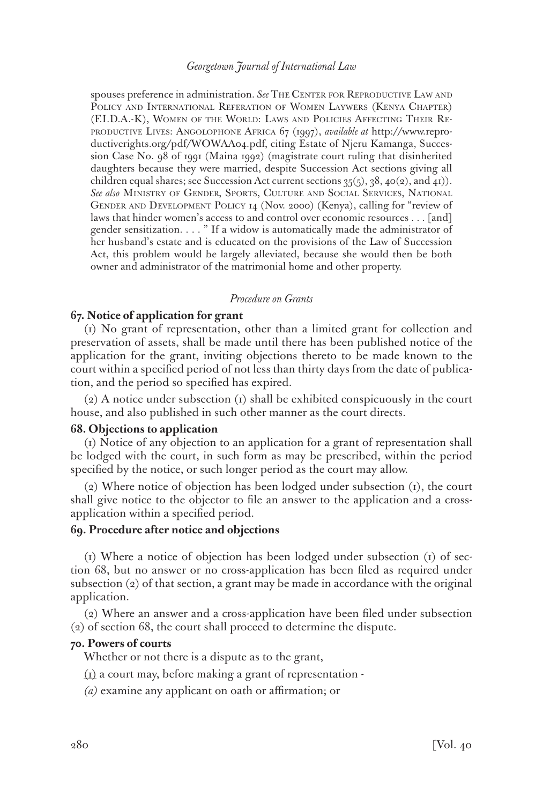spouses preference in administration. See THE CENTER FOR REPRODUCTIVE LAW AND Policy and International Referation of Women Laywers (Kenya Chapter) (F.I.D.A.-K), Women of the World: Laws and Policies Affecting Their Reproductive Lives: Angolophone Africa 67 (1997), *available at* http://www.reproductiverights.org/pdf/WOWAA04.pdf, citing Estate of Njeru Kamanga, Succession Case No. 98 of 1991 (Maina 1992) (magistrate court ruling that disinherited daughters because they were married, despite Succession Act sections giving all children equal shares; see Succession Act current sections  $35(5)$ ,  $38$ ,  $40(2)$ , and  $41)$ ). *See also* Ministry of Gender, Sports, Culture and Social Services, National Gender and Development Policy 14 (Nov. 2000) (Kenya), calling for "review of laws that hinder women's access to and control over economic resources . . . [and] gender sensitization. . . . " If a widow is automatically made the administrator of her husband's estate and is educated on the provisions of the Law of Succession Act, this problem would be largely alleviated, because she would then be both owner and administrator of the matrimonial home and other property.

#### *Procedure on Grants*

#### **67. Notice of application for grant**

(1) No grant of representation, other than a limited grant for collection and preservation of assets, shall be made until there has been published notice of the application for the grant, inviting objections thereto to be made known to the court within a specified period of not less than thirty days from the date of publication, and the period so specified has expired.

(2) A notice under subsection (1) shall be exhibited conspicuously in the court house, and also published in such other manner as the court directs.

#### **68. Objections to application**

(1) Notice of any objection to an application for a grant of representation shall be lodged with the court, in such form as may be prescribed, within the period specified by the notice, or such longer period as the court may allow.

(2) Where notice of objection has been lodged under subsection (1), the court shall give notice to the objector to file an answer to the application and a crossapplication within a specified period.

#### **69. Procedure after notice and objections**

(1) Where a notice of objection has been lodged under subsection (1) of section 68, but no answer or no cross-application has been filed as required under subsection (2) of that section, a grant may be made in accordance with the original application.

(2) Where an answer and a cross-application have been filed under subsection (2) of section 68, the court shall proceed to determine the dispute.

# **70. Powers of courts**

Whether or not there is a dispute as to the grant,

- $(i)$  a court may, before making a grant of representation -
- *(a)* examine any applicant on oath or affirmation; or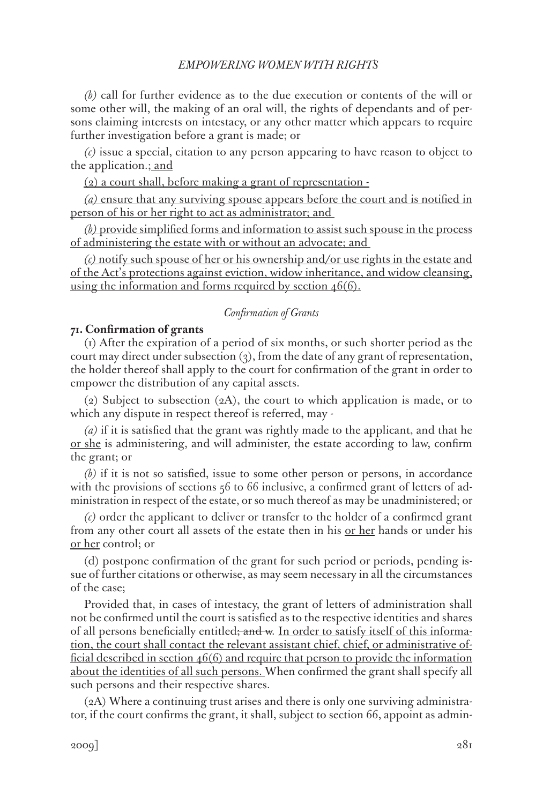*(b)* call for further evidence as to the due execution or contents of the will or some other will, the making of an oral will, the rights of dependants and of persons claiming interests on intestacy, or any other matter which appears to require further investigation before a grant is made; or

*(c)* issue a special, citation to any person appearing to have reason to object to the application.; and

(2) a court shall, before making a grant of representation -

*(a)* ensure that any surviving spouse appears before the court and is notified in person of his or her right to act as administrator; and

*(b)* provide simplified forms and information to assist such spouse in the process of administering the estate with or without an advocate; and

*(c)* notify such spouse of her or his ownership and/or use rights in the estate and of the Act's protections against eviction, widow inheritance, and widow cleansing, using the information and forms required by section  $46(6)$ .

### *Confirmation of Grants*

# **71. Confirmation of grants**

(1) After the expiration of a period of six months, or such shorter period as the court may direct under subsection  $(3)$ , from the date of any grant of representation, the holder thereof shall apply to the court for confirmation of the grant in order to empower the distribution of any capital assets.

(2) Subject to subsection (2A), the court to which application is made, or to which any dispute in respect thereof is referred, may -

*(a)* if it is satisfied that the grant was rightly made to the applicant, and that he or she is administering, and will administer, the estate according to law, confirm the grant; or

*(b)* if it is not so satisfied, issue to some other person or persons, in accordance with the provisions of sections  $56$  to 66 inclusive, a confirmed grant of letters of administration in respect of the estate, or so much thereof as may be unadministered; or

*(c)* order the applicant to deliver or transfer to the holder of a confirmed grant from any other court all assets of the estate then in his <u>or her</u> hands or under his or her control; or

(d) postpone confirmation of the grant for such period or periods, pending issue of further citations or otherwise, as may seem necessary in all the circumstances of the case;

Provided that, in cases of intestacy, the grant of letters of administration shall not be confirmed until the court is satisfied as to the respective identities and shares of all persons beneficially entitled<del>; and w</del>. In order to satisfy itself of this information, the court shall contact the relevant assistant chief, chief, or administrative official described in section 46(6) and require that person to provide the information about the identities of all such persons. When confirmed the grant shall specify all such persons and their respective shares.

(2A) Where a continuing trust arises and there is only one surviving administrator, if the court confirms the grant, it shall, subject to section 66, appoint as admin-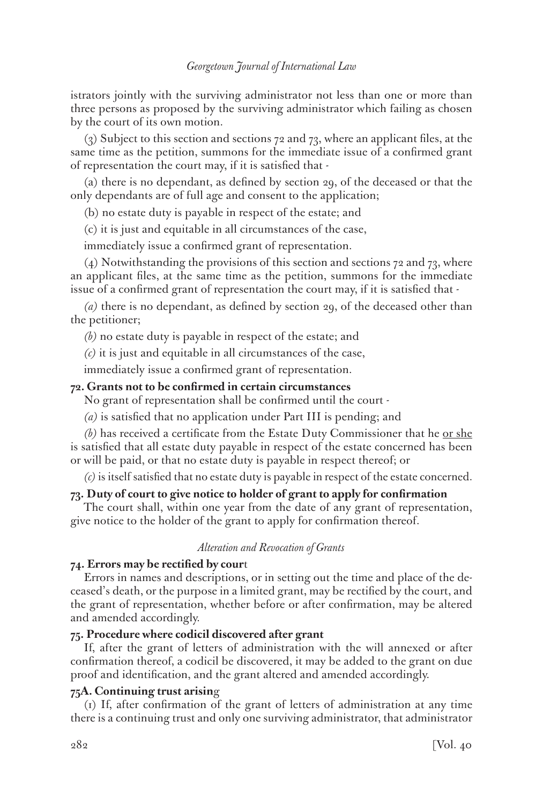istrators jointly with the surviving administrator not less than one or more than three persons as proposed by the surviving administrator which failing as chosen by the court of its own motion.

(3) Subject to this section and sections 72 and 73, where an applicant files, at the same time as the petition, summons for the immediate issue of a confirmed grant of representation the court may, if it is satisfied that -

(a) there is no dependant, as defined by section 29, of the deceased or that the only dependants are of full age and consent to the application;

(b) no estate duty is payable in respect of the estate; and

(c) it is just and equitable in all circumstances of the case,

immediately issue a confirmed grant of representation.

(4) Notwithstanding the provisions of this section and sections 72 and 73, where an applicant files, at the same time as the petition, summons for the immediate issue of a confirmed grant of representation the court may, if it is satisfied that -

*(a)* there is no dependant, as defined by section 29, of the deceased other than the petitioner;

*(b)* no estate duty is payable in respect of the estate; and

*(c)* it is just and equitable in all circumstances of the case,

immediately issue a confirmed grant of representation.

# **72. Grants not to be confirmed in certain circumstances**

No grant of representation shall be confirmed until the court -

*(a)* is satisfied that no application under Part III is pending; and

*(b)* has received a certificate from the Estate Duty Commissioner that he or she is satisfied that all estate duty payable in respect of the estate concerned has been or will be paid, or that no estate duty is payable in respect thereof; or

*(c)* is itself satisfied that no estate duty is payable in respect of the estate concerned.

# **73. Duty of court to give notice to holder of grant to apply for confirmation**

The court shall, within one year from the date of any grant of representation, give notice to the holder of the grant to apply for confirmation thereof.

#### *Alteration and Revocation of Grants*

# **74. Errors may be rectified by cour**t

Errors in names and descriptions, or in setting out the time and place of the deceased's death, or the purpose in a limited grant, may be rectified by the court, and the grant of representation, whether before or after confirmation, may be altered and amended accordingly.

## **75. Procedure where codicil discovered after grant**

If, after the grant of letters of administration with the will annexed or after confirmation thereof, a codicil be discovered, it may be added to the grant on due proof and identification, and the grant altered and amended accordingly.

## **75A. Continuing trust arisin**g

(1) If, after confirmation of the grant of letters of administration at any time there is a continuing trust and only one surviving administrator, that administrator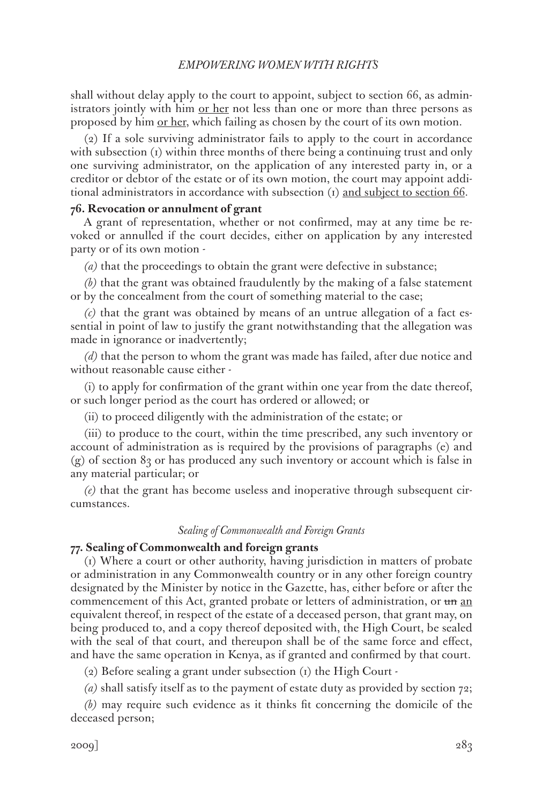shall without delay apply to the court to appoint, subject to section 66, as administrators jointly with him <u>or her</u> not less than one or more than three persons as proposed by him <u>or her</u>, which failing as chosen by the court of its own motion.

(2) If a sole surviving administrator fails to apply to the court in accordance with subsection  $(i)$  within three months of there being a continuing trust and only one surviving administrator, on the application of any interested party in, or a creditor or debtor of the estate or of its own motion, the court may appoint additional administrators in accordance with subsection  $(i)$  and subject to section 66.

# **76. Revocation or annulment of grant**

A grant of representation, whether or not confirmed, may at any time be revoked or annulled if the court decides, either on application by any interested party or of its own motion -

*(a)* that the proceedings to obtain the grant were defective in substance;

*(b)* that the grant was obtained fraudulently by the making of a false statement or by the concealment from the court of something material to the case;

*(c)* that the grant was obtained by means of an untrue allegation of a fact essential in point of law to justify the grant notwithstanding that the allegation was made in ignorance or inadvertently;

*(d)* that the person to whom the grant was made has failed, after due notice and without reasonable cause either -

(i) to apply for confirmation of the grant within one year from the date thereof, or such longer period as the court has ordered or allowed; or

(ii) to proceed diligently with the administration of the estate; or

(iii) to produce to the court, within the time prescribed, any such inventory or account of administration as is required by the provisions of paragraphs (e) and (g) of section 83 or has produced any such inventory or account which is false in any material particular; or

*(e)* that the grant has become useless and inoperative through subsequent circumstances.

#### *Sealing of Commonwealth and Foreign Grants*

# **77. Sealing of Commonwealth and foreign grants**

(1) Where a court or other authority, having jurisdiction in matters of probate or administration in any Commonwealth country or in any other foreign country designated by the Minister by notice in the Gazette, has, either before or after the commencement of this Act, granted probate or letters of administration, or un an equivalent thereof, in respect of the estate of a deceased person, that grant may, on being produced to, and a copy thereof deposited with, the High Court, be sealed with the seal of that court, and thereupon shall be of the same force and effect, and have the same operation in Kenya, as if granted and confirmed by that court.

(2) Before sealing a grant under subsection (1) the High Court -

*(a)* shall satisfy itself as to the payment of estate duty as provided by section 72;

*(b)* may require such evidence as it thinks fit concerning the domicile of the deceased person;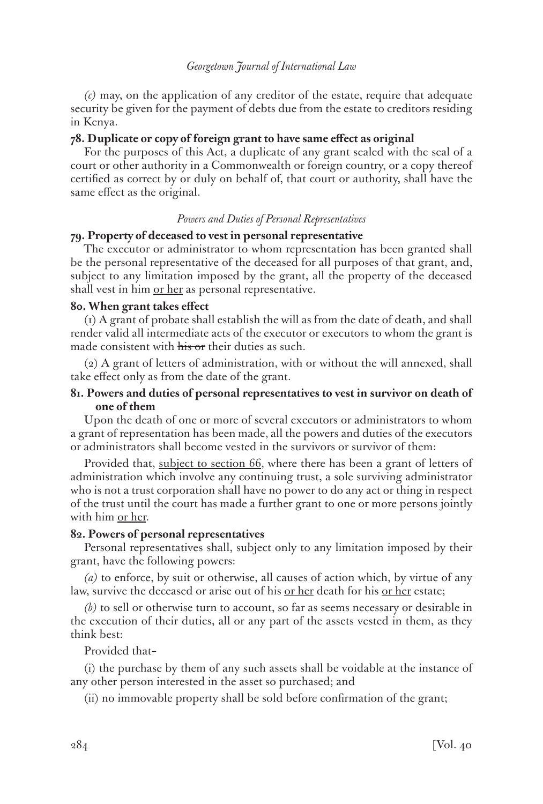*(c)* may, on the application of any creditor of the estate, require that adequate security be given for the payment of debts due from the estate to creditors residing in Kenya.

# **78. Duplicate or copy of foreign grant to have same effect as original**

For the purposes of this Act, a duplicate of any grant sealed with the seal of a court or other authority in a Commonwealth or foreign country, or a copy thereof certified as correct by or duly on behalf of, that court or authority, shall have the same effect as the original.

# *Powers and Duties of Personal Representatives*

### **79. Property of deceased to vest in personal representative**

The executor or administrator to whom representation has been granted shall be the personal representative of the deceased for all purposes of that grant, and, subject to any limitation imposed by the grant, all the property of the deceased shall vest in him <u>or her</u> as personal representative.

# **80. When grant takes effect**

(1) A grant of probate shall establish the will as from the date of death, and shall render valid all intermediate acts of the executor or executors to whom the grant is made consistent with his or their duties as such.

(2) A grant of letters of administration, with or without the will annexed, shall take effect only as from the date of the grant.

# **81. Powers and duties of personal representatives to vest in survivor on death of one of them**

Upon the death of one or more of several executors or administrators to whom a grant of representation has been made, all the powers and duties of the executors or administrators shall become vested in the survivors or survivor of them:

Provided that, subject to section 66, where there has been a grant of letters of administration which involve any continuing trust, a sole surviving administrator who is not a trust corporation shall have no power to do any act or thing in respect of the trust until the court has made a further grant to one or more persons jointly with him or her.

#### **82. Powers of personal representatives**

Personal representatives shall, subject only to any limitation imposed by their grant, have the following powers:

*(a)* to enforce, by suit or otherwise, all causes of action which, by virtue of any law, survive the deceased or arise out of his <u>or her</u> death for his <u>or her</u> estate;

*(b)* to sell or otherwise turn to account, so far as seems necessary or desirable in the execution of their duties, all or any part of the assets vested in them, as they think best:

### Provided that–

(i) the purchase by them of any such assets shall be voidable at the instance of any other person interested in the asset so purchased; and

(ii) no immovable property shall be sold before confirmation of the grant;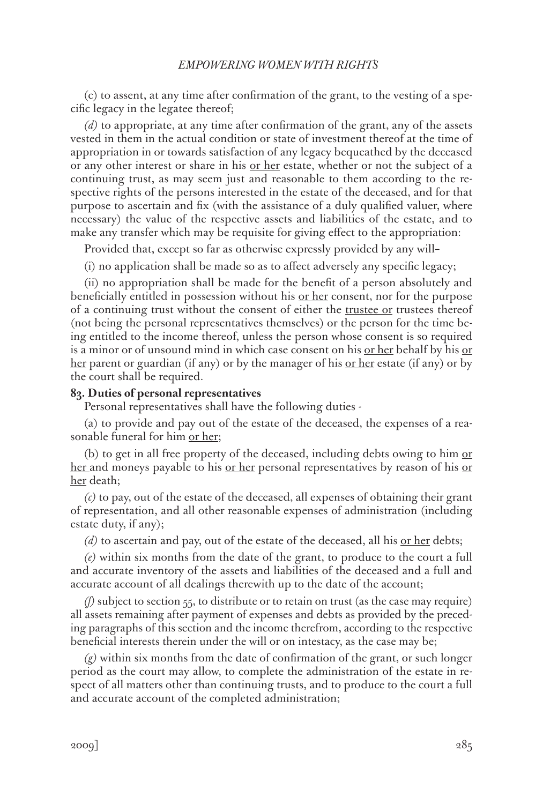(c) to assent, at any time after confirmation of the grant, to the vesting of a specific legacy in the legatee thereof;

*(d)* to appropriate, at any time after confirmation of the grant, any of the assets vested in them in the actual condition or state of investment thereof at the time of appropriation in or towards satisfaction of any legacy bequeathed by the deceased or any other interest or share in his <u>or her</u> estate, whether or not the subject of a continuing trust, as may seem just and reasonable to them according to the respective rights of the persons interested in the estate of the deceased, and for that purpose to ascertain and fix (with the assistance of a duly qualified valuer, where necessary) the value of the respective assets and liabilities of the estate, and to make any transfer which may be requisite for giving effect to the appropriation:

Provided that, except so far as otherwise expressly provided by any will–

(i) no application shall be made so as to affect adversely any specific legacy;

(ii) no appropriation shall be made for the benefit of a person absolutely and beneficially entitled in possession without his or her consent, nor for the purpose of a continuing trust without the consent of either the trustee or trustees thereof (not being the personal representatives themselves) or the person for the time being entitled to the income thereof, unless the person whose consent is so required is a minor or of unsound mind in which case consent on his or her behalf by his or her parent or guardian (if any) or by the manager of his <u>or her</u> estate (if any) or by the court shall be required.

## **83. Duties of personal representatives**

Personal representatives shall have the following duties -

(a) to provide and pay out of the estate of the deceased, the expenses of a reasonable funeral for him or her;

(b) to get in all free property of the deceased, including debts owing to him  $or$ </u> her and moneys payable to his <u>or her</u> personal representatives by reason of his <u>or</u> her death;

*(c)* to pay, out of the estate of the deceased, all expenses of obtaining their grant of representation, and all other reasonable expenses of administration (including estate duty, if any);

*(d)* to ascertain and pay, out of the estate of the deceased, all his or her debts;

*(e)* within six months from the date of the grant, to produce to the court a full and accurate inventory of the assets and liabilities of the deceased and a full and accurate account of all dealings therewith up to the date of the account;

*(f)* subject to section 55, to distribute or to retain on trust (as the case may require) all assets remaining after payment of expenses and debts as provided by the preceding paragraphs of this section and the income therefrom, according to the respective beneficial interests therein under the will or on intestacy, as the case may be;

*(g)* within six months from the date of confirmation of the grant, or such longer period as the court may allow, to complete the administration of the estate in respect of all matters other than continuing trusts, and to produce to the court a full and accurate account of the completed administration;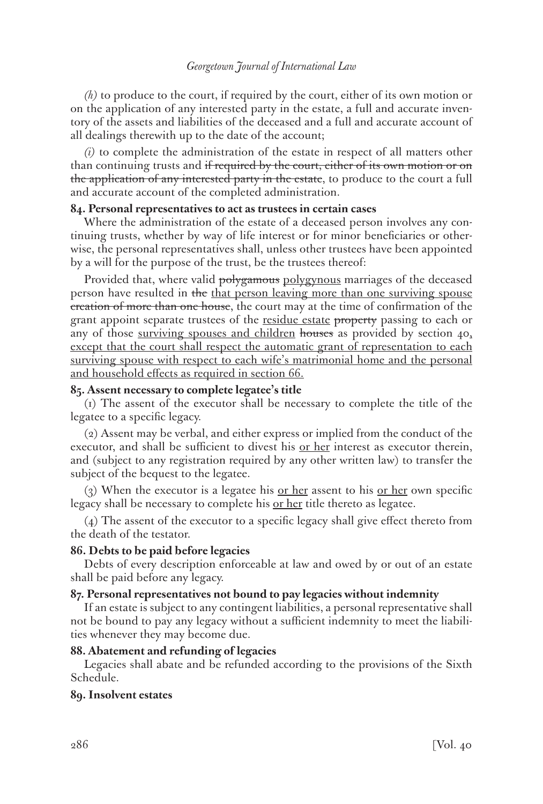*(h)* to produce to the court, if required by the court, either of its own motion or on the application of any interested party in the estate, a full and accurate inventory of the assets and liabilities of the deceased and a full and accurate account of all dealings therewith up to the date of the account;

*(i)* to complete the administration of the estate in respect of all matters other than continuing trusts and if required by the court, either of its own motion or on the application of any interested party in the estate, to produce to the court a full and accurate account of the completed administration.

### **84. Personal representatives to act as trustees in certain cases**

Where the administration of the estate of a deceased person involves any continuing trusts, whether by way of life interest or for minor beneficiaries or otherwise, the personal representatives shall, unless other trustees have been appointed by a will for the purpose of the trust, be the trustees thereof:

Provided that, where valid polygamous polygynous marriages of the deceased person have resulted in the that person leaving more than one surviving spouse creation of more than one house, the court may at the time of confirmation of the grant appoint separate trustees of the residue estate property passing to each or any of those surviving spouses and children houses as provided by section  $40<sub>3</sub>$ except that the court shall respect the automatic grant of representation to each surviving spouse with respect to each wife's matrimonial home and the personal and household effects as required in section 66.

## **85. Assent necessary to complete legatee's title**

(1) The assent of the executor shall be necessary to complete the title of the legatee to a specific legacy.

(2) Assent may be verbal, and either express or implied from the conduct of the executor, and shall be sufficient to divest his <u>or her</u> interest as executor therein, and (subject to any registration required by any other written law) to transfer the subject of the bequest to the legatee.

(3) When the executor is a legatee his <u>or her</u> assent to his <u>or her</u> own specific legacy shall be necessary to complete his <u>or her</u> title thereto as legatee.

(4) The assent of the executor to a specific legacy shall give effect thereto from the death of the testator.

### **86. Debts to be paid before legacies**

Debts of every description enforceable at law and owed by or out of an estate shall be paid before any legacy.

### **87. Personal representatives not bound to pay legacies without indemnity**

If an estate is subject to any contingent liabilities, a personal representative shall not be bound to pay any legacy without a sufficient indemnity to meet the liabilities whenever they may become due.

# **88. Abatement and refunding of legacies**

Legacies shall abate and be refunded according to the provisions of the Sixth Schedule.

# **89. Insolvent estates**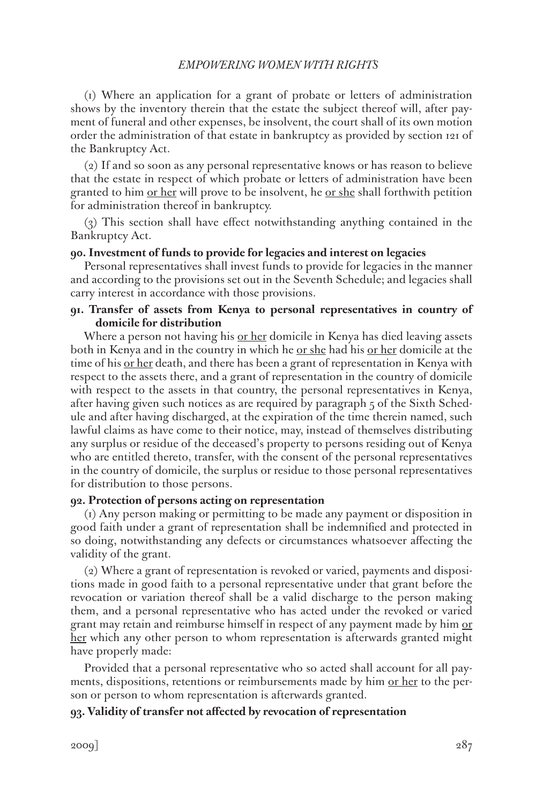(1) Where an application for a grant of probate or letters of administration shows by the inventory therein that the estate the subject thereof will, after payment of funeral and other expenses, be insolvent, the court shall of its own motion order the administration of that estate in bankruptcy as provided by section 121 of the Bankruptcy Act.

(2) If and so soon as any personal representative knows or has reason to believe that the estate in respect of which probate or letters of administration have been granted to him <u>or her</u> will prove to be insolvent, he <u>or she</u> shall forthwith petition for administration thereof in bankruptcy.

(3) This section shall have effect notwithstanding anything contained in the Bankruptcy Act.

### **90. Investment of funds to provide for legacies and interest on legacies**

Personal representatives shall invest funds to provide for legacies in the manner and according to the provisions set out in the Seventh Schedule; and legacies shall carry interest in accordance with those provisions.

# **91. Transfer of assets from Kenya to personal representatives in country of domicile for distribution**

Where a person not having his or her domicile in Kenya has died leaving assets both in Kenya and in the country in which he <u>or she</u> had his <u>or her</u> domicile at the time of his <u>or her</u> death, and there has been a grant of representation in Kenya with respect to the assets there, and a grant of representation in the country of domicile with respect to the assets in that country, the personal representatives in Kenya, after having given such notices as are required by paragraph 5 of the Sixth Schedule and after having discharged, at the expiration of the time therein named, such lawful claims as have come to their notice, may, instead of themselves distributing any surplus or residue of the deceased's property to persons residing out of Kenya who are entitled thereto, transfer, with the consent of the personal representatives in the country of domicile, the surplus or residue to those personal representatives for distribution to those persons.

# **92. Protection of persons acting on representation**

(1) Any person making or permitting to be made any payment or disposition in good faith under a grant of representation shall be indemnified and protected in so doing, notwithstanding any defects or circumstances whatsoever affecting the validity of the grant.

(2) Where a grant of representation is revoked or varied, payments and dispositions made in good faith to a personal representative under that grant before the revocation or variation thereof shall be a valid discharge to the person making them, and a personal representative who has acted under the revoked or varied grant may retain and reimburse himself in respect of any payment made by him or her which any other person to whom representation is afterwards granted might have properly made:

Provided that a personal representative who so acted shall account for all payments, dispositions, retentions or reimbursements made by him <u>or her</u> to the person or person to whom representation is afterwards granted.

# **93. Validity of transfer not affected by revocation of representation**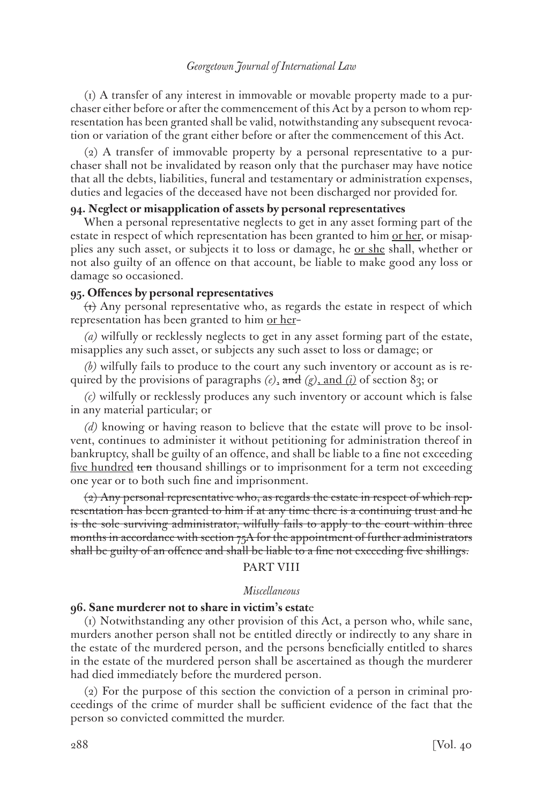(1) A transfer of any interest in immovable or movable property made to a purchaser either before or after the commencement of this Act by a person to whom representation has been granted shall be valid, notwithstanding any subsequent revocation or variation of the grant either before or after the commencement of this Act.

(2) A transfer of immovable property by a personal representative to a purchaser shall not be invalidated by reason only that the purchaser may have notice that all the debts, liabilities, funeral and testamentary or administration expenses, duties and legacies of the deceased have not been discharged nor provided for.

# **94. Neglect or misapplication of assets by personal representatives**

When a personal representative neglects to get in any asset forming part of the estate in respect of which representation has been granted to him <u>or her</u>, or misapplies any such asset, or subjects it to loss or damage, he or she shall, whether or not also guilty of an offence on that account, be liable to make good any loss or damage so occasioned.

# **95. Offences by personal representatives**

 $(t)$  Any personal representative who, as regards the estate in respect of which representation has been granted to him or her-

*(a)* wilfully or recklessly neglects to get in any asset forming part of the estate, misapplies any such asset, or subjects any such asset to loss or damage; or

*(b)* wilfully fails to produce to the court any such inventory or account as is required by the provisions of paragraphs *(e)*, and *(g)*, and *(i)* of section 83; or

*(c)* wilfully or recklessly produces any such inventory or account which is false in any material particular; or

*(d)* knowing or having reason to believe that the estate will prove to be insolvent, continues to administer it without petitioning for administration thereof in bankruptcy, shall be guilty of an offence, and shall be liable to a fine not exceeding five hundred ten thousand shillings or to imprisonment for a term not exceeding one year or to both such fine and imprisonment.

(2) Any personal representative who, as regards the estate in respect of which representation has been granted to him if at any time there is a continuing trust and he is the sole surviving administrator, wilfully fails to apply to the court within three months in accordance with section 75A for the appointment of further administrators shall be guilty of an offence and shall be liable to a fine not exceeding five shillings.

### PART VIII

#### *Miscellaneous*

### **96. Sane murderer not to share in victim's estat**e

(1) Notwithstanding any other provision of this Act, a person who, while sane, murders another person shall not be entitled directly or indirectly to any share in the estate of the murdered person, and the persons beneficially entitled to shares in the estate of the murdered person shall be ascertained as though the murderer had died immediately before the murdered person.

(2) For the purpose of this section the conviction of a person in criminal proceedings of the crime of murder shall be sufficient evidence of the fact that the person so convicted committed the murder.